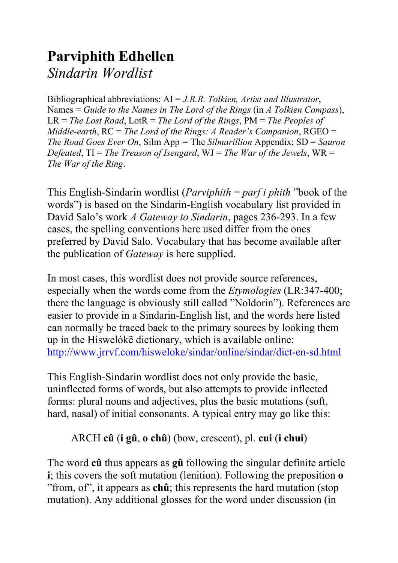# **Parviphith Edhellen**  *Sindarin Wordlist*

Bibliographical abbreviations: AI = *J.R.R. Tolkien, Artist and Illustrator*, Names = *Guide to the Names in The Lord of the Rings* (in *A Tolkien Compass*), LR = *The Lost Road*, LotR = *The Lord of the Rings*, PM = *The Peoples of Middle-earth*, RC = *The Lord of the Rings: A Reader's Companion*, RGEO = *The Road Goes Ever On*, Silm App *=* The *Silmarillion* Appendix; SD = *Sauron Defeated*, TI = *The Treason of Isengard*, WJ = *The War of the Jewels*, WR = *The War of the Ring*.

This English-Sindarin wordlist (*Parviphith* = *parf i phith* "book of the words") is based on the Sindarin-English vocabulary list provided in David Salo's work *A Gateway to Sindarin*, pages 236-293. In a few cases, the spelling conventions here used differ from the ones preferred by David Salo. Vocabulary that has become available after the publication of *Gateway* is here supplied.

In most cases, this wordlist does not provide source references, especially when the words come from the *Etymologies* (LR:347-400; there the language is obviously still called "Noldorin"). References are easier to provide in a Sindarin-English list, and the words here listed can normally be traced back to the primary sources by looking them up in the Hiswelókë dictionary, which is available online: <http://www.jrrvf.com/hisweloke/sindar/online/sindar/dict-en-sd.html>

This English-Sindarin wordlist does not only provide the basic, uninflected forms of words, but also attempts to provide inflected forms: plural nouns and adjectives, plus the basic mutations (soft, hard, nasal) of initial consonants. A typical entry may go like this:

#### ARCH **cû** (**i gû**, **o chû**) (bow, crescent), pl. **cui** (**i chui**)

The word **cû** thus appears as **gû** following the singular definite article **i**; this covers the soft mutation (lenition). Following the preposition **o** "from, of", it appears as **chû**; this represents the hard mutation (stop mutation). Any additional glosses for the word under discussion (in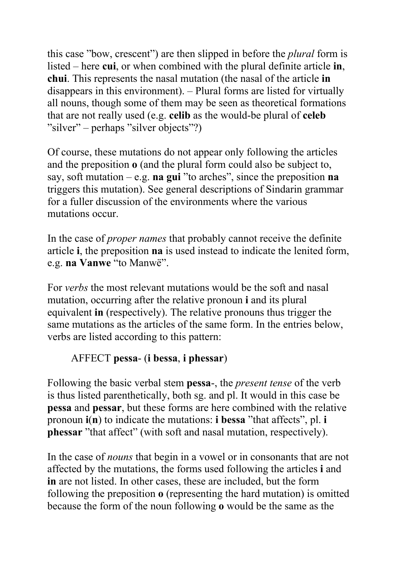this case "bow, crescent") are then slipped in before the *plural* form is listed – here **cui**, or when combined with the plural definite article **in**, **chui**. This represents the nasal mutation (the nasal of the article **in** disappears in this environment). – Plural forms are listed for virtually all nouns, though some of them may be seen as theoretical formations that are not really used (e.g. **celib** as the would-be plural of **celeb** "silver" – perhaps "silver objects"?)

Of course, these mutations do not appear only following the articles and the preposition **o** (and the plural form could also be subject to, say, soft mutation – e.g. **na gui** "to arches", since the preposition **na** triggers this mutation). See general descriptions of Sindarin grammar for a fuller discussion of the environments where the various mutations occur.

In the case of *proper names* that probably cannot receive the definite article **i**, the preposition **na** is used instead to indicate the lenited form, e.g. **na Vanwe** "to Manwë".

For *verbs* the most relevant mutations would be the soft and nasal mutation, occurring after the relative pronoun **i** and its plural equivalent **in** (respectively). The relative pronouns thus trigger the same mutations as the articles of the same form. In the entries below, verbs are listed according to this pattern:

#### AFFECT **pessa**- (**i bessa**, **i phessar**)

Following the basic verbal stem **pessa**-, the *present tense* of the verb is thus listed parenthetically, both sg. and pl. It would in this case be **pessa** and **pessar**, but these forms are here combined with the relative pronoun **i**(**n**) to indicate the mutations: **i bessa** "that affects", pl. **i phessar** "that affect" (with soft and nasal mutation, respectively).

In the case of *nouns* that begin in a vowel or in consonants that are not affected by the mutations, the forms used following the articles **i** and **in** are not listed. In other cases, these are included, but the form following the preposition **o** (representing the hard mutation) is omitted because the form of the noun following **o** would be the same as the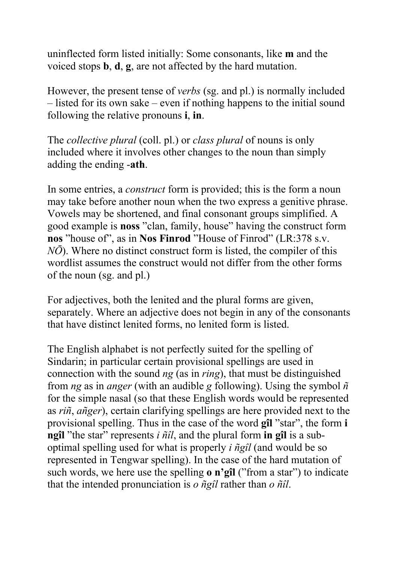uninflected form listed initially: Some consonants, like **m** and the voiced stops **b**, **d**, **g**, are not affected by the hard mutation.

However, the present tense of *verbs* (sg. and pl.) is normally included – listed for its own sake – even if nothing happens to the initial sound following the relative pronouns **i**, **in**.

The *collective plural* (coll. pl.) or *class plural* of nouns is only included where it involves other changes to the noun than simply adding the ending -**ath**.

In some entries, a *construct* form is provided; this is the form a noun may take before another noun when the two express a genitive phrase. Vowels may be shortened, and final consonant groups simplified. A good example is **noss** "clan, family, house" having the construct form **nos** "house of", as in **Nos Finrod** "House of Finrod" (LR:378 s.v. *NŌ*). Where no distinct construct form is listed, the compiler of this wordlist assumes the construct would not differ from the other forms of the noun (sg. and pl.)

For adjectives, both the lenited and the plural forms are given, separately. Where an adjective does not begin in any of the consonants that have distinct lenited forms, no lenited form is listed.

The English alphabet is not perfectly suited for the spelling of Sindarin; in particular certain provisional spellings are used in connection with the sound *ng* (as in *ring*), that must be distinguished from *ng* as in *anger* (with an audible *g* following). Using the symbol *ñ* for the simple nasal (so that these English words would be represented as *riñ*, *añger*), certain clarifying spellings are here provided next to the provisional spelling. Thus in the case of the word **gîl** "star", the form **i ngîl** "the star" represents *i ñîl*, and the plural form **in gîl** is a suboptimal spelling used for what is properly *i ñgîl* (and would be so represented in Tengwar spelling). In the case of the hard mutation of such words, we here use the spelling **o n'gîl** ("from a star") to indicate that the intended pronunciation is *o ñgîl* rather than *o ñîl*.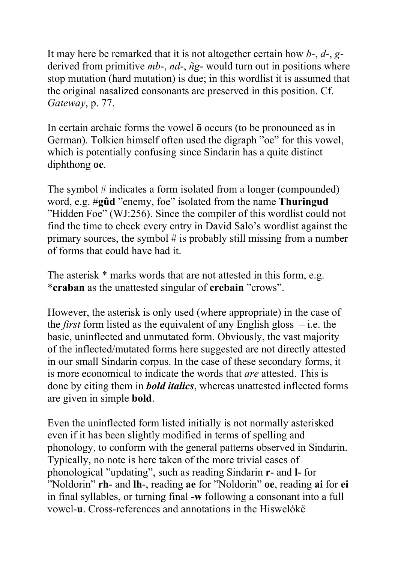It may here be remarked that it is not altogether certain how *b-*, *d*-, *g*derived from primitive *mb*-, *nd*-, *ñg*- would turn out in positions where stop mutation (hard mutation) is due; in this wordlist it is assumed that the original nasalized consonants are preserved in this position. Cf. *Gateway*, p. 77.

In certain archaic forms the vowel **ö** occurs (to be pronounced as in German). Tolkien himself often used the digraph "oe" for this vowel, which is potentially confusing since Sindarin has a quite distinct diphthong **oe**.

The symbol # indicates a form isolated from a longer (compounded) word, e.g. #**gûd** "enemy, foe" isolated from the name **Thuringud** "Hidden Foe" (WJ:256). Since the compiler of this wordlist could not find the time to check every entry in David Salo's wordlist against the primary sources, the symbol  $\#$  is probably still missing from a number of forms that could have had it.

The asterisk  $*$  marks words that are not attested in this form, e.g. \***craban** as the unattested singular of **crebain** "crows".

However, the asterisk is only used (where appropriate) in the case of the *first* form listed as the equivalent of any English gloss – i.e. the basic, uninflected and unmutated form. Obviously, the vast majority of the inflected/mutated forms here suggested are not directly attested in our small Sindarin corpus. In the case of these secondary forms, it is more economical to indicate the words that *are* attested. This is done by citing them in *bold italics*, whereas unattested inflected forms are given in simple **bold**.

Even the uninflected form listed initially is not normally asterisked even if it has been slightly modified in terms of spelling and phonology, to conform with the general patterns observed in Sindarin. Typically, no note is here taken of the more trivial cases of phonological "updating", such as reading Sindarin **r**- and **l**- for "Noldorin" **rh**- and **lh**-, reading **ae** for "Noldorin" **oe**, reading **ai** for **ei** in final syllables, or turning final -**w** following a consonant into a full vowel-**u**. Cross-references and annotations in the Hiswelókë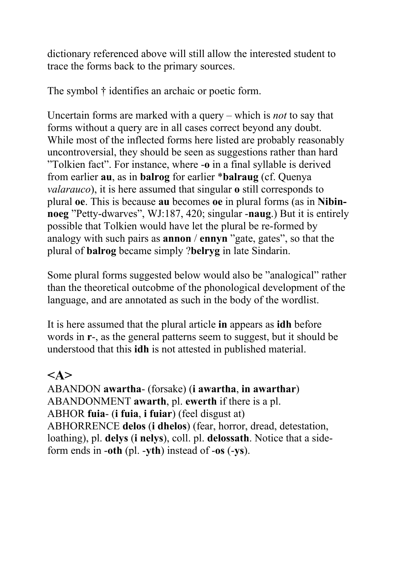dictionary referenced above will still allow the interested student to trace the forms back to the primary sources.

The symbol † identifies an archaic or poetic form.

Uncertain forms are marked with a query – which is *not* to say that forms without a query are in all cases correct beyond any doubt. While most of the inflected forms here listed are probably reasonably uncontroversial, they should be seen as suggestions rather than hard "Tolkien fact". For instance, where -**o** in a final syllable is derived from earlier **au**, as in **balrog** for earlier \***balraug** (cf. Quenya *valarauco*), it is here assumed that singular **o** still corresponds to plural **oe**. This is because **au** becomes **oe** in plural forms (as in **Nibinnoeg** "Petty-dwarves", WJ:187, 420; singular -**naug**.) But it is entirely possible that Tolkien would have let the plural be re-formed by analogy with such pairs as **annon** / **ennyn** "gate, gates", so that the plural of **balrog** became simply ?**belryg** in late Sindarin.

Some plural forms suggested below would also be "analogical" rather than the theoretical outcobme of the phonological development of the language, and are annotated as such in the body of the wordlist.

It is here assumed that the plural article **in** appears as **idh** before words in **r**-, as the general patterns seem to suggest, but it should be understood that this **idh** is not attested in published material.

### **<A>**

ABANDON **awartha**- (forsake) (**i awartha**, **in awarthar**) ABANDONMENT **awarth**, pl. **ewerth** if there is a pl. ABHOR **fuia**- (**i fuia**, **i fuiar**) (feel disgust at) ABHORRENCE **delos** (**i dhelos**) (fear, horror, dread, detestation, loathing), pl. **delys** (**i nelys**), coll. pl. **delossath**. Notice that a sideform ends in -**oth** (pl. -**yth**) instead of -**os** (-**ys**).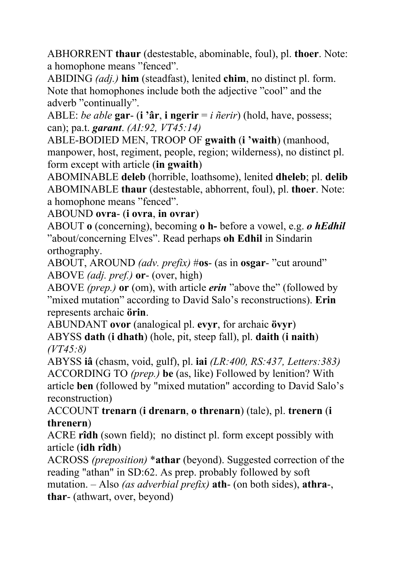ABHORRENT **thaur** (destestable, abominable, foul), pl. **thoer**. Note: a homophone means "fenced".

ABIDING *(adj.)* **him** (steadfast), lenited **chim**, no distinct pl. form. Note that homophones include both the adjective "cool" and the adverb "continually".

ABLE: *be able* **gar**- (**i 'âr**, **i ngerir** = *i ñerir*) (hold, have, possess; can); pa.t. *garant*. *(AI:92, VT45:14)*

ABLE-BODIED MEN, TROOP OF **gwaith** (**i 'waith**) (manhood, manpower, host, regiment, people, region; wilderness), no distinct pl. form except with article (**in gwaith**)

ABOMINABLE **deleb** (horrible, loathsome), lenited **dheleb**; pl. **delib** ABOMINABLE **thaur** (destestable, abhorrent, foul), pl. **thoer**. Note: a homophone means "fenced".

ABOUND **ovra**- (**i ovra**, **in ovrar**)

ABOUT **o** (concerning), becoming **o h-** before a vowel, e.g. *o hEdhil* "about/concerning Elves". Read perhaps **oh Edhil** in Sindarin orthography.

ABOUT, AROUND *(adv. prefix)* #**os**- (as in **osgar**- "cut around" ABOVE *(adj. pref.)* **or**- (over, high)

ABOVE *(prep.)* **or** (om), with article *erin* "above the" (followed by "mixed mutation" according to David Salo's reconstructions). **Erin** represents archaic **örin**.

ABUNDANT **ovor** (analogical pl. **evyr**, for archaic **övyr**) ABYSS **dath** (**i dhath**) (hole, pit, steep fall), pl. **daith** (**i naith**) *(VT45:8)*

ABYSS **iâ** (chasm, void, gulf), pl. **iai** *(LR:400, RS:437, Letters:383)* ACCORDING TO *(prep.)* **be** (as, like) Followed by lenition? With article **ben** (followed by "mixed mutation" according to David Salo's reconstruction)

ACCOUNT **trenarn** (**i drenarn**, **o threnarn**) (tale), pl. **trenern** (**i threnern**)

ACRE **rîdh** (sown field); no distinct pl. form except possibly with article (**idh rîdh**)

ACROSS *(preposition)* \***athar** (beyond). Suggested correction of the reading "athan" in SD:62. As prep. probably followed by soft mutation. – Also *(as adverbial prefix)* **ath**- (on both sides), **athra**-, **thar**- (athwart, over, beyond)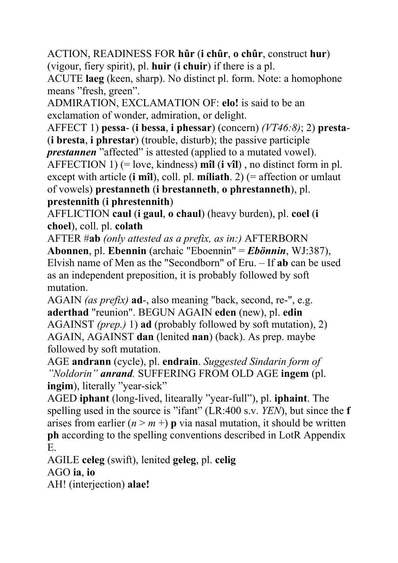ACTION, READINESS FOR **hûr** (**i chûr**, **o chûr**, construct **hur**) (vigour, fiery spirit), pl. **huir** (**i chuir**) if there is a pl.

ACUTE **laeg** (keen, sharp). No distinct pl. form. Note: a homophone means "fresh, green".

ADMIRATION, EXCLAMATION OF: **elo!** is said to be an exclamation of wonder, admiration, or delight.

AFFECT 1) **pessa**- (**i bessa**, **i phessar**) (concern) *(VT46:8)*; 2) **presta**- (**i bresta**, **i phrestar**) (trouble, disturb); the passive participle

*prestannen* "affected" is attested (applied to a mutated vowel).

AFFECTION 1) (= love, kindness) **mîl** (**i vîl**) , no distinct form in pl. except with article (**i** m**îl**), coll. pl. **míliath**. 2) (= affection or umlaut of vowels) **prestanneth** (**i brestanneth**, **o phrestanneth**), pl. **prestennith** (**i phrestennith**)

AFFLICTION **caul** (**i gaul**, **o chaul**) (heavy burden), pl. **coel** (**i choel**), coll. pl. **colath**

AFTER #**ab** *(only attested as a prefix, as in:)* AFTERBORN

**Abonnen**, pl. **Ebennin** (archaic "Eboennin" = *Ebönnin*, WJ:387), Elvish name of Men as the "Secondborn" of Eru. – If **ab** can be used as an independent preposition, it is probably followed by soft mutation.

AGAIN *(as prefix)* **ad**-, also meaning "back, second, re-", e.g. **aderthad** "reunion". BEGUN AGAIN **eden** (new), pl. **edin** AGAINST *(prep.)* 1) **ad** (probably followed by soft mutation), 2) AGAIN, AGAINST **dan** (lenited **nan**) (back). As prep. maybe followed by soft mutation.

AGE **andrann** (cycle), pl. **endrain**. *Suggested Sindarin form of "Noldorin" anrand.* SUFFERING FROM OLD AGE **ingem** (pl. **ingim**), literally "year-sick"

AGED **iphant** (long-lived, litearally "year-full"), pl. **iphaint**. The spelling used in the source is "ifant" (LR:400 s.v. *YEN*), but since the **f** arises from earlier  $(n \ge m +)$  **p** via nasal mutation, it should be written **ph** according to the spelling conventions described in LotR Appendix E.

AGILE **celeg** (swift), lenited **geleg**, pl. **celig** AGO **ia**, **io**

AH! (interjection) **alae!**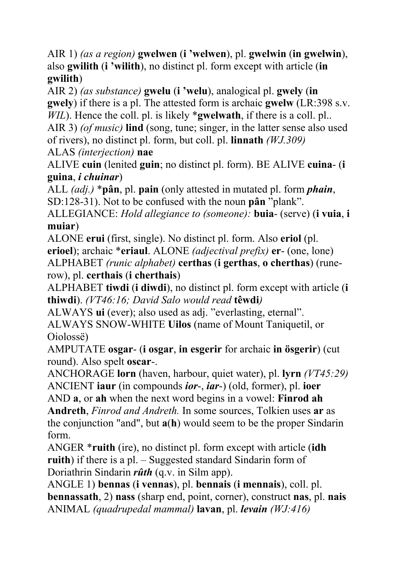AIR 1) *(as a region)* **gwelwen** (**i 'welwen**), pl. **gwelwin** (**in gwelwin**), also **gwilith** (**i 'wilith**), no distinct pl. form except with article (**in gwilith**)

AIR 2) *(as substance)* **gwelu** (**i 'welu**), analogical pl. **gwely** (**in gwely**) if there is a pl. The attested form is archaic **gwelw** (LR:398 s.v. *WIL*). Hence the coll. pl. is likely \***gwelwath**, if there is a coll. pl..

AIR 3) *(of music)* **lind** (song, tune; singer, in the latter sense also used of rivers), no distinct pl. form, but coll. pl. **linnath** *(WJ.309)*

ALAS *(interjection)* **nae**

ALIVE **cuin** (lenited **guin**; no distinct pl. form). BE ALIVE **cuina**- (**i guina**, *i chuinar*)

ALL *(adj.)* \***pân**, pl. **pain** (only attested in mutated pl. form *phain*, SD:128-31). Not to be confused with the noun **pân** "plank".

ALLEGIANCE: *Hold allegiance to (someone):* **buia**- (serve) (**i vuia**, **i muiar**)

ALONE **erui** (first, single). No distinct pl. form. Also **eriol** (pl. **erioel**); archaic \***eriaul**. ALONE *(adjectival prefix)* **er**- (one, lone) ALPHABET *(runic alphabet)* **certhas** (**i gerthas**, **o cherthas**) (runerow), pl. **certhais** (**i cherthais**)

ALPHABET **tiwdi** (**i diwdi**), no distinct pl. form except with article (**i thiwdi**). *(VT46:16; David Salo would read* **têwdi***)*

ALWAYS **ui** (ever); also used as adj. "everlasting, eternal". ALWAYS SNOW-WHITE **Uilos** (name of Mount Taniquetil, or Oiolossë)

AMPUTATE **osgar**- (**i osgar**, **in esgerir** for archaic **in ösgerir**) (cut round). Also spelt **oscar**-.

ANCHORAGE **lorn** (haven, harbour, quiet water), pl. **lyrn** *(VT45:29)*  ANCIENT **iaur** (in compounds *ior*-, *iar*-) (old, former), pl. **ioer**

AND **a**, or **ah** when the next word begins in a vowel: **Finrod ah Andreth**, *Finrod and Andreth.* In some sources, Tolkien uses **ar** as

the conjunction "and", but **a**(**h**) would seem to be the proper Sindarin form.

ANGER \***ruith** (ire), no distinct pl. form except with article (**idh ruith**) if there is a pl. – Suggested standard Sindarin form of Doriathrin Sindarin *rûth* (q.v. in Silm app).

ANGLE 1) **bennas** (**i vennas**), pl. **bennais** (**i mennais**), coll. pl. **bennassath**, 2) **nass** (sharp end, point, corner), construct **nas**, pl. **nais** ANIMAL *(quadrupedal mammal)* **lavan**, pl. *levain (WJ:416)*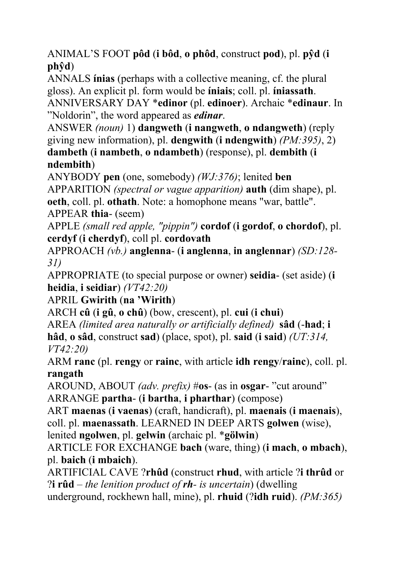ANIMAL'S FOOT **pôd** (**i bôd**, **o phôd**, construct **pod**), pl. **pŷd** (**i phŷd**)

ANNALS **ínias** (perhaps with a collective meaning, cf. the plural gloss). An explicit pl. form would be **íniais**; coll. pl. **íniassath**. ANNIVERSARY DAY \***edinor** (pl. **edinoer**). Archaic \***edinaur**. In "Noldorin", the word appeared as *edinar*.

ANSWER *(noun)* 1) **dangweth** (**i nangweth**, **o ndangweth**) (reply giving new information), pl. **dengwith** (**i ndengwith**) *(PM:395)*, 2) **dambeth** (**i nambeth**, **o ndambeth**) (response), pl. **dembith** (**i ndembith**)

ANYBODY **pen** (one, somebody) *(WJ:376)*; lenited **ben** 

APPARITION *(spectral or vague apparition)* **auth** (dim shape), pl.

**oeth**, coll. pl. **othath**. Note: a homophone means "war, battle". APPEAR **thia**- (seem)

APPLE *(small red apple, "pippin")* **cordof** (**i gordof**, **o chordof**), pl. **cerdyf** (**i cherdyf**), coll pl. **cordovath** 

APPROACH *(vb.)* **anglenna**- (**i anglenna**, **in anglennar**) *(SD:128- 31)*

APPROPRIATE (to special purpose or owner) **seidia**- (set aside) (**i heidia**, **i seidiar**) *(VT42:20)*

APRIL **Gwirith** (**na 'Wirith**)

ARCH **cû** (**i gû**, **o chû**) (bow, crescent), pl. **cui** (**i chui**)

AREA *(limited area naturally or artificially defined)* **sâd** (-**had**; **i hâd**, **o sâd**, construct **sad**) (place, spot), pl. **said** (**i said**) *(UT:314, VT42:20)*

ARM **ranc** (pl. **rengy** or **rainc**, with article **idh rengy**/**rainc**), coll. pl. **rangath**

AROUND, ABOUT *(adv. prefix)* #**os**- (as in **osgar**- "cut around" ARRANGE **partha**- (**i bartha**, **i pharthar**) (compose)

ART **maenas** (**i vaenas**) (craft, handicraft), pl. **maenais** (**i maenais**), coll. pl. **maenassath**. LEARNED IN DEEP ARTS **golwen** (wise), lenited **ngolwen**, pl. **gelwin** (archaic pl. \***gölwin**)

ARTICLE FOR EXCHANGE **bach** (ware, thing) (**i mach**, **o mbach**), pl. **baich** (**i mbaich**).

ARTIFICIAL CAVE ?**rhûd** (construct **rhud**, with article ?**i thrûd** or ?**i rûd** – *the lenition product of rh- is uncertain*) (dwelling underground, rockhewn hall, mine), pl. **rhuid** (?**idh ruid**). *(PM:365)*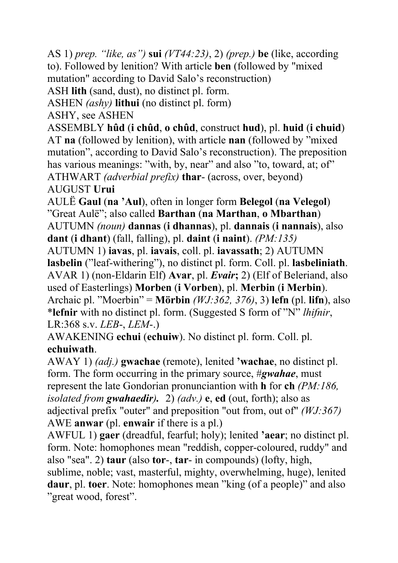AS 1) *prep. "like, as")* **sui** *(VT44:23)*, 2) *(prep.)* **be** (like, according to). Followed by lenition? With article **ben** (followed by "mixed mutation" according to David Salo's reconstruction)

ASH **lith** (sand, dust), no distinct pl. form.

ASHEN *(ashy)* **lithui** (no distinct pl. form)

ASHY, see ASHEN

ASSEMBLY **hûd** (**i chûd**, **o chûd**, construct **hud**), pl. **huid** (**i chuid**) AT **na** (followed by lenition), with article **nan** (followed by "mixed mutation", according to David Salo's reconstruction). The preposition has various meanings: "with, by, near" and also "to, toward, at; of" ATHWART *(adverbial prefix)* **thar**- (across, over, beyond) AUGUST **Urui**

AULË **Gaul** (**na 'Aul**), often in longer form **Belegol** (**na Velegol**) "Great Aulë"; also called **Barthan** (**na Marthan**, **o Mbarthan**) AUTUMN *(noun)* **dannas** (**i dhannas**), pl. **dannais** (**i nannais**), also **dant** (**i dhant**) (fall, falling), pl. **daint** (**i naint**). *(PM:135)* 

AUTUMN 1) **iavas**, pl. **iavais**, coll. pl. **iavassath**; 2) AUTUMN **lasbelin** ("leaf-withering"), no distinct pl. form. Coll. pl. **lasbeliniath**. AVAR 1) (non-Eldarin Elf) **Avar**, pl. *Evair***;** 2) (Elf of Beleriand, also used of Easterlings) **Morben** (**i Vorben**), pl. **Merbin** (**i Merbin**). Archaic pl. "Moerbin" = **Mörbin** *(WJ:362, 376)*, 3) **lefn** (pl. **lifn**), also \***lefnir** with no distinct pl. form. (Suggested S form of "N" *lhifnir*, LR:368 s.v. *LEB*-, *LEM*-.)

AWAKENING **echui** (**echuiw**). No distinct pl. form. Coll. pl. **echuiwath**.

AWAY 1) *(adj.)* **gwachae** (remote), lenited **'wachae**, no distinct pl. form. The form occurring in the primary source, #*gwahae*, must represent the late Gondorian pronunciantion with **h** for **ch** *(PM:186, isolated from gwahaedir).* 2) *(adv.)* **e**, **ed** (out, forth); also as adjectival prefix "outer" and preposition "out from, out of" *(WJ:367)*  AWE **anwar** (pl. **enwair** if there is a pl.)

AWFUL 1) **gaer** (dreadful, fearful; holy); lenited **'aear**; no distinct pl. form. Note: homophones mean "reddish, copper-coloured, ruddy" and also "sea". 2) **taur** (also **tor**-, **tar**- in compounds) (lofty, high,

sublime, noble; vast, masterful, mighty, overwhelming, huge), lenited **daur**, pl. **toer**. Note: homophones mean "king (of a people)" and also "great wood, forest".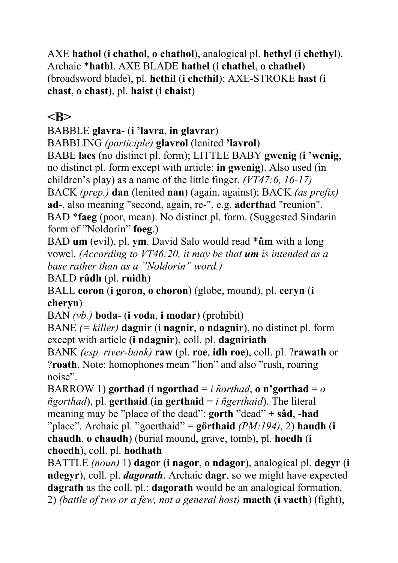AXE **hathol** (**i chathol**, **o chathol**), analogical pl. **hethyl** (**i chethyl**). Archaic \***hathl**. AXE BLADE **hathel** (**i chathel**, **o chathel**) (broadsword blade), pl. **hethil** (**i chethil**); AXE-STROKE **hast** (**i chast**, **o chast**), pl. **haist** (**i chaist**)

### **<B>**

BABBLE **glavra**- (**i 'lavra**, **in glavrar**)

BABBLING *(participle)* **glavrol** (lenited **'lavrol**)

BABE **laes** (no distinct pl. form); LITTLE BABY **gwenig** (**i 'wenig**, no distinct pl. form except with article: **in gwenig**). Also used (in children's play) as a name of the little finger. *(VT47:6, 16-17)*

BACK *(prep.)* **dan** (lenited **nan**) (again, against); BACK *(as prefix)* **ad**-, also meaning "second, again, re-", e.g. **aderthad** "reunion". BAD \***faeg** (poor, mean). No distinct pl. form. (Suggested Sindarin form of "Noldorin" **foeg**.)

BAD **um** (evil), pl. **ym**. David Salo would read \***ûm** with a long vowel. *(According to VT46:20, it may be that um is intended as a base rather than as a "Noldorin" word.)* 

BALD **rûdh** (pl. **ruidh**)

BALL **coron** (**i goron**, **o choron**) (globe, mound), pl. **ceryn** (**i cheryn**)

BAN *(vb.)* **boda**- (**i voda**, **i modar**) (prohibit)

BANE *(= killer)* **dagnir** (**i nagnir**, **o ndagnir**), no distinct pl. form except with article (**i ndagnir**), coll. pl. **dagniriath** 

BANK *(esp. river-bank)* **raw** (pl. **roe**, **idh roe**), coll. pl. ?**rawath** or ?**roath**. Note: homophones mean "lion" and also "rush, roaring noise".

BARROW 1) **gorthad** (**i** ngorthad  $=i$  *ñorthad*, **o** n'gorthad  $= o$  $ñgorthad$ , pl. **gerthaid** (in **gerthaid** = *i*  $ñgerthad$ ). The literal meaning may be "place of the dead": **gorth** "dead" + **sâd**, -**had** "place". Archaic pl. "goerthaid" = **görthaid** *(PM:194)*, 2) **haudh** (**i chaudh**, **o chaudh**) (burial mound, grave, tomb), pl. **hoedh** (**i choedh**), coll. pl. **hodhath**

BATTLE *(noun)* 1) **dagor** (**i nagor**, **o ndagor**), analogical pl. **degyr** (**i ndegyr**), coll. pl. *dagorath*. Archaic **dagr**, so we might have expected **dagrath** as the coll. pl.; **dagorath** would be an analogical formation. 2) *(battle of two or a few, not a general host)* **maeth** (**i vaeth**) (fight),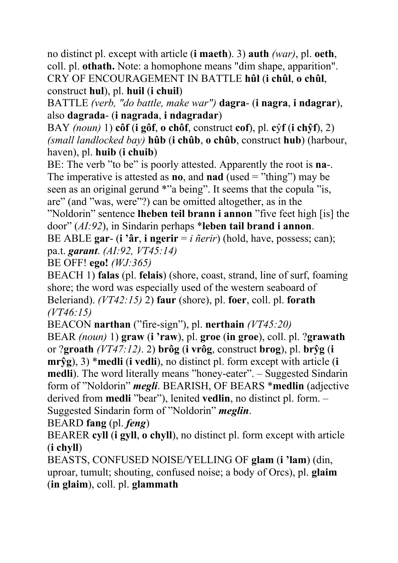no distinct pl. except with article (**i maeth**). 3) **auth** *(war)*, pl. **oeth**, coll. pl. **othath.** Note: a homophone means "dim shape, apparition". CRY OF ENCOURAGEMENT IN BATTLE **hûl** (**i chûl**, **o chûl**, construct **hul**), pl. **huil** (**i chuil**)

BATTLE *(verb, "do battle, make war")* **dagra**- (**i nagra**, **i ndagrar**), also **dagrada**- (**i nagrada**, **i ndagradar**)

BAY *(noun)* 1) **côf** (**i gôf**, **o chôf**, construct **cof**), pl. **c**ŷ**f** (**i chŷf**), 2) *(small landlocked bay)* **hûb** (**i chûb**, **o chûb**, construct **hub**) (harbour, haven), pl. **huib** (**i chuib**)

BE: The verb "to be" is poorly attested. Apparently the root is **na**-. The imperative is attested as **no**, and **nad** (used = "thing") may be seen as an original gerund \*"a being". It seems that the copula "is, are" (and "was, were"?) can be omitted altogether, as in the

"Noldorin" sentence **lheben teil brann i annon** "five feet high [is] the door" (*AI:92*), in Sindarin perhaps \***leben tail brand i annon**.

BE ABLE **gar**- (**i 'âr**, **i ngerir** = *i ñerir*) (hold, have, possess; can); pa.t. *garant*. *(AI:92, VT45:14)*

BE OFF! **ego!** *(WJ:365)*

BEACH 1) **falas** (pl. **felais**) (shore, coast, strand, line of surf, foaming shore; the word was especially used of the western seaboard of Beleriand). *(VT42:15)* 2) **faur** (shore), pl. **foer**, coll. pl. **forath** *(VT46:15)* 

BEACON **narthan** ("fire-sign"), pl. **nerthain** *(VT45:20)* 

BEAR *(noun)* 1) **graw** (**i 'raw**), pl. **groe** (**in groe**), coll. pl. ?**grawath** or ?**groath** *(VT47:12)*. 2) **brôg** (**i vrôg**, construct **brog**), pl. **brŷg** (**i mrŷg**), 3) \***medli** (**i vedli**), no distinct pl. form except with article (**i medli**). The word literally means "honey-eater". – Suggested Sindarin form of "Noldorin" *megli*. BEARISH, OF BEARS \***medlin** (adjective derived from **medli** "bear"), lenited **vedlin**, no distinct pl. form. – Suggested Sindarin form of "Noldorin" *meglin*.

BEARD **fang** (pl. *feng*)

BEARER **cyll** (**i gyll**, **o chyll**), no distinct pl. form except with article (**i chyll**)

BEASTS, CONFUSED NOISE/YELLING OF **glam** (**i 'lam**) (din, uproar, tumult; shouting, confused noise; a body of Orcs), pl. **glaim** (**in glaim**), coll. pl. **glammath**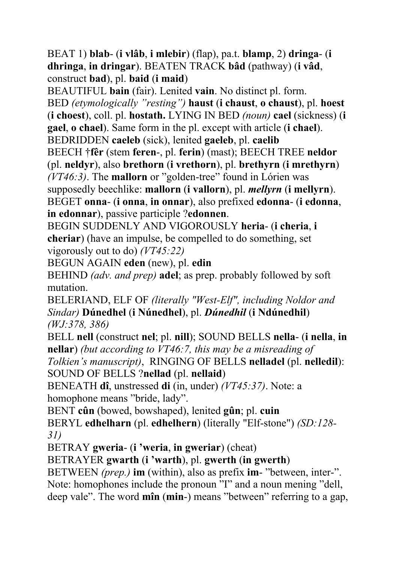BEAT 1) **blab**- (**i vlâb**, **i mlebir**) (flap), pa.t. **blamp**, 2) **dringa**- (**i dhringa**, **in dringar**). BEATEN TRACK **bâd** (pathway) (**i vâd**, construct **bad**), pl. **baid** (**i maid**)

BEAUTIFUL **bain** (fair). Lenited **vain**. No distinct pl. form. BED *(etymologically "resting")* **haust** (**i chaust**, **o chaust**), pl. **hoest** (**i choest**), coll. pl. **hostath.** LYING IN BED *(noun)* **cael** (sickness) (**i gael**, **o chael**). Same form in the pl. except with article (**i chael**). BEDRIDDEN **caeleb** (sick), lenited **gaeleb**, pl. **caelib**

BEECH †**fêr** (stem **feren**-, pl. **ferin**) (mast); BEECH TREE **neldor** (pl. **neldyr**), also **brethorn** (**i vrethorn**), pl. **brethyrn** (**i mrethyrn**) *(VT46:3)*. The **mallorn** or "golden-tree" found in Lórien was supposedly beechlike: **mallorn** (**i vallorn**), pl. *mellyrn* (**i mellyrn**). BEGET **onna**- (**i onna**, **in onnar**), also prefixed **edonna**- (**i edonna**, **in edonnar**), passive participle ?**edonnen**.

BEGIN SUDDENLY AND VIGOROUSLY **heria**- (**i cheria**, **i cheriar**) (have an impulse, be compelled to do something, set vigorously out to do) *(VT45:22)*

BEGUN AGAIN **eden** (new), pl. **edin**

BEHIND *(adv. and prep)* **adel**; as prep. probably followed by soft mutation.

BELERIAND, ELF OF *(literally "West-Elf", including Noldor and Sindar)* **Dúnedhel** (**i Núnedhel**), pl. *Dúnedhil* (**i Ndúnedhil**) *(WJ:378, 386)*

BELL **nell** (construct **nel**; pl. **nill**); SOUND BELLS **nella**- (**i nella**, **in nellar**) *(but according to VT46:7, this may be a misreading of* 

*Tolkien's manuscript)*, RINGING OF BELLS **nelladel** (pl. **nelledil**): SOUND OF BELLS ?**nellad** (pl. **nellaid**)

BENEATH **dî**, unstressed **di** (in, under) *(VT45:37)*. Note: a homophone means "bride, lady".

BENT **cûn** (bowed, bowshaped), lenited **gûn**; pl. **cuin** 

BERYL **edhelharn** (pl. **edhelhern**) (literally "Elf-stone") *(SD:128- 31)*

BETRAY **gweria**- (**i 'weria**, **in gweriar**) (cheat)

BETRAYER **gwarth** (**i 'warth**), pl. **gwerth** (**in gwerth**)

BETWEEN *(prep.)* **im** (within), also as prefix **im**- "between, inter-". Note: homophones include the pronoun "I" and a noun mening "dell, deep vale". The word **mîn** (**min**-) means "between" referring to a gap,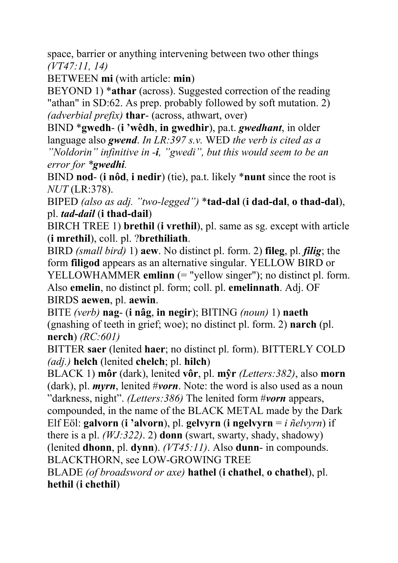space, barrier or anything intervening between two other things *(VT47:11, 14)*

BETWEEN **mi** (with article: **min**)

BEYOND 1) \***athar** (across). Suggested correction of the reading "athan" in SD:62. As prep. probably followed by soft mutation. 2) *(adverbial prefix)* **thar**- (across, athwart, over)

BIND \***gwedh**- (**i 'wêdh**, **in gwedhir**), pa.t. *gwedhant*, in older language also *gwend*. *In LR:397 s.v.* WED *the verb is cited as a "Noldorin" infinitive in -i, "gwedi", but this would seem to be an error for \*gwedhi.*

BIND **nod**- (**i nôd**, **i nedir**) (tie), pa.t. likely \***nunt** since the root is *NUT* (LR:378).

BIPED *(also as adj. "two-legged")* \***tad-dal** (**i dad-dal**, **o thad-dal**), pl. *tad-dail* (**i thad-dail**)

BIRCH TREE 1) **brethil** (**i vrethil**), pl. same as sg. except with article (**i mrethil**), coll. pl. ?**brethiliath**.

BIRD *(small bird)* 1) **aew**. No distinct pl. form. 2) **fileg**, pl. *filig*; the form **filigod** appears as an alternative singular. YELLOW BIRD or YELLOWHAMMER **emlinn** (= "yellow singer"); no distinct pl. form. Also **emelin**, no distinct pl. form; coll. pl. **emelinnath**. Adj. OF BIRDS **aewen**, pl. **aewin**.

BITE *(verb)* **nag**- (**i nâg**, **in negir**); BITING *(noun)* 1) **naeth** (gnashing of teeth in grief; woe); no distinct pl. form. 2) **narch** (pl. **nerch**) *(RC:601)*

BITTER **saer** (lenited **haer**; no distinct pl. form). BITTERLY COLD *(adj.)* **helch** (lenited **chelch**; pl. **hilch**)

BLACK 1) **môr** (dark), lenited **vôr**, pl. **mŷr** *(Letters:382)*, also **morn** (dark), pl. *myrn*, lenited #*vorn*. Note: the word is also used as a noun "darkness, night". *(Letters:386)* The lenited form #*vorn* appears,

compounded, in the name of the BLACK METAL made by the Dark Elf Eöl: **galvorn** (**i 'alvorn**), pl. **gelvyrn** (**i ngelvyrn** = *i ñelvyrn*) if there is a pl. *(WJ:322)*. 2) **donn** (swart, swarty, shady, shadowy)

(lenited **dhonn**, pl. **dynn**). *(VT45:11)*. Also **dunn**- in compounds. BLACKTHORN, see LOW-GROWING TREE

BLADE *(of broadsword or axe)* **hathel** (**i chathel**, **o chathel**), pl. **hethil** (**i chethil**)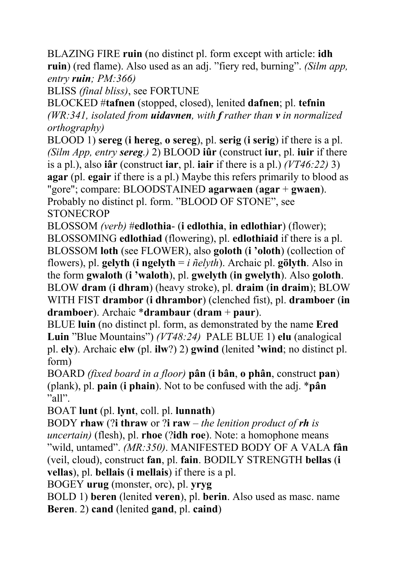BLAZING FIRE **ruin** (no distinct pl. form except with article: **idh ruin**) (red flame). Also used as an adj. "fiery red, burning". *(Silm app, entry ruin; PM:366)*

BLISS *(final bliss)*, see FORTUNE

BLOCKED #**tafnen** (stopped, closed), lenited **dafnen**; pl. **tefnin** *(WR:341, isolated from uidavnen, with f rather than v in normalized orthography)*

BLOOD 1) **sereg** (**i hereg**, **o sereg**), pl. **serig** (**i serig**) if there is a pl. *(Silm App, entry sereg.)* 2) BLOOD **iûr** (construct **iur**, pl. **iuir** if there is a pl.), also **iâr** (construct **iar**, pl. **iair** if there is a pl.) *(VT46:22)* 3) **agar** (pl. **egair** if there is a pl.) Maybe this refers primarily to blood as "gore"; compare: BLOODSTAINED **agarwaen** (**agar** + **gwaen**). Probably no distinct pl. form. "BLOOD OF STONE", see **STONECROP** 

BLOSSOM *(verb)* #**edlothia**- (**i edlothia**, **in edlothiar**) (flower); BLOSSOMING **edlothiad** (flowering), pl. **edlothiaid** if there is a pl. BLOSSOM **loth** (see FLOWER), also **goloth** (**i 'oloth**) (collection of flowers), pl. **gelyth** (**i** ngelyth =  $i$   $\tilde{n}$ *elyth*). Archaic pl. gölyth. Also in the form **gwaloth** (**i 'waloth**), pl. **gwelyth** (**in gwelyth**). Also **goloth**. BLOW **dram** (**i dhram**) (heavy stroke), pl. **draim** (**in draim**); BLOW WITH FIST **drambor** (**i dhrambor**) (clenched fist), pl. **dramboer** (**in dramboer**). Archaic \***drambaur** (**dram** + **paur**).

BLUE **luin** (no distinct pl. form, as demonstrated by the name **Ered Luin** "Blue Mountains") *(VT48:24)* PALE BLUE 1) **elu** (analogical pl. **ely**). Archaic **elw** (pl. **ilw**?) 2) **gwind** (lenited **'wind**; no distinct pl. form)

BOARD *(fixed board in a floor)* **pân** (**i bân**, **o phân**, construct **pan**) (plank), pl. **pain** (**i phain**). Not to be confused with the adj. \***pân** "all".

BOAT **lunt** (pl. **lynt**, coll. pl. **lunnath**)

BODY **rhaw** (?**i thraw** or ?**i raw** – *the lenition product of rh is uncertain)* (flesh), pl. **rhoe** (?**idh roe**). Note: a homophone means "wild, untamed". *(MR:350)*. MANIFESTED BODY OF A VALA **fân** (veil, cloud), construct **fan**, pl. **fain**. BODILY STRENGTH **bellas** (**i vellas**), pl. **bellais** (**i mellais**) if there is a pl.

BOGEY **urug** (monster, orc), pl. **yryg**

BOLD 1) **beren** (lenited **veren**), pl. **berin**. Also used as masc. name **Beren**. 2) **cand** (lenited **gand**, pl. **caind**)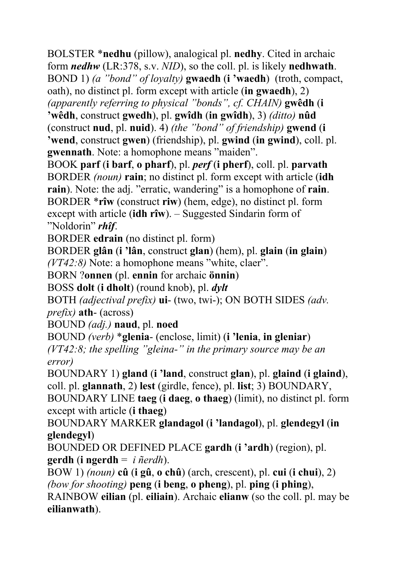BOLSTER \***nedhu** (pillow), analogical pl. **nedhy**. Cited in archaic form *nedhw* (LR:378, s.v. *NID*), so the coll. pl. is likely **nedhwath**. BOND 1) *(a "bond" of loyalty)* **gwaedh** (**i 'waedh**) (troth, compact, oath), no distinct pl. form except with article (**in gwaedh**), 2)

*(apparently referring to physical "bonds", cf. CHAIN)* **gwêdh** (**i** 

**'wêdh**, construct **gwedh**), pl. **gwîdh** (**in gwîdh**), 3) *(ditto)* **nûd** (construct **nud**, pl. **nuid**). 4) *(the "bond" of friendship)* **gwend** (**i 'wend**, construct **gwen**) (friendship), pl. **gwind** (**in gwind**), coll. pl. **gwennath**. Note: a homophone means "maiden".

BOOK **parf** (**i barf**, **o pharf**), pl. *perf* (**i pherf**), coll. pl. **parvath** BORDER *(noun)* **rain**; no distinct pl. form except with article (**idh rain**). Note: the adj. "erratic, wandering" is a homophone of **rain**. BORDER \***rîw** (construct **riw**) (hem, edge), no distinct pl. form except with article (**idh rîw**). – Suggested Sindarin form of "Noldorin" *rhîf*.

BORDER **edrain** (no distinct pl. form)

BORDER **glân** (**i 'lân**, construct **glan**) (hem), pl. **glain** (**in glain**) *(VT42:8)* Note: a homophone means "white, claer".

BORN ?**onnen** (pl. **ennin** for archaic **önnin**)

BOSS **dolt** (**i dholt**) (round knob), pl. *dylt*

BOTH *(adjectival prefix)* **ui**- (two, twi-); ON BOTH SIDES *(adv. prefix)* **ath**- (across)

BOUND *(adj.)* **naud**, pl. **noed**

BOUND *(verb)* \***glenia**- (enclose, limit) (**i 'lenia**, **in gleniar**) *(VT42:8; the spelling "gleina-" in the primary source may be an error)*

BOUNDARY 1) **gland** (**i 'land**, construct **glan**), pl. **glaind** (**i glaind**), coll. pl. **glannath**, 2) **lest** (girdle, fence), pl. **list**; 3) BOUNDARY, BOUNDARY LINE **taeg** (**i daeg**, **o thaeg**) (limit), no distinct pl. form except with article (**i thaeg**)

BOUNDARY MARKER **glandagol** (**i 'landagol**), pl. **glendegyl** (**in glendegyl**)

BOUNDED OR DEFINED PLACE **gardh** (**i 'ardh**) (region), pl. **gerdh** (**i ngerdh** = *i ñerdh*).

BOW 1) *(noun)* **cû** (**i gû**, **o chû**) (arch, crescent), pl. **cui** (**i chui**), 2) *(bow for shooting)* **peng** (**i beng**, **o pheng**), pl. **ping** (**i phing**),

RAINBOW **eilian** (pl. **eiliain**). Archaic **elianw** (so the coll. pl. may be **eilianwath**).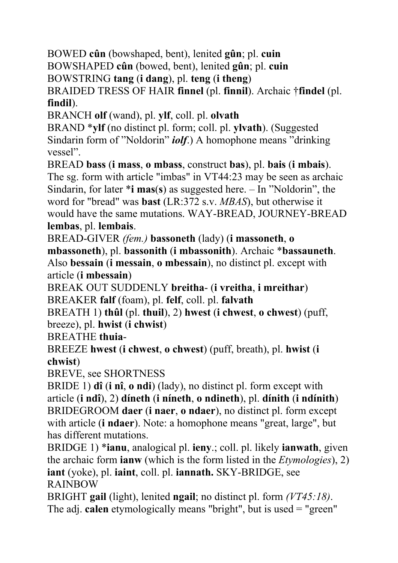BOWED **cûn** (bowshaped, bent), lenited **gûn**; pl. **cuin**

BOWSHAPED **cûn** (bowed, bent), lenited **gûn**; pl. **cuin**

BOWSTRING **tang** (**i dang**), pl. **teng** (**i theng**)

BRAIDED TRESS OF HAIR **finnel** (pl. **finnil**). Archaic †**findel** (pl. **findil**).

BRANCH **olf** (wand), pl. **ylf**, coll. pl. **olvath**

BRAND \***ylf** (no distinct pl. form; coll. pl. **ylvath**). (Suggested Sindarin form of "Noldorin" *iolf*.) A homophone means "drinking vessel".

BREAD **bass** (**i mass**, **o mbass**, construct **bas**), pl. **bais** (**i mbais**). The sg. form with article "imbas" in VT44:23 may be seen as archaic Sindarin, for later \***i mas**(**s**) as suggested here. – In "Noldorin", the word for "bread" was **bast** (LR:372 s.v. *MBAS*), but otherwise it would have the same mutations. WAY-BREAD, JOURNEY-BREAD **lembas**, pl. **lembais**.

BREAD-GIVER *(fem.)* **bassoneth** (lady) (**i massoneth**, **o** 

**mbassoneth**), pl. **bassonith** (**i mbassonith**). Archaic \***bassauneth**. Also **bessain** (**i messain**, **o mbessain**), no distinct pl. except with article (**i mbessain**)

BREAK OUT SUDDENLY **breitha**- (**i vreitha**, **i mreithar**) BREAKER **falf** (foam), pl. **felf**, coll. pl. **falvath**

BREATH 1) **thûl** (pl. **thuil**), 2) **hwest** (**i chwest**, **o chwest**) (puff, breeze), pl. **hwist** (**i chwist**)

BREATHE **thuia**-

BREEZE **hwest** (**i chwest**, **o chwest**) (puff, breath), pl. **hwist** (**i chwist**)

BREVE, see SHORTNESS

BRIDE 1) **dî** (**i nî**, **o ndi**) (lady), no distinct pl. form except with article (**i ndî**), 2) **díneth** (**i níneth**, **o ndineth**), pl. **dínith** (**i ndínith**) BRIDEGROOM **daer** (**i naer**, **o ndaer**), no distinct pl. form except with article (**i ndaer**). Note: a homophone means "great, large", but has different mutations.

BRIDGE 1) \***ianu**, analogical pl. **ieny**.; coll. pl. likely **ianwath**, given the archaic form **ianw** (which is the form listed in the *Etymologies*), 2) **iant** (yoke), pl. **iaint**, coll. pl. **iannath.** SKY-BRIDGE, see RAINBOW

BRIGHT **gail** (light), lenited **ngail**; no distinct pl. form *(VT45:18)*. The adj. **calen** etymologically means "bright", but is used = "green"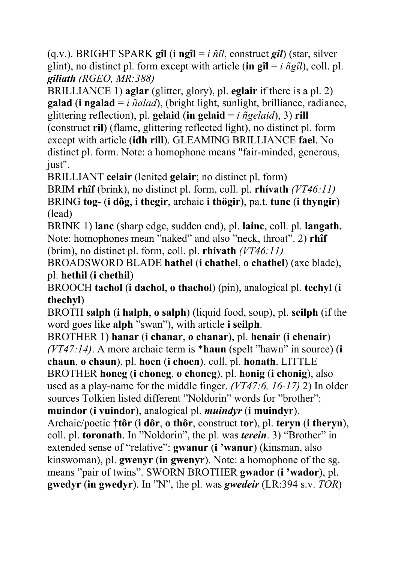(q.v.). BRIGHT SPARK **gîl** (**i ngîl** = *i ñîl*, construct *gil*) (star, silver glint), no distinct pl. form except with article (in  $\mathbf{g} \mathbf{\hat{i}} = i \hat{n} g \hat{i}$ ), coll. pl. *giliath (RGEO, MR:388)*

BRILLIANCE 1) **aglar** (glitter, glory), pl. **eglair** if there is a pl. 2) **galad** (**i ngalad** = *i ñalad*), (bright light, sunlight, brilliance, radiance, glittering reflection), pl. **gelaid** (in gelaid =  $i$   $\tilde{n}$  gelaid), 3) rill (construct **ril**) (flame, glittering reflected light), no distinct pl. form

except with article (**idh rill**). GLEAMING BRILLIANCE **fael**. No distinct pl. form. Note: a homophone means "fair-minded, generous, just".

BRILLIANT **celair** (lenited **gelair**; no distinct pl. form)

BRIM **rhîf** (brink), no distinct pl. form, coll. pl. **rhívath** *(VT46:11)* BRING **tog**- (**i dôg**, **i thegir**, archaic **i thögir**), pa.t. **tunc** (**i thyngir**) (lead)

BRINK 1) **lanc** (sharp edge, sudden end), pl. **lainc**, coll. pl. **langath.**  Note: homophones mean "naked" and also "neck, throat". 2) **rhîf** (brim), no distinct pl. form, coll. pl. **rhívath** *(VT46:11)*

BROADSWORD BLADE **hathel** (**i chathel**, **o chathel**) (axe blade), pl. **hethil** (**i chethil**)

BROOCH **tachol** (**i dachol**, **o thachol**) (pin), analogical pl. **techyl** (**i thechyl**)

BROTH **salph** (**i halph**, **o salph**) (liquid food, soup), pl. **seilph** (if the word goes like **alph** "swan"), with article **i seilph**.

BROTHER 1) **hanar** (**i chanar**, **o chanar**), pl. **henair** (**i chenair**) *(VT47:14)*. A more archaic term is \***haun** (spelt "hawn" in source) (**i** 

**chaun**, **o chaun**), pl. **hoen** (**i choen**), coll. pl. **honath**. LITTLE BROTHER **honeg** (**i choneg**, **o choneg**), pl. **honig** (**i chonig**), also used as a play-name for the middle finger. *(VT47:6, 16-17)* 2) In older

sources Tolkien listed different "Noldorin" words for "brother":

**muindor** (**i vuindor**), analogical pl. *muindyr* (**i muindyr**).

Archaic/poetic †**tôr** (**i dôr**, **o thôr**, construct **tor**), pl. **teryn** (**i theryn**), coll. pl. **toronath**. In "Noldorin", the pl. was *terein*. 3) "Brother" in extended sense of "relative": **gwanur** (**i 'wanur**) (kinsman, also kinswoman), pl. **gwenyr** (**in gwenyr**). Note: a homophone of the sg. means "pair of twins". SWORN BROTHER **gwador** (**i 'wador**), pl. **gwedyr** (**in gwedyr**). In "N", the pl. was *gwedeir* (LR:394 s.v. *TOR*)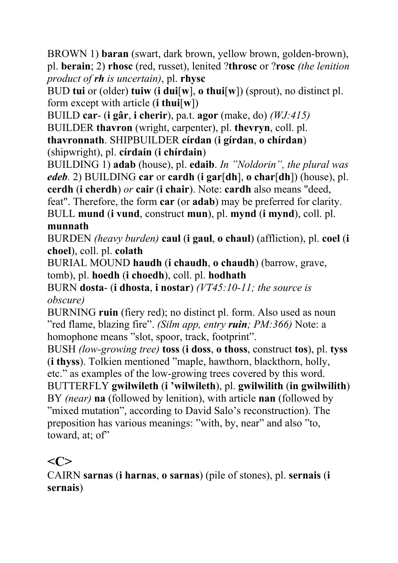BROWN 1) **baran** (swart, dark brown, yellow brown, golden-brown), pl. **berain**; 2) **rhosc** (red, russet), lenited ?**throsc** or ?**rosc** *(the lenition product of rh is uncertain)*, pl. **rhysc**

BUD **tui** or (older) **tuiw** (**i dui**[**w**], **o thui**[**w**]) (sprout), no distinct pl. form except with article (**i thui**[**w**])

BUILD **car**- (**i gâr**, **i cherir**), pa.t. **agor** (make, do) *(WJ:415)*

BUILDER **thavron** (wright, carpenter), pl. **thevryn**, coll. pl. **thavronnath**. SHIPBUILDER **círdan** (**i gírdan**, **o chírdan**)

(shipwright), pl. **círdain** (**i chírdain**)

BUILDING 1) **adab** (house), pl. **edaib**. *In "Noldorin", the plural was edeb.* 2) BUILDING **car** or **cardh** (**i gar**[**dh**], **o char**[**dh**]) (house), pl.

**cerdh** (**i cherdh**) *or* **cair** (**i chair**). Note: **cardh** also means "deed,

feat". Therefore, the form **car** (or **adab**) may be preferred for clarity. BULL **mund** (**i vund**, construct **mun**), pl. **mynd** (**i mynd**), coll. pl.

#### **munnath**

BURDEN *(heavy burden)* **caul** (**i gaul**, **o chaul**) (affliction), pl. **coel** (**i choel**), coll. pl. **colath**

BURIAL MOUND **haudh** (**i chaudh**, **o chaudh**) (barrow, grave, tomb), pl. **hoedh** (**i choedh**), coll. pl. **hodhath**

BURN **dosta**- (**i dhosta**, **i nostar**) *(VT45:10-11; the source is obscure)*

BURNING **ruin** (fiery red); no distinct pl. form. Also used as noun "red flame, blazing fire". *(Silm app, entry ruin; PM:366)* Note: a homophone means "slot, spoor, track, footprint".

BUSH *(low-growing tree)* **toss** (**i doss**, **o thoss**, construct **tos**), pl. **tyss** (**i thyss**). Tolkien mentioned "maple, hawthorn, blackthorn, holly, etc." as examples of the low-growing trees covered by this word.

BUTTERFLY **gwilwileth** (**i 'wilwileth**), pl. **gwilwilith** (**in gwilwilith**) BY *(near)* **na** (followed by lenition), with article **nan** (followed by "mixed mutation", according to David Salo's reconstruction). The preposition has various meanings: "with, by, near" and also "to, toward, at; of"

### $\langle C \rangle$

CAIRN **sarnas** (**i harnas**, **o sarnas**) (pile of stones), pl. **sernais** (**i sernais**)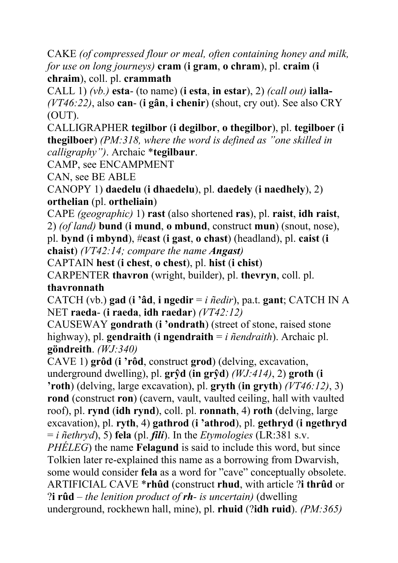CAKE *(of compressed flour or meal, often containing honey and milk, for use on long journeys)* **cram** (**i gram**, **o chram**), pl. **craim** (**i chraim**), coll. pl. **crammath** 

CALL 1) *(vb.)* **esta**- (to name) (**i esta**, **in estar**), 2) *(call out)* **ialla-**  *(VT46:22)*, also **can**- (**i gân**, **i chenir**) (shout, cry out). See also CRY (OUT).

CALLIGRAPHER **tegilbor** (**i degilbor**, **o thegilbor**), pl. **tegilboer** (**i thegilboer**) *(PM:318, where the word is defined as "one skilled in calligraphy")*. Archaic \***tegilbaur**.

CAMP, see ENCAMPMENT

CAN, see BE ABLE

CANOPY 1) **daedelu** (**i dhaedelu**), pl. **daedely** (**i naedhely**), 2) **orthelian** (pl. **ortheliain**)

CAPE *(geographic)* 1) **rast** (also shortened **ras**), pl. **raist**, **idh raist**, 2) *(of land)* **bund** (**i mund**, **o mbund**, construct **mun**) (snout, nose), pl. **bynd** (**i mbynd**), #**cast** (**i gast**, **o chast**) (headland), pl. **caist** (**i chaist**) *(VT42:14; compare the name Angast)*

CAPTAIN **hest** (**i chest**, **o chest**), pl. **hist** (**i chist**)

CARPENTER **thavron** (wright, builder), pl. **thevryn**, coll. pl. **thavronnath** 

CATCH (vb.) **gad** (**i 'âd**, **i ngedir** = *i ñedir*), pa.t. **gant**; CATCH IN A NET **raeda**- (**i raeda**, **idh raedar**) *(VT42:12)*

CAUSEWAY **gondrath** (**i 'ondrath**) (street of stone, raised stone highway), pl. **gendraith** (**i ngendraith** = *i ñendraith*). Archaic pl. **göndreith**. *(WJ:340)*

CAVE 1) **grôd** (**i 'rôd**, construct **grod**) (delving, excavation, underground dwelling), pl. **grŷd** (**in grŷd**) *(WJ:414)*, 2) **groth** (**i 'roth**) (delving, large excavation), pl. **gryth** (**in gryth**) *(VT46:12)*, 3) **rond** (construct **ron**) (cavern, vault, vaulted ceiling, hall with vaulted roof), pl. **rynd** (**idh rynd**), coll. pl. **ronnath**, 4) **roth** (delving, large excavation), pl. **ryth**, 4) **gathrod** (**i 'athrod**), pl. **gethryd** (**i ngethryd** = *i ñethryd*), 5) **fela** (pl. *fili*). In the *Etymologies* (LR:381 s.v. *PHÉLEG*) the name **Felagund** is said to include this word, but since Tolkien later re-explained this name as a borrowing from Dwarvish, some would consider **fela** as a word for "cave" conceptually obsolete. ARTIFICIAL CAVE \***rhûd** (construct **rhud**, with article ?**i thrûd** or ?**i rûd** – *the lenition product of rh- is uncertain)* (dwelling underground, rockhewn hall, mine), pl. **rhuid** (?**idh ruid**). *(PM:365)*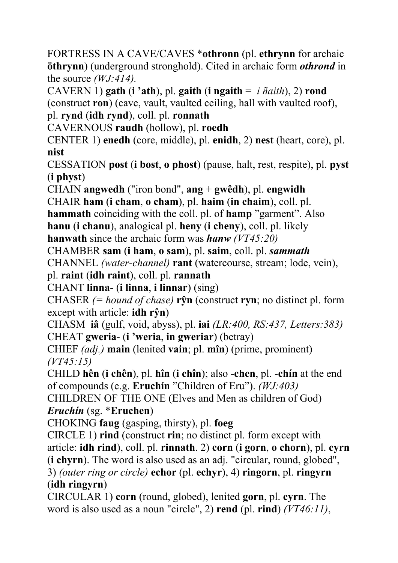FORTRESS IN A CAVE/CAVES \***othronn** (pl. **ethrynn** for archaic **öthrynn**) (underground stronghold). Cited in archaic form *othrond* in the source *(WJ:414).*

CAVERN 1) **gath** (**i** 'ath), pl. **gaith** (**i** ngaith =  $i$   $\tilde{n}$ *aith*), 2) **rond** (construct **ron**) (cave, vault, vaulted ceiling, hall with vaulted roof),

pl. **rynd** (**idh rynd**), coll. pl. **ronnath**

CAVERNOUS **raudh** (hollow), pl. **roedh**

CENTER 1) **enedh** (core, middle), pl. **enidh**, 2) **nest** (heart, core), pl. **nist**

CESSATION **post** (**i bost**, **o phost**) (pause, halt, rest, respite), pl. **pyst** (**i physt**)

CHAIN **angwedh** ("iron bond", **ang** + **gwêdh**), pl. **engwidh**

CHAIR **ham** (**i cham**, **o cham**), pl. **haim** (**in chaim**), coll. pl.

**hammath** coinciding with the coll. pl. of **hamp** "garment". Also

**hanu** (**i chanu**), analogical pl. **heny** (**i cheny**), coll. pl. likely **hanwath** since the archaic form was *hanw (VT45:20)*

CHAMBER **sam** (**i ham**, **o sam**), pl. **saim**, coll. pl. *sammath*

CHANNEL *(water-channel)* **rant** (watercourse, stream; lode, vein),

pl. **raint** (**idh raint**), coll. pl. **rannath**

CHANT **linna**- (**i linna**, **i linnar**) (sing)

CHASER *(= hound of chase)* **rŷn** (construct **ryn**; no distinct pl. form except with article: **idh rŷn**)

CHASM **iâ** (gulf, void, abyss), pl. **iai** *(LR:400, RS:437, Letters:383)* CHEAT **gweria**- (**i 'weria**, **in gweriar**) (betray)

CHIEF *(adj.)* **main** (lenited **vain**; pl. **mîn**) (prime, prominent) *(VT45:15)* 

CHILD **hên** (**i chên**), pl. **hîn** (**i chîn**); also -**chen**, pl. -**chín** at the end of compounds (e.g. **Eruchín** "Children of Eru"). *(WJ:403)* 

CHILDREN OF THE ONE (Elves and Men as children of God) *Eruchín* (sg. \***Eruchen**)

CHOKING **faug** (gasping, thirsty), pl. **foeg** 

CIRCLE 1) **rind** (construct **rin**; no distinct pl. form except with article: **idh rind**), coll. pl. **rinnath**. 2) **corn** (**i gorn**, **o chorn**), pl. **cyrn**

(**i chyrn**). The word is also used as an adj. "circular, round, globed",

3) *(outer ring or circle)* **echor** (pl. **echyr**), 4) **ringorn**, pl. **ringyrn** (**idh ringyrn**)

CIRCULAR 1) **corn** (round, globed), lenited **gorn**, pl. **cyrn**. The word is also used as a noun "circle", 2) **rend** (pl. **rind**) *(VT46:11)*,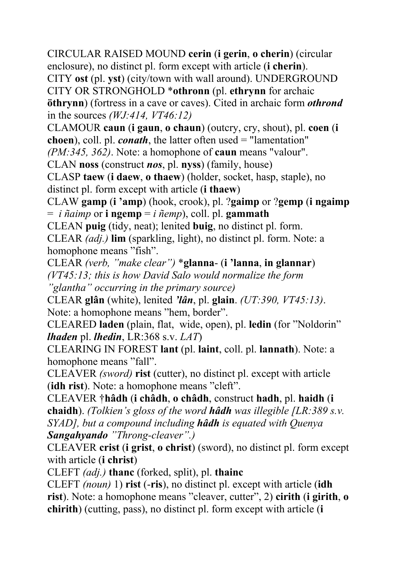CIRCULAR RAISED MOUND **cerin** (**i gerin**, **o cherin**) (circular enclosure), no distinct pl. form except with article (**i cherin**). CITY **ost** (pl. **yst**) (city/town with wall around). UNDERGROUND CITY OR STRONGHOLD \***othronn** (pl. **ethrynn** for archaic **öthrynn**) (fortress in a cave or caves). Cited in archaic form *othrond* in the sources *(WJ:414, VT46:12)*

CLAMOUR **caun** (**i gaun**, **o chaun**) (outcry, cry, shout), pl. **coen** (**i** 

**choen**), coll. pl. *conath*, the latter often used = "lamentation"

*(PM:345, 362)*. Note: a homophone of **caun** means "valour".

CLAN **noss** (construct *nos*, pl. **nyss**) (family, house)

CLASP **taew** (**i daew**, **o thaew**) (holder, socket, hasp, staple), no distinct pl. form except with article (**i thaew**)

CLAW **gamp** (**i 'amp**) (hook, crook), pl. ?**gaimp** or ?**gemp** (**i ngaimp** = *i ñaimp* or **i ngemp** = *i ñemp*), coll. pl. **gammath**

CLEAN **puig** (tidy, neat); lenited **buig**, no distinct pl. form.

CLEAR *(adj.)* **lim** (sparkling, light), no distinct pl. form. Note: a homophone means "fish".

CLEAR *(verb, "make clear")* \***glanna**- (**i 'lanna**, **in glannar**) *(VT45:13; this is how David Salo would normalize the form "glantha" occurring in the primary source)* 

CLEAR **glân** (white), lenited *'lân*, pl. **glain**. *(UT:390, VT45:13)*. Note: a homophone means "hem, border".

CLEARED **laden** (plain, flat, wide, open), pl. **ledin** (for "Noldorin" *lhaden* pl. *lhedin*, LR:368 s.v. *LAT*)

CLEARING IN FOREST **lant** (pl. **laint**, coll. pl. **lannath**). Note: a homophone means "fall".

CLEAVER *(sword)* **rist** (cutter), no distinct pl. except with article (**idh rist**). Note: a homophone means "cleft".

CLEAVER †**hâdh** (**i châdh**, **o châdh**, construct **hadh**, pl. **haidh** (**i chaidh**). *(Tolkien's gloss of the word hâdh was illegible [LR:389 s.v. SYAD], but a compound including hâdh is equated with Quenya Sangahyando "Throng-cleaver".)* 

CLEAVER **crist** (**i grist**, **o christ**) (sword), no distinct pl. form except with article (**i christ**)

CLEFT *(adj.)* **thanc** (forked, split), pl. **thainc** 

CLEFT *(noun)* 1) **rist** (-**ris**), no distinct pl. except with article (**idh rist**). Note: a homophone means "cleaver, cutter", 2) **cirith** (**i girith**, **o chirith**) (cutting, pass), no distinct pl. form except with article (**i**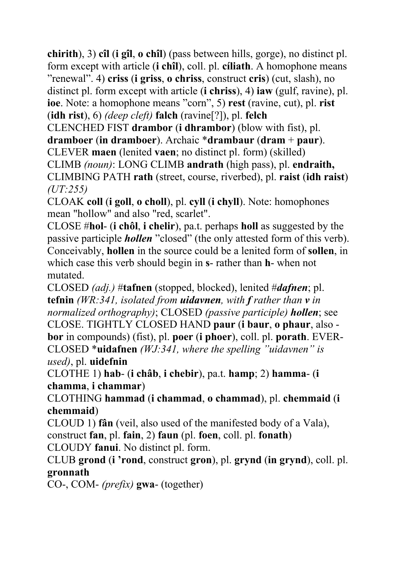**chirith**), 3) **cîl** (**i gîl**, **o chîl**) (pass between hills, gorge), no distinct pl. form except with article (**i chîl**), coll. pl. **cíliath**. A homophone means "renewal". 4) **criss** (**i griss**, **o chriss**, construct **cris**) (cut, slash), no distinct pl. form except with article (**i chriss**), 4) **iaw** (gulf, ravine), pl. **ioe**. Note: a homophone means "corn", 5) **rest** (ravine, cut), pl. **rist** (**idh rist**), 6) *(deep cleft)* **falch** (ravine[?]), pl. **felch**

CLENCHED FIST **drambor** (**i dhrambor**) (blow with fist), pl. **dramboer** (**in dramboer**). Archaic \***drambaur** (**dram** + **paur**). CLEVER **maen** (lenited **vaen**; no distinct pl. form) (skilled)

CLIMB *(noun)*: LONG CLIMB **andrath** (high pass), pl. **endraith,**  CLIMBING PATH **rath** (street, course, riverbed), pl. **raist** (**idh raist**) *(UT:255)* 

CLOAK **coll** (**i goll**, **o choll**), pl. **cyll** (**i chyll**). Note: homophones mean "hollow" and also "red, scarlet".

CLOSE #**hol**- (**i chôl**, **i chelir**), pa.t. perhaps **holl** as suggested by the passive participle *hollen* "closed" (the only attested form of this verb). Conceivably, **hollen** in the source could be a lenited form of **sollen**, in which case this verb should begin in **s**- rather than **h**- when not mutated.

CLOSED *(adj.)* #**tafnen** (stopped, blocked), lenited #*dafnen*; pl. **tefnin** *(WR:341, isolated from uidavnen, with f rather than v in normalized orthography)*; CLOSED *(passive participle) hollen*; see CLOSE. TIGHTLY CLOSED HAND **paur** (**i baur**, **o phaur**, also **bor** in compounds) (fist), pl. **poer** (**i phoer**), coll. pl. **porath**. EVER-CLOSED \***uidafnen** *(WJ:341, where the spelling "uidavnen" is used)*, pl. **uidefnin**

CLOTHE 1) **hab**- (**i châb**, **i chebir**), pa.t. **hamp**; 2) **hamma**- (**i chamma**, **i chammar**)

CLOTHING **hammad** (**i chammad**, **o chammad**), pl. **chemmaid** (**i chemmaid**)

CLOUD 1) **fân** (veil, also used of the manifested body of a Vala),

construct **fan**, pl. **fain**, 2) **faun** (pl. **foen**, coll. pl. **fonath**)

CLOUDY **fanui**. No distinct pl. form.

CLUB **grond** (**i 'rond**, construct **gron**), pl. **grynd** (**in grynd**), coll. pl. **gronnath** 

CO-, COM- *(prefix)* **gwa**- (together)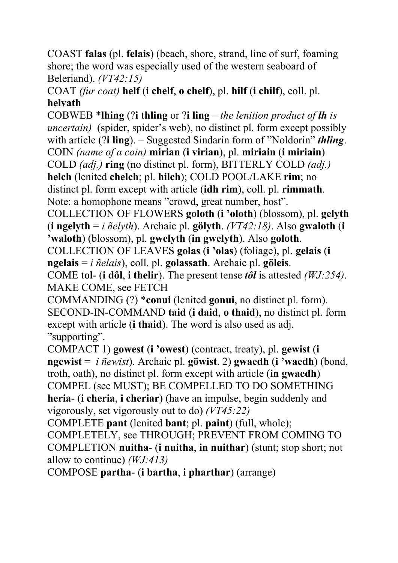COAST **falas** (pl. **felais**) (beach, shore, strand, line of surf, foaming shore; the word was especially used of the western seaboard of Beleriand). *(VT42:15)*

COAT *(fur coat)* **helf** (**i chelf**, **o chelf**), pl. **hilf** (**i chilf**), coll. pl. **helvath**

COBWEB \***lhing** (?**i thling** or ?**i ling** – *the lenition product of lh is uncertain)* (spider, spider's web), no distinct pl. form except possibly with article (?**i ling**). – Suggested Sindarin form of "Noldorin" *thling*. COIN *(name of a coin)* **mirian** (**i virian**), pl. **miriain** (**i miriain**) COLD *(adj.)* **ring** (no distinct pl. form), BITTERLY COLD *(adj.)* **helch** (lenited **chelch**; pl. **hilch**); COLD POOL/LAKE **rim**; no distinct pl. form except with article (**idh rim**), coll. pl. **rimmath**. Note: a homophone means "crowd, great number, host".

COLLECTION OF FLOWERS **goloth** (**i 'oloth**) (blossom), pl. **gelyth** (**i ngelyth** = *i ñelyth*). Archaic pl. **gölyth**. *(VT42:18)*. Also **gwaloth** (**i 'waloth**) (blossom), pl. **gwelyth** (**in gwelyth**). Also **goloth**.

COLLECTION OF LEAVES **golas** (**i 'olas**) (foliage), pl. **gelais** (**i ngelais** = *i ñelais*), coll. pl. **golassath**. Archaic pl. **göleis**.

COME **tol**- (**i dôl**, **i thelir**). The present tense *tôl* is attested *(WJ:254)*. MAKE COME, see FETCH

COMMANDING (?) \***conui** (lenited **gonui**, no distinct pl. form). SECOND-IN-COMMAND **taid** (**i daid**, **o thaid**), no distinct pl. form except with article (**i thaid**). The word is also used as adj. "supporting".

COMPACT 1) **gowest** (**i 'owest**) (contract, treaty), pl. **gewist** (**i ngewist** = *i ñewist*). Archaic pl. **göwist**. 2) **gwaedh** (**i 'waedh**) (bond, troth, oath), no distinct pl. form except with article (**in gwaedh**) COMPEL (see MUST); BE COMPELLED TO DO SOMETHING **heria**- (**i cheria**, **i cheriar**) (have an impulse, begin suddenly and vigorously, set vigorously out to do) *(VT45:22)*

COMPLETE **pant** (lenited **bant**; pl. **paint**) (full, whole);

COMPLETELY, see THROUGH; PREVENT FROM COMING TO COMPLETION **nuitha**- (**i nuitha**, **in nuithar**) (stunt; stop short; not allow to continue) *(WJ:413)*

COMPOSE **partha**- (**i bartha**, **i pharthar**) (arrange)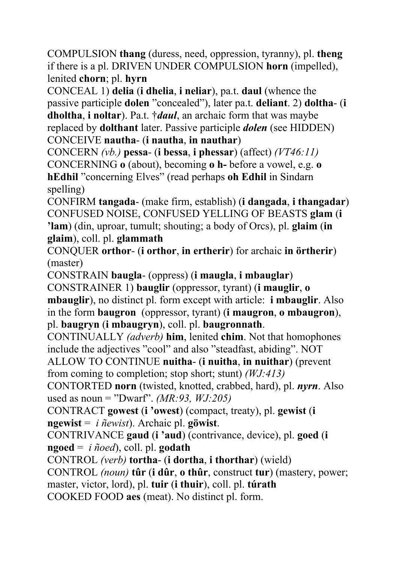COMPULSION **thang** (duress, need, oppression, tyranny), pl. **theng** if there is a pl. DRIVEN UNDER COMPULSION **horn** (impelled), lenited **chorn**; pl. **hyrn**

CONCEAL 1) **delia** (**i dhelia**, **i neliar**), pa.t. **daul** (whence the passive participle **dolen** "concealed"), later pa.t. **deliant**. 2) **doltha**- (**i dholtha**, **i noltar**). Pa.t. †*daul*, an archaic form that was maybe replaced by **dolthant** later. Passive participle *dolen* (see HIDDEN) CONCEIVE **nautha**- (**i nautha**, **in nauthar**)

CONCERN *(vb.)* **pessa**- (**i bessa**, **i phessar**) (affect) *(VT46:11)*  CONCERNING **o** (about), becoming **o h-** before a vowel, e.g. **o hEdhil** "concerning Elves" (read perhaps **oh Edhil** in Sindarn spelling)

CONFIRM **tangada**- (make firm, establish) (**i dangada**, **i thangadar**) CONFUSED NOISE, CONFUSED YELLING OF BEASTS **glam** (**i 'lam**) (din, uproar, tumult; shouting; a body of Orcs), pl. **glaim** (**in glaim**), coll. pl. **glammath**

CONQUER **orthor**- (**i orthor**, **in ertherir**) for archaic **in örtherir**) (master)

CONSTRAIN **baugla**- (oppress) (**i maugla**, **i mbauglar**)

CONSTRAINER 1) **bauglir** (oppressor, tyrant) (**i mauglir**, **o mbauglir**), no distinct pl. form except with article: **i mbauglir**. Also in the form **baugron** (oppressor, tyrant) (**i maugron**, **o mbaugron**), pl. **baugryn** (**i mbaugryn**), coll. pl. **baugronnath**.

CONTINUALLY *(adverb)* **him**, lenited **chim**. Not that homophones include the adjectives "cool" and also "steadfast, abiding". NOT

ALLOW TO CONTINUE **nuitha**- (**i nuitha**, **in nuithar**) (prevent from coming to completion; stop short; stunt) *(WJ:413)*

CONTORTED **norn** (twisted, knotted, crabbed, hard), pl. *nyrn*. Also used as noun = "Dwarf". *(MR:93, WJ:205)*

CONTRACT **gowest** (**i 'owest**) (compact, treaty), pl. **gewist** (**i ngewist** = *i ñewist*). Archaic pl. **göwist**.

CONTRIVANCE **gaud** (**i 'aud**) (contrivance, device), pl. **goed** (**i ngoed** = *i ñoed*), coll. pl. **godath**

CONTROL *(verb)* **tortha**- (**i dortha**, **i thorthar**) (wield)

CONTROL *(noun)* **tûr** (**i dûr**, **o thûr**, construct **tur**) (mastery, power; master, victor, lord), pl. **tuir** (**i thuir**), coll. pl. **túrath**  COOKED FOOD **aes** (meat). No distinct pl. form.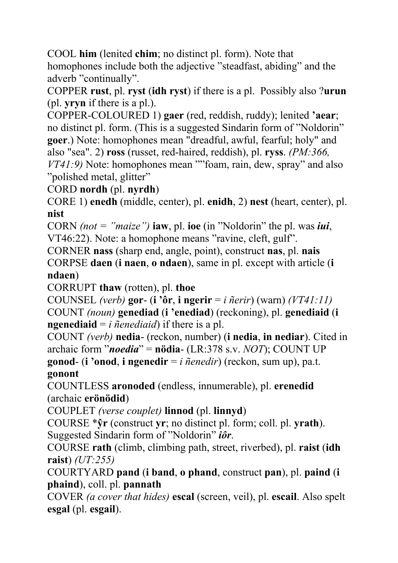COOL **him** (lenited **chim**; no distinct pl. form). Note that

homophones include both the adjective "steadfast, abiding" and the adverb "continually".

COPPER **rust**, pl. **ryst** (**idh ryst**) if there is a pl. Possibly also ?**urun** (pl. **yryn** if there is a pl.).

COPPER-COLOURED 1) **gaer** (red, reddish, ruddy); lenited **'aear**; no distinct pl. form. (This is a suggested Sindarin form of "Noldorin" **goer**.) Note: homophones mean "dreadful, awful, fearful; holy" and also "sea". 2) **ross** (russet, red-haired, reddish), pl. **ryss**. *(PM:366, VT41:9)* Note: homophones mean ""foam, rain, dew, spray" and also

"polished metal, glitter"

CORD **nordh** (pl. **nyrdh**)

CORE 1) **enedh** (middle, center), pl. **enidh**, 2) **nest** (heart, center), pl. **nist**

CORN *(not = "maize")* **iaw**, pl. **ioe** (in "Noldorin" the pl. was *iui*, VT46:22). Note: a homophone means "ravine, cleft, gulf".

CORNER **nass** (sharp end, angle, point), construct **nas**, pl. **nais** CORPSE **daen** (**i naen**, **o ndaen**), same in pl. except with article (**i ndaen**)

CORRUPT **thaw** (rotten), pl. **thoe**

COUNSEL *(verb)* **gor**- (**i 'ôr**, **i ngerir** = *i ñerir*) (warn) *(VT41:11)* COUNT *(noun)* **genediad** (**i 'enediad**) (reckoning), pl. **genediaid** (**i ngenediaid** =  $i$  *ñenediaid*) if there is a pl.

COUNT *(verb)* **nedia**- (reckon, number) (**i nedia**, **in nediar**). Cited in archaic form "*noedia*" = **nödia**- (LR:378 s.v. *NOT*); COUNT UP **gonod**- (**i 'onod**, **i ngenedir** = *i ñenedir*) (reckon, sum up), pa.t.

**gonont**

COUNTLESS **aronoded** (endless, innumerable), pl. **erenedid** (archaic **erönödid**)

COUPLET *(verse couplet)* **linnod** (pl. **linnyd**)

COURSE \***ŷr** (construct **yr**; no distinct pl. form; coll. pl. **yrath**). Suggested Sindarin form of "Noldorin" *iôr*.

COURSE **rath** (climb, climbing path, street, riverbed), pl. **raist** (**idh raist**) *(UT:255)*

COURTYARD **pand** (**i band**, **o phand**, construct **pan**), pl. **paind** (**i phaind**), coll. pl. **pannath**

COVER *(a cover that hides)* **escal** (screen, veil), pl. **escail**. Also spelt **esgal** (pl. **esgail**).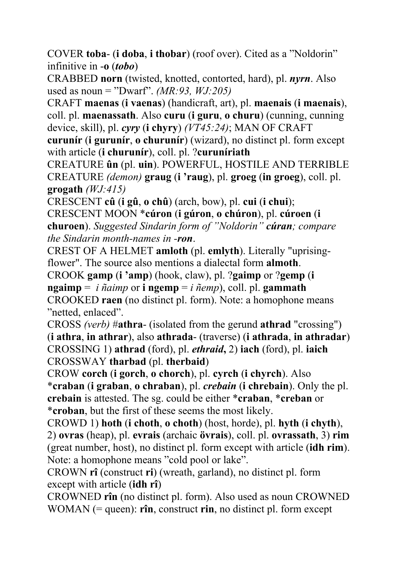COVER **toba**- (**i doba**, **i thobar**) (roof over). Cited as a "Noldorin" infinitive in -**o** (*tobo*)

CRABBED **norn** (twisted, knotted, contorted, hard), pl. *nyrn*. Also used as noun = "Dwarf". *(MR:93, WJ:205)*

CRAFT **maenas** (**i vaenas**) (handicraft, art), pl. **maenais** (**i maenais**), coll. pl. **maenassath**. Also **curu** (**i guru**, **o churu**) (cunning, cunning device, skill), pl. *cyry* (**i chyry**) *(VT45:24)*; MAN OF CRAFT

**curunír** (**i gurunír**, **o churunír**) (wizard), no distinct pl. form except with article (**i churunír**), coll. pl. ?**curuníriath**

CREATURE **ûn** (pl. **uin**). POWERFUL, HOSTILE AND TERRIBLE CREATURE *(demon)* **graug** (**i 'raug**), pl. **groeg** (**in groeg**), coll. pl. **grogath** *(WJ:415)*

CRESCENT **cû** (**i gû**, **o chû**) (arch, bow), pl. **cui** (**i chui**);

CRESCENT MOON \***cúron** (**i gúron**, **o chúron**), pl. **cúroen** (**i churoen**). *Suggested Sindarin form of "Noldorin" cúran; compare the Sindarin month-names in -ron*.

CREST OF A HELMET **amloth** (pl. **emlyth**). Literally "uprisingflower". The source also mentions a dialectal form **almoth**.

CROOK **gamp** (**i 'amp**) (hook, claw), pl. ?**gaimp** or ?**gemp** (**i** 

**ngaimp** = *i ñaimp* or **i ngemp** = *i ñemp*), coll. pl. **gammath** CROOKED **raen** (no distinct pl. form). Note: a homophone means "netted, enlaced".

CROSS *(verb)* #**athra**- (isolated from the gerund **athrad** "crossing") (**i athra**, **in athrar**), also **athrada**- (traverse) (**i athrada**, **in athradar**) CROSSING 1) **athrad** (ford), pl. *ethraid***,** 2) **iach** (ford), pl. **iaich** CROSSWAY **tharbad** (pl. **therbaid**)

CROW **corch** (**i gorch**, **o chorch**), pl. **cyrch** (**i chyrch**). Also \***craban** (**i graban**, **o chraban**), pl. *crebain* (**i chrebain**). Only the pl. **crebain** is attested. The sg. could be either \***craban**, \***creban** or \***croban**, but the first of these seems the most likely.

CROWD 1) **hoth** (**i choth**, **o choth**) (host, horde), pl. **hyth** (**i chyth**), 2) **ovras** (heap), pl. **evrais** (archaic **övrais**), coll. pl. **ovrassath**, 3) **rim** (great number, host), no distinct pl. form except with article (**idh rim**). Note: a homophone means "cold pool or lake".

CROWN **rî** (construct **ri**) (wreath, garland), no distinct pl. form except with article (**idh rî**)

CROWNED **rîn** (no distinct pl. form). Also used as noun CROWNED WOMAN (= queen): **rîn**, construct **rin**, no distinct pl. form except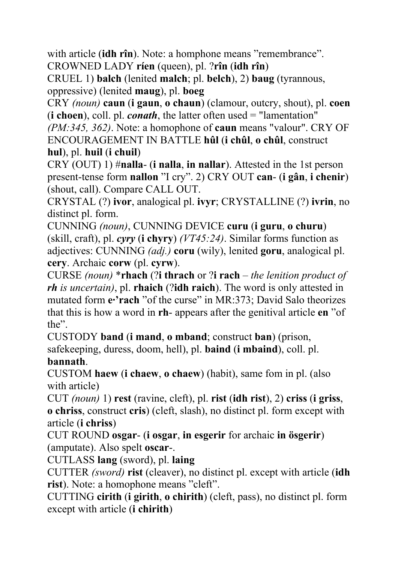with article (**idh rîn**). Note: a homphone means "remembrance". CROWNED LADY **ríen** (queen), pl. ?**rîn** (**idh rîn**)

CRUEL 1) **balch** (lenited **malch**; pl. **belch**), 2) **baug** (tyrannous, oppressive) (lenited **maug**), pl. **boeg**

CRY *(noun)* **caun** (**i gaun**, **o chaun**) (clamour, outcry, shout), pl. **coen** (**i choen**), coll. pl. *conath*, the latter often used = "lamentation"

*(PM:345, 362)*. Note: a homophone of **caun** means "valour". CRY OF ENCOURAGEMENT IN BATTLE **hûl** (**i chûl**, **o chûl**, construct **hul**), pl. **huil** (**i chuil**)

CRY (OUT) 1) #**nalla**- (**i nalla**, **in nallar**). Attested in the 1st person present-tense form **nallon** "I cry". 2) CRY OUT **can**- (**i gân**, **i chenir**) (shout, call). Compare CALL OUT.

CRYSTAL (?) **ivor**, analogical pl. **ivyr**; CRYSTALLINE (?) **ivrin**, no distinct pl. form.

CUNNING *(noun)*, CUNNING DEVICE **curu** (**i guru**, **o churu**) (skill, craft), pl. *cyry* (**i chyry**) *(VT45:24)*. Similar forms function as adjectives: CUNNING *(adj.)* **coru** (wily), lenited **goru**, analogical pl. **cery**. Archaic **corw** (pl. **cyrw**).

CURSE *(noun)* \***rhach** (?**i thrach** or ?**i rach** – *the lenition product of rh is uncertain)*, pl. **rhaich** (?**idh raich**). The word is only attested in mutated form **e·'rach** "of the curse" in MR:373; David Salo theorizes that this is how a word in **rh**- appears after the genitival article **en** "of the".

CUSTODY **band** (**i mand**, **o mband**; construct **ban**) (prison, safekeeping, duress, doom, hell), pl. **baind** (**i mbaind**), coll. pl.

#### **bannath**.

CUSTOM **haew** (**i chaew**, **o chaew**) (habit), same fom in pl. (also with article)

CUT *(noun)* 1) **rest** (ravine, cleft), pl. **rist** (**idh rist**), 2) **criss** (**i griss**, **o chriss**, construct **cris**) (cleft, slash), no distinct pl. form except with article (**i chriss**)

CUT ROUND **osgar**- (**i osgar**, **in esgerir** for archaic **in ösgerir**) (amputate). Also spelt **oscar**-.

CUTLASS **lang** (sword), pl. **laing**

CUTTER *(sword)* **rist** (cleaver), no distinct pl. except with article (**idh rist**). Note: a homophone means "cleft".

CUTTING **cirith** (**i girith**, **o chirith**) (cleft, pass), no distinct pl. form except with article (**i chirith**)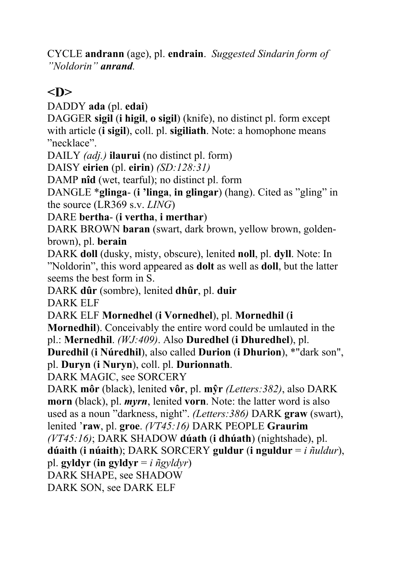CYCLE **andrann** (age), pl. **endrain**. *Suggested Sindarin form of "Noldorin" anrand.*

## **<D>**

DADDY **ada** (pl. **edai**)

DAGGER **sigil** (**i higil**, **o sigil**) (knife), no distinct pl. form except with article (**i sigil**), coll. pl. **sigiliath**. Note: a homophone means "necklace".

DAILY *(adj.)* **ilaurui** (no distinct pl. form)

DAISY **eirien** (pl. **eirin**) *(SD:128:31)*

DAMP **nîd** (wet, tearful); no distinct pl. form

DANGLE \***glinga**- (**i 'linga**, **in glingar**) (hang). Cited as "gling" in the source (LR369 s.v. *LING*)

DARE **bertha**- (**i vertha**, **i merthar**)

DARK BROWN **baran** (swart, dark brown, yellow brown, goldenbrown), pl. **berain**

DARK **doll** (dusky, misty, obscure), lenited **noll**, pl. **dyll**. Note: In "Noldorin", this word appeared as **dolt** as well as **doll**, but the latter seems the best form in S.

DARK **dûr** (sombre), lenited **dhûr**, pl. **duir**

DARK ELF

DARK ELF **Mornedhel** (**i Vornedhel**), pl. **Mornedhil** (**i** 

**Mornedhil**). Conceivably the entire word could be umlauted in the pl.: **Mernedhil**. *(WJ:409)*. Also **Duredhel** (**i Dhuredhel**), pl.

**Duredhil** (**i Núredhil**), also called **Durion** (**i Dhurion**), \*"dark son", pl. **Duryn** (**i Nuryn**), coll. pl. **Durionnath**.

DARK MAGIC, see SORCERY

DARK **môr** (black), lenited **vôr**, pl. **mŷr** *(Letters:382)*, also DARK **morn** (black), pl. *myrn*, lenited **vorn**. Note: the latter word is also used as a noun "darkness, night". *(Letters:386)* DARK **graw** (swart), lenited '**raw**, pl. **groe**. *(VT45:16)* DARK PEOPLE **Graurim**

*(VT45:16)*; DARK SHADOW **dúath** (**i dhúath**) (nightshade), pl.

**dúaith** (**i núaith**); DARK SORCERY **guldur** (**i nguldur** = *i ñuldur*),

pl. **gyldyr** (**in gyldyr** = *i ñgyldyr*)

DARK SHAPE, see SHADOW

DARK SON, see DARK ELF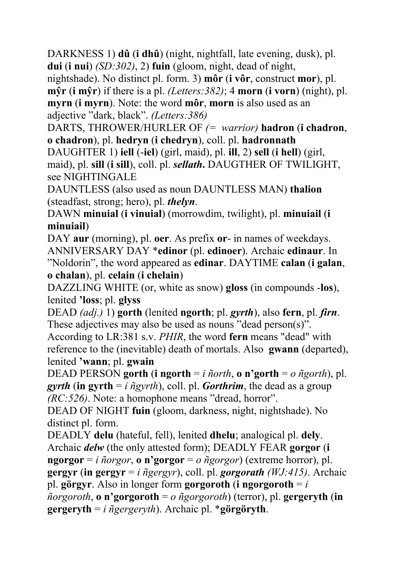DARKNESS 1) **dû** (**i dhû**) (night, nightfall, late evening, dusk), pl. **dui** (**i nui**) *(SD:302)*, 2) **fuin** (gloom, night, dead of night,

nightshade). No distinct pl. form. 3) **môr** (**i vôr**, construct **mor**), pl. **mŷr** (**i mŷr**) if there is a pl. *(Letters:382)*; 4 **morn** (**i vorn**) (night), pl. **myrn** (**i myrn**). Note: the word **môr**, **morn** is also used as an adjective "dark, black". *(Letters:386)*

DARTS, THROWER/HURLER OF *(= warrior)* **hadron** (**i chadron**, **o chadron**), pl. **hedryn** (**i chedryn**), coll. pl. **hadronnath**

DAUGHTER 1) **iell** (-**iel**) (girl, maid), pl. **ill**, 2) **sell** (**i hell**) (girl, maid), pl. **sill** (**i sill**), coll. pl. *sellath***.** DAUGTHER OF TWILIGHT, see NIGHTINGALE

DAUNTLESS (also used as noun DAUNTLESS MAN) **thalion** (steadfast, strong; hero), pl. *thelyn*.

DAWN **minuial** (**i vinuial**) (morrowdim, twilight), pl. **minuiail** (**i minuiail**)

DAY **aur** (morning), pl. **oer**. As prefix **or**- in names of weekdays. ANNIVERSARY DAY \***edinor** (pl. **edinoer**). Archaic **edinaur**. In "Noldorin", the word appeared as **edinar**. DAYTIME **calan** (**i galan**, **o chalan**), pl. **celain** (**i chelain**)

DAZZLING WHITE (or, white as snow) **gloss** (in compounds -**los**), lenited **'loss**; pl. **glyss** 

DEAD *(adj.)* 1) **gorth** (lenited **ngorth**; pl. *gyrth*), also **fern**, pl. *firn*. These adjectives may also be used as nouns "dead person(s)".

According to LR:381 s.v. *PHIR*, the word **fern** means "dead" with reference to the (inevitable) death of mortals. Also **gwann** (departed), lenited **'wann**; pl. **gwain**

DEAD PERSON **gorth** (**i ngorth** = *i ñorth*, **o n'gorth** = *o ñgorth*), pl. *gyrth* (in gyrth = *i*  $\tilde{n}$ *gyrth*), coll. pl. *Gorthrim*, the dead as a group *(RC:526)*. Note: a homophone means "dread, horror".

DEAD OF NIGHT **fuin** (gloom, darkness, night, nightshade). No distinct pl. form.

DEADLY **delu** (hateful, fell), lenited **dhelu**; analogical pl. **dely**. Archaic *delw* (the only attested form); DEADLY FEAR **gorgor** (**i ngorgor** = *i ñorgor*, **o n'gorgor** = *o ñgorgor*) (extreme horror), pl. **gergyr** (**in gergyr** = *i ñgergyr*), coll. pl. *gorgorath (WJ:415)*. Archaic pl. **görgyr**. Also in longer form **gorgoroth** (**i ngorgoroth** = *i*   $ñorgoroth$ , **o** n'gorgoroth =  $o$   $ñgorgoroth$ ) (terror), pl. gergeryth (in **gergeryth** = *i ñgergeryth*). Archaic pl. \***görgöryth**.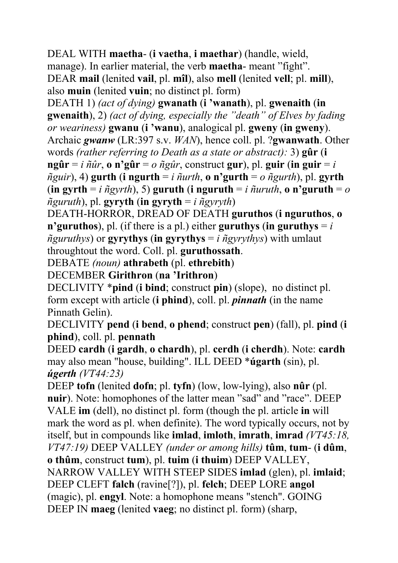DEAL WITH **maetha**- (**i vaetha**, **i maethar**) (handle, wield, manage). In earlier material, the verb **maetha**- meant "fight". DEAR **mail** (lenited **vail**, pl. **mîl**), also **mell** (lenited **vell**; pl. **mill**), also **muin** (lenited **vuin**; no distinct pl. form)

DEATH 1) *(act of dying)* **gwanath** (**i 'wanath**), pl. **gwenaith** (**in gwenaith**), 2) *(act of dying, especially the "death" of Elves by fading or weariness)* **gwanu** (**i 'wanu**), analogical pl. **gweny** (**in gweny**). Archaic *gwanw* (LR:397 s.v. *WAN*), hence coll. pl. ?**gwanwath**. Other words *(rather referring to Death as a state or abstract):* 3) **gûr** (**i ngûr** = *i ñûr*, **o n'gûr** = *o ñgûr*, construct **gur**), pl. **guir** (**in guir** = *i*   $\tilde{n}$ *guir*), 4) **gurth** (**i** ngurth = *i*  $\tilde{n}$ *urth*, **o** n'gurth = *o*  $\tilde{n}$ *gurth*), pl. gyrth (**in gyrth** = *i ñgyrth*), 5) **guruth** (**i nguruth** = *i ñuruth*, **o n'guruth** = *o*   $ñguruth$ ), pl. **gyryth** (in gyryth = *i* $ñgvrvth$ )

DEATH-HORROR, DREAD OF DEATH **guruthos** (**i nguruthos**, **o n'guruthos**), pl. (if there is a pl.) either **guruthys** (in guruthys  $= i$  $\tilde{n}$ *guruthys*) or **gyrythys** (**in gyrythys** = *i*  $\tilde{n}$ *gyrythys*) with umlaut throughtout the word. Coll. pl. **guruthossath**.

DEBATE *(noun)* **athrabeth** (pl. **ethrebith**)

DECEMBER **Girithron** (**na 'Irithron**)

DECLIVITY \***pind** (**i bind**; construct **pin**) (slope), no distinct pl. form except with article (**i phind**), coll. pl. *pinnath* (in the name Pinnath Gelin).

DECLIVITY **pend** (**i bend**, **o phend**; construct **pen**) (fall), pl. **pind** (**i phind**), coll. pl. **pennath**

DEED **cardh** (**i gardh**, **o chardh**), pl. **cerdh** (**i cherdh**). Note: **cardh** may also mean "house, building". ILL DEED \***úgarth** (sin), pl. *úgerth (VT44:23)*

DEEP **tofn** (lenited **dofn**; pl. **tyfn**) (low, low-lying), also **nûr** (pl. **nuir**). Note: homophones of the latter mean "sad" and "race". DEEP VALE **im** (dell), no distinct pl. form (though the pl. article **in** will mark the word as pl. when definite). The word typically occurs, not by itself, but in compounds like **imlad**, **imloth**, **imrath**, **imrad** *(VT45:18, VT47:19)* DEEP VALLEY *(under or among hills)* **tûm**, **tum**- (**i dûm**, **o thûm**, construct **tum**), pl. **tuim** (**i thuim**) DEEP VALLEY, NARROW VALLEY WITH STEEP SIDES **imlad** (glen), pl. **imlaid**; DEEP CLEFT **falch** (ravine[?]), pl. **felch**; DEEP LORE **angol** (magic), pl. **engyl**. Note: a homophone means "stench". GOING DEEP IN **maeg** (lenited **vaeg**; no distinct pl. form) (sharp,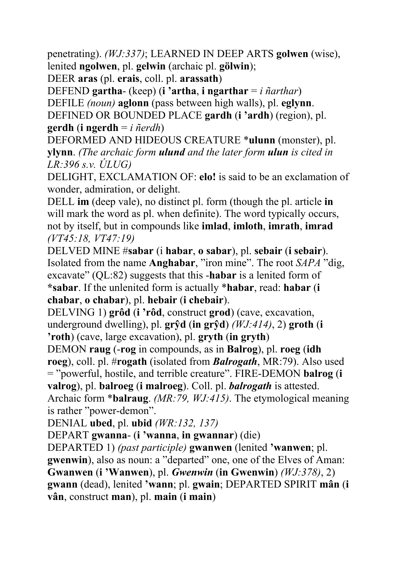penetrating). *(WJ:337)*; LEARNED IN DEEP ARTS **golwen** (wise), lenited **ngolwen**, pl. **gelwin** (archaic pl. **gölwin**);

DEER **aras** (pl. **erais**, coll. pl. **arassath**)

DEFEND **gartha**- (keep) (**i 'artha**, **i ngarthar** = *i ñarthar*)

DEFILE *(noun)* **aglonn** (pass between high walls), pl. **eglynn**.

DEFINED OR BOUNDED PLACE **gardh** (**i 'ardh**) (region), pl. **gerdh** (**i ngerdh** = *i ñerdh*)

DEFORMED AND HIDEOUS CREATURE \***ulunn** (monster), pl. **ylynn**. *(The archaic form ulund and the later form ulun is cited in LR:396 s.v. ÚLUG)*

DELIGHT, EXCLAMATION OF: **elo!** is said to be an exclamation of wonder, admiration, or delight.

DELL **im** (deep vale), no distinct pl. form (though the pl. article **in** will mark the word as pl. when definite). The word typically occurs, not by itself, but in compounds like **imlad**, **imloth**, **imrath**, **imrad** *(VT45:18, VT47:19)*

DELVED MINE #**sabar** (i **habar**, **o sabar**), pl. **sebair** (**i sebair**). Isolated from the name **Anghabar**, "iron mine". The root *SAPA* "dig, excavate" (QL:82) suggests that this -**habar** is a lenited form of **\*sabar**. If the unlenited form is actually \***habar**, read: **habar** (**i chabar**, **o chabar**), pl. **hebair** (**i chebair**).

DELVING 1) **grôd** (**i 'rôd**, construct **grod**) (cave, excavation, underground dwelling), pl. **grŷd** (**in grŷd**) *(WJ:414)*, 2) **groth** (**i 'roth**) (cave, large excavation), pl. **gryth** (**in gryth**)

DEMON **raug** (-**rog** in compounds, as in **Balrog**), pl. **roeg** (**idh roeg**), coll. pl. #**rogath** (isolated from *Balrogath*, MR:79). Also used = "powerful, hostile, and terrible creature". FIRE-DEMON **balrog** (**i valrog**), pl. **balroeg** (**i malroeg**). Coll. pl. *balrogath* is attested. Archaic form \***balraug**. *(MR:79, WJ:415)*. The etymological meaning

is rather "power-demon".

DENIAL **ubed**, pl. **ubid** *(WR:132, 137)*

DEPART **gwanna**- (**i 'wanna**, **in gwannar**) (die)

DEPARTED 1) *(past participle)* **gwanwen** (lenited **'wanwen**; pl. **gwenwin**), also as noun: a "departed" one, one of the Elves of Aman: **Gwanwen** (**i 'Wanwen**), pl. *Gwenwin* (**in Gwenwin**) *(WJ:378)*, 2) **gwann** (dead), lenited **'wann**; pl. **gwain**; DEPARTED SPIRIT **mân** (**i vân**, construct **man**), pl. **main** (**i main**)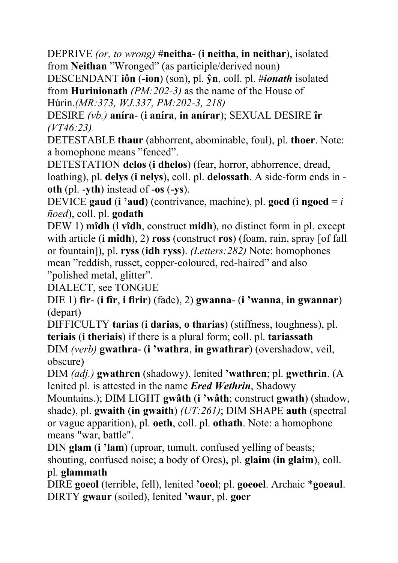DEPRIVE *(or, to wrong)* #**neitha**- (**i neitha**, **in neithar**), isolated from **Neithan** "Wronged" (as participle/derived noun)

DESCENDANT **iôn** (**-ion**) (son), pl. **ŷn**, coll. pl. #*ionath* isolated from **Hurinionath** *(PM:202-3)* as the name of the House of Húrin.*(MR:373, WJ.337, PM:202-3, 218)*

DESIRE *(vb.)* **aníra**- (**i aníra**, **in anírar**); SEXUAL DESIRE **îr** *(VT46:23)*

DETESTABLE **thaur** (abhorrent, abominable, foul), pl. **thoer**. Note: a homophone means "fenced".

DETESTATION **delos** (**i dhelos**) (fear, horror, abhorrence, dread, loathing), pl. **delys** (**i nelys**), coll. pl. **delossath**. A side-form ends in **oth** (pl. -**yth**) instead of -**os** (-**ys**).

DEVICE **gaud** (**i 'aud**) (contrivance, machine), pl. **goed** (**i ngoed** = *i ñoed*), coll. pl. **godath** 

DEW 1) **mîdh** (**i vîdh**, construct **midh**), no distinct form in pl. except with article (**i mîdh**), 2) **ross** (construct **ros**) (foam, rain, spray [of fall or fountain]), pl. **ryss** (**idh ryss**). *(Letters:282)* Note: homophones mean "reddish, russet, copper-coloured, red-haired" and also "polished metal, glitter".

DIALECT, see TONGUE

DIE 1) **fir**- (**i fîr**, **i firir**) (fade), 2) **gwanna**- (**i 'wanna**, **in gwannar**) (depart)

DIFFICULTY **tarias** (**i darias**, **o tharias**) (stiffness, toughness), pl. **teriais** (**i theriais**) if there is a plural form; coll. pl. **tariassath**  DIM *(verb)* **gwathra**- (**i 'wathra**, **in gwathrar**) (overshadow, veil, obscure)

DIM *(adj.)* **gwathren** (shadowy), lenited **'wathren**; pl. **gwethrin**. (A lenited pl. is attested in the name *Ered Wethrin*, Shadowy

Mountains.); DIM LIGHT **gwâth** (**i 'wâth**; construct **gwath**) (shadow, shade), pl. **gwaith** (**in gwaith**) *(UT:261)*; DIM SHAPE **auth** (spectral or vague apparition), pl. **oeth**, coll. pl. **othath**. Note: a homophone means "war, battle".

DIN **glam** (**i 'lam**) (uproar, tumult, confused yelling of beasts; shouting, confused noise; a body of Orcs), pl. **glaim** (**in glaim**), coll. pl. **glammath** 

DIRE **goeol** (terrible, fell), lenited **'oeol**; pl. **goeoel**. Archaic \***goeaul**. DIRTY **gwaur** (soiled), lenited **'waur**, pl. **goer**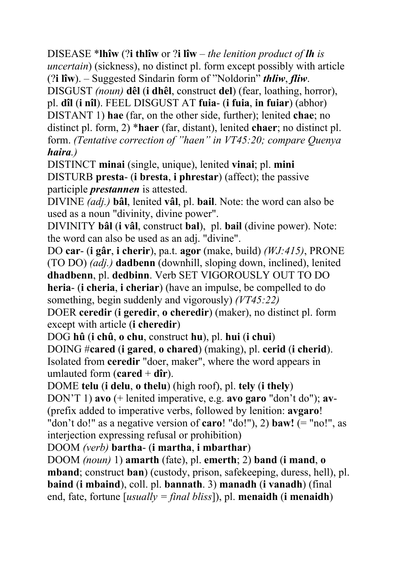DISEASE \***lhîw** (?**i thlîw** or ?**i lîw** – *the lenition product of lh is uncertain*) (sickness), no distinct pl. form except possibly with article (?**i lîw**). – Suggested Sindarin form of "Noldorin" *thliw*, *fliw*. DISGUST *(noun)* **dêl** (**i dhêl**, construct **del**) (fear, loathing, horror), pl. **dîl** (**i nîl**). FEEL DISGUST AT **fuia**- (**i fuia**, **in fuiar**) (abhor) DISTANT 1) **hae** (far, on the other side, further); lenited **chae**; no distinct pl. form, 2) \***haer** (far, distant), lenited **chaer**; no distinct pl. form. *(Tentative correction of "haen" in VT45:20; compare Quenya haira.)*

DISTINCT **minai** (single, unique), lenited **vinai**; pl. **mini** DISTURB **presta**- (**i bresta**, **i phrestar**) (affect); the passive participle *prestannen* is attested.

DIVINE *(adj.)* **bâl**, lenited **vâl**, pl. **bail**. Note: the word can also be used as a noun "divinity, divine power".

DIVINITY **bâl** (**i vâl**, construct **bal**), pl. **bail** (divine power). Note: the word can also be used as an adj. "divine".

DO **car**- (**i gâr**, **i cherir**), pa.t. **agor** (make, build) *(WJ:415)*, PRONE (TO DO) *(adj.)* **dadbenn** (downhill, sloping down, inclined), lenited **dhadbenn**, pl. **dedbinn**. Verb SET VIGOROUSLY OUT TO DO **heria**- (**i cheria**, **i cheriar**) (have an impulse, be compelled to do something, begin suddenly and vigorously) *(VT45:22)*

DOER **ceredir** (**i geredir**, **o cheredir**) (maker), no distinct pl. form except with article (**i cheredir**)

DOG **hû** (**i chû**, **o chu**, construct **hu**), pl. **hui** (**i chui**) DOING #**cared** (**i gared**, **o chared**) (making), pl. **cerid** (**i cherid**). Isolated from **ceredir** "doer, maker", where the word appears in umlauted form  $(\text{cared} + \text{dîr})$ .

DOME **telu** (**i delu**, **o thelu**) (high roof), pl. **tely** (**i thely**)

DON'T 1) **avo** (+ lenited imperative, e.g. **avo garo** "don't do"); **av**- (prefix added to imperative verbs, followed by lenition: **avgaro**! "don't do!" as a negative version of **caro**! "do!"), 2) **baw!** (= "no!", as interjection expressing refusal or prohibition)

DOOM *(verb)* **bartha**- (**i martha**, **i mbarthar**)

DOOM *(noun)* 1) **amarth** (fate), pl. **emerth**; 2) **band** (**i mand**, **o mband**; construct **ban**) (custody, prison, safekeeping, duress, hell), pl. **baind** (**i mbaind**), coll. pl. **bannath**. 3) **manadh** (**i vanadh**) (final end, fate, fortune [*usually = final bliss*]), pl. **menaidh** (**i menaidh**)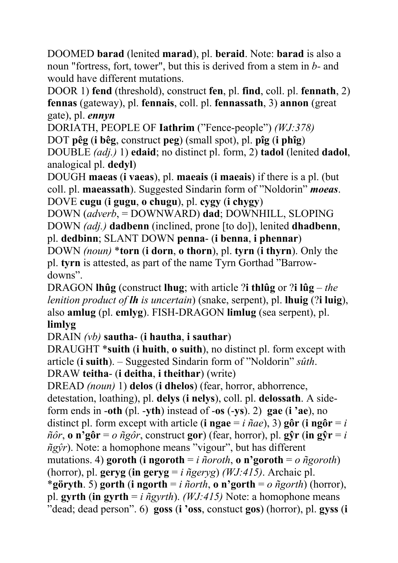DOOMED **barad** (lenited **marad**), pl. **beraid**. Note: **barad** is also a noun "fortress, fort, tower", but this is derived from a stem in *b-* and would have different mutations.

DOOR 1) **fend** (threshold), construct **fen**, pl. **find**, coll. pl. **fennath**, 2) **fennas** (gateway), pl. **fennais**, coll. pl. **fennassath**, 3) **annon** (great gate), pl. *ennyn*

DORIATH, PEOPLE OF **Iathrim** ("Fence-people") *(WJ:378)*

DOT **pêg** (**i bêg**, construct **peg**) (small spot), pl. **pîg** (**i phîg**)

DOUBLE *(adj.)* 1) **edaid**; no distinct pl. form, 2) **tadol** (lenited **dadol**, analogical pl. **dedyl**)

DOUGH **maeas** (**i vaeas**), pl. **maeais** (**i maeais**) if there is a pl. (but coll. pl. **maeassath**). Suggested Sindarin form of "Noldorin" *moeas*. DOVE **cugu** (**i gugu**, **o chugu**), pl. **cygy** (**i chygy**)

DOWN (*adverb*, = DOWNWARD) **dad**; DOWNHILL, SLOPING DOWN *(adj.)* **dadbenn** (inclined, prone [to do]), lenited **dhadbenn**, pl. **dedbinn**; SLANT DOWN **penna**- (**i benna**, **i phennar**)

DOWN *(noun)* \***torn** (**i dorn**, **o thorn**), pl. **tyrn** (**i thyrn**). Only the pl. **tyrn** is attested, as part of the name Tyrn Gorthad "Barrowdowns".

DRAGON **lhûg** (construct **lhug**; with article ?**i thlûg** or ?**i lûg** – *the lenition product of lh is uncertain*) (snake, serpent), pl. **lhuig** (?**i luig**), also **amlug** (pl. **emlyg**). FISH-DRAGON **limlug** (sea serpent), pl. **limlyg**

DRAIN *(vb)* **sautha**- (**i hautha**, **i sauthar**)

DRAUGHT \***suith** (**i huith**, **o suith**), no distinct pl. form except with article (**i suith**). – Suggested Sindarin form of "Noldorin" *sûth*.

```
DRAW teitha- (i deitha, i theithar) (write)
```
DREAD *(noun)* 1) **delos** (**i dhelos**) (fear, horror, abhorrence, detestation, loathing), pl. **delys** (**i nelys**), coll. pl. **delossath**. A sideform ends in -**oth** (pl. -**yth**) instead of -**os** (-**ys**). 2) **gae** (**i 'ae**), no distinct pl. form except with article (**i** ngae  $=$  *i*  $\tilde{n}ae$ ), 3) gôr (**i** ngôr  $=$  *i*  $\tilde{n}\tilde{o}r$ , **o**  $\mathbf{n}'\tilde{g}\tilde{o}\mathbf{r} = o$   $\tilde{n}\tilde{g}\tilde{o}r$ , construct **gor**) (fear, horror), pl. **g** $\tilde{g}\mathbf{r}$  (in  $\tilde{g}\tilde{g}\mathbf{r} = i$ *ñgŷr*). Note: a homophone means "vigour", but has different mutations. 4) **goroth** (**i ngoroth** = *i ñoroth*, **o n'goroth** = *o ñgoroth*) (horror), pl. **geryg** (in **geryg** = *i*  $\tilde{n}$ geryg) *(WJ:415)*. Archaic pl. \***göryth**. 5) **gorth** (**i ngorth** = *i ñorth*, **o n'gorth** = *o ñgorth*) (horror), pl. **gyrth** (**in gyrth** = *i ñgyrth*). *(WJ:415)* Note: a homophone means "dead; dead person". 6) **goss** (**i 'oss**, constuct **gos**) (horror), pl. **gyss** (**i**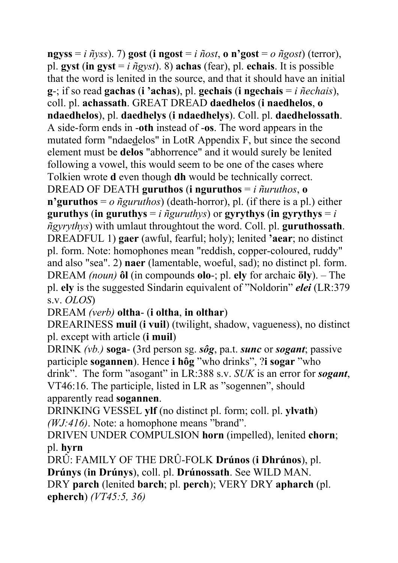$ngvss = i \tilde{n}vss$ ). 7) **gost** (**i** ngost = *i*  $\tilde{n}ost$ , **o** n'gost = *o*  $\tilde{n}gost$ ) (terror), pl. **gyst** (**in gyst** = *i ñgyst*). 8) **achas** (fear), pl. **echais**. It is possible that the word is lenited in the source, and that it should have an initial **g**-; if so read **gachas** (**i 'achas**), pl. **gechais** (**i ngechais** = *i ñechais*), coll. pl. **achassath**. GREAT DREAD **daedhelos** (**i naedhelos**, **o ndaedhelos**), pl. **daedhelys** (**i ndaedhelys**). Coll. pl. **daedhelossath**. A side-form ends in -**oth** instead of -**os**. The word appears in the mutated form "ndaedelos" in LotR Appendix F, but since the second element must be **delos** "abhorrence" and it would surely be lenited following a vowel, this would seem to be one of the cases where Tolkien wrote **d** even though **dh** would be technically correct. DREAD OF DEATH **guruthos** (**i** nguruthos  $=$  *i ñuruthos*, **o n'guruthos** = *o ñguruthos*) (death-horror), pl. (if there is a pl.) either **guruthys** (in guruthys  $=$  *i*  $\tilde{n}$ *guruthys*) or gyrythys (in gyrythys  $=$  *i ñgyrythys*) with umlaut throughtout the word. Coll. pl. **guruthossath**. DREADFUL 1) **gaer** (awful, fearful; holy); lenited **'aear**; no distinct pl. form. Note: homophones mean "reddish, copper-coloured, ruddy" and also "sea". 2) **naer** (lamentable, woeful, sad); no distinct pl. form. DREAM *(noun)* **ôl** (in compounds **olo**-; pl. **ely** for archaic **öly**). – The pl. **ely** is the suggested Sindarin equivalent of "Noldorin" *elei* (LR:379 s.v. *OLOS*)

DREAM *(verb)* **oltha**- (**i oltha**, **in olthar**)

DREARINESS **muil** (**i vuil**) (twilight, shadow, vagueness), no distinct pl. except with article (**i muil**)

DRINK *(vb.)* **soga**- (3rd person sg. *sôg*, pa.t. *sunc* or *sogant*; passive participle **sogannen**). Hence **i hôg** "who drinks", ?**i sogar** "who drink". The form "asogant" in LR:388 s.v. *SUK* is an error for *sogant*, VT46:16. The participle, listed in LR as "sogennen", should apparently read **sogannen**.

DRINKING VESSEL **ylf** (no distinct pl. form; coll. pl. **ylvath**) *(WJ:416)*. Note: a homophone means "brand".

DRIVEN UNDER COMPULSION **horn** (impelled), lenited **chorn**; pl. **hyrn** 

DRÛ: FAMILY OF THE DRÛ-FOLK **Drúnos** (**i Dhrúnos**), pl. **Drúnys** (**in Drúnys**), coll. pl. **Drúnossath**. See WILD MAN. DRY **parch** (lenited **barch**; pl. **perch**); VERY DRY **apharch** (pl. **epherch**) *(VT45:5, 36)*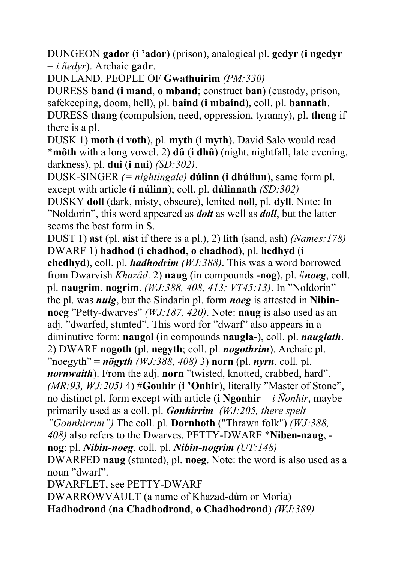DUNGEON **gador** (**i 'ador**) (prison), analogical pl. **gedyr** (**i ngedyr** = *i ñedyr*). Archaic **gadr**.

DUNLAND, PEOPLE OF **Gwathuirim** *(PM:330)*

DURESS **band** (**i mand**, **o mband**; construct **ban**) (custody, prison, safekeeping, doom, hell), pl. **baind** (**i mbaind**), coll. pl. **bannath**. DURESS **thang** (compulsion, need, oppression, tyranny), pl. **theng** if there is a pl.

DUSK 1) **moth** (**i voth**), pl. **myth** (**i myth**). David Salo would read \***môth** with a long vowel. 2) **dû** (**i dhû**) (night, nightfall, late evening, darkness), pl. **dui** (**i nui**) *(SD:302)*.

DUSK-SINGER *(= nightingale)* **dúlinn** (**i dhúlinn**), same form pl. except with article (**i núlinn**); coll. pl. **dúlinnath** *(SD:302)*

DUSKY **doll** (dark, misty, obscure), lenited **noll**, pl. **dyll**. Note: In "Noldorin", this word appeared as *dolt* as well as *doll*, but the latter seems the best form in S.

DUST 1) **ast** (pl. **aist** if there is a pl.), 2) **lith** (sand, ash) *(Names:178)* DWARF 1) **hadhod** (**i chadhod**, **o chadhod**), pl. **hedhyd** (**i chedhyd**), coll. pl. *hadhodrim (WJ:388)*. This was a word borrowed from Dwarvish *Khazâd*. 2) **naug** (in compounds -**nog**), pl. #*noeg*, coll. pl. **naugrim**, **nogrim**. *(WJ:388, 408, 413; VT45:13)*. In "Noldorin" the pl. was *nuig*, but the Sindarin pl. form *noeg* is attested in **Nibinnoeg** "Petty-dwarves" *(WJ:187, 420)*. Note: **naug** is also used as an adj. "dwarfed, stunted". This word for "dwarf" also appears in a diminutive form: **naugol** (in compounds **naugla**-), coll. pl. *nauglath*. 2) DWARF **nogoth** (pl. **negyth**; coll. pl. *nogothrim*). Archaic pl.

"noegyth" = *nögyth (WJ:388, 408)* 3) **norn** (pl. *nyrn*, coll. pl.

*nornwaith*). From the adj. **norn** "twisted, knotted, crabbed, hard".

*(MR:93, WJ:205)* 4) #**Gonhir** (**i 'Onhir**), literally "Master of Stone", no distinct pl. form except with article (**i** Ngonhir =  $i$  Nonhir, maybe

primarily used as a coll. pl. *Gonhirrim (WJ:205, there spelt* 

*"Gonnhirrim")* The coll. pl. **Dornhoth** ("Thrawn folk") *(WJ:388,* 

*408)* also refers to the Dwarves. PETTY-DWARF \***Niben-naug**, **nog**; pl. *Nibin-noeg*, coll. pl. *Nibin-nogrim (UT:148)*

DWARFED **naug** (stunted), pl. **noeg**. Note: the word is also used as a noun "dwarf".

DWARFLET, see PETTY-DWARF

DWARROWVAULT (a name of Khazad-dûm or Moria) **Hadhodrond** (**na Chadhodrond**, **o Chadhodrond**) *(WJ:389)*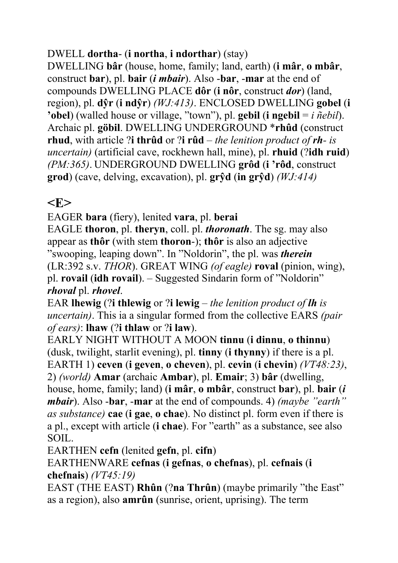#### DWELL **dortha**- (**i northa**, **i ndorthar**) (stay)

DWELLING **bâr** (house, home, family; land, earth) (**i mâr**, **o mbâr**, construct **bar**), pl. **bair** (*i mbair*). Also -**bar**, -**mar** at the end of compounds DWELLING PLACE **dôr** (**i nôr**, construct *dor*) (land, region), pl. **dŷr** (**i ndŷr**) *(WJ:413)*. ENCLOSED DWELLING **gobel** (**i 'obel**) (walled house or village, "town"), pl. **gebil** (**i ngebil** = *i ñebil*). Archaic pl. **göbil**. DWELLING UNDERGROUND \***rhûd** (construct **rhud**, with article ?**i thrûd** or ?**i rûd** – *the lenition product of rh- is uncertain)* (artificial cave, rockhewn hall, mine), pl. **rhuid** (?**idh ruid**) *(PM:365)*. UNDERGROUND DWELLING **grôd** (**i 'rôd**, construct **grod**) (cave, delving, excavation), pl. **grŷd** (**in grŷd**) *(WJ:414)*

### $\langle$ **E** $>$

EAGER **bara** (fiery), lenited **vara**, pl. **berai**

EAGLE **thoron**, pl. **theryn**, coll. pl. *thoronath*. The sg. may also appear as **thôr** (with stem **thoron**-); **thôr** is also an adjective "swooping, leaping down". In "Noldorin", the pl. was *therein* (LR:392 s.v. *THOR*). GREAT WING *(of eagle)* **roval** (pinion, wing), pl. **rovail** (**idh rovail**). – Suggested Sindarin form of "Noldorin" *rhoval* pl. *rhovel*.

EAR **lhewig** (?**i thlewig** or ?**i lewig** – *the lenition product of lh is uncertain)*. This ia a singular formed from the collective EARS *(pair of ears)*: **lhaw** (?**i thlaw** or ?**i law**).

EARLY NIGHT WITHOUT A MOON **tinnu** (**i dinnu**, **o thinnu**) (dusk, twilight, starlit evening), pl. **tinny** (**i thynny**) if there is a pl. EARTH 1) **ceven** (**i geven**, **o cheven**), pl. **cevin** (**i chevin**) *(VT48:23)*, 2) *(world)* **Amar** (archaic **Ambar**), pl. **Emair**; 3) **bâr** (dwelling, house, home, family; land) (**i mâr**, **o mbâr**, construct **bar**), pl. **bair** (*i mbair*). Also -**bar**, -**mar** at the end of compounds. 4) *(maybe "earth" as substance)* **cae** (**i gae**, **o chae**). No distinct pl. form even if there is a pl., except with article (**i chae**). For "earth" as a substance, see also

SOIL.

EARTHEN **cefn** (lenited **gefn**, pl. **cifn**)

EARTHENWARE **cefnas** (**i gefnas**, **o chefnas**), pl. **cefnais** (**i chefnais**) *(VT45:19)*

EAST (THE EAST) **Rhûn** (?**na Thrûn**) (maybe primarily "the East" as a region), also **amrûn** (sunrise, orient, uprising). The term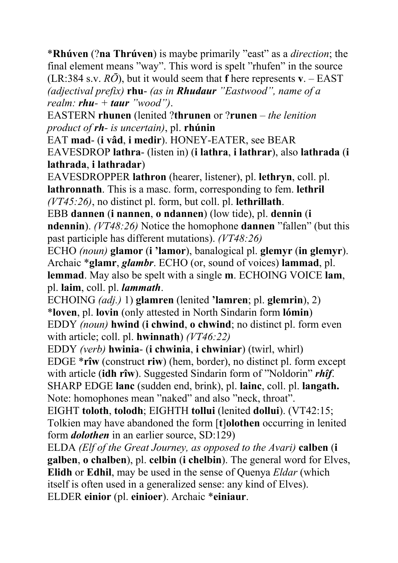\***Rhúven** (?**na Thrúven**) is maybe primarily "east" as a *direction*; the final element means "way". This word is spelt "rhufen" in the source (LR:384 s.v. *RŌ*), but it would seem that **f** here represents **v**. – EAST *(adjectival prefix)* **rhu**- *(as in Rhudaur "Eastwood", name of a realm: rhu- + taur "wood")*.

EASTERN **rhunen** (lenited ?**thrunen** or ?**runen** – *the lenition product of rh- is uncertain)*, pl. **rhúnin**

EAT **mad**- (**i vâd**, **i medir**). HONEY-EATER, see BEAR

EAVESDROP **lathra**- (listen in) (**i lathra**, **i lathrar**), also **lathrada** (**i lathrada**, **i lathradar**)

EAVESDROPPER **lathron** (hearer, listener), pl. **lethryn**, coll. pl. **lathronnath**. This is a masc. form, corresponding to fem. **lethril** *(VT45:26)*, no distinct pl. form, but coll. pl. **lethrillath**.

EBB **dannen** (**i nannen**, **o ndannen**) (low tide), pl. **dennin** (**i ndennin**). *(VT48:26)* Notice the homophone **dannen** "fallen" (but this past participle has different mutations). *(VT48:26)*

ECHO *(noun)* **glamor** (**i 'lamor**), banalogical pl. **glemyr** (**in glemyr**). Archaic \***glamr**, *glambr*. ECHO (or, sound of voices) **lammad**, pl. **lemmad**. May also be spelt with a single **m**. ECHOING VOICE **lam**, pl. **laim**, coll. pl. *lammath*.

ECHOING *(adj.)* 1) **glamren** (lenited **'lamren**; pl. **glemrin**), 2) \***loven**, pl. **lovin** (only attested in North Sindarin form **lómin**) EDDY *(noun)* **hwind** (**i chwind**, **o chwind**; no distinct pl. form even with article; coll. pl. **hwinnath**) *(VT46:22)* 

EDDY *(verb)* **hwinia**- (**i chwinia**, **i chwiniar**) (twirl, whirl) EDGE \***rîw** (construct **riw**) (hem, border), no distinct pl. form except with article (**idh rîw**). Suggested Sindarin form of "Noldorin" *rhîf*. SHARP EDGE **lanc** (sudden end, brink), pl. **lainc**, coll. pl. **langath.**  Note: homophones mean "naked" and also "neck, throat".

EIGHT **toloth**, **tolodh**; EIGHTH **tollui** (lenited **dollui**). (VT42:15; Tolkien may have abandoned the form [**t**]**olothen** occurring in lenited form *dolothen* in an earlier source, SD:129)

ELDA *(Elf of the Great Journey, as opposed to the Avari)* **calben** (**i galben**, **o chalben**), pl. **celbin** (**i chelbin**). The general word for Elves, **Elidh** or **Edhil**, may be used in the sense of Quenya *Eldar* (which itself is often used in a generalized sense: any kind of Elves). ELDER **einior** (pl. **einioer**). Archaic \***einiaur**.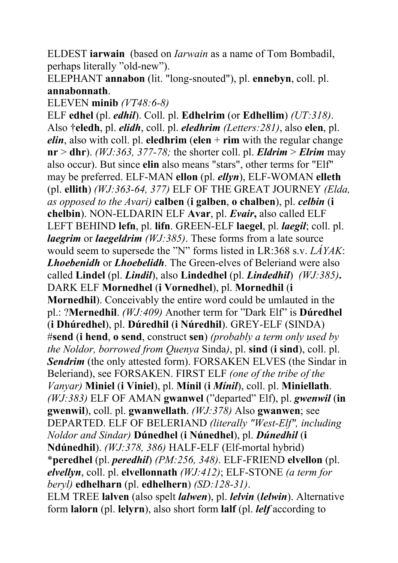ELDEST **iarwain** (based on *Iarwain* as a name of Tom Bombadil, perhaps literally "old-new").

ELEPHANT **annabon** (lit. "long-snouted"), pl. **ennebyn**, coll. pl. **annabonnath**.

ELEVEN **minib** *(VT48:6-8)*

ELF **edhel** (pl. *edhil*). Coll. pl. **Edhelrim** (or **Edhellim**) *(UT:318)*. Also †**eledh**, pl. *elidh*, coll. pl. *eledhrim (Letters:281)*, also **elen**, pl. *elin*, also with coll. pl. **eledhrim** (**elen**  $+$ **rim** with the regular change  $nr > dhr$ ). *(WJ:363, 377-78; the shorter coll. pl. <i>Eldrim > Elrim* may also occur). But since **elin** also means "stars", other terms for "Elf" may be preferred. ELF-MAN **ellon** (pl. *ellyn*), ELF-WOMAN **elleth** (pl. **ellith**) *(WJ:363-64, 377)* ELF OF THE GREAT JOURNEY *(Elda, as opposed to the Avari)* **calben** (**i galben**, **o chalben**), pl. *celbin* (**i chelbin**). NON-ELDARIN ELF **Avar**, pl. *Evair***,** also called ELF LEFT BEHIND **lefn**, pl. **lifn**. GREEN-ELF **laegel**, pl. *laegil*; coll. pl. *laegrim* or *laegeldrim (WJ:385)*. These forms from a late source would seem to supersede the "N" forms listed in LR:368 s.v. *LÁYAK*: *Lhoebenidh* or *Lhoebelidh*. The Green-elves of Beleriand were also called **Lindel** (pl. *Lindil*), also **Lindedhel** (pl. *Lindedhil*) *(WJ:385)***.**  DARK ELF **Mornedhel** (**i Vornedhel**), pl. **Mornedhil** (**i Mornedhil**). Conceivably the entire word could be umlauted in the pl.: ?**Mernedhil**. *(WJ:409)* Another term for "Dark Elf" is **Dúredhel** (**i Dhúredhel**), pl. **Dúredhil** (**i Núredhil**). GREY-ELF (SINDA) #**send** (**i hend**, **o send**, construct **sen**) *(probably a term only used by the Noldor, borrowed from Quenya* Sinda*)*, pl. **sind** (**i sind**), coll. pl. *Sendrim* (the only attested form). FORSAKEN ELVES (the Sindar in Beleriand), see FORSAKEN. FIRST ELF *(one of the tribe of the Vanyar)* **Miniel** (**i Viniel**), pl. **Mínil** (**i** *Mínil*), coll. pl. **Miniellath**. *(WJ:383)* ELF OF AMAN **gwanwel** ("departed" Elf), pl. *gwenwil* (**in gwenwil**), coll. pl. **gwanwellath**. *(WJ:378)* Also **gwanwen**; see DEPARTED. ELF OF BELERIAND *(literally "West-Elf", including Noldor and Sindar)* **Dúnedhel** (**i Núnedhel**), pl. *Dúnedhil* (**i Ndúnedhil**). *(WJ:378, 386)* HALF-ELF (Elf-mortal hybrid) \***peredhel** (pl. *peredhil*) *(PM:256, 348)*. ELF-FRIEND **elvellon** (pl. *elvellyn*, coll. pl. **elvellonnath** *(WJ:412)*; ELF-STONE *(a term for beryl)* **edhelharn** (pl. **edhelhern**) *(SD:128-31)*. ELM TREE **lalven** (also spelt *lalwen*), pl. *lelvin* (*lelwin*). Alternative form **lalorn** (pl. **lelyrn**), also short form **lalf** (pl. *lelf* according to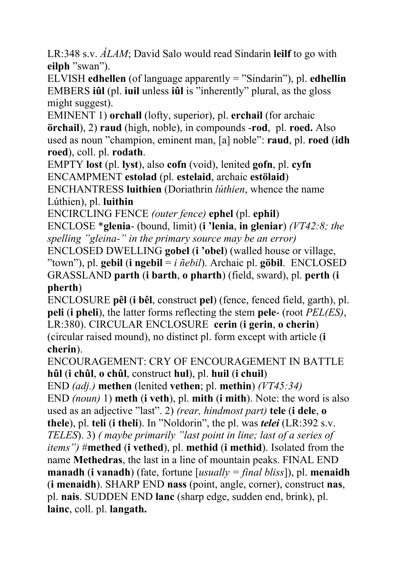LR:348 s.v. *ÁLAM*; David Salo would read Sindarin **leilf** to go with **eilph** "swan").

ELVISH **edhellen** (of language apparently = "Sindarin"), pl. **edhellin** EMBERS **iûl** (pl. **iuil** unless **iûl** is "inherently" plural, as the gloss might suggest).

EMINENT 1) **orchall** (lofty, superior), pl. **erchail** (for archaic **örchail**), 2) **raud** (high, noble), in compounds -**rod**, pl. **roed.** Also used as noun "champion, eminent man, [a] noble": **raud**, pl. **roed** (**idh roed**), coll. pl. **rodath**.

EMPTY **lost** (pl. **lyst**), also **cofn** (void), lenited **gofn**, pl. **cyfn** ENCAMPMENT **estolad** (pl. **estelaid**, archaic **estölaid**)

ENCHANTRESS **luithien** (Doriathrin *lúthien*, whence the name Lúthien), pl. **luithin**

ENCIRCLING FENCE *(outer fence)* **ephel** (pl. **ephil**)

ENCLOSE \***glenia**- (bound, limit) (**i 'lenia**, **in gleniar**) *(VT42:8; the spelling "gleina-" in the primary source may be an error)*

ENCLOSED DWELLING **gobel** (**i 'obel**) (walled house or village, "town"), pl. **gebil** (**i** ngebil =  $i$   $\tilde{n}$ *ebil*). Archaic pl. **göbil**. ENCLOSED GRASSLAND **parth** (**i barth**, **o pharth**) (field, sward), pl. **perth** (**i pherth**)

ENCLOSURE **pêl** (**i bêl**, construct **pel**) (fence, fenced field, garth), pl. **peli** (**i pheli**), the latter forms reflecting the stem **pele**- (root *PEL(ES)*, LR:380). CIRCULAR ENCLOSURE **cerin** (**i gerin**, **o cherin**) (circular raised mound), no distinct pl. form except with article (**i cherin**).

ENCOURAGEMENT: CRY OF ENCOURAGEMENT IN BATTLE **hûl** (**i chûl**, **o chûl**, construct **hul**), pl. **huil** (**i chuil**)

END *(adj.)* **methen** (lenited **vethen**; pl. **methin**) *(VT45:34)*

END *(noun)* 1) **meth** (**i veth**), pl. **mith** (**i mith**). Note: the word is also used as an adjective "last". 2) *(rear, hindmost part)* **tele** (**i dele**, **o thele**), pl. **teli** (**i theli**). In "Noldorin", the pl. was *telei* (LR:392 s.v. *TELES*). 3) *( maybe primarily "last point in line; last of a series of items")* #**methed** (**i vethed**), pl. **methid** (**i methid**). Isolated from the name **Methedras**, the last in a line of mountain peaks. FINAL END **manadh** (**i vanadh**) (fate, fortune [*usually = final bliss*]), pl. **menaidh** (**i menaidh**). SHARP END **nass** (point, angle, corner), construct **nas**, pl. **nais**. SUDDEN END **lanc** (sharp edge, sudden end, brink), pl. **lainc**, coll. pl. **langath.**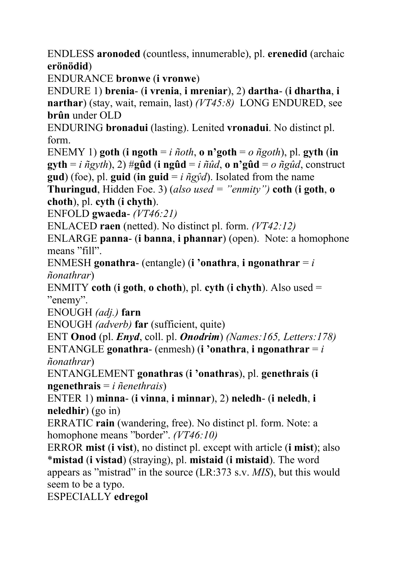ENDLESS **aronoded** (countless, innumerable), pl. **erenedid** (archaic **erönödid**)

ENDURANCE **bronwe** (**i vronwe**)

ENDURE 1) **brenia**- (**i vrenia**, **i mreniar**), 2) **dartha**- (**i dhartha**, **i narthar**) (stay, wait, remain, last) *(VT45:8)* LONG ENDURED, see **brûn** under OLD

ENDURING **bronadui** (lasting). Lenited **vronadui**. No distinct pl. form.

ENEMY 1) **goth** (**i** ngoth =  $i$   $ñoth$ , **o**  $n$ <sup> $\cdot$ </sup>**goth** =  $o$   $ñgoth$ ), pl. **gyth** (**in gyth** = *i*  $\tilde{n}$ gyth), 2)  $\#$ **gûd** (**i** ng**ûd** = *i*  $\tilde{n}$ *ûd*, **o** n'**gûd** = *o*  $\tilde{n}$ gûd, construct **gud**) (foe), pl. **guid** (**in guid** =  $i \tilde{n} g \hat{\gamma} d$ ). Isolated from the name

**Thuringud**, Hidden Foe. 3) (*also used = "enmity")* **coth** (**i goth**, **o choth**), pl. **cyth** (**i chyth**).

ENFOLD **gwaeda**- *(VT46:21)*

ENLACED **raen** (netted). No distinct pl. form. *(VT42:12)*

ENLARGE **panna**- (**i banna**, **i phannar**) (open). Note: a homophone means "fill".

ENMESH **gonathra**- (entangle) (**i 'onathra**, **i ngonathrar** = *i ñonathrar*)

ENMITY **coth** (**i goth**, **o choth**), pl. **cyth** (**i chyth**). Also used = "enemy".

ENOUGH *(adj.)* **farn**

ENOUGH *(adverb)* **far** (sufficient, quite)

ENT **Onod** (pl. *Enyd*, coll. pl. *Onodrim*) *(Names:165, Letters:178)* ENTANGLE **gonathra**- (enmesh) (**i 'onathra**, **i ngonathrar** = *i ñonathrar*)

ENTANGLEMENT **gonathras** (**i 'onathras**), pl. **genethrais** (**i ngenethrais** = *i ñenethrais*)

ENTER 1) **minna**- (**i vinna**, **i minnar**), 2) **neledh**- (**i neledh**, **i neledhir**) (go in)

ERRATIC **rain** (wandering, free). No distinct pl. form. Note: a homophone means "border". *(VT46:10)*

ERROR **mist** (**i vist**), no distinct pl. except with article (**i mist**); also \***mistad** (**i vistad**) (straying), pl. **mistaid** (**i mistaid**). The word appears as "mistrad" in the source (LR:373 s.v. *MIS*), but this would seem to be a typo.

ESPECIALLY **edregol**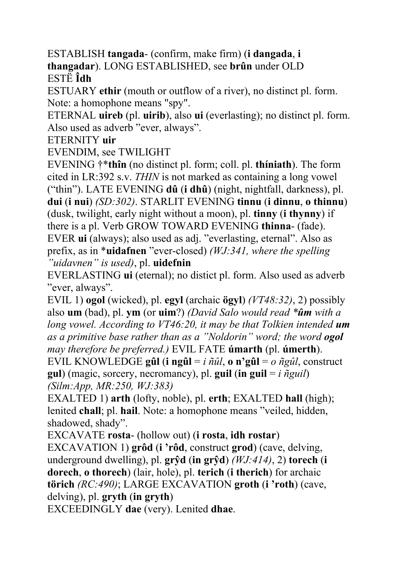ESTABLISH **tangada**- (confirm, make firm) (**i dangada**, **i thangadar**). LONG ESTABLISHED, see **brûn** under OLD ESTË **Îdh**

ESTUARY **ethir** (mouth or outflow of a river), no distinct pl. form. Note: a homophone means "spy".

ETERNAL **uireb** (pl. **uirib**), also **ui** (everlasting); no distinct pl. form. Also used as adverb "ever, always".

ETERNITY **uir**

EVENDIM, see TWILIGHT

EVENING †\***thîn** (no distinct pl. form; coll. pl. **thíniath**). The form cited in LR:392 s.v. *THIN* is not marked as containing a long vowel ("thin"). LATE EVENING **dû** (**i dhû**) (night, nightfall, darkness), pl. **dui** (**i nui**) *(SD:302)*. STARLIT EVENING **tinnu** (**i dinnu**, **o thinnu**) (dusk, twilight, early night without a moon), pl. **tinny** (**i thynny**) if there is a pl. Verb GROW TOWARD EVENING **thinna**- (fade). EVER **ui** (always); also used as adj. "everlasting, eternal". Also as prefix, as in \***uidafnen** "ever-closed) *(WJ:341, where the spelling "uidavnen" is used)*, pl. **uidefnin** 

EVERLASTING **ui** (eternal); no distict pl. form. Also used as adverb "ever, always".

EVIL 1) **ogol** (wicked), pl. **egyl** (archaic **ögyl**) *(VT48:32)*, 2) possibly also **um** (bad), pl. **ym** (or **uim**?) *(David Salo would read \*ûm with a long vowel. According to VT46:20, it may be that Tolkien intended um as a primitive base rather than as a "Noldorin" word; the word ogol may therefore be preferred.)* EVIL FATE **úmarth** (pl. **úmerth**).

EVIL KNOWLEDGE **gûl** (**i ngûl** = *i ñûl*, **o n'gûl** = *o ñgûl*, construct **gul**) (magic, sorcery, necromancy), pl. **guil** (**in guil** = *i ñguil*) *(Silm:App, MR:250, WJ:383)*

EXALTED 1) **arth** (lofty, noble), pl. **erth**; EXALTED **hall** (high); lenited **chall**; pl. **hail**. Note: a homophone means "veiled, hidden, shadowed, shady".

EXCAVATE **rosta**- (hollow out) (**i rosta**, **idh rostar**) EXCAVATION 1) **grôd** (**i 'rôd**, construct **grod**) (cave, delving, underground dwelling), pl. **grŷd** (**in grŷd**) *(WJ:414)*, 2) **torech** (**i dorech**, **o thorech**) (lair, hole), pl. **terich** (**i therich**) for archaic **törich** *(RC:490)*; LARGE EXCAVATION **groth** (**i 'roth**) (cave, delving), pl. **gryth** (**in gryth**)

EXCEEDINGLY **dae** (very). Lenited **dhae**.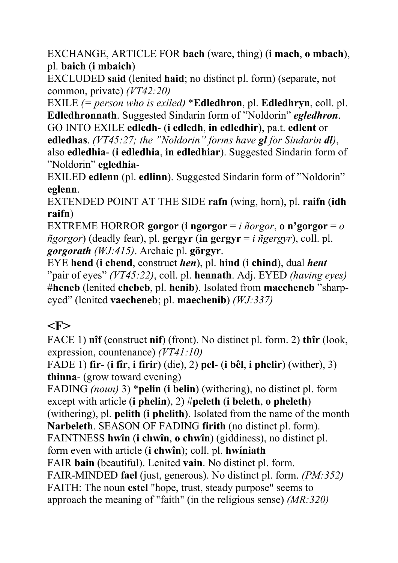EXCHANGE, ARTICLE FOR **bach** (ware, thing) (**i mach**, **o mbach**), pl. **baich** (**i mbaich**)

EXCLUDED **said** (lenited **haid**; no distinct pl. form) (separate, not common, private) *(VT42:20)*

EXILE *(= person who is exiled)* \***Edledhron**, pl. **Edledhryn**, coll. pl. **Edledhronnath**. Suggested Sindarin form of "Noldorin" *egledhron*. GO INTO EXILE **edledh**- (**i edledh**, **in edledhir**), pa.t. **edlent** or **edledhas**. *(VT45:27; the "Noldorin" forms have gl for Sindarin dl)*, also **edledhia**- (**i edledhia**, **in edledhiar**). Suggested Sindarin form of "Noldorin" **egledhia**-

EXILED **edlenn** (pl. **edlinn**). Suggested Sindarin form of "Noldorin" **eglenn**.

EXTENDED POINT AT THE SIDE **rafn** (wing, horn), pl. **raifn** (**idh raifn**)

EXTREME HORROR **gorgor** (**i** ngorgor =  $i$  *ñorgor*, **o** n'gorgor =  $o$ *ñgorgor*) (deadly fear), pl. **gergyr** (**in gergyr** = *i ñgergyr*), coll. pl. *gorgorath (WJ:415)*. Archaic pl. **görgyr**.

EYE **hend** (**i chend**, construct *hen*), pl. **hind** (**i chind**), dual *hent* "pair of eyes" *(VT45:22)*, coll. pl. **hennath**. Adj. EYED *(having eyes)* #**heneb** (lenited **chebeb**, pl. **henib**). Isolated from **maecheneb** "sharpeyed" (lenited **vaecheneb**; pl. **maechenib**) *(WJ:337)*

## **<F>**

FACE 1) **nîf** (construct **nif**) (front). No distinct pl. form. 2) **thîr** (look, expression, countenance) *(VT41:10)*

FADE 1) **fir**- (**i fîr**, **i firir**) (die), 2) **pel**- (**i bêl**, **i phelir**) (wither), 3) **thinna**- (grow toward evening)

FADING *(noun)* 3) \***pelin** (**i belin**) (withering), no distinct pl. form except with article (**i phelin**), 2) #**peleth** (**i beleth**, **o pheleth**) (withering), pl. **pelith** (**i phelith**). Isolated from the name of the month **Narbeleth**. SEASON OF FADING **firith** (no distinct pl. form). FAINTNESS **hwîn** (**i chwîn**, **o chwîn**) (giddiness), no distinct pl. form even with article (**i chwîn**); coll. pl. **hwíniath**  FAIR **bain** (beautiful). Lenited **vain**. No distinct pl. form. FAIR-MINDED **fael** (just, generous). No distinct pl. form. *(PM:352)*  FAITH: The noun **estel** "hope, trust, steady purpose" seems to approach the meaning of "faith" (in the religious sense) *(MR:320)*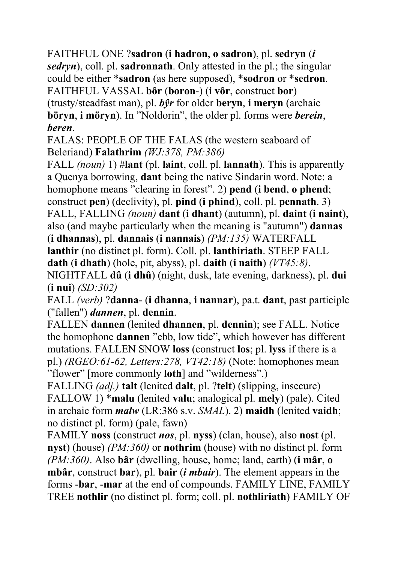FAITHFUL ONE ?**sadron** (**i hadron**, **o sadron**), pl. **sedryn** (*i sedryn*), coll. pl. **sadronnath**. Only attested in the pl.; the singular could be either \***sadron** (as here supposed), \***sodron** or \***sedron**. FAITHFUL VASSAL **bôr** (**boron**-) (**i vôr**, construct **bor**) (trusty/steadfast man), pl. *bŷr* for older **beryn**, **i meryn** (archaic **böryn**, **i möryn**). In "Noldorin", the older pl. forms were *berein*, *beren*.

FALAS: PEOPLE OF THE FALAS (the western seaboard of Beleriand) **Falathrim** *(WJ:378, PM:386)*

FALL *(noun)* 1) #**lant** (pl. **laint**, coll. pl. **lannath**). This is apparently a Quenya borrowing, **dant** being the native Sindarin word. Note: a homophone means "clearing in forest". 2) **pend** (**i bend**, **o phend**; construct **pen**) (declivity), pl. **pind** (**i phind**), coll. pl. **pennath**. 3) FALL, FALLING *(noun)* **dant** (**i dhant**) (autumn), pl. **daint** (**i naint**), also (and maybe particularly when the meaning is "autumn") **dannas** (**i dhannas**), pl. **dannais** (**i nannais**) *(PM:135)* WATERFALL **lanthir** (no distinct pl. form). Coll. pl. **lanthiriath**. STEEP FALL

**dath** (**i dhath**) (hole, pit, abyss), pl. **daith** (**i naith**) *(VT45:8)*.

NIGHTFALL **dû** (**i dhû**) (night, dusk, late evening, darkness), pl. **dui** (**i nui**) *(SD:302)*

FALL *(verb)* ?**danna**- (**i dhanna**, **i nannar**), pa.t. **dant**, past participle ("fallen") *dannen*, pl. **dennin**.

FALLEN **dannen** (lenited **dhannen**, pl. **dennin**); see FALL. Notice the homophone **dannen** "ebb, low tide", which however has different mutations. FALLEN SNOW **loss** (construct **los**; pl. **lyss** if there is a pl.) *(RGEO:61-62, Letters:278, VT42:18)* (Note: homophones mean "flower" [more commonly **loth**] and "wilderness".)

FALLING *(adj.)* **talt** (lenited **dalt**, pl. ?**telt**) (slipping, insecure) FALLOW 1) \***malu** (lenited **valu**; analogical pl. **mely**) (pale). Cited in archaic form *malw* (LR:386 s.v. *SMAL*). 2) **maidh** (lenited **vaidh**; no distinct pl. form) (pale, fawn)

FAMILY **noss** (construct *nos*, pl. **nyss**) (clan, house), also **nost** (pl. **nyst**) (house) *(PM:360)* or **nothrim** (house) with no distinct pl. form *(PM:360)*. Also **bâr** (dwelling, house, home; land, earth) (**i mâr**, **o mbâr**, construct **bar**), pl. **bair** (*i mbair*). The element appears in the forms -**bar**, -**mar** at the end of compounds. FAMILY LINE, FAMILY TREE **nothlir** (no distinct pl. form; coll. pl. **nothliriath**) FAMILY OF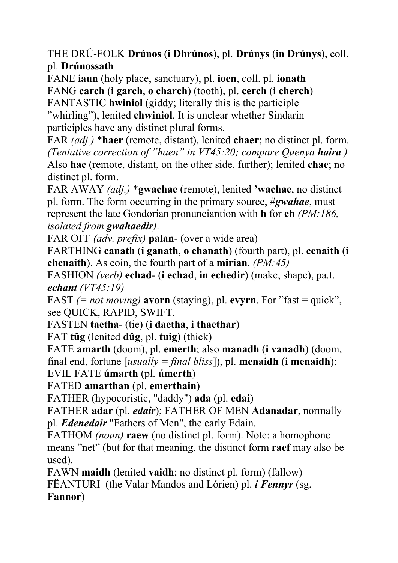THE DRÛ-FOLK **Drúnos** (**i Dhrúnos**), pl. **Drúnys** (**in Drúnys**), coll. pl. **Drúnossath**

FANE **iaun** (holy place, sanctuary), pl. **ioen**, coll. pl. **ionath** FANG **carch** (**i garch**, **o charch**) (tooth), pl. **cerch** (**i cherch**) FANTASTIC **hwiniol** (giddy; literally this is the participle "whirling"), lenited **chwiniol**. It is unclear whether Sindarin

participles have any distinct plural forms.

FAR *(adj.)* \***haer** (remote, distant), lenited **chaer**; no distinct pl. form. *(Tentative correction of "haen" in VT45:20; compare Quenya haira.)* Also **hae** (remote, distant, on the other side, further); lenited **chae**; no distinct pl. form.

FAR AWAY *(adj.)* \***gwachae** (remote), lenited **'wachae**, no distinct pl. form. The form occurring in the primary source, #*gwahae*, must represent the late Gondorian pronunciantion with **h** for **ch** *(PM:186, isolated from gwahaedir)*.

FAR OFF *(adv. prefix)* **palan**- (over a wide area)

FARTHING **canath** (**i ganath**, **o chanath**) (fourth part), pl. **cenaith** (**i chenaith**). As coin, the fourth part of a **mirian**. *(PM:45)*

FASHION *(verb)* **echad**- (**i echad**, **in echedir**) (make, shape), pa.t. *echant (VT45:19)*

FAST *(= not moving)* **avorn** (staying), pl. **evyrn**. For "fast = quick", see QUICK, RAPID, SWIFT.

FASTEN **taetha**- (tie) (**i daetha**, **i thaethar**)

FAT **tûg** (lenited **dûg**, pl. **tuig**) (thick)

FATE **amarth** (doom), pl. **emerth**; also **manadh** (**i vanadh**) (doom, final end, fortune [*usually = final bliss*]), pl. **menaidh** (**i menaidh**);

EVIL FATE **úmarth** (pl. **úmerth**)

FATED **amarthan** (pl. **emerthain**)

FATHER (hypocoristic, "daddy") **ada** (pl. **edai**)

FATHER **adar** (pl. *edair*); FATHER OF MEN **Adanadar**, normally pl. *Edenedair* "Fathers of Men", the early Edain.

FATHOM *(noun)* **raew** (no distinct pl. form). Note: a homophone means "net" (but for that meaning, the distinct form **raef** may also be used).

FAWN **maidh** (lenited **vaidh**; no distinct pl. form) (fallow) FËANTURI (the Valar Mandos and Lórien) pl. *i Fennyr* (sg. **Fannor**)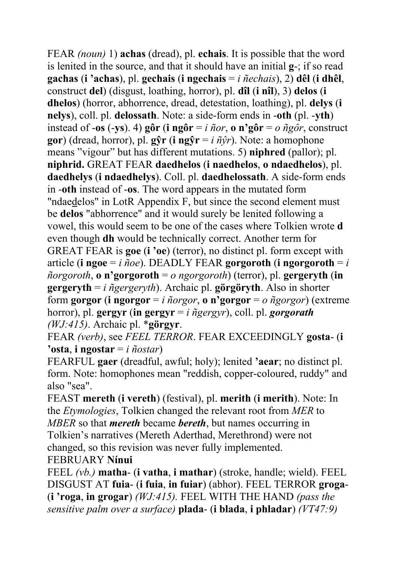FEAR *(noun)* 1) **achas** (dread), pl. **echais**. It is possible that the word is lenited in the source, and that it should have an initial **g**-; if so read **gachas** (**i 'achas**), pl. **gechais** (**i ngechais** = *i ñechais*), 2) **dêl** (**i dhêl**, construct **del**) (disgust, loathing, horror), pl. **dîl** (**i nîl**), 3) **delos** (**i dhelos**) (horror, abhorrence, dread, detestation, loathing), pl. **delys** (**i nelys**), coll. pl. **delossath**. Note: a side-form ends in -**oth** (pl. -**yth**) instead of **-os** (**-ys**). 4) **gôr** (**i ngôr** = *i ñor*, **o n**<sup>3</sup>**gôr** = *o ñgôr*, construct **gor**) (dread, horror), pl. **gŷr** (**i ngŷr** = *i ñŷr*). Note: a homophone means "vigour" but has different mutations. 5) **niphred** (pallor); pl. **niphrid.** GREAT FEAR **daedhelos** (**i naedhelos**, **o ndaedhelos**), pl. **daedhelys** (**i ndaedhelys**). Coll. pl. **daedhelossath**. A side-form ends in -**oth** instead of -**os**. The word appears in the mutated form "ndaedelos" in LotR Appendix F, but since the second element must be **delos** "abhorrence" and it would surely be lenited following a vowel, this would seem to be one of the cases where Tolkien wrote **d** even though **dh** would be technically correct. Another term for GREAT FEAR is **goe** (**i 'oe**) (terror), no distinct pl. form except with article (**i ngoe** = *i ñoe*). DEADLY FEAR **gorgoroth** (**i ngorgoroth** = *i*   $ñorgoroth$ , **o** n'gorgoroth = *o* ngorgoroth) (terror), pl. gergeryth (in **gergeryth** = *i ñgergeryth*). Archaic pl. **görgöryth**. Also in shorter form **gorgor** (**i** ngorgor = *i ñorgor*, **o n'gorgor** =  $o$  *ñgorgor*) (extreme horror), pl. **gergyr** (**in gergyr** = *i ñgergyr*), coll. pl. *gorgorath (WJ:415)*. Archaic pl. \***görgyr**.

FEAR *(verb)*, see *FEEL TERROR*. FEAR EXCEEDINGLY **gosta**- (**i 'osta**, **i ngostar** = *i ñostar*)

FEARFUL **gaer** (dreadful, awful; holy); lenited **'aear**; no distinct pl. form. Note: homophones mean "reddish, copper-coloured, ruddy" and also "sea".

FEAST **mereth** (**i vereth**) (festival), pl. **merith** (**i merith**). Note: In the *Etymologies*, Tolkien changed the relevant root from *MER* to *MBER* so that *mereth* became *bereth*, but names occurring in Tolkien's narratives (Mereth Aderthad, Merethrond) were not changed, so this revision was never fully implemented. FEBRUARY **Nínui**

FEEL *(vb.)* **matha**- (**i vatha**, **i mathar**) (stroke, handle; wield). FEEL DISGUST AT **fuia**- (**i fuia**, **in fuiar**) (abhor). FEEL TERROR **groga**- (**i 'roga**, **in grogar**) *(WJ:415).* FEEL WITH THE HAND *(pass the sensitive palm over a surface)* **plada**- (**i blada**, **i phladar**) *(VT47:9)*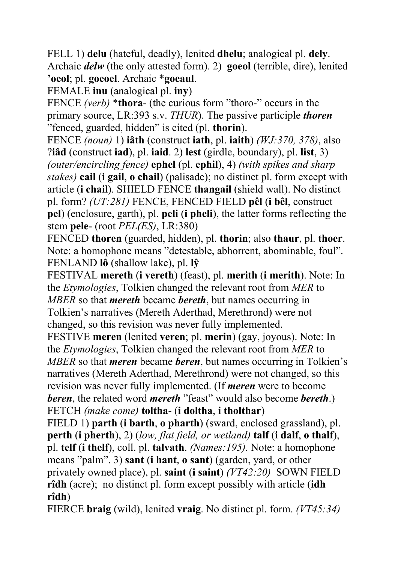FELL 1) **delu** (hateful, deadly), lenited **dhelu**; analogical pl. **dely**. Archaic *delw* (the only attested form). 2) **goeol** (terrible, dire), lenited **'oeol**; pl. **goeoel**. Archaic \***goeaul**.

FEMALE **inu** (analogical pl. **iny**)

FENCE *(verb)* \***thora**- (the curious form "thoro-" occurs in the primary source, LR:393 s.v. *THUR*). The passive participle *thoren* "fenced, guarded, hidden" is cited (pl. **thorin**).

FENCE *(noun)* 1) **iâth** (construct **iath**, pl. **iaith**) *(WJ:370, 378)*, also ?**iâd** (construct **iad**), pl. **iaid**. 2) **lest** (girdle, boundary), pl. **list**, 3) *(outer/encircling fence)* **ephel** (pl. **ephil**), 4) *(with spikes and sharp stakes)* **cail** (**i gail**, **o chail**) (palisade); no distinct pl. form except with article (**i chail**). SHIELD FENCE **thangail** (shield wall). No distinct pl. form? *(UT:281)* FENCE, FENCED FIELD **pêl** (**i bêl**, construct **pel**) (enclosure, garth), pl. **peli** (**i pheli**), the latter forms reflecting the stem **pele**- (root *PEL(ES)*, LR:380)

FENCED **thoren** (guarded, hidden), pl. **thorin**; also **thaur**, pl. **thoer**. Note: a homophone means "detestable, abhorrent, abominable, foul". FENLAND **lô** (shallow lake), pl. **lŷ**

FESTIVAL **mereth** (**i vereth**) (feast), pl. **merith** (**i merith**). Note: In the *Etymologies*, Tolkien changed the relevant root from *MER* to *MBER* so that *mereth* became *bereth*, but names occurring in Tolkien's narratives (Mereth Aderthad, Merethrond) were not changed, so this revision was never fully implemented.

FESTIVE **meren** (lenited **veren**; pl. **merin**) (gay, joyous). Note: In the *Etymologies*, Tolkien changed the relevant root from *MER* to *MBER* so that *meren* became *beren*, but names occurring in Tolkien's narratives (Mereth Aderthad, Merethrond) were not changed, so this revision was never fully implemented. (If *meren* were to become *beren*, the related word *mereth* "feast" would also become *bereth*.) FETCH *(make come)* **toltha**- (**i doltha**, **i tholthar**)

FIELD 1) **parth** (**i barth**, **o pharth**) (sward, enclosed grassland), pl. **perth** (**i pherth**), 2) (*low, flat field, or wetland)* **talf** (**i dalf**, **o thalf**), pl. **telf** (**i thelf**), coll. pl. **talvath**. *(Names:195).* Note: a homophone means "palm". 3) **sant** (**i hant**, **o sant**) (garden, yard, or other privately owned place), pl. **saint** (**i saint**) *(VT42:20)* SOWN FIELD **rîdh** (acre); no distinct pl. form except possibly with article (**idh rîdh**)

FIERCE **braig** (wild), lenited **vraig**. No distinct pl. form. *(VT45:34)*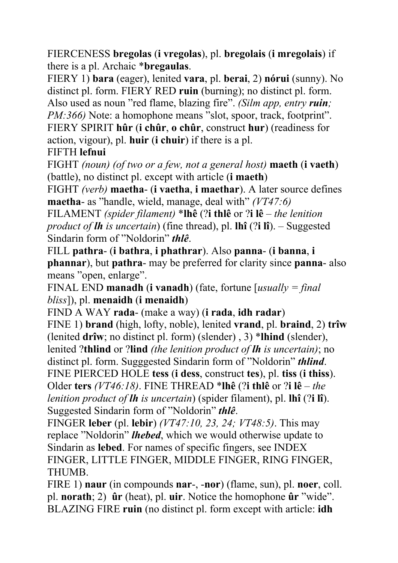FIERCENESS **bregolas** (**i vregolas**), pl. **bregolais** (**i mregolais**) if there is a pl. Archaic \***bregaulas**.

FIERY 1) **bara** (eager), lenited **vara**, pl. **berai**, 2) **nórui** (sunny). No distinct pl. form. FIERY RED **ruin** (burning); no distinct pl. form. Also used as noun "red flame, blazing fire". *(Silm app, entry ruin; PM:366)* Note: a homophone means "slot, spoor, track, footprint". FIERY SPIRIT **hûr** (**i chûr**, **o chûr**, construct **hur**) (readiness for

action, vigour), pl. **huir** (**i chuir**) if there is a pl.

FIFTH **lefnui**

FIGHT *(noun) (of two or a few, not a general host)* **maeth** (**i vaeth**) (battle), no distinct pl. except with article (**i maeth**)

FIGHT *(verb)* **maetha**- (**i vaetha**, **i maethar**). A later source defines **maetha**- as "handle, wield, manage, deal with" *(VT47:6)*

FILAMENT *(spider filament)* \***lhê** (?**i thlê** or ?**i lê** – *the lenition product of lh is uncertain*) (fine thread), pl. **lhî** (?**i lî**). – Suggested Sindarin form of "Noldorin" *thlê*.

FILL **pathra**- (**i bathra**, **i phathrar**). Also **panna**- (**i banna**, **i phannar**), but **pathra**- may be preferred for clarity since **panna**- also means "open, enlarge".

FINAL END **manadh** (**i vanadh**) (fate, fortune [*usually = final bliss*]), pl. **menaidh** (**i menaidh**)

FIND A WAY **rada**- (make a way) (**i rada**, **idh radar**) FINE 1) **brand** (high, lofty, noble), lenited **vrand**, pl. **braind**, 2) **trîw** (lenited **drîw**; no distinct pl. form) (slender) , 3) \***lhind** (slender), lenited ?**thlind** or ?**lind** *(the lenition product of lh is uncertain)*; no distinct pl. form. Sugggested Sindarin form of "Noldorin" *thlind*. FINE PIERCED HOLE **tess** (**i dess**, construct **tes**), pl. **tiss** (**i thiss**). Older **ters** *(VT46:18)*. FINE THREAD \***lhê** (?**i thlê** or ?**i lê** – *the lenition product of lh is uncertain*) (spider filament), pl. **lhî** (?**i lî**). Suggested Sindarin form of "Noldorin" *thlê*.

FINGER **leber** (pl. **lebir**) *(VT47:10, 23, 24; VT48:5)*. This may replace "Noldorin" *lhebed*, which we would otherwise update to Sindarin as **lebed**. For names of specific fingers, see INDEX FINGER, LITTLE FINGER, MIDDLE FINGER, RING FINGER, THUMB.

FIRE 1) **naur** (in compounds **nar**-, -**nor**) (flame, sun), pl. **noer**, coll. pl. **norath**; 2) **ûr** (heat), pl. **uir**. Notice the homophone **ûr** "wide". BLAZING FIRE **ruin** (no distinct pl. form except with article: **idh**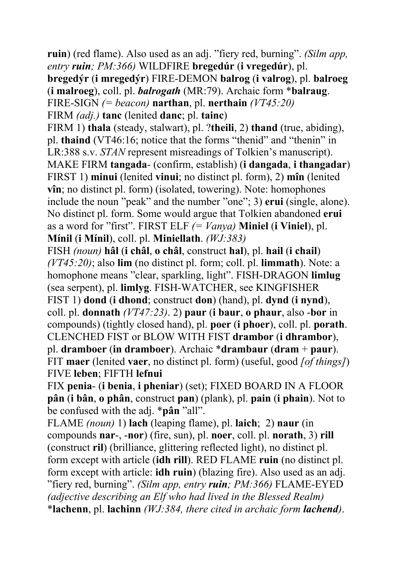**ruin**) (red flame). Also used as an adj. "fiery red, burning". *(Silm app, entry ruin; PM:366)* WILDFIRE **bregedúr** (**i vregedúr**), pl. **bregedýr** (**i mregedýr**) FIRE-DEMON **balrog** (**i valrog**), pl. **balroeg** (**i malroeg**), coll. pl. *balrogath* (MR:79). Archaic form \***balraug**. FIRE-SIGN *(= beacon)* **narthan**, pl. **nerthain** *(VT45:20)* FIRM *(adj.)* **tanc** (lenited **danc**; pl. **tainc**) FIRM 1) **thala** (steady, stalwart), pl. ?**theili**, 2) **thand** (true, abiding), pl. **thaind** (VT46:16; notice that the forms "thenid" and "thenin" in LR:388 s.v. *STAN* represent misreadings of Tolkien's manuscript). MAKE FIRM **tangada**- (confirm, establish) (**i dangada**, **i thangadar**) FIRST 1) **minui** (lenited **vinui**; no distinct pl. form), 2) **mîn** (lenited **vîn**; no distinct pl. form) (isolated, towering). Note: homophones include the noun "peak" and the number "one"; 3) **erui** (single, alone). No distinct pl. form. Some would argue that Tolkien abandoned **erui** as a word for "first". FIRST ELF *(= Vanya)* **Miniel** (**i Viniel**), pl. **Mínil** (**i Mínil**), coll. pl. **Miniellath**. *(WJ:383)* FISH *(noun)* **hâl** (**i châl**, **o châl**, construct **hal**), pl. **hail** (**i chail**) *(VT45:20)*; also **lim** (no distinct pl. form; coll. pl. **limmath**). Note: a homophone means "clear, sparkling, light". FISH-DRAGON **limlug** (sea serpent), pl. **limlyg**. FISH-WATCHER, see KINGFISHER FIST 1) **dond** (**i dhond**; construct **don**) (hand), pl. **dynd** (**i nynd**), coll. pl. **donnath** *(VT47:23)*. 2) **paur** (**i baur**, **o phaur**, also -**bor** in compounds) (tightly closed hand), pl. **poer** (**i phoer**), coll. pl. **porath**. CLENCHED FIST or BLOW WITH FIST **drambor** (**i dhrambor**), pl. **dramboer** (**in dramboer**). Archaic \***drambaur** (**dram** + **paur**). FIT **maer** (lenited **vaer**, no distinct pl. form) (useful, good *[of things]*) FIVE **leben**; FIFTH **lefnui** FIX **penia**- (**i benia**, **i pheniar**) (set); FIXED BOARD IN A FLOOR **pân** (**i bân**, **o phân**, construct **pan**) (plank), pl. **pain** (**i phain**). Not to be confused with the adj. \***pân** "all". FLAME *(noun)* 1) **lach** (leaping flame), pl. **laich**; 2) **naur** (in compounds **nar**-, -**nor**) (fire, sun), pl. **noer**, coll. pl. **norath**, 3) **rill**

(construct **ril**) (brilliance, glittering reflected light), no distinct pl. form except with article (**idh rill**). RED FLAME **ruin** (no distinct pl. form except with article: **idh ruin**) (blazing fire). Also used as an adj. "fiery red, burning". *(Silm app, entry ruin; PM:366)* FLAME-EYED *(adjective describing an Elf who had lived in the Blessed Realm)* \***lachenn**, pl. **lachinn** *(WJ:384, there cited in archaic form lachend)*.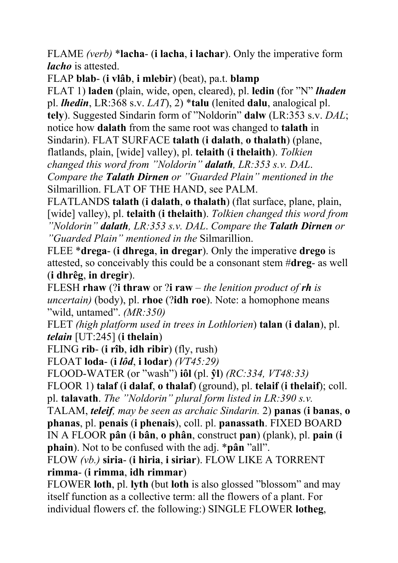FLAME *(verb)* \***lacha**- (**i lacha**, **i lachar**). Only the imperative form *lacho* is attested.

FLAP **blab**- (**i vlâb**, **i mlebir**) (beat), pa.t. **blamp**

FLAT 1) **laden** (plain, wide, open, cleared), pl. **ledin** (for "N" *lhaden* pl. *lhedin*, LR:368 s.v. *LAT*), 2) \***talu** (lenited **dalu**, analogical pl. **tely**). Suggested Sindarin form of "Noldorin" **dalw** (LR:353 s.v. *DAL*; notice how **dalath** from the same root was changed to **talath** in Sindarin). FLAT SURFACE **talath** (**i dalath**, **o thalath**) (plane, flatlands, plain, [wide] valley), pl. **telaith** (**i thelaith**). *Tolkien changed this word from "Noldorin" dalath, LR:353 s.v. DAL*. *Compare the Talath Dirnen or "Guarded Plain" mentioned in the*  Silmarillion. FLAT OF THE HAND, see PALM.

FLATLANDS **talath** (**i dalath**, **o thalath**) (flat surface, plane, plain, [wide] valley), pl. **telaith** (**i thelaith**). *Tolkien changed this word from "Noldorin" dalath, LR:353 s.v. DAL*. *Compare the Talath Dirnen or "Guarded Plain" mentioned in the* Silmarillion.

FLEE \***drega**- (**i dhrega**, **in dregar**). Only the imperative **drego** is attested, so conceivably this could be a consonant stem #**dreg**- as well (**i dhrêg**, **in dregir**).

FLESH **rhaw** (?**i thraw** or ?**i raw** – *the lenition product of rh is uncertain)* (body), pl. **rhoe** (?**idh roe**). Note: a homophone means "wild, untamed". *(MR:350)*

FLET *(high platform used in trees in Lothlorien*) **talan** (**i dalan**), pl. *telain* [UT:245] (**i thelain**)

FLING **rib**- (**i rîb**, **idh ribir**) (fly, rush)

FLOAT **loda**- (**i** *lôd*, **i lodar**) *(VT45:29)*

FLOOD-WATER (or "wash") **iôl** (pl. **ŷl**) *(RC:334, VT48:33)*

FLOOR 1) **talaf** (**i dalaf**, **o thalaf**) (ground), pl. **telaif** (**i thelaif**); coll. pl. **talavath**. *The "Noldorin" plural form listed in LR:390 s.v.* 

TALAM, *teleif, may be seen as archaic Sindarin.* 2) **panas** (**i banas**, **o phanas**, pl. **penais** (**i phenais**), coll. pl. **panassath**. FIXED BOARD IN A FLOOR **pân** (**i bân**, **o phân**, construct **pan**) (plank), pl. **pain** (**i phain**). Not to be confused with the adj. \***pân** "all".

FLOW *(vb.)* **siria**- (**i hiria**, **i siriar**). FLOW LIKE A TORRENT **rimma**- (**i rimma**, **idh rimmar**)

FLOWER **loth**, pl. **lyth** (but **loth** is also glossed "blossom" and may itself function as a collective term: all the flowers of a plant. For individual flowers cf. the following:) SINGLE FLOWER **lotheg**,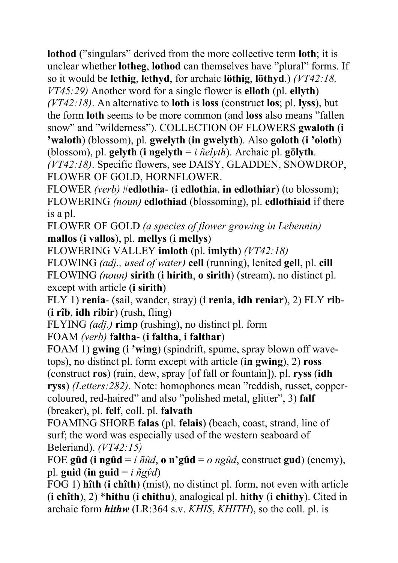**lothod** ("singulars" derived from the more collective term **loth**; it is unclear whether **lotheg**, **lothod** can themselves have "plural" forms. If so it would be **lethig**, **lethyd**, for archaic **löthig**, **löthyd**.) *(VT42:18, VT45:29)* Another word for a single flower is **elloth** (pl. **ellyth**) *(VT42:18)*. An alternative to **loth** is **loss** (construct **los**; pl. **lyss**), but the form **loth** seems to be more common (and **loss** also means "fallen

snow" and "wilderness"). COLLECTION OF FLOWERS **gwaloth** (**i 'waloth**) (blossom), pl. **gwelyth** (**in gwelyth**). Also **goloth** (**i 'oloth**) (blossom), pl. **gelyth** (**i ngelyth** = *i ñelyth*). Archaic pl. **gölyth**.

*(VT42:18)*. Specific flowers, see DAISY, GLADDEN, SNOWDROP, FLOWER OF GOLD, HORNFLOWER.

FLOWER *(verb)* #**edlothia**- (**i edlothia**, **in edlothiar**) (to blossom); FLOWERING *(noun)* **edlothiad** (blossoming), pl. **edlothiaid** if there is a pl.

FLOWER OF GOLD *(a species of flower growing in Lebennin)* **mallos** (**i vallos**), pl. **mellys** (**i mellys**)

FLOWERING VALLEY **imloth** (pl. **imlyth**) *(VT42:18)*

FLOWING *(adj., used of water)* **cell** (running), lenited **gell**, pl. **cill** FLOWING *(noun)* **sirith** (**i hirith**, **o sirith**) (stream), no distinct pl. except with article (**i sirith**)

FLY 1) **renia**- (sail, wander, stray) (**i renia**, **idh reniar**), 2) FLY **rib**- (**i rîb**, **idh ribir**) (rush, fling)

FLYING *(adj.)* **rimp** (rushing), no distinct pl. form

FOAM *(verb)* **faltha**- (**i faltha**, **i falthar**)

FOAM 1) **gwing** (**i 'wing**) (spindrift, spume, spray blown off wavetops), no distinct pl. form except with article (**in gwing**), 2) **ross** (construct **ros**) (rain, dew, spray [of fall or fountain]), pl. **ryss** (**idh ryss**) *(Letters:282)*. Note: homophones mean "reddish, russet, coppercoloured, red-haired" and also "polished metal, glitter", 3) **falf** (breaker), pl. **felf**, coll. pl. **falvath**

FOAMING SHORE **falas** (pl. **felais**) (beach, coast, strand, line of surf; the word was especially used of the western seaboard of Beleriand). *(VT42:15)* 

FOE gûd (**i** ngûd = *i*  $\tilde{n} \tilde{u} d$ , **o** n'gûd = *o* ngûd, construct gud) (enemy), pl. **guid** (**in guid** =  $i \tilde{n} g \hat{v} d$ )

FOG 1) **hîth** (**i chîth**) (mist), no distinct pl. form, not even with article (**i chîth**), 2) \***hithu** (**i chithu**), analogical pl. **hithy** (**i chithy**). Cited in archaic form *hithw* (LR:364 s.v. *KHIS*, *KHITH*), so the coll. pl. is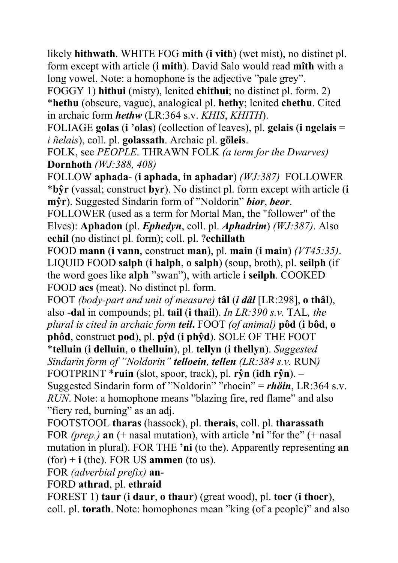likely **hithwath**. WHITE FOG **mith** (**i vith**) (wet mist), no distinct pl. form except with article (**i mith**). David Salo would read **mîth** with a long vowel. Note: a homophone is the adjective "pale grey".

FOGGY 1) **hithui** (misty), lenited **chithui**; no distinct pl. form. 2) \***hethu** (obscure, vague), analogical pl. **hethy**; lenited **chethu**. Cited in archaic form *hethw* (LR:364 s.v. *KHIS*, *KHITH*).

FOLIAGE **golas** (**i 'olas**) (collection of leaves), pl. **gelais** (**i ngelais** = *i ñelais*), coll. pl. **golassath**. Archaic pl. **göleis**.

FOLK, see *PEOPLE*. THRAWN FOLK *(a term for the Dwarves)* **Dornhoth** *(WJ:388, 408)*

FOLLOW **aphada**- (**i aphada**, **in aphadar**) *(WJ:387)* FOLLOWER \***bŷr** (vassal; construct **byr**). No distinct pl. form except with article (**i mŷr**). Suggested Sindarin form of "Noldorin" *bior*, *beor*.

FOLLOWER (used as a term for Mortal Man, the "follower" of the Elves): **Aphadon** (pl. *Ephedyn*, coll. pl. *Aphadrim*) *(WJ:387)*. Also **echil** (no distinct pl. form); coll. pl. ?**echillath**

FOOD **mann** (**i vann**, construct **man**), pl. **main** (**i main**) *(VT45:35)*. LIQUID FOOD **salph** (**i halph**, **o salph**) (soup, broth), pl. **seilph** (if the word goes like **alph** "swan"), with article **i seilph**. COOKED FOOD **aes** (meat). No distinct pl. form.

FOOT *(body-part and unit of measure)* **tâl** (*i dâl* [LR:298], **o thâl**), also -**dal** in compounds; pl. **tail** (**i thail**). *In LR:390 s.v.* TAL*, the plural is cited in archaic form teil***.** FOOT *(of animal)* **pôd** (**i bôd**, **o** 

**phôd**, construct **pod**), pl. **pŷd** (**i phŷd**). SOLE OF THE FOOT \***telluin** (**i delluin**, **o thelluin**), pl. **tellyn** (**i thellyn**). *Suggested Sindarin form of "Noldorin" telloein, tellen (LR:384 s.v.* RUN*)*

FOOTPRINT \***ruin** (slot, spoor, track), pl. **rŷn** (**idh rŷn**). –

Suggested Sindarin form of "Noldorin" "rhoein" = *rhöin*, LR:364 s.v. *RUN*. Note: a homophone means "blazing fire, red flame" and also "fiery red, burning" as an adj.

FOOTSTOOL **tharas** (hassock), pl. **therais**, coll. pl. **tharassath** FOR *(prep.)* **an** (+ nasal mutation), with article **'ni** "for the" (+ nasal mutation in plural). FOR THE **'ni** (to the). Apparently representing **an** (for) + **i** (the). FOR US **ammen** (to us).

FOR *(adverbial prefix)* **an**-

FORD **athrad**, pl. **ethraid**

FOREST 1) **taur** (**i daur**, **o thaur**) (great wood), pl. **toer** (**i thoer**), coll. pl. **torath**. Note: homophones mean "king (of a people)" and also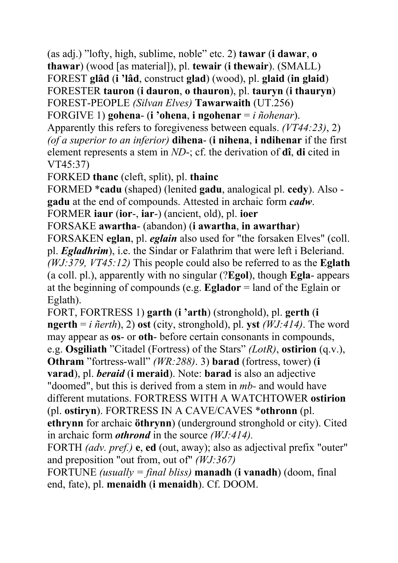(as adj.) "lofty, high, sublime, noble" etc. 2) **tawar** (**i dawar**, **o thawar**) (wood [as material]), pl. **tewair** (**i thewair**). (SMALL) FOREST **glâd** (**i 'lâd**, construct **glad**) (wood), pl. **glaid** (**in glaid**) FORESTER **tauron** (**i dauron**, **o thauron**), pl. **tauryn** (**i thauryn**) FOREST-PEOPLE *(Silvan Elves)* **Tawarwaith** (UT.256)

FORGIVE 1) **gohena**- (**i 'ohena**, **i ngohenar** = *i ñohenar*).

Apparently this refers to foregiveness between equals. *(VT44:23)*, 2) *(of a superior to an inferior)* **dihena**- (**i nihena**, **i ndihenar** if the first element represents a stem in *ND*-; cf. the derivation of **dî**, **di** cited in VT45:37)

FORKED **thanc** (cleft, split), pl. **thainc** 

FORMED \***cadu** (shaped) (lenited **gadu**, analogical pl. **cedy**). Also **gadu** at the end of compounds. Attested in archaic form *cadw*.

FORMER **iaur** (**ior**-, **iar**-) (ancient, old), pl. **ioer**

FORSAKE **awartha**- (abandon) (**i awartha**, **in awarthar**)

FORSAKEN **eglan**, pl. *eglain* also used for "the forsaken Elves" (coll. pl. *Egladhrim*), i.e. the Sindar or Falathrim that were left i Beleriand. *(WJ:379, VT45:12)* This people could also be referred to as the **Eglath** (a coll. pl.), apparently with no singular (?**Egol**), though **Egla**- appears at the beginning of compounds (e.g. **Eglador** = land of the Eglain or Eglath).

FORT, FORTRESS 1) **garth** (**i 'arth**) (stronghold), pl. **gerth** (**i ngerth** =  $i$   $\tilde{n}$ *erth*), 2) **ost** (city, stronghold), pl. **yst** *(WJ:414)*. The word may appear as **os**- or **oth**- before certain consonants in compounds, e.g. **Osgiliath** "Citadel (Fortress) of the Stars" *(LotR)*, **ostirion** (q.v.),

**Othram** "fortress-wall" *(WR:288)*. 3) **barad** (fortress, tower) (**i** 

**varad**), pl. *beraid* (**i meraid**). Note: **barad** is also an adjective

"doomed", but this is derived from a stem in *mb-* and would have different mutations. FORTRESS WITH A WATCHTOWER **ostirion** (pl. **ostiryn**). FORTRESS IN A CAVE/CAVES \***othronn** (pl.

**ethrynn** for archaic **öthrynn**) (underground stronghold or city). Cited in archaic form *othrond* in the source *(WJ:414).*

FORTH *(adv. pref.)* **e**, **ed** (out, away); also as adjectival prefix "outer" and preposition "out from, out of" *(WJ:367)*

FORTUNE *(usually = final bliss)* **manadh** (**i vanadh**) (doom, final end, fate), pl. **menaidh** (**i menaidh**). Cf. DOOM.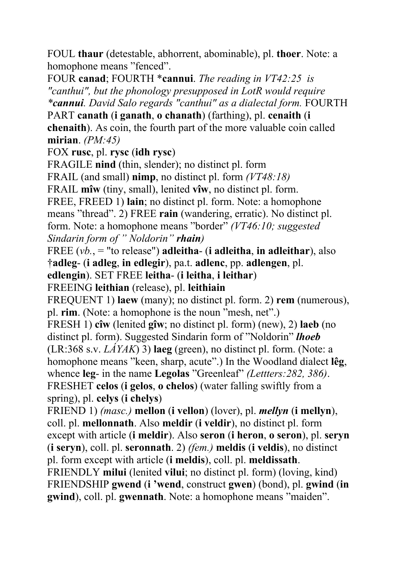FOUL **thaur** (detestable, abhorrent, abominable), pl. **thoer**. Note: a homophone means "fenced".

FOUR **canad**; FOURTH \***cannui**. *The reading in VT42:25 is "canthui", but the phonology presupposed in LotR would require \*cannui. David Salo regards "canthui" as a dialectal form.* FOURTH PART **canath** (**i ganath**, **o chanath**) (farthing), pl. **cenaith** (**i** 

**chenaith**). As coin, the fourth part of the more valuable coin called **mirian**. *(PM:45)*

FOX **rusc**, pl. **rysc** (**idh rysc**)

FRAGILE **nind** (thin, slender); no distinct pl. form FRAIL (and small) **nimp**, no distinct pl. form *(VT48:18)* FRAIL **mîw** (tiny, small), lenited **vîw**, no distinct pl. form. FREE, FREED 1) **lain**; no distinct pl. form. Note: a homophone means "thread". 2) FREE **rain** (wandering, erratic). No distinct pl. form. Note: a homophone means "border" *(VT46:10; suggested Sindarin form of " Noldorin" rhain)* FREE (*vb.*, = "to release") **adleitha**- (**i adleitha**, **in adleithar**), also †**adleg**- (**i adleg**, **in edlegir**), pa.t. **adlenc**, pp. **adlengen**, pl. **edlengin**). SET FREE **leitha**- (**i leitha**, **i leithar**) FREEING **leithian** (release), pl. **leithiain** FREQUENT 1) **laew** (many); no distinct pl. form. 2) **rem** (numerous), pl. **rim**. (Note: a homophone is the noun "mesh, net".) FRESH 1) **cîw** (lenited **gîw**; no distinct pl. form) (new), 2) **laeb** (no distinct pl. form). Suggested Sindarin form of "Noldorin" *lhoeb* (LR:368 s.v. *LÁYAK*) 3) **laeg** (green), no distinct pl. form. (Note: a homophone means "keen, sharp, acute".) In the Woodland dialect **lêg**, whence **leg**- in the name **Legolas** "Greenleaf" *(Lettters:282, 386)*. FRESHET **celos** (**i gelos**, **o chelos**) (water falling swiftly from a spring), pl. **celys** (**i chelys**) FRIEND 1) *(masc.)* **mellon** (**i vellon**) (lover), pl. *mellyn* (**i mellyn**),

coll. pl. **mellonnath**. Also **meldir** (**i veldir**), no distinct pl. form except with article (**i meldir**). Also **seron** (**i heron**, **o seron**), pl. **seryn** (**i seryn**), coll. pl. **seronnath**. 2) *(fem.)* **meldis** (**i veldis**), no distinct pl. form except with article (**i meldis**), coll. pl. **meldissath**. FRIENDLY **milui** (lenited **vilui**; no distinct pl. form) (loving, kind) FRIENDSHIP **gwend** (**i 'wend**, construct **gwen**) (bond), pl. **gwind** (**in gwind**), coll. pl. **gwennath**. Note: a homophone means "maiden".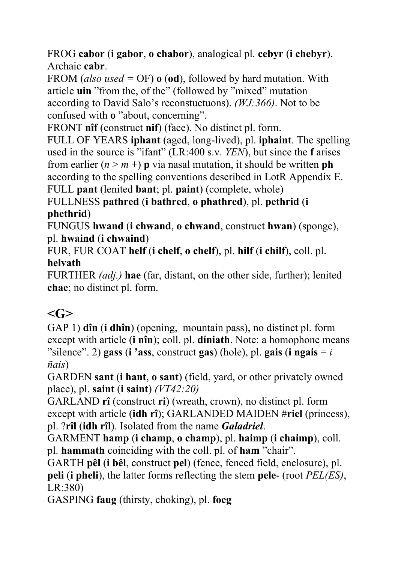FROG **cabor** (**i gabor**, **o chabor**), analogical pl. **cebyr** (**i chebyr**). Archaic **cabr**.

FROM (*also used =* OF) **o** (**od**), followed by hard mutation. With article **uin** "from the, of the" (followed by "mixed" mutation according to David Salo's reconstuctuons). *(WJ:366)*. Not to be confused with **o** "about, concerning".

FRONT **nîf** (construct **nif**) (face). No distinct pl. form.

FULL OF YEARS **iphant** (aged, long-lived), pl. **iphaint**. The spelling used in the source is "ifant" (LR:400 s.v. *YEN*), but since the **f** arises from earlier  $(n > m +)$  **p** via nasal mutation, it should be written **ph** according to the spelling conventions described in LotR Appendix E. FULL **pant** (lenited **bant**; pl. **paint**) (complete, whole)

FULLNESS **pathred** (**i bathred**, **o phathred**), pl. **pethrid** (**i phethrid**)

FUNGUS **hwand** (**i chwand**, **o chwand**, construct **hwan**) (sponge), pl. **hwaind** (**i chwaind**)

FUR, FUR COAT **helf** (**i chelf**, **o chelf**), pl. **hilf** (**i chilf**), coll. pl. **helvath**

FURTHER *(adj.)* **hae** (far, distant, on the other side, further); lenited **chae**; no distinct pl. form.

## $\langle$ G>

GAP 1) **dîn** (**i dhîn**) (opening, mountain pass), no distinct pl. form except with article (**i nîn**); coll. pl. **díniath**. Note: a homophone means "silence". 2) **gass** (**i** 'ass, construct **gas**) (hole), pl. **gais** (**i** ngais  $= i$ *ñais*)

GARDEN **sant** (**i hant**, **o sant**) (field, yard, or other privately owned place), pl. **saint** (**i saint**) *(VT42:20)*

GARLAND **rî** (construct **ri**) (wreath, crown), no distinct pl. form except with article (**idh rî**); GARLANDED MAIDEN #**riel** (princess), pl. ?**rîl** (**idh rîl**). Isolated from the name *Galadriel*.

GARMENT **hamp** (**i champ**, **o champ**), pl. **haimp** (**i chaimp**), coll. pl. **hammath** coinciding with the coll. pl. of **ham** "chair".

GARTH **pêl** (**i bêl**, construct **pel**) (fence, fenced field, enclosure), pl. **peli** (**i pheli**), the latter forms reflecting the stem **pele**- (root *PEL(ES)*, LR:380)

GASPING **faug** (thirsty, choking), pl. **foeg**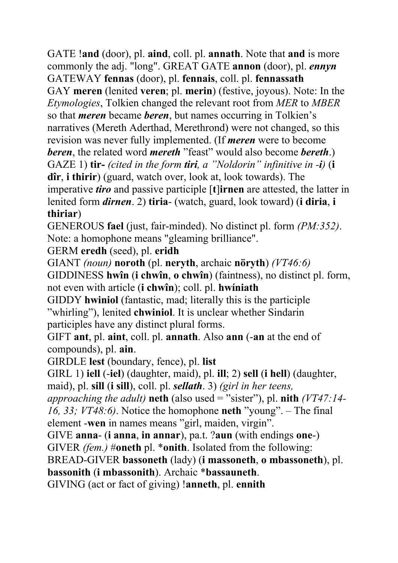GATE !**and** (door), pl. **aind**, coll. pl. **annath**. Note that **and** is more commonly the adj. "long". GREAT GATE **annon** (door), pl. *ennyn* GATEWAY **fennas** (door), pl. **fennais**, coll. pl. **fennassath** GAY **meren** (lenited **veren**; pl. **merin**) (festive, joyous). Note: In the *Etymologies*, Tolkien changed the relevant root from *MER* to *MBER* so that *meren* became *beren*, but names occurring in Tolkien's narratives (Mereth Aderthad, Merethrond) were not changed, so this revision was never fully implemented. (If *meren* were to become *beren*, the related word *mereth* "feast" would also become *bereth*.) GAZE 1) **tir-** *(cited in the form tiri, a "Noldorin" infinitive in -i)* (**i dîr**, **i thirir**) (guard, watch over, look at, look towards). The imperative *tiro* and passive participle [**t**]**irnen** are attested, the latter in lenited form *dirnen*. 2) **tiria**- (watch, guard, look toward) (**i diria**, **i thiriar**)

GENEROUS **fael** (just, fair-minded). No distinct pl. form *(PM:352)*. Note: a homophone means "gleaming brilliance".

GERM **eredh** (seed), pl. **eridh**

GIANT *(noun)* **noroth** (pl. **neryth**, archaic **nöryth**) *(VT46:6)* GIDDINESS **hwîn** (**i chwîn**, **o chwîn**) (faintness), no distinct pl. form,

not even with article (**i chwîn**); coll. pl. **hwíniath** 

GIDDY **hwiniol** (fantastic, mad; literally this is the participle "whirling"), lenited **chwiniol**. It is unclear whether Sindarin participles have any distinct plural forms.

GIFT **ant**, pl. **aint**, coll. pl. **annath**. Also **ann** (-**an** at the end of compounds), pl. **ain**.

GIRDLE **lest** (boundary, fence), pl. **list**

GIRL 1) **iell** (-**iel**) (daughter, maid), pl. **ill**; 2) **sell** (**i hell**) (daughter,

maid), pl. **sill** (**i sill**), coll. pl. *sellath*. 3) *(girl in her teens,* 

*approaching the adult)* **neth** (also used = "sister"), pl. **nith** *(VT47:14-*

*16, 33; VT48:6)*. Notice the homophone **neth** "young". – The final element -**wen** in names means "girl, maiden, virgin".

GIVE **anna**- (**i anna**, **in annar**), pa.t. ?**aun** (with endings **one**-)

GIVER *(fem.)* #**oneth** pl. \***onith**. Isolated from the following:

BREAD-GIVER **bassoneth** (lady) (**i massoneth**, **o mbassoneth**), pl.

**bassonith** (**i mbassonith**). Archaic \***bassauneth**.

GIVING (act or fact of giving) !**anneth**, pl. **ennith**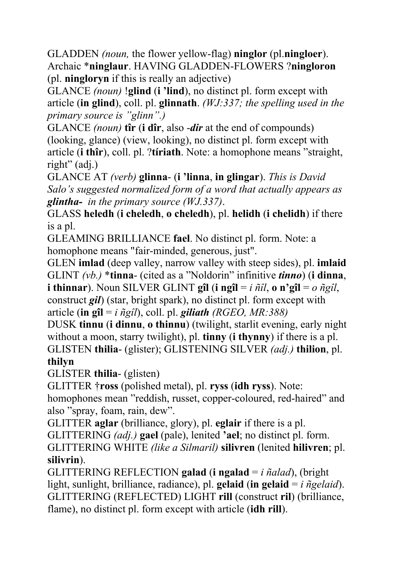GLADDEN *(noun,* the flower yellow-flag) **ninglor** (pl.**ningloer**). Archaic \***ninglaur**. HAVING GLADDEN-FLOWERS ?**ningloron** (pl. **ningloryn** if this is really an adjective)

GLANCE *(noun)* !**glind** (**i 'lind**), no distinct pl. form except with article (**in glind**), coll. pl. **glinnath**. *(WJ:337; the spelling used in the primary source is "glinn".)*

GLANCE *(noun)* **tîr** (**i dîr**, also -*dir* at the end of compounds) (looking, glance) (view, looking), no distinct pl. form except with article (**i thîr**), coll. pl. ?**tíriath**. Note: a homophone means "straight, right" (adj.)

GLANCE AT *(verb)* **glinna**- (**i 'linna**, **in glingar**). *This is David Salo's suggested normalized form of a word that actually appears as glintha- in the primary source (WJ.337)*.

GLASS **heledh** (**i cheledh**, **o cheledh**), pl. **helidh** (**i chelidh**) if there is a pl.

GLEAMING BRILLIANCE **fael**. No distinct pl. form. Note: a homophone means "fair-minded, generous, just".

GLEN **imlad** (deep valley, narrow valley with steep sides), pl. **imlaid** GLINT *(vb.)* \***tinna**- (cited as a "Noldorin" infinitive *tinno*) (**i dinna**, **i thinnar**). Noun SILVER GLINT **gîl** (**i** ng**îl** = *i*  $\tilde{n}$ îl, **o** n'g**îl** = *o*  $\tilde{n}$ gîl, construct *gil*) (star, bright spark), no distinct pl. form except with article (**in gîl** = *i ñgîl*), coll. pl. *giliath (RGEO, MR:388)*

DUSK **tinnu** (**i dinnu**, **o thinnu**) (twilight, starlit evening, early night without a moon, starry twilight), pl. **tinny** (**i thynny**) if there is a pl. GLISTEN **thilia**- (glister); GLISTENING SILVER *(adj.)* **thilion**, pl.

#### **thilyn**

GLISTER **thilia**- (glisten)

GLITTER †**ross** (polished metal), pl. **ryss** (**idh ryss**). Note:

homophones mean "reddish, russet, copper-coloured, red-haired" and also "spray, foam, rain, dew".

GLITTER **aglar** (brilliance, glory), pl. **eglair** if there is a pl.

GLITTERING *(adj.)* **gael** (pale), lenited **'ael**; no distinct pl. form.

GLITTERING WHITE *(like a Silmaril)* **silivren** (lenited **hilivren**; pl. **silivrin**).

GLITTERING REFLECTION **galad** (**i ngalad** = *i ñalad*), (bright light, sunlight, brilliance, radiance), pl. **gelaid** (**in gelaid** = *i ñgelaid*). GLITTERING (REFLECTED) LIGHT **rill** (construct **ril**) (brilliance, flame), no distinct pl. form except with article (**idh rill**).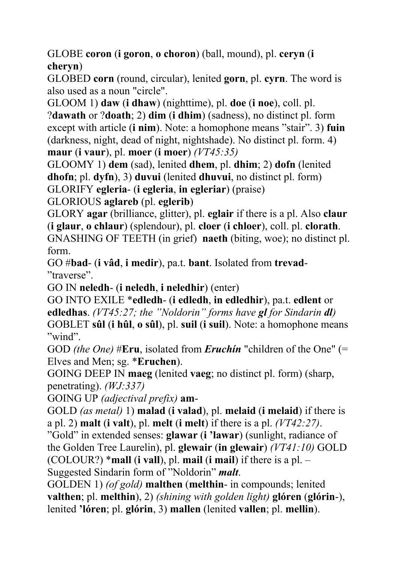GLOBE **coron** (**i goron**, **o choron**) (ball, mound), pl. **ceryn** (**i cheryn**)

GLOBED **corn** (round, circular), lenited **gorn**, pl. **cyrn**. The word is also used as a noun "circle".

GLOOM 1) **daw** (**i dhaw**) (nighttime), pl. **doe** (**i noe**), coll. pl. ?**dawath** or ?**doath**; 2) **dim** (**i dhim**) (sadness), no distinct pl. form except with article (**i nim**). Note: a homophone means "stair". 3) **fuin** (darkness, night, dead of night, nightshade). No distinct pl. form. 4) **maur** (**i vaur**), pl. **moer** (**i moer**) *(VT45:35)*

GLOOMY 1) **dem** (sad), lenited **dhem**, pl. **dhim**; 2) **dofn** (lenited **dhofn**; pl. **dyfn**), 3) **duvui** (lenited **dhuvui**, no distinct pl. form) GLORIFY **egleria**- (**i egleria**, **in egleriar**) (praise)

GLORIOUS **aglareb** (pl. **eglerib**)

GLORY **agar** (brilliance, glitter), pl. **eglair** if there is a pl. Also **claur** (**i glaur**, **o chlaur**) (splendour), pl. **cloer** (**i chloer**), coll. pl. **clorath**. GNASHING OF TEETH (in grief) **naeth** (biting, woe); no distinct pl. form.

GO #**bad**- (**i vâd**, **i medir**), pa.t. **bant**. Isolated from **trevad**- "traverse".

GO IN **neledh**- (**i neledh**, **i neledhir**) (enter)

GO INTO EXILE \***edledh**- (**i edledh**, **in edledhir**), pa.t. **edlent** or **edledhas**. *(VT45:27; the "Noldorin" forms have gl for Sindarin dl)*  GOBLET **sûl** (**i hûl**, **o sûl**), pl. **suil** (**i suil**). Note: a homophone means "wind".

GOD *(the One)* #**Eru**, isolated from *Eruchín* "children of the One" (= Elves and Men; sg. \***Eruchen**).

GOING DEEP IN **maeg** (lenited **vaeg**; no distinct pl. form) (sharp, penetrating). *(WJ:337)*

GOING UP *(adjectival prefix)* **am**-

GOLD *(as metal)* 1) **malad** (**i valad**), pl. **melaid** (**i melaid**) if there is a pl. 2) **malt** (**i valt**), pl. **melt** (**i melt**) if there is a pl. *(VT42:27)*.

"Gold" in extended senses: **glawar** (**i 'lawar**) (sunlight, radiance of the Golden Tree Laurelin), pl. **glewair** (**in glewair**) *(VT41:10)* GOLD (COLOUR?) \***mall** (**i vall**), pl. **mail** (**i mail**) if there is a pl. – Suggested Sindarin form of "Noldorin" *malt*.

GOLDEN 1) *(of gold)* **malthen** (**melthin**- in compounds; lenited **valthen**; pl. **melthin**), 2) *(shining with golden light)* **glóren** (**glórin**-), lenited **'lóren**; pl. **glórin**, 3) **mallen** (lenited **vallen**; pl. **mellin**).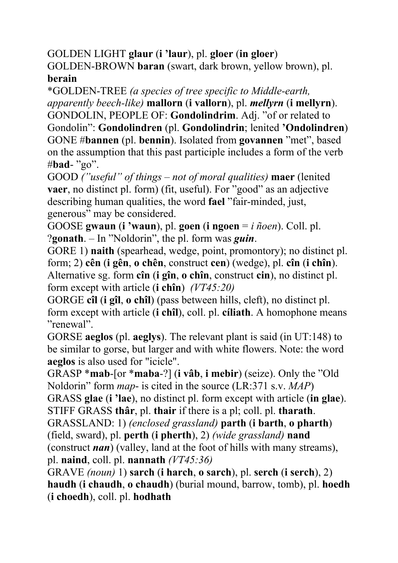GOLDEN LIGHT **glaur** (**i 'laur**), pl. **gloer** (**in gloer**)

GOLDEN-BROWN **baran** (swart, dark brown, yellow brown), pl. **berain**

\*GOLDEN-TREE *(a species of tree specific to Middle-earth, apparently beech-like)* **mallorn** (**i vallorn**), pl. *mellyrn* (**i mellyrn**).

GONDOLIN, PEOPLE OF: **Gondolindrim**. Adj. "of or related to Gondolin": **Gondolindren** (pl. **Gondolindrin**; lenited **'Ondolindren**) GONE #**bannen** (pl. **bennin**). Isolated from **govannen** "met", based on the assumption that this past participle includes a form of the verb #**bad**- "go".

GOOD *("useful" of things – not of moral qualities)* **maer** (lenited **vaer**, no distinct pl. form) (fit, useful). For "good" as an adjective describing human qualities, the word **fael** "fair-minded, just, generous" may be considered.

GOOSE **gwaun** (**i 'waun**), pl. **goen** (**i ngoen** = *i ñoen*). Coll. pl. ?**gonath**. – In "Noldorin", the pl. form was *guin*.

GORE 1) **naith** (spearhead, wedge, point, promontory); no distinct pl. form; 2) **cên** (**i gên**, **o chên**, construct **cen**) (wedge), pl. **cîn** (**i chîn**). Alternative sg. form **cîn** (**i gîn**, **o chîn**, construct **cin**), no distinct pl. form except with article (**i chîn**) *(VT45:20)*

GORGE **cîl** (**i gîl**, **o chîl**) (pass between hills, cleft), no distinct pl. form except with article (**i chîl**), coll. pl. **cíliath**. A homophone means "renewal".

GORSE **aeglos** (pl. **aeglys**). The relevant plant is said (in UT:148) to be similar to gorse, but larger and with white flowers. Note: the word **aeglos** is also used for "icicle".

GRASP \***mab**-[or \***maba**-?] (**i vâb**, **i mebir**) (seize). Only the "Old Noldorin" form *map*- is cited in the source (LR:371 s.v. *MAP*)

GRASS **glae** (**i 'lae**), no distinct pl. form except with article (**in glae**). STIFF GRASS **thâr**, pl. **thair** if there is a pl; coll. pl. **tharath**.

GRASSLAND: 1) *(enclosed grassland)* **parth** (**i barth**, **o pharth**) (field, sward), pl. **perth** (**i pherth**), 2) *(wide grassland)* **nand**

(construct *nan*) (valley, land at the foot of hills with many streams), pl. **naind**, coll. pl. **nannath** *(VT45:36)*

GRAVE *(noun)* 1) **sarch** (**i harch**, **o sarch**), pl. **serch** (**i serch**), 2) **haudh** (**i chaudh**, **o chaudh**) (burial mound, barrow, tomb), pl. **hoedh** (**i choedh**), coll. pl. **hodhath**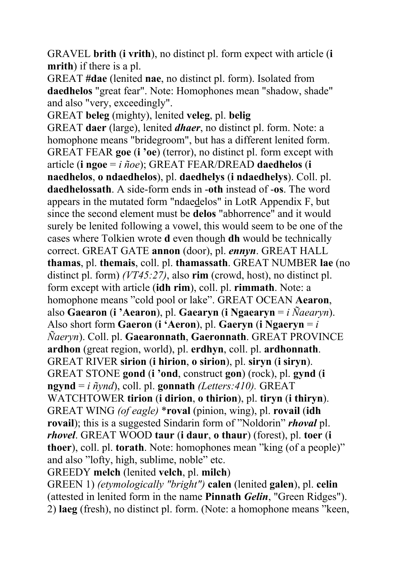GRAVEL **brith** (**i vrith**), no distinct pl. form expect with article (**i mrith**) if there is a pl.

GREAT **#dae** (lenited **nae**, no distinct pl. form). Isolated from **daedhelos** "great fear". Note: Homophones mean "shadow, shade" and also "very, exceedingly".

GREAT **beleg** (mighty), lenited **veleg**, pl. **belig** GREAT **daer** (large), lenited *dhaer*, no distinct pl. form. Note: a homophone means "bridegroom", but has a different lenited form. GREAT FEAR **goe** (**i 'oe**) (terror), no distinct pl. form except with article (**i ngoe** = *i ñoe*); GREAT FEAR/DREAD **daedhelos** (**i naedhelos**, **o ndaedhelos**), pl. **daedhelys** (**i ndaedhelys**). Coll. pl. **daedhelossath**. A side-form ends in -**oth** instead of -**os**. The word appears in the mutated form "ndaedelos" in LotR Appendix F, but since the second element must be **delos** "abhorrence" and it would surely be lenited following a vowel, this would seem to be one of the cases where Tolkien wrote **d** even though **dh** would be technically correct. GREAT GATE **annon** (door), pl. *ennyn*. GREAT HALL **thamas**, pl. **themais**, coll. pl. **thamassath**. GREAT NUMBER **lae** (no distinct pl. form) *(VT45:27)*, also **rim** (crowd, host), no distinct pl. form except with article (**idh rim**), coll. pl. **rimmath**. Note: a homophone means "cold pool or lake". GREAT OCEAN **Aearon**, also **Gaearon** (**i 'Aearon**), pl. **Gaearyn** (**i Ngaearyn** = *i Ñaearyn*). Also short form **Gaeron** (**i 'Aeron**), pl. **Gaeryn** (**i Ngaeryn** = *i Ñaeryn*). Coll. pl. **Gaearonnath**, **Gaeronnath**. GREAT PROVINCE **ardhon** (great region, world), pl. **erdhyn**, coll. pl. **ardhonnath**. GREAT RIVER **sirion** (**i hirion**, **o sirion**), pl. **siryn** (**i siryn**). GREAT STONE **gond** (**i 'ond**, construct **gon**) (rock), pl. **gynd** (**i ngynd** = *i ñynd*), coll. pl. **gonnath** *(Letters:410).* GREAT WATCHTOWER **tirion** (**i dirion**, **o thirion**), pl. **tiryn** (**i thiryn**). GREAT WING *(of eagle)* \***roval** (pinion, wing), pl. **rovail** (**idh rovail**); this is a suggested Sindarin form of "Noldorin" *rhoval* pl. *rhovel*. GREAT WOOD **taur** (**i daur**, **o thaur**) (forest), pl. **toer** (**i thoer**), coll. pl. **torath**. Note: homophones mean "king (of a people)" and also "lofty, high, sublime, noble" etc. GREEDY **melch** (lenited **velch**, pl. **milch**) GREEN 1) *(etymologically "bright")* **calen** (lenited **galen**), pl. **celin**

(attested in lenited form in the name **Pinnath** *Gelin*, "Green Ridges"). 2) **laeg** (fresh), no distinct pl. form. (Note: a homophone means "keen,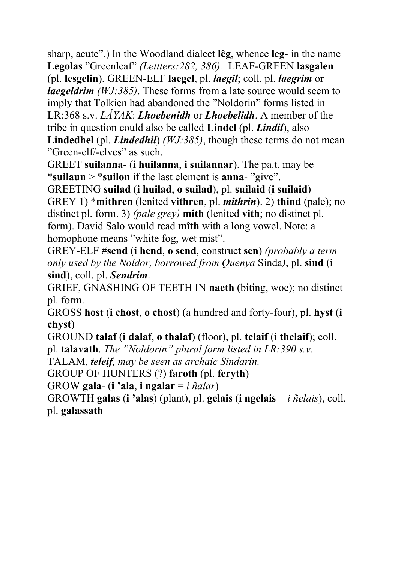sharp, acute".) In the Woodland dialect **lêg**, whence **leg**- in the name **Legolas** "Greenleaf" *(Lettters:282, 386).* LEAF-GREEN **lasgalen** (pl. **lesgelin**). GREEN-ELF **laegel**, pl. *laegil*; coll. pl. *laegrim* or *laegeldrim (WJ:385)*. These forms from a late source would seem to imply that Tolkien had abandoned the "Noldorin" forms listed in LR:368 s.v. *LÁYAK*: *Lhoebenidh* or *Lhoebelidh*. A member of the tribe in question could also be called **Lindel** (pl. *Lindil*), also **Lindedhel** (pl. *Lindedhil*) *(WJ:385)*, though these terms do not mean "Green-elf/-elves" as such.

GREET **suilanna**- (**i huilanna**, **i suilannar**). The pa.t. may be \***suilaun** > \***suilon** if the last element is **anna**- "give".

GREETING **suilad** (**i huilad**, **o suilad**), pl. **suilaid** (**i suilaid**) GREY 1) \***mithren** (lenited **vithren**, pl. *mithrin*). 2) **thind** (pale); no distinct pl. form. 3) *(pale grey)* **mith** (lenited **vith**; no distinct pl. form). David Salo would read **mîth** with a long vowel. Note: a homophone means "white fog, wet mist".

GREY-ELF #**send** (**i hend**, **o send**, construct **sen**) *(probably a term only used by the Noldor, borrowed from Quenya* Sinda*)*, pl. **sind** (**i sind**), coll. pl. *Sendrim*.

GRIEF, GNASHING OF TEETH IN **naeth** (biting, woe); no distinct pl. form.

GROSS **host** (**i chost**, **o chost**) (a hundred and forty-four), pl. **hyst** (**i chyst**)

GROUND **talaf** (**i dalaf**, **o thalaf**) (floor), pl. **telaif** (**i thelaif**); coll.

pl. **talavath**. *The "Noldorin" plural form listed in LR:390 s.v.* 

TALAM*, teleif, may be seen as archaic Sindarin.* 

GROUP OF HUNTERS (?) **faroth** (pl. **feryth**)

GROW **gala**- (**i 'ala**, **i ngalar** = *i ñalar*)

GROWTH **galas** (**i 'alas**) (plant), pl. **gelais** (**i ngelais** = *i ñelais*), coll. pl. **galassath**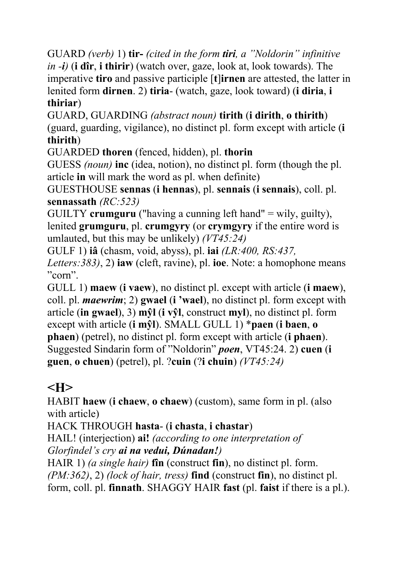GUARD *(verb)* 1) **tir-** *(cited in the form tiri, a "Noldorin" infinitive in -i)* (**i dîr**, **i thirir**) (watch over, gaze, look at, look towards). The imperative **tiro** and passive participle [**t**]**irnen** are attested, the latter in lenited form **dirnen**. 2) **tiria**- (watch, gaze, look toward) (**i diria**, **i thiriar**)

GUARD, GUARDING *(abstract noun)* **tirith** (**i dirith**, **o thirith**) (guard, guarding, vigilance), no distinct pl. form except with article (**i thirith**)

GUARDED **thoren** (fenced, hidden), pl. **thorin**

GUESS *(noun)* **inc** (idea, notion), no distinct pl. form (though the pl. article **in** will mark the word as pl. when definite)

GUESTHOUSE **sennas** (**i hennas**), pl. **sennais** (**i sennais**), coll. pl. **sennassath** *(RC:523)*

GUILTY **crumguru** ("having a cunning left hand" = wily, guilty), lenited **grumguru**, pl. **crumgyry** (or **crymgyry** if the entire word is umlauted, but this may be unlikely) *(VT45:24)*

GULF 1) **iâ** (chasm, void, abyss), pl. **iai** *(LR:400, RS:437,* 

*Letters:383)*, 2) **iaw** (cleft, ravine), pl. **ioe**. Note: a homophone means "corn".

GULL 1) **maew** (**i vaew**), no distinct pl. except with article (**i maew**), coll. pl. *maewrim*; 2) **gwael** (**i 'wael**), no distinct pl. form except with article (**in gwael**), 3) **mŷl** (**i vŷl**, construct **myl**), no distinct pl. form except with article (**i mŷl**). SMALL GULL 1) \***paen** (**i baen**, **o phaen**) (petrel), no distinct pl. form except with article (**i phaen**). Suggested Sindarin form of "Noldorin" *poen*, VT45:24. 2) **cuen** (**i guen**, **o chuen**) (petrel), pl. ?**cuin** (?**i chuin**) *(VT45:24)*

# **<H>**

HABIT **haew** (**i chaew**, **o chaew**) (custom), same form in pl. (also with article)

HACK THROUGH **hasta**- (**i chasta**, **i chastar**)

HAIL! (interjection) **ai!** *(according to one interpretation of Glorfindel's cry ai na vedui, Dúnadan!)* 

HAIR 1) *(a single hair)* **fîn** (construct **fin**), no distinct pl. form. *(PM:362)*, 2) *(lock of hair, tress)* **find** (construct **fin**), no distinct pl. form, coll. pl. **finnath**. SHAGGY HAIR **fast** (pl. **faist** if there is a pl.).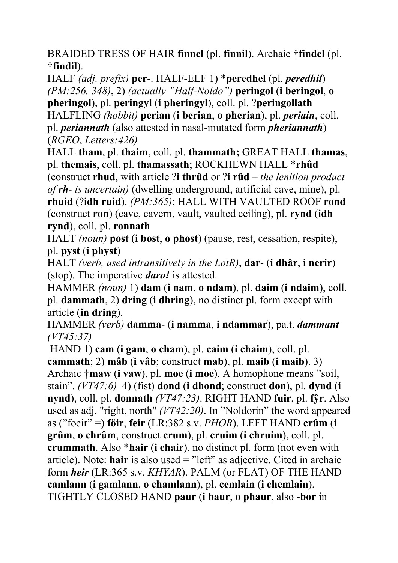BRAIDED TRESS OF HAIR **finnel** (pl. **finnil**). Archaic †**findel** (pl. †**findil**).

HALF *(adj. prefix)* **per**-. HALF-ELF 1) \***peredhel** (pl. *peredhil*) *(PM:256, 348)*, 2) *(actually "Half-Noldo")* **peringol** (**i beringol**, **o pheringol**), pl. **peringyl** (**i pheringyl**), coll. pl. ?**peringollath**  HALFLING *(hobbit)* **perian** (**i berian**, **o pherian**), pl. *periain*, coll. pl. *periannath* (also attested in nasal-mutated form *pheriannath*) (*RGEO*, *Letters:426)*

HALL **tham**, pl. **thaim**, coll. pl. **thammath;** GREAT HALL **thamas**, pl. **themais**, coll. pl. **thamassath**; ROCKHEWN HALL \***rhûd** (construct **rhud**, with article ?**i thrûd** or ?**i rûd** – *the lenition product of rh- is uncertain)* (dwelling underground, artificial cave, mine), pl.

**rhuid** (?**idh ruid**). *(PM:365)*; HALL WITH VAULTED ROOF **rond** (construct **ron**) (cave, cavern, vault, vaulted ceiling), pl. **rynd** (**idh rynd**), coll. pl. **ronnath**

HALT *(noun)* **post** (**i bost**, **o phost**) (pause, rest, cessation, respite), pl. **pyst** (**i physt**)

HALT *(verb, used intransitively in the LotR)*, **dar**- (**i dhâr**, **i nerir**) (stop). The imperative *daro!* is attested.

HAMMER *(noun)* 1) **dam** (**i nam**, **o ndam**), pl. **daim** (**i ndaim**), coll. pl. **dammath**, 2) **dring** (**i dhring**), no distinct pl. form except with article (**in dring**).

HAMMER *(verb)* **damma**- (**i namma**, **i ndammar**), pa.t. *dammant (VT45:37)*

 HAND 1) **cam** (**i gam**, **o cham**), pl. **caim** (**i chaim**), coll. pl. **cammath**; 2) **mâb** (**i vâb**; construct **mab**), pl. **maib** (**i maib**). 3) Archaic †**maw** (**i vaw**), pl. **moe** (**i moe**). A homophone means "soil, stain". *(VT47:6)* 4) (fist) **dond** (**i dhond**; construct **don**), pl. **dynd** (**i nynd**), coll. pl. **donnath** *(VT47:23)*. RIGHT HAND **fuir**, pl. **fŷr**. Also used as adj. "right, north" *(VT42:20)*. In "Noldorin" the word appeared as ("foeir" =) **föir**, **feir** (LR:382 s.v. *PHOR*). LEFT HAND **crûm** (**i grûm**, **o chrûm**, construct **crum**), pl. **cruim** (**i chruim**), coll. pl. **crummath**. Also \***hair** (**i chair**), no distinct pl. form (not even with article). Note: **hair** is also used = "left" as adjective. Cited in archaic form *heir* (LR:365 s.v. *KHYAR*). PALM (or FLAT) OF THE HAND **camlann** (**i gamlann**, **o chamlann**), pl. **cemlain** (**i chemlain**). TIGHTLY CLOSED HAND **paur** (**i baur**, **o phaur**, also -**bor** in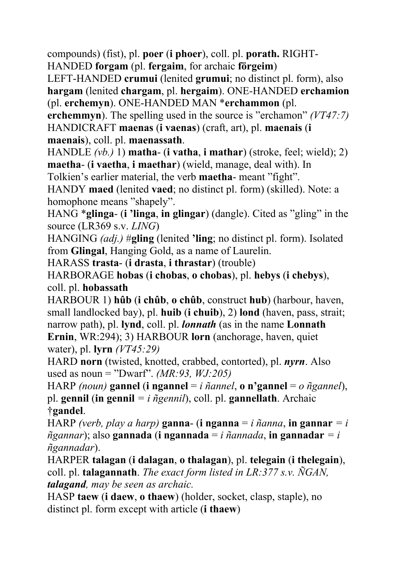compounds) (fist), pl. **poer** (**i phoer**), coll. pl. **porath.** RIGHT-HANDED **forgam** (pl. **fergaim**, for archaic **förgeim**)

LEFT-HANDED **crumui** (lenited **grumui**; no distinct pl. form), also **hargam** (lenited **chargam**, pl. **hergaim**). ONE-HANDED **erchamion** (pl. **erchemyn**). ONE-HANDED MAN \***erchammon** (pl.

**erchemmyn**). The spelling used in the source is "erchamon" *(VT47:7)* HANDICRAFT **maenas** (**i vaenas**) (craft, art), pl. **maenais** (**i maenais**), coll. pl. **maenassath**.

HANDLE *(vb.)* 1) **matha**- (**i vatha**, **i mathar**) (stroke, feel; wield); 2) **maetha**- (**i vaetha**, **i maethar**) (wield, manage, deal with). In

Tolkien's earlier material, the verb **maetha**- meant "fight".

HANDY **maed** (lenited **vaed**; no distinct pl. form) (skilled). Note: a homophone means "shapely".

HANG \***glinga**- (**i 'linga**, **in glingar**) (dangle). Cited as "gling" in the source (LR369 s.v. *LING*)

HANGING *(adj.)* #**gling** (lenited **'ling**; no distinct pl. form). Isolated from **Glingal**, Hanging Gold, as a name of Laurelin.

HARASS **trasta**- (**i drasta**, **i thrastar**) (trouble)

HARBORAGE **hobas** (**i chobas**, **o chobas**), pl. **hebys** (**i chebys**), coll. pl. **hobassath**

HARBOUR 1) **hûb** (**i chûb**, **o chûb**, construct **hub**) (harbour, haven, small landlocked bay), pl. **huib** (**i chuib**), 2) **lond** (haven, pass, strait; narrow path), pl. **lynd**, coll. pl. *lonnath* (as in the name **Lonnath Ernin**, WR:294); 3) HARBOUR **lorn** (anchorage, haven, quiet water), pl. **lyrn** *(VT45:29)*

HARD **norn** (twisted, knotted, crabbed, contorted), pl. *nyrn*. Also used as noun = "Dwarf". *(MR:93, WJ:205)*

HARP *(noun)* **gannel** (**i ngannel** = *i ñannel*, **o n'gannel** = *o ñgannel*), pl. **gennil** (**in gennil** *= i ñgennil*), coll. pl. **gannellath**. Archaic †**gandel**.

HARP *(verb, play a harp)* **ganna-** (**i nganna** = *i ñanna*, **in gannar** = *i ñgannar*); also **gannada** (**i ngannada** = *i ñannada*, **in gannadar** *= i ñgannadar*).

HARPER **talagan** (**i dalagan**, **o thalagan**), pl. **telegain** (**i thelegain**), coll. pl. **talagannath**. *The exact form listed in LR:377 s.v. ÑGAN, talagand, may be seen as archaic.*

HASP **taew** (**i daew**, **o thaew**) (holder, socket, clasp, staple), no distinct pl. form except with article (**i thaew**)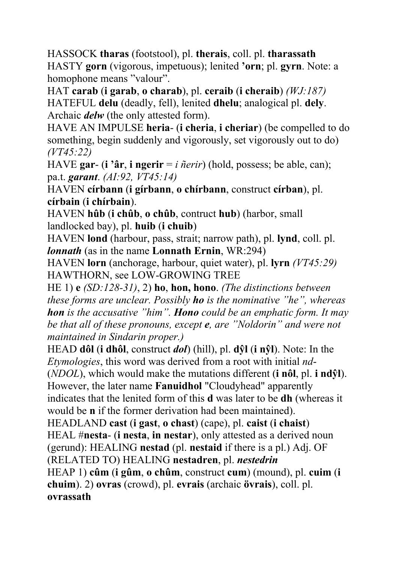HASSOCK **tharas** (footstool), pl. **therais**, coll. pl. **tharassath**  HASTY **gorn** (vigorous, impetuous); lenited **'orn**; pl. **gyrn**. Note: a homophone means "valour".

HAT **carab** (**i garab**, **o charab**), pl. **ceraib** (**i cheraib**) *(WJ:187)*  HATEFUL **delu** (deadly, fell), lenited **dhelu**; analogical pl. **dely**. Archaic *delw* (the only attested form).

HAVE AN IMPULSE **heria**- (**i cheria**, **i cheriar**) (be compelled to do something, begin suddenly and vigorously, set vigorously out to do) *(VT45:22)*

HAVE **gar**- (**i 'âr**, **i ngerir** = *i ñerir*) (hold, possess; be able, can); pa.t. *garant*. *(AI:92, VT45:14)*

HAVEN **círbann** (**i gírbann**, **o chírbann**, construct **círban**), pl. **círbain** (**i chírbain**).

HAVEN **hûb** (**i chûb**, **o chûb**, contruct **hub**) (harbor, small landlocked bay), pl. **huib** (**i chuib**)

HAVEN **lond** (harbour, pass, strait; narrow path), pl. **lynd**, coll. pl. *lonnath* (as in the name **Lonnath Ernin**, WR:294)

HAVEN **lorn** (anchorage, harbour, quiet water), pl. **lyrn** *(VT45:29)*  HAWTHORN, see LOW-GROWING TREE

HE 1) **e** *(SD:128-31)*, 2) **ho**, **hon, hono**. *(The distinctions between these forms are unclear. Possibly ho is the nominative "he", whereas hon is the accusative "him". Hono could be an emphatic form. It may be that all of these pronouns, except e, are "Noldorin" and were not maintained in Sindarin proper.)*

HEAD **dôl** (**i dhôl**, construct *dol*) (hill), pl. **dŷl** (**i nŷl**). Note: In the *Etymologies*, this word was derived from a root with initial *nd*- (*NDOL*), which would make the mutations different (**i nôl**, pl. **i ndŷl**).

However, the later name **Fanuidhol** "Cloudyhead" apparently indicates that the lenited form of this **d** was later to be **dh** (whereas it would be **n** if the former derivation had been maintained).

HEADLAND **cast** (**i gast**, **o chast**) (cape), pl. **caist** (**i chaist**)

HEAL #**nesta**- (**i nesta**, **in nestar**), only attested as a derived noun (gerund): HEALING **nestad** (pl. **nestaid** if there is a pl.) Adj. OF

(RELATED TO) HEALING **nestadren**, pl. *nestedrin*

HEAP 1) **cûm** (**i gûm**, **o chûm**, construct **cum**) (mound), pl. **cuim** (**i chuim**). 2) **ovras** (crowd), pl. **evrais** (archaic **övrais**), coll. pl. **ovrassath**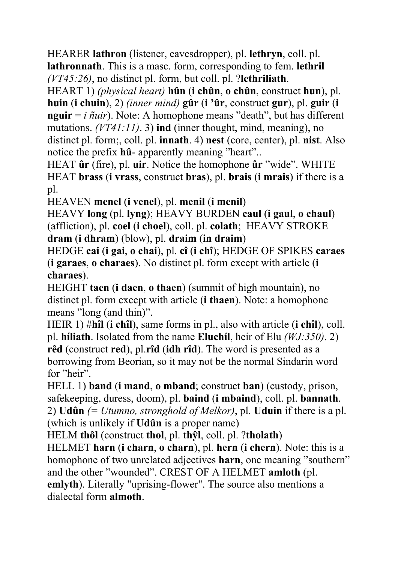HEARER **lathron** (listener, eavesdropper), pl. **lethryn**, coll. pl. **lathronnath**. This is a masc. form, corresponding to fem. **lethril** *(VT45:26)*, no distinct pl. form, but coll. pl. ?**lethriliath**.

HEART 1) *(physical heart)* **hûn** (**i chûn**, **o chûn**, construct **hun**), pl. **huin** (**i chuin**), 2) *(inner mind)* **gûr** (**i 'ûr**, construct **gur**), pl. **guir** (**i nguir** = *i ñuir*). Note: A homophone means "death", but has different mutations. *(VT41:11)*. 3) **ind** (inner thought, mind, meaning), no distinct pl. form;, coll. pl. **innath**. 4) **nest** (core, center), pl. **nist**. Also notice the prefix **hû**- apparently meaning "heart"..

HEAT **ûr** (fire), pl. **uir**. Notice the homophone **ûr** "wide". WHITE HEAT **brass** (**i vrass**, construct **bras**), pl. **brais** (**i mrais**) if there is a pl.

HEAVEN **menel** (**i venel**), pl. **menil** (**i menil**)

HEAVY **long** (pl. **lyng**); HEAVY BURDEN **caul** (**i gaul**, **o chaul**) (affliction), pl. **coel** (**i choel**), coll. pl. **colath**; HEAVY STROKE **dram** (**i dhram**) (blow), pl. **draim** (**in draim**)

HEDGE **cai** (**i gai**, **o chai**), pl. **cî** (**i chî**); HEDGE OF SPIKES **caraes** (**i garaes**, **o charaes**). No distinct pl. form except with article (**i charaes**).

HEIGHT **taen** (**i daen**, **o thaen**) (summit of high mountain), no distinct pl. form except with article (**i thaen**). Note: a homophone means "long (and thin)".

HEIR 1) #**hîl** (**i chîl**), same forms in pl., also with article (**i chîl**), coll. pl. **híliath**. Isolated from the name **Eluchíl**, heir of Elu *(WJ:350)*. 2) **rêd** (construct **red**), pl.**rîd** (**idh rîd**). The word is presented as a borrowing from Beorian, so it may not be the normal Sindarin word for "heir".

HELL 1) **band** (**i mand**, **o mband**; construct **ban**) (custody, prison, safekeeping, duress, doom), pl. **baind** (**i mbaind**), coll. pl. **bannath**. 2) **Udûn** *(= Utumno, stronghold of Melkor)*, pl. **Uduin** if there is a pl. (which is unlikely if **Udûn** is a proper name)

HELM **thôl** (construct **thol**, pl. **thŷl**, coll. pl. ?**tholath**)

HELMET **harn** (**i charn**, **o charn**), pl. **hern** (**i chern**). Note: this is a homophone of two unrelated adjectives **harn**, one meaning "southern" and the other "wounded". CREST OF A HELMET **amloth** (pl. **emlyth**). Literally "uprising-flower". The source also mentions a dialectal form **almoth**.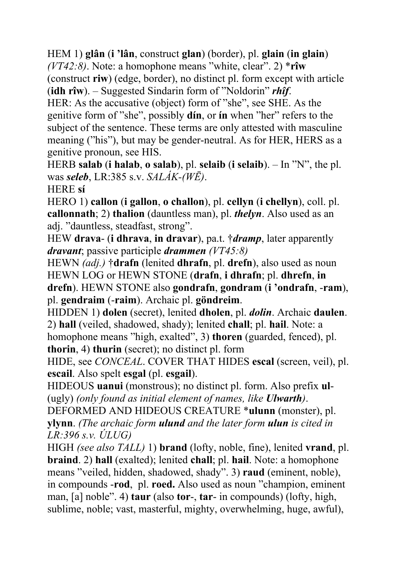HEM 1) **glân** (**i 'lân**, construct **glan**) (border), pl. **glain** (**in glain**)

*(VT42:8)*. Note: a homophone means "white, clear". 2) \***rîw** (construct **riw**) (edge, border), no distinct pl. form except with article (**idh rîw**). – Suggested Sindarin form of "Noldorin" *rhîf*.

HER: As the accusative (object) form of "she", see SHE. As the genitive form of "she", possibly **dín**, or **ín** when "her" refers to the subject of the sentence. These terms are only attested with masculine meaning ("his"), but may be gender-neutral. As for HER, HERS as a genitive pronoun, see HIS.

HERB **salab** (**i halab**, **o salab**), pl. **selaib** (**i selaib**). – In "N", the pl. was *seleb*, LR:385 s.v. *SALÁK-(WĒ)*.

HERE **sí**

HERO 1) **callon** (**i gallon**, **o challon**), pl. **cellyn** (**i chellyn**), coll. pl. **callonnath**; 2) **thalion** (dauntless man), pl. *thelyn*. Also used as an adj. "dauntless, steadfast, strong".

HEW **drava**- (**i dhrava**, **in dravar**), pa.t. †*dramp*, later apparently *dravant*; passive participle *drammen (VT45:8)*

HEWN *(adj.)* †**drafn** (lenited **dhrafn**, pl. **drefn**), also used as noun HEWN LOG or HEWN STONE (**drafn**, **i dhrafn**; pl. **dhrefn**, **in drefn**). HEWN STONE also **gondrafn**, **gondram** (**i 'ondrafn**, -**ram**), pl. **gendraim** (-**raim**). Archaic pl. **göndreim**.

HIDDEN 1) **dolen** (secret), lenited **dholen**, pl. *dolin*. Archaic **daulen**. 2) **hall** (veiled, shadowed, shady); lenited **chall**; pl. **hail**. Note: a homophone means "high, exalted", 3) **thoren** (guarded, fenced), pl.

**thorin**, 4) **thurin** (secret); no distinct pl. form

HIDE, see *CONCEAL*. COVER THAT HIDES **escal** (screen, veil), pl. **escail**. Also spelt **esgal** (pl. **esgail**).

HIDEOUS **uanui** (monstrous); no distinct pl. form. Also prefix **ul**- (ugly) *(only found as initial element of names, like Ulwarth)*.

DEFORMED AND HIDEOUS CREATURE \***ulunn** (monster), pl. **ylynn**. *(The archaic form ulund and the later form ulun is cited in LR:396 s.v. ÚLUG)*

HIGH *(see also TALL)* 1) **brand** (lofty, noble, fine), lenited **vrand**, pl. **braind**. 2) **hall** (exalted); lenited **chall**; pl. **hail**. Note: a homophone means "veiled, hidden, shadowed, shady". 3) **raud** (eminent, noble), in compounds -**rod**, pl. **roed.** Also used as noun "champion, eminent man, [a] noble". 4) **taur** (also **tor**-, **tar**- in compounds) (lofty, high, sublime, noble; vast, masterful, mighty, overwhelming, huge, awful),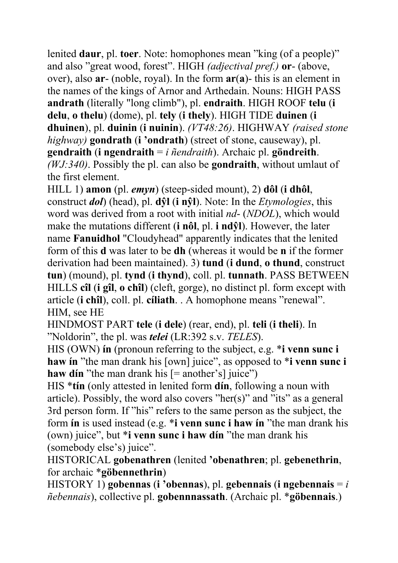lenited **daur**, pl. **toer**. Note: homophones mean "king (of a people)" and also "great wood, forest". HIGH *(adjectival pref.)* **or**- (above, over), also **ar**- (noble, royal). In the form **ar**(**a**)- this is an element in the names of the kings of Arnor and Arthedain. Nouns: HIGH PASS **andrath** (literally "long climb"), pl. **endraith**. HIGH ROOF **telu** (**i delu**, **o thelu**) (dome), pl. **tely** (**i thely**). HIGH TIDE **duinen** (**i dhuinen**), pl. **duinin** (**i nuinin**). *(VT48:26)*. HIGHWAY *(raised stone highway)* **gondrath** (**i 'ondrath**) (street of stone, causeway), pl. **gendraith** (**i ngendraith** = *i ñendraith*). Archaic pl. **göndreith**. *(WJ:340)*. Possibly the pl. can also be **gondraith**, without umlaut of the first element.

HILL 1) **amon** (pl. *emyn*) (steep-sided mount), 2) **dôl** (**i dhôl**, construct *dol*) (head), pl. **dŷl** (**i nŷl**). Note: In the *Etymologies*, this word was derived from a root with initial *nd*- (*NDOL*), which would make the mutations different (**i nôl**, pl. **i ndŷl**). However, the later name **Fanuidhol** "Cloudyhead" apparently indicates that the lenited form of this **d** was later to be **dh** (whereas it would be **n** if the former derivation had been maintained). 3) **tund** (**i dund**, **o thund**, construct **tun**) (mound), pl. **tynd** (**i thynd**), coll. pl. **tunnath**. PASS BETWEEN HILLS **cîl** (**i gîl**, **o chîl**) (cleft, gorge), no distinct pl. form except with article (**i chîl**), coll. pl. **cíliath**. . A homophone means "renewal". HIM, see HE

HINDMOST PART **tele** (**i dele**) (rear, end), pl. **teli** (**i theli**). In "Noldorin", the pl. was *telei* (LR:392 s.v. *TELES*).

HIS (OWN) **ín** (pronoun referring to the subject, e.g. \***i venn sunc i haw ín** "the man drank his [own] juice", as opposed to \***i venn sunc i haw din** "the man drank his  $[=$  another's] juice")

HIS \***tín** (only attested in lenited form **dín**, following a noun with article). Possibly, the word also covers "her(s)" and "its" as a general 3rd person form. If "his" refers to the same person as the subject, the form **ín** is used instead (e.g. \***i venn sunc i haw ín** "the man drank his (own) juice", but \***i venn sunc i haw dín** "the man drank his (somebody else's) juice".

HISTORICAL **gobenathren** (lenited **'obenathren**; pl. **gebenethrin**, for archaic \***göbennethrin**)

HISTORY 1) **gobennas** (**i 'obennas**), pl. **gebennais** (**i ngebennais** = *i ñebennais*), collective pl. **gobennnassath**. (Archaic pl. \***göbennais**.)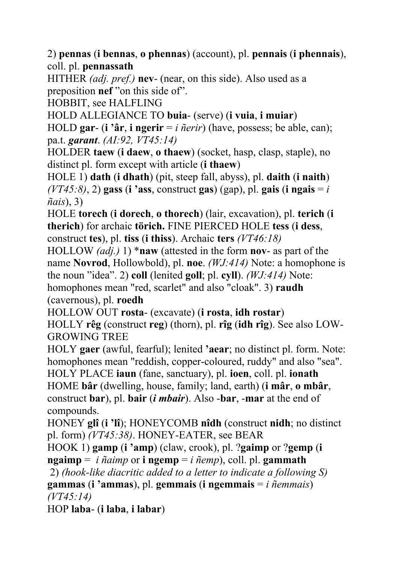2) **pennas** (**i bennas**, **o phennas**) (account), pl. **pennais** (**i phennais**), coll. pl. **pennassath**

HITHER *(adj. pref.)* **nev**- (near, on this side). Also used as a preposition **nef** "on this side of".

HOBBIT, see HALFLING

HOLD ALLEGIANCE TO **buia**- (serve) (**i vuia**, **i muiar**)

HOLD **gar**- (**i 'âr**, **i ngerir** = *i ñerir*) (have, possess; be able, can); pa.t. *garant*. *(AI:92, VT45:14)*

HOLDER **taew** (**i daew**, **o thaew**) (socket, hasp, clasp, staple), no distinct pl. form except with article (**i thaew**)

HOLE 1) **dath** (**i dhath**) (pit, steep fall, abyss), pl. **daith** (**i naith**) *(VT45:8)*, 2) **gass** (**i 'ass**, construct **gas**) (gap), pl. **gais** (**i ngais** = *i ñais*), 3)

HOLE **torech** (**i dorech**, **o thorech**) (lair, excavation), pl. **terich** (**i therich**) for archaic **törich.** FINE PIERCED HOLE **tess** (**i dess**, construct **tes**), pl. **tiss** (**i thiss**). Archaic **ters** *(VT46:18)*

HOLLOW *(adj.)* 1) \***naw** (attested in the form **nov**- as part of the name **Novrod**, Hollowbold), pl. **noe**. *(WJ:414)* Note: a homophone is the noun "idea". 2) **coll** (lenited **goll**; pl. **cyll**). *(WJ:414)* Note:

homophones mean "red, scarlet" and also "cloak". 3) **raudh** (cavernous), pl. **roedh**

HOLLOW OUT **rosta**- (excavate) (**i rosta**, **idh rostar**)

HOLLY **rêg** (construct **reg**) (thorn), pl. **rîg** (**idh rîg**). See also LOW-GROWING TREE

HOLY **gaer** (awful, fearful); lenited **'aear**; no distinct pl. form. Note: homophones mean "reddish, copper-coloured, ruddy" and also "sea". HOLY PLACE **iaun** (fane, sanctuary), pl. **ioen**, coll. pl. **ionath** HOME **bâr** (dwelling, house, family; land, earth) (**i mâr**, **o mbâr**,

construct **bar**), pl. **bair** (*i mbair*). Also -**bar**, -**mar** at the end of compounds.

HONEY **glî** (**i 'lî**); HONEYCOMB **nîdh** (construct **nidh**; no distinct pl. form) *(VT45:38)*. HONEY-EATER, see BEAR

HOOK 1) **gamp** (**i 'amp**) (claw, crook), pl. ?**gaimp** or ?**gemp** (**i ngaimp** = *i ñaimp* or **i ngemp** = *i ñemp*), coll. pl. **gammath**

2) *(hook-like diacritic added to a letter to indicate a following S)*

**gammas** (**i 'ammas**), pl. **gemmais** (**i ngemmais** = *i ñemmais*) *(VT45:14)*

HOP **laba**- (**i laba**, **i labar**)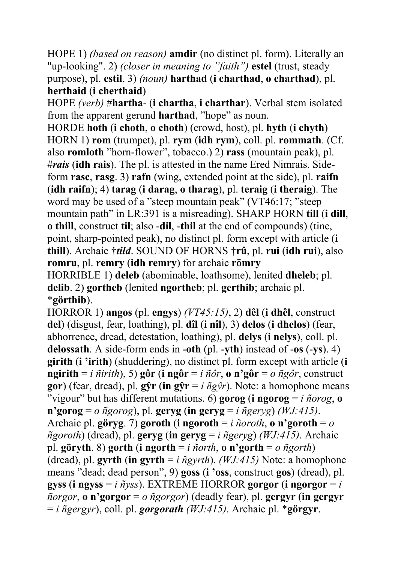HOPE 1) *(based on reason)* **amdir** (no distinct pl. form). Literally an "up-looking". 2) *(closer in meaning to "faith")* **estel** (trust, steady purpose), pl. **estil**, 3) *(noun)* **harthad** (**i charthad**, **o charthad**), pl. **herthaid** (**i cherthaid**)

HOPE *(verb)* #**hartha**- (**i chartha**, **i charthar**). Verbal stem isolated from the apparent gerund **harthad**, "hope" as noun.

HORDE **hoth** (**i choth**, **o choth**) (crowd, host), pl. **hyth** (**i chyth**) HORN 1) **rom** (trumpet), pl. **rym** (**idh rym**), coll. pl. **rommath**. (Cf. also **romloth** "horn-flower", tobacco.) 2) **rass** (mountain peak), pl. #*rais* (**idh rais**). The pl. is attested in the name Ered Nimrais. Sideform **rasc**, **rasg**. 3) **rafn** (wing, extended point at the side), pl. **raifn** (**idh raifn**); 4) **tarag** (**i darag**, **o tharag**), pl. **teraig** (**i theraig**). The word may be used of a "steep mountain peak" (VT46:17; "steep mountain path" in LR:391 is a misreading). SHARP HORN **till** (**i dill**, **o thill**, construct **til**; also -**dil**, -**thil** at the end of compounds) (tine, point, sharp-pointed peak), no distinct pl. form except with article (**i thill**). Archaic †*tild*. SOUND OF HORNS †**rû**, pl. **rui** (**idh rui**), also **romru**, pl. **remry** (**idh remry**) for archaic **römry** HORRIBLE 1) **deleb** (abominable, loathsome), lenited **dheleb**; pl.

**delib**. 2) **gortheb** (lenited **ngortheb**; pl. **gerthib**; archaic pl. \***görthib**).

HORROR 1) **angos** (pl. **engys**) *(VT45:15)*, 2) **dêl** (**i dhêl**, construct **del**) (disgust, fear, loathing), pl. **dîl** (**i nîl**), 3) **delos** (**i dhelos**) (fear, abhorrence, dread, detestation, loathing), pl. **delys** (**i nelys**), coll. pl. **delossath**. A side-form ends in -**oth** (pl. -**yth**) instead of -**os** (-**ys**). 4) **girith** (**i 'irith**) (shuddering), no distinct pl. form except with article (**i ngirith** = *i*  $\tilde{n}$ *irith*), 5) **gôr** (**i** ng**ôr** = *i*  $\tilde{n}\tilde{o}r$ , **o** n'g**ôr** = *o*  $\tilde{n}g\tilde{o}r$ , construct **gor**) (fear, dread), pl. **g** $\hat{\mathbf{y}}\mathbf{r}$  (**in g** $\hat{\mathbf{y}}\mathbf{r} = i \hat{n}g\hat{\mathbf{y}}r$ ). Note: a homophone means "vigour" but has different mutations. 6) **gorog** (**i** ngorog =  $i$  *ñorog*, **o**  $n'gorg = o$   $ñgorog$ ), pl.  $geryg$  (in  $geryg = i \nñgeryg$ ) *(WJ:415)*. Archaic pl. **göryg**. 7) **goroth** (**i** ngoroth = *i*  $\tilde{n}$ *oroth*, **o n**'goroth =  $o$ *ñgoroth*) (dread), pl. **geryg** (**in geryg** = *i ñgeryg*) *(WJ:415)*. Archaic pl. **göryth**. 8) **gorth** (**i ngorth** = *i ñorth*, **o n'gorth** = *o ñgorth*) (dread), pl. **gyrth** (**in gyrth** = *i ñgyrth*). *(WJ:415)* Note: a homophone means "dead; dead person", 9) **goss** (**i 'oss**, construct **gos**) (dread), pl. **gyss** (**i ngyss** = *i ñyss*). EXTREME HORROR **gorgor** (**i ngorgor** = *i ñorgor*, **o n'gorgor** = *o ñgorgor*) (deadly fear), pl. **gergyr** (**in gergyr** = *i ñgergyr*), coll. pl. *gorgorath (WJ:415)*. Archaic pl. \***görgyr**.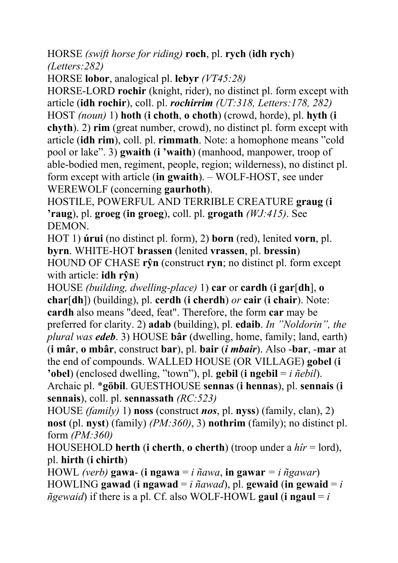HORSE *(swift horse for riding)* **roch**, pl. **rych** (**idh rych**) *(Letters:282)*

HORSE **lobor**, analogical pl. **lebyr** *(VT45:28)*

HORSE-LORD **rochir** (knight, rider), no distinct pl. form except with article (**idh rochir**), coll. pl. *rochirrim (UT:318, Letters:178, 282)* HOST *(noun)* 1) **hoth** (**i choth**, **o choth**) (crowd, horde), pl. **hyth** (**i chyth**). 2) **rim** (great number, crowd), no distinct pl. form except with article (**idh rim**), coll. pl. **rimmath**. Note: a homophone means "cold pool or lake". 3) **gwaith** (**i 'waith**) (manhood, manpower, troop of able-bodied men, regiment, people, region; wilderness), no distinct pl. form except with article (**in gwaith**). – WOLF-HOST, see under WEREWOLF (concerning **gaurhoth**).

HOSTILE, POWERFUL AND TERRIBLE CREATURE **graug** (**i 'raug**), pl. **groeg** (**in groeg**), coll. pl. **grogath** *(WJ:415)*. See DEMON.

HOT 1) **úrui** (no distinct pl. form), 2) **born** (red), lenited **vorn**, pl. **byrn**. WHITE-HOT **brassen** (lenited **vrassen**, pl. **bressin**) HOUND OF CHASE **rŷn** (construct **ryn**; no distinct pl. form except with article: **idh rŷn**)

HOUSE *(building, dwelling-place)* 1) **car** or **cardh** (**i gar**[**dh**], **o char**[**dh**]) (building), pl. **cerdh** (**i cherdh**) *or* **cair** (**i chair**). Note: **cardh** also means "deed, feat". Therefore, the form **car** may be preferred for clarity. 2) **adab** (building), pl. **edaib**. *In "Noldorin", the plural was edeb*. 3) HOUSE **bâr** (dwelling, home, family; land, earth) (**i mâr**, **o mbâr**, construct **bar**), pl. **bair** (*i mbair*). Also -**bar**, -**mar** at the end of compounds. WALLED HOUSE (OR VILLAGE) **gobel** (**i 'obel**) (enclosed dwelling, "town"), pl. **gebil** (**i ngebil** = *i ñebil*).

Archaic pl. \***göbil**. GUESTHOUSE **sennas** (**i hennas**), pl. **sennais** (**i sennais**), coll. pl. **sennassath** *(RC:523)*

HOUSE *(family)* 1) **noss** (construct *nos*, pl. **nyss**) (family, clan), 2) **nost** (pl. **nyst**) (family) *(PM:360)*, 3) **nothrim** (family); no distinct pl. form *(PM:360)*

HOUSEHOLD **herth** (**i cherth**, **o cherth**) (troop under a *hîr* = lord), pl. **hirth** (**i chirth**)

HOWL *(verb)* **gawa**- (**i ngawa** = *i ñawa*, **in gawar** *= i ñgawar*) HOWLING **gawad** (**i** ngawad = *i*  $\tilde{n}$ *awad*), pl. **gewaid** (**in gewaid** = *i*  $ñgewaid$ ) if there is a pl. Cf. also WOLF-HOWL **gaul** (**i ngaul** = *i*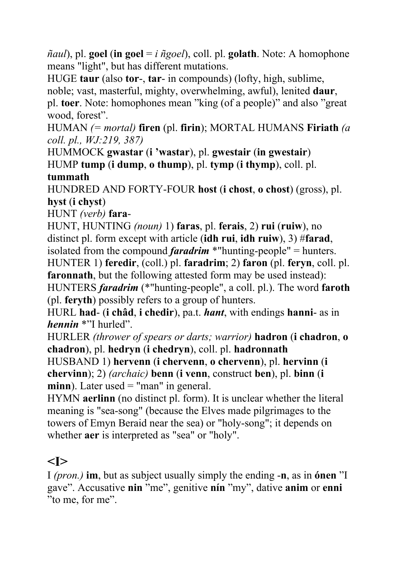$\tilde{\eta}$ *aul*), pl. **goel** (**in goel** = *i*  $\tilde{\eta}$ *goel*), coll. pl. **golath**. Note: A homophone means "light", but has different mutations.

HUGE **taur** (also **tor**-, **tar**- in compounds) (lofty, high, sublime,

noble; vast, masterful, mighty, overwhelming, awful), lenited **daur**,

pl. **toer**. Note: homophones mean "king (of a people)" and also "great wood, forest".

HUMAN *(= mortal)* **firen** (pl. **firin**); MORTAL HUMANS **Firiath** *(a coll. pl., WJ:219, 387)*

HUMMOCK **gwastar** (**i 'wastar**), pl. **gwestair** (**in gwestair**) HUMP **tump** (**i dump**, **o thump**), pl. **tymp** (**i thymp**), coll. pl. **tummath**

HUNDRED AND FORTY-FOUR **host** (**i chost**, **o chost**) (gross), pl. **hyst** (**i chyst**)

HUNT *(verb)* **fara**-

HUNT, HUNTING *(noun)* 1) **faras**, pl. **ferais**, 2) **rui** (**ruiw**), no distinct pl. form except with article (**idh rui**, **idh ruiw**), 3) #**farad**, isolated from the compound *faradrim* \*"hunting-people" = hunters.

HUNTER 1) **feredir**, (coll.) pl. **faradrim**; 2) **faron** (pl. **feryn**, coll. pl. **faronnath**, but the following attested form may be used instead):

HUNTERS *faradrim* (\*"hunting-people", a coll. pl.). The word **faroth** (pl. **feryth**) possibly refers to a group of hunters.

HURL **had**- (**i châd**, **i chedir**), pa.t. *hant*, with endings **hanni**- as in *hennin* \*"I hurled".

HURLER *(thrower of spears or darts; warrior)* **hadron** (**i chadron**, **o chadron**), pl. **hedryn** (**i chedryn**), coll. pl. **hadronnath**

HUSBAND 1) **hervenn** (**i chervenn**, **o chervenn**), pl. **hervinn** (**i chervinn**); 2) *(archaic)* **benn** (**i venn**, construct **ben**), pl. **binn** (**i minn**). Later used = "man" in general.

HYMN **aerlinn** (no distinct pl. form). It is unclear whether the literal meaning is "sea-song" (because the Elves made pilgrimages to the towers of Emyn Beraid near the sea) or "holy-song"; it depends on whether **aer** is interpreted as "sea" or "holy".

## **<I>**

I *(pron.)* **im**, but as subject usually simply the ending -**n**, as in **ónen** "I gave". Accusative **nin** "me", genitive **nín** "my", dative **anim** or **enni** "to me, for me".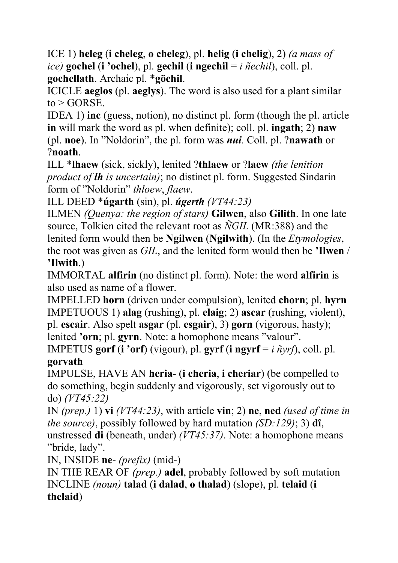ICE 1) **heleg** (**i cheleg**, **o cheleg**), pl. **helig** (**i chelig**), 2) *(a mass of ice)* **gochel** (**i 'ochel**), pl. **gechil** (**i ngechil** = *i ñechil*), coll. pl. **gochellath**. Archaic pl. \***göchil**.

ICICLE **aeglos** (pl. **aeglys**). The word is also used for a plant similar  $to > GORSE$ .

IDEA 1) **inc** (guess, notion), no distinct pl. form (though the pl. article **in** will mark the word as pl. when definite); coll. pl. **ingath**; 2) **naw** (pl. **noe**). In "Noldorin", the pl. form was *nui.* Coll. pl. ?**nawath** or ?**noath**.

ILL \***lhaew** (sick, sickly), lenited ?**thlaew** or ?**laew** *(the lenition product of lh is uncertain)*; no distinct pl. form. Suggested Sindarin form of "Noldorin" *thloew*, *flaew*.

ILL DEED \***úgarth** (sin), pl. *úgerth (VT44:23)*

ILMEN *(Quenya: the region of stars)* **Gilwen**, also **Gilith**. In one late source, Tolkien cited the relevant root as *ÑGIL* (MR:388) and the lenited form would then be **Ngilwen** (**Ngilwith**). (In the *Etymologies*, the root was given as *GIL*, and the lenited form would then be **'Ilwen** / **'Ilwith**.)

IMMORTAL **alfirin** (no distinct pl. form). Note: the word **alfirin** is also used as name of a flower.

IMPELLED **horn** (driven under compulsion), lenited **chorn**; pl. **hyrn** IMPETUOUS 1) **alag** (rushing), pl. **elaig**; 2) **ascar** (rushing, violent), pl. **escair**. Also spelt **asgar** (pl. **esgair**), 3) **gorn** (vigorous, hasty); lenited **'orn**; pl. **gyrn**. Note: a homophone means "valour".

IMPETUS **gorf** (**i** 'orf) (vigour), pl. **gyrf** (**i** ngyrf =  $i \tilde{n}$ yrf), coll. pl. **gorvath**

IMPULSE, HAVE AN **heria**- (**i cheria**, **i cheriar**) (be compelled to do something, begin suddenly and vigorously, set vigorously out to do) *(VT45:22)*

IN *(prep.)* 1) **vi** *(VT44:23)*, with article **vin**; 2) **ne**, **ned** *(used of time in the source)*, possibly followed by hard mutation *(SD:129)*; 3) **dî**, unstressed **di** (beneath, under) *(VT45:37)*. Note: a homophone means "bride, lady".

IN, INSIDE **ne**- *(prefix)* (mid-)

IN THE REAR OF *(prep.)* **adel**, probably followed by soft mutation INCLINE *(noun)* **talad** (**i dalad**, **o thalad**) (slope), pl. **telaid** (**i thelaid**)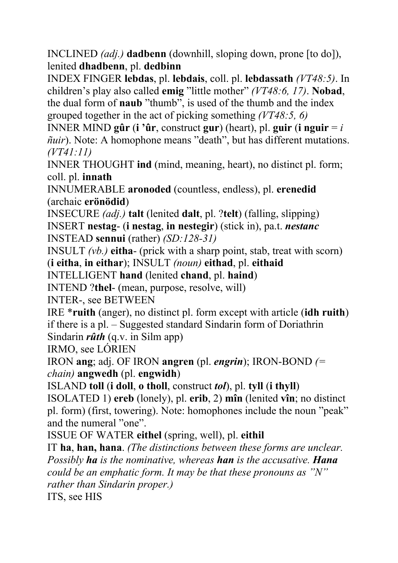INCLINED *(adj.)* **dadbenn** (downhill, sloping down, prone [to do]), lenited **dhadbenn**, pl. **dedbinn**

INDEX FINGER **lebdas**, pl. **lebdais**, coll. pl. **lebdassath** *(VT48:5)*. In children's play also called **emig** "little mother" *(VT48:6, 17)*. **Nobad**, the dual form of **naub** "thumb", is used of the thumb and the index grouped together in the act of picking something *(VT48:5, 6)*

INNER MIND **gûr** (**i** 'ûr, construct **gur**) (heart), pl. **guir** (**i** nguir  $=i$ *ñuir*). Note: A homophone means "death", but has different mutations. *(VT41:11)*

INNER THOUGHT **ind** (mind, meaning, heart), no distinct pl. form; coll. pl. **innath**

INNUMERABLE **aronoded** (countless, endless), pl. **erenedid** (archaic **erönödid**)

INSECURE *(adj.)* **talt** (lenited **dalt**, pl. ?**telt**) (falling, slipping) INSERT **nestag**- (**i nestag**, **in nestegir**) (stick in), pa.t. *nestanc* INSTEAD **sennui** (rather) *(SD:128-31)* 

INSULT *(vb.)* **eitha**- (prick with a sharp point, stab, treat with scorn)

(**i eitha**, **in eithar**); INSULT *(noun)* **eithad**, pl. **eithaid**

INTELLIGENT **hand** (lenited **chand**, pl. **haind**)

INTEND ?**thel**- (mean, purpose, resolve, will)

INTER-, see BETWEEN

IRE \***ruith** (anger), no distinct pl. form except with article (**idh ruith**) if there is a pl. – Suggested standard Sindarin form of Doriathrin Sindarin *rûth* (q.v. in Silm app)

IRMO, see LÓRIEN

IRON **ang**; adj. OF IRON **angren** (pl. *engrin*); IRON-BOND *(= chain)* **angwedh** (pl. **engwidh**)

ISLAND **toll** (**i doll**, **o tholl**, construct *tol*), pl. **tyll** (**i thyll**)

ISOLATED 1) **ereb** (lonely), pl. **erib**, 2) **mîn** (lenited **vîn**; no distinct pl. form) (first, towering). Note: homophones include the noun "peak" and the numeral "one".

ISSUE OF WATER **eithel** (spring, well), pl. **eithil**

IT **ha**, **han, hana**. *(The distinctions between these forms are unclear. Possibly ha is the nominative, whereas han is the accusative. Hana could be an emphatic form. It may be that these pronouns as "N" rather than Sindarin proper.)*

ITS, see HIS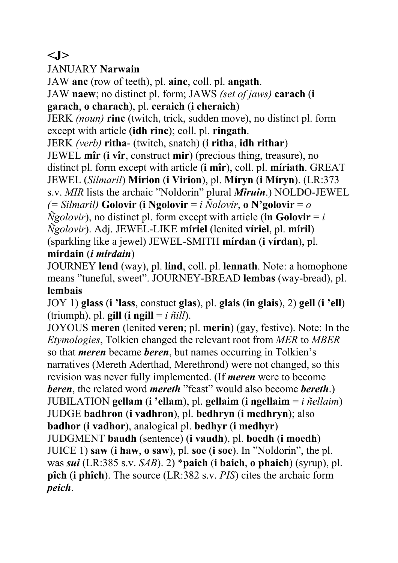### **<J>**

JANUARY **Narwain**

JAW **anc** (row of teeth), pl. **ainc**, coll. pl. **angath**.

JAW **naew**; no distinct pl. form; JAWS *(set of jaws)* **carach** (**i** 

**garach**, **o charach**), pl. **ceraich** (**i cheraich**)

JERK *(noun)* **rinc** (twitch, trick, sudden move), no distinct pl. form except with article (**idh rinc**); coll. pl. **ringath**.

JERK *(verb)* **ritha**- (twitch, snatch) (**i ritha**, **idh rithar**)

JEWEL **mîr** (**i vîr**, construct **mir**) (precious thing, treasure), no distinct pl. form except with article (**i mîr**), coll. pl. **míriath**. GREAT JEWEL (*Silmaril*) **Mirion** (**i Virion**), pl. **Míryn** (**i Míryn**). (LR:373

s.v. *MIR* lists the archaic "Noldorin" plural *Miruin*.) NOLDO-JEWEL

*(= Silmaril)* **Golovir** (**i Ngolovir** = *i Ñolovir*, **o N'golovir** = *o* 

 $\tilde{N}$ *golovir*), no distinct pl. form except with article (in Golovir = *i* 

*Ñgolovir*). Adj. JEWEL-LIKE **míriel** (lenited **víriel**, pl. **míril**)

(sparkling like a jewel) JEWEL-SMITH **mírdan** (**i vírdan**), pl.

#### **mírdain** (*i mírdain*)

JOURNEY **lend** (way), pl. **lind**, coll. pl. **lennath**. Note: a homophone means "tuneful, sweet". JOURNEY-BREAD **lembas** (way-bread), pl. **lembais** 

JOY 1) **glass** (**i 'lass**, constuct **glas**), pl. **glais** (**in glais**), 2) **gell** (**i 'ell**) (triumph), pl. **gill** (**i** ngill =  $i \tilde{\eta}$ *ill*).

JOYOUS **meren** (lenited **veren**; pl. **merin**) (gay, festive). Note: In the *Etymologies*, Tolkien changed the relevant root from *MER* to *MBER* so that *meren* became *beren*, but names occurring in Tolkien's narratives (Mereth Aderthad, Merethrond) were not changed, so this revision was never fully implemented. (If *meren* were to become *beren*, the related word *mereth* "feast" would also become *bereth*.) JUBILATION **gellam** (**i 'ellam**), pl. **gellaim** (**i ngellaim** = *i ñellaim*) JUDGE **badhron** (**i vadhron**), pl. **bedhryn** (**i medhryn**); also **badhor** (**i vadhor**), analogical pl. **bedhyr** (**i medhyr**) JUDGMENT **baudh** (sentence) (**i vaudh**), pl. **boedh** (**i moedh**) JUICE 1) **saw** (**i haw**, **o saw**), pl. **soe** (**i soe**). In "Noldorin", the pl. was *sui* (LR:385 s.v. *SAB*). 2) \***paich** (**i baich**, **o phaich**) (syrup), pl. **pîch** (**i phîch**). The source (LR:382 s.v. *PIS*) cites the archaic form *peich*.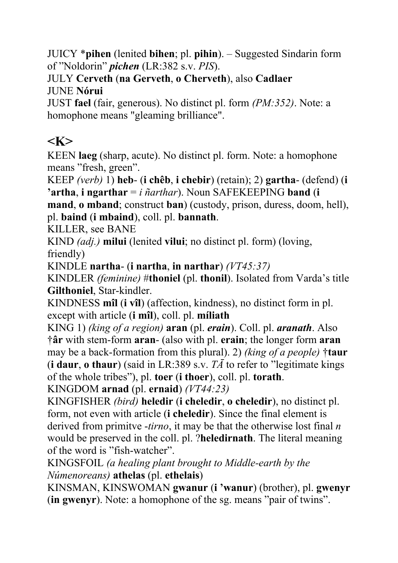JUICY \***pihen** (lenited **bihen**; pl. **pihin**). – Suggested Sindarin form of "Noldorin" *pichen* (LR:382 s.v. *PIS*).

JULY **Cerveth** (**na Gerveth**, **o Cherveth**), also **Cadlaer** JUNE **Nórui**

JUST **fael** (fair, generous). No distinct pl. form *(PM:352)*. Note: a homophone means "gleaming brilliance".

## **<K>**

KEEN **laeg** (sharp, acute). No distinct pl. form. Note: a homophone means "fresh, green".

KEEP *(verb)* 1) **heb**- (**i chêb**, **i chebir**) (retain); 2) **gartha**- (defend) (**i 'artha**, **i ngarthar** = *i ñarthar*). Noun SAFEKEEPING **band** (**i** 

**mand**, **o mband**; construct **ban**) (custody, prison, duress, doom, hell), pl. **baind** (**i mbaind**), coll. pl. **bannath**.

KILLER, see BANE

KIND *(adj.)* **milui** (lenited **vilui**; no distinct pl. form) (loving, friendly)

KINDLE **nartha**- (**i nartha**, **in narthar**) *(VT45:37)*

KINDLER *(feminine)* #**thoniel** (pl. **thonil**). Isolated from Varda's title **Gilthoniel**, Star-kindler.

KINDNESS **mîl** (**i vîl**) (affection, kindness), no distinct form in pl. except with article (**i mîl**), coll. pl. **míliath**

KING 1) *(king of a region)* **aran** (pl. *erain*). Coll. pl. *aranath*. Also †**âr** with stem-form **aran**- (also with pl. **erain**; the longer form **aran** may be a back-formation from this plural). 2) *(king of a people)* †**taur** (**i daur**, **o thaur**) (said in LR:389 s.v. *TĀ* to refer to "legitimate kings

of the whole tribes"), pl. **toer** (**i thoer**), coll. pl. **torath**.

KINGDOM **arnad** (pl. **ernaid**) *(VT44:23)*

KINGFISHER *(bird)* **heledir** (**i cheledir**, **o cheledir**), no distinct pl. form, not even with article (**i cheledir**). Since the final element is derived from primitve -*tirno*, it may be that the otherwise lost final *n* would be preserved in the coll. pl. ?**heledirnath**. The literal meaning of the word is "fish-watcher".

KINGSFOIL *(a healing plant brought to Middle-earth by the Númenoreans)* **athelas** (pl. **ethelais**)

KINSMAN, KINSWOMAN **gwanur** (**i 'wanur**) (brother), pl. **gwenyr** (**in gwenyr**). Note: a homophone of the sg. means "pair of twins".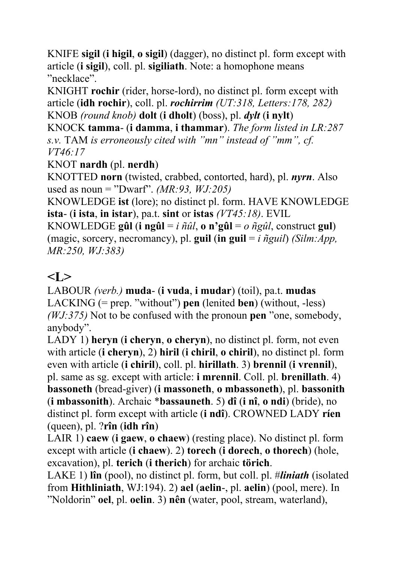KNIFE **sigil** (**i higil**, **o sigil**) (dagger), no distinct pl. form except with article (**i sigil**), coll. pl. **sigiliath**. Note: a homophone means "necklace".

KNIGHT **rochir** (rider, horse-lord), no distinct pl. form except with article (**idh rochir**), coll. pl. *rochirrim (UT:318, Letters:178, 282)* KNOB *(round knob)* **dolt** (**i dholt**) (boss), pl. *dylt* (**i nylt**)

KNOCK **tamma**- (**i damma**, **i thammar**). *The form listed in LR:287 s.v.* TAM *is erroneously cited with "mn" instead of "mm", cf. VT46:17* 

#### KNOT **nardh** (pl. **nerdh**)

KNOTTED **norn** (twisted, crabbed, contorted, hard), pl. *nyrn*. Also used as noun = "Dwarf". *(MR:93, WJ:205)* 

KNOWLEDGE **ist** (lore); no distinct pl. form. HAVE KNOWLEDGE **ista**- (**i ista**, **in istar**), pa.t. **sint** or **istas** *(VT45:18)*. EVIL

KNOWLEDGE **gûl** (**i** ng**ûl** = *i*  $\tilde{n}$ *ûl*, **o** n'gûl = *o*  $\tilde{n}$ *gûl*, construct gul) (magic, sorcery, necromancy), pl. **guil** (in guil =  $i \tilde{n}$  guil) *(Silm:App, MR:250, WJ:383)*

# $\langle I \rangle$

LABOUR *(verb.)* **muda**- (**i vuda**, **i mudar**) (toil), pa.t. **mudas** LACKING (= prep. "without") **pen** (lenited **ben**) (without, -less) *(WJ:375)* Not to be confused with the pronoun **pen** "one, somebody, anybody".

LADY 1) **heryn** (**i cheryn**, **o cheryn**), no distinct pl. form, not even with article (**i cheryn**), 2) **hiril** (**i chiril**, **o chiril**), no distinct pl. form even with article (**i chiril**), coll. pl. **hirillath**. 3) **brennil** (**i vrennil**), pl. same as sg. except with article: **i mrennil**. Coll. pl. **brenillath**. 4) **bassoneth** (bread-giver) (**i massoneth**, **o mbassoneth**), pl. **bassonith** (**i mbassonith**). Archaic \***bassauneth**. 5) **dî** (**i nî**, **o ndi**) (bride), no distinct pl. form except with article (**i ndî**). CROWNED LADY **ríen** (queen), pl. ?**rîn** (**idh rîn**)

LAIR 1) **caew** (**i gaew**, **o chaew**) (resting place). No distinct pl. form except with article (**i chaew**). 2) **torech** (**i dorech**, **o thorech**) (hole, excavation), pl. **terich** (**i therich**) for archaic **törich**.

LAKE 1) **lîn** (pool), no distinct pl. form, but coll. pl. #*liniath* (isolated from **Hithliniath**, WJ:194). 2) **ael** (**aelin**-, pl. **aelin**) (pool, mere). In "Noldorin" **oel**, pl. **oelin**. 3) **nên** (water, pool, stream, waterland),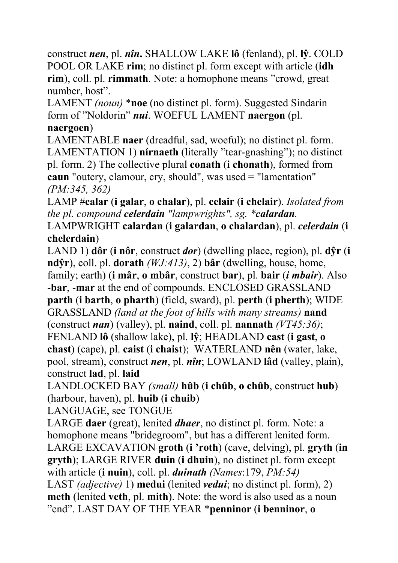construct *nen*, pl. *nîn***.** SHALLOW LAKE **lô** (fenland), pl. **lŷ**. COLD POOL OR LAKE **rim**; no distinct pl. form except with article (**idh rim**), coll. pl. **rimmath**. Note: a homophone means "crowd, great number, host".

LAMENT *(noun)* \***noe** (no distinct pl. form). Suggested Sindarin form of "Noldorin" *nui*. WOEFUL LAMENT **naergon** (pl. **naergoen**)

LAMENTABLE **naer** (dreadful, sad, woeful); no distinct pl. form. LAMENTATION 1) **nírnaeth** (literally "tear-gnashing"); no distinct pl. form. 2) The collective plural **conath** (**i chonath**), formed from **caun** "outcry, clamour, cry, should", was used = "lamentation" *(PM:345, 362)*

LAMP #**calar** (**i galar**, **o chalar**), pl. **celair** (**i chelair**). *Isolated from the pl. compound celerdain "lampwrights", sg. \*calardan.* 

LAMPWRIGHT **calardan** (**i galardan**, **o chalardan**), pl. *celerdain* (**i chelerdain**)

LAND 1) **dôr** (**i nôr**, construct *dor*) (dwelling place, region), pl. **dŷr** (**i ndŷr**), coll. pl. **dorath** *(WJ:413)*, 2) **bâr** (dwelling, house, home,

family; earth) (**i mâr**, **o mbâr**, construct **bar**), pl. **bair** (*i mbair*). Also -**bar**, -**mar** at the end of compounds. ENCLOSED GRASSLAND **parth** (**i barth**, **o pharth**) (field, sward), pl. **perth** (**i pherth**); WIDE GRASSLAND *(land at the foot of hills with many streams)* **nand** (construct *nan*) (valley), pl. **naind**, coll. pl. **nannath** *(VT45:36)*; FENLAND **lô** (shallow lake), pl. **lŷ**; HEADLAND **cast** (**i gast**, **o chast**) (cape), pl. **caist** (**i chaist**); WATERLAND **nên** (water, lake, pool, stream), construct *nen*, pl. *nîn*; LOWLAND **lâd** (valley, plain),

construct **lad**, pl. **laid**

LANDLOCKED BAY *(small)* **hûb** (**i chûb**, **o chûb**, construct **hub**) (harbour, haven), pl. **huib** (**i chuib**)

LANGUAGE, see TONGUE

LARGE **daer** (great), lenited *dhaer*, no distinct pl. form. Note: a homophone means "bridegroom", but has a different lenited form. LARGE EXCAVATION **groth** (**i 'roth**) (cave, delving), pl. **gryth** (**in gryth**); LARGE RIVER **duin** (**i dhuin**), no distinct pl. form except with article (**i nuin**), coll. pl. *duinath (Names*:179, *PM:54)* LAST *(adjective)* 1) **medui** (lenited *vedui*; no distinct pl. form), 2) **meth** (lenited **veth**, pl. **mith**). Note: the word is also used as a noun "end". LAST DAY OF THE YEAR \***penninor** (**i benninor**, **o**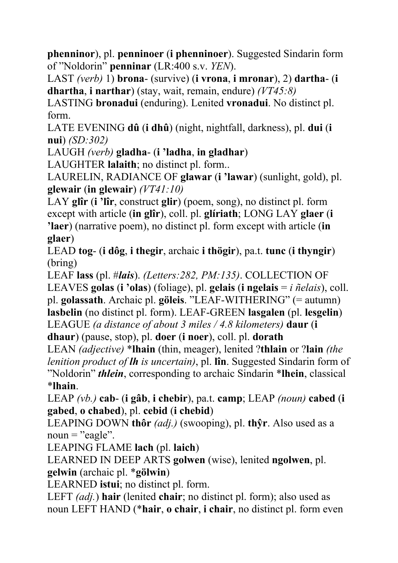**phenninor**), pl. **penninoer** (**i phenninoer**). Suggested Sindarin form of "Noldorin" **penninar** (LR:400 s.v. *YEN*).

LAST *(verb)* 1) **brona**- (survive) (**i vrona**, **i mronar**), 2) **dartha**- (**i dhartha**, **i narthar**) (stay, wait, remain, endure) *(VT45:8)*

LASTING **bronadui** (enduring). Lenited **vronadui**. No distinct pl. form.

LATE EVENING **dû** (**i dhû**) (night, nightfall, darkness), pl. **dui** (**i nui**) *(SD:302)*

LAUGH *(verb)* **gladha**- (**i 'ladha**, **in gladhar**)

LAUGHTER **lalaith**; no distinct pl. form..

LAURELIN, RADIANCE OF **glawar** (**i 'lawar**) (sunlight, gold), pl. **glewair** (**in glewair**) *(VT41:10)*

LAY **glîr** (**i 'lîr**, construct **glir**) (poem, song), no distinct pl. form except with article (**in glîr**), coll. pl. **glíriath**; LONG LAY **glaer** (**i 'laer**) (narrative poem), no distinct pl. form except with article (**in glaer**)

LEAD **tog**- (**i dôg**, **i thegir**, archaic **i thögir**), pa.t. **tunc** (**i thyngir**) (bring)

LEAF **lass** (pl. #*lais*). *(Letters:282, PM:135)*. COLLECTION OF LEAVES **golas** (**i 'olas**) (foliage), pl. **gelais** (**i ngelais** = *i ñelais*), coll. pl. **golassath**. Archaic pl. **göleis**. "LEAF-WITHERING" (= autumn) **lasbelin** (no distinct pl. form). LEAF-GREEN **lasgalen** (pl. **lesgelin**) LEAGUE *(a distance of about 3 miles / 4.8 kilometers)* **daur** (**i** 

**dhaur**) (pause, stop), pl. **doer** (**i noer**), coll. pl. **dorath** 

LEAN *(adjective)* \***lhain** (thin, meager), lenited ?**thlain** or ?**lain** *(the lenition product of lh is uncertain)*, pl. **lîn**. Suggested Sindarin form of "Noldorin" *thlein*, corresponding to archaic Sindarin \***lhein**, classical \***lhain**.

LEAP *(vb.)* **cab**- (**i gâb**, **i chebir**), pa.t. **camp**; LEAP *(noun)* **cabed** (**i gabed**, **o chabed**), pl. **cebid** (**i chebid**)

LEAPING DOWN **thôr** *(adj.)* (swooping), pl. **thŷr**. Also used as a  $noun = "eagle".$ 

LEAPING FLAME **lach** (pl. **laich**)

LEARNED IN DEEP ARTS **golwen** (wise), lenited **ngolwen**, pl. **gelwin** (archaic pl. \***gölwin**)

LEARNED **istui**; no distinct pl. form.

LEFT *(adj.*) **hair** (lenited **chair**; no distinct pl. form); also used as noun LEFT HAND (\***hair**, **o chair**, **i chair**, no distinct pl. form even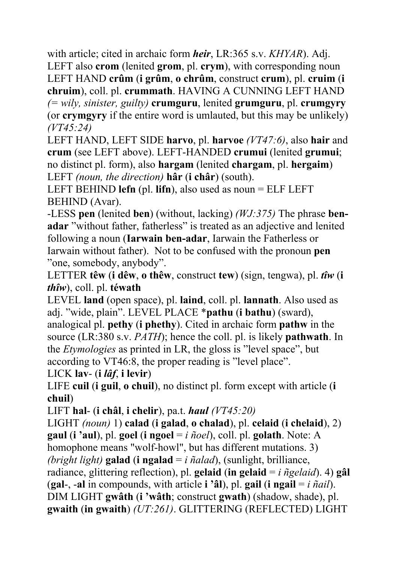with article; cited in archaic form *heir*, LR:365 s.v. *KHYAR*). Adj.

LEFT also **crom** (lenited **grom**, pl. **crym**), with corresponding noun LEFT HAND **crûm** (**i grûm**, **o chrûm**, construct **crum**), pl. **cruim** (**i chruim**), coll. pl. **crummath**. HAVING A CUNNING LEFT HAND *(= wily, sinister, guilty)* **crumguru**, lenited **grumguru**, pl. **crumgyry** (or **crymgyry** if the entire word is umlauted, but this may be unlikely) *(VT45:24)*

LEFT HAND, LEFT SIDE **harvo**, pl. **harvoe** *(VT47:6)*, also **hair** and **crum** (see LEFT above). LEFT-HANDED **crumui** (lenited **grumui**; no distinct pl. form), also **hargam** (lenited **chargam**, pl. **hergaim**) LEFT *(noun, the direction)* **hâr** (**i châr**) (south).

LEFT BEHIND **lefn** (pl. **lifn**), also used as noun = ELF LEFT BEHIND (Avar).

-LESS **pen** (lenited **ben**) (without, lacking) *(WJ:375)* The phrase **benadar** "without father, fatherless" is treated as an adjective and lenited following a noun (**Iarwain ben-adar**, Iarwain the Fatherless or Iarwain without father). Not to be confused with the pronoun **pen** "one, somebody, anybody".

LETTER **têw** (**i dêw**, **o thêw**, construct **tew**) (sign, tengwa), pl. *tîw* (**i**  *thîw*), coll. pl. **téwath** 

LEVEL **land** (open space), pl. **laind**, coll. pl. **lannath**. Also used as adj. "wide, plain". LEVEL PLACE \***pathu** (**i bathu**) (sward), analogical pl. **pethy** (**i phethy**). Cited in archaic form **pathw** in the source (LR:380 s.v. *PATH*); hence the coll. pl. is likely **pathwath**. In the *Etymologies* as printed in LR, the gloss is "level space", but according to VT46:8, the proper reading is "level place".

LICK **lav**- (**i** *lâf*, **i levir**)

LIFE **cuil** (**i guil**, **o chuil**), no distinct pl. form except with article (**i chuil**)

LIFT **hal**- (**i châl**, **i chelir**), pa.t. *haul (VT45:20)*

LIGHT *(noun)* 1) **calad** (**i galad**, **o chalad**), pl. **celaid** (**i chelaid**), 2) **gaul** (**i 'aul**), pl. **goel** (**i ngoel** = *i ñoel*), coll. pl. **golath**. Note: A homophone means "wolf-howl", but has different mutations. 3) *(bright light)* **galad** (**i ngalad** = *i ñalad*), (sunlight, brilliance, radiance, glittering reflection), pl. **gelaid** (**in gelaid** =  $i$   $\tilde{n}$ *gelaid*). 4) **gâl** (**gal**-,  $\text{-}$ **al** in compounds, with article **i** '**âl**), pl. **gail** (**i ngail** = *i*  $\tilde{n}$ *ail*). DIM LIGHT **gwâth** (**i 'wâth**; construct **gwath**) (shadow, shade), pl. **gwaith** (**in gwaith**) *(UT:261)*. GLITTERING (REFLECTED) LIGHT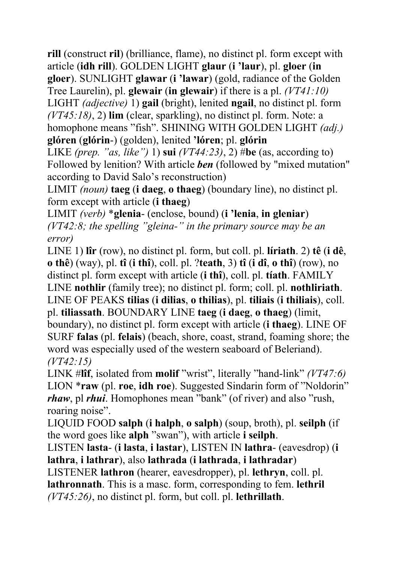**rill** (construct **ril**) (brilliance, flame), no distinct pl. form except with article (**idh rill**). GOLDEN LIGHT **glaur** (**i 'laur**), pl. **gloer** (**in gloer**). SUNLIGHT **glawar** (**i 'lawar**) (gold, radiance of the Golden Tree Laurelin), pl. **glewair** (**in glewair**) if there is a pl. *(VT41:10)* LIGHT *(adjective)* 1) **gail** (bright), lenited **ngail**, no distinct pl. form *(VT45:18)*, 2) **lim** (clear, sparkling), no distinct pl. form. Note: a homophone means "fish". SHINING WITH GOLDEN LIGHT *(adj.)* **glóren** (**glórin**-) (golden), lenited **'lóren**; pl. **glórin**

LIKE *(prep. "as, like")* 1) **sui** *(VT44:23)*, 2) #**be** (as, according to) Followed by lenition? With article *ben* (followed by "mixed mutation" according to David Salo's reconstruction)

LIMIT *(noun)* **taeg** (**i daeg**, **o thaeg**) (boundary line), no distinct pl. form except with article (**i thaeg**)

LIMIT *(verb)* \***glenia**- (enclose, bound) (**i 'lenia**, **in gleniar**) *(VT42:8; the spelling "gleina-" in the primary source may be an error)*

LINE 1) **lîr** (row), no distinct pl. form, but coll. pl. **líriath**. 2) **tê** (**i dê**, **o thê**) (way), pl. **tî** (**i thî**), coll. pl. ?**teath**, 3) **tî** (**i dî**, **o thî**) (row), no distinct pl. form except with article (**i thî**), coll. pl. **tíath**. FAMILY LINE **nothlir** (family tree); no distinct pl. form; coll. pl. **nothliriath**. LINE OF PEAKS **tilias** (**i dilias**, **o thilias**), pl. **tiliais** (**i thiliais**), coll. pl. **tiliassath**. BOUNDARY LINE **taeg** (**i daeg**, **o thaeg**) (limit, boundary), no distinct pl. form except with article (**i thaeg**). LINE OF SURF **falas** (pl. **felais**) (beach, shore, coast, strand, foaming shore; the word was especially used of the western seaboard of Beleriand). *(VT42:15)*

LINK #**lîf**, isolated from **molif** "wrist", literally "hand-link" *(VT47:6)*  LION \***raw** (pl. **roe**, **idh roe**). Suggested Sindarin form of "Noldorin" *rhaw*, pl *rhui*. Homophones mean "bank" (of river) and also "rush, roaring noise".

LIQUID FOOD **salph** (**i halph**, **o salph**) (soup, broth), pl. **seilph** (if the word goes like **alph** "swan"), with article **i seilph**.

LISTEN **lasta**- (**i lasta**, **i lastar**), LISTEN IN **lathra**- (eavesdrop) (**i lathra**, **i lathrar**), also **lathrada** (**i lathrada**, **i lathradar**)

LISTENER **lathron** (hearer, eavesdropper), pl. **lethryn**, coll. pl. **lathronnath**. This is a masc. form, corresponding to fem. **lethril** *(VT45:26)*, no distinct pl. form, but coll. pl. **lethrillath**.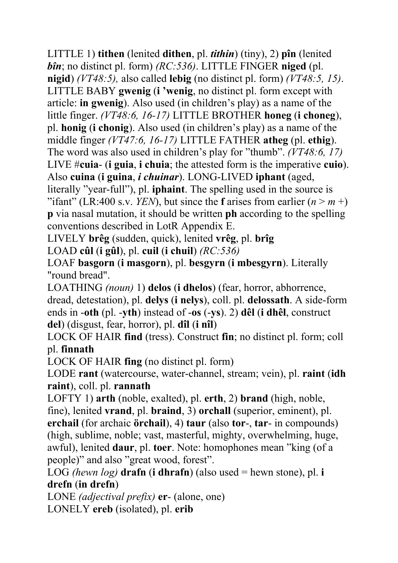LITTLE 1) **tithen** (lenited **dithen**, pl. *tithin*) (tiny), 2) **pîn** (lenited *bîn*; no distinct pl. form) *(RC:536)*. LITTLE FINGER **niged** (pl. **nigid**) *(VT48:5),* also called **lebig** (no distinct pl. form) *(VT48:5, 15)*. LITTLE BABY **gwenig** (**i 'wenig**, no distinct pl. form except with article: **in gwenig**). Also used (in children's play) as a name of the little finger. *(VT48:6, 16-17)* LITTLE BROTHER **honeg** (**i choneg**), pl. **honig** (**i chonig**). Also used (in children's play) as a name of the middle finger *(VT47:6, 16-17)* LITTLE FATHER **atheg** (pl. **ethig**). The word was also used in children's play for "thumb". *(VT48:6, 17)*  LIVE #**cuia**- (**i guia**, **i chuia**; the attested form is the imperative **cuio**). Also **cuina** (**i guina**, *i chuinar*). LONG-LIVED **iphant** (aged, literally "year-full"), pl. **iphaint**. The spelling used in the source is "ifant" (LR:400 s.v. *YEN*), but since the **f** arises from earlier  $(n > m +)$ **p** via nasal mutation, it should be written **ph** according to the spelling

conventions described in LotR Appendix E.

LIVELY **brêg** (sudden, quick), lenited **vrêg**, pl. **brîg**

LOAD **cûl** (**i gûl**), pl. **cuil** (**i chuil**) *(RC:536)*

LOAF **basgorn** (**i masgorn**), pl. **besgyrn** (**i mbesgyrn**). Literally "round bread".

LOATHING *(noun)* 1) **delos** (**i dhelos**) (fear, horror, abhorrence, dread, detestation), pl. **delys** (**i nelys**), coll. pl. **delossath**. A side-form ends in -**oth** (pl. -**yth**) instead of -**os** (-**ys**). 2) **dêl** (**i dhêl**, construct **del**) (disgust, fear, horror), pl. **dîl** (**i nîl**)

LOCK OF HAIR **find** (tress). Construct **fin**; no distinct pl. form; coll pl. **finnath**

LOCK OF HAIR **fing** (no distinct pl. form)

LODE **rant** (watercourse, water-channel, stream; vein), pl. **raint** (**idh raint**), coll. pl. **rannath**

LOFTY 1) **arth** (noble, exalted), pl. **erth**, 2) **brand** (high, noble, fine), lenited **vrand**, pl. **braind**, 3) **orchall** (superior, eminent), pl. **erchail** (for archaic **örchail**), 4) **taur** (also **tor**-, **tar**- in compounds) (high, sublime, noble; vast, masterful, mighty, overwhelming, huge, awful), lenited **daur**, pl. **toer**. Note: homophones mean "king (of a people)" and also "great wood, forest".

LOG *(hewn log)* **drafn** (**i dhrafn**) (also used = hewn stone), pl. **i drefn** (**in drefn**)

LONE *(adjectival prefix)* **er**- (alone, one) LONELY **ereb** (isolated), pl. **erib**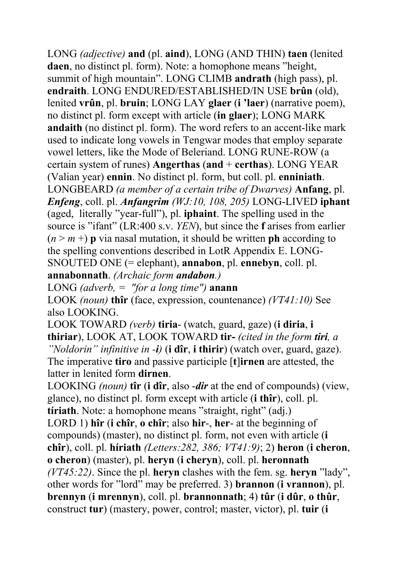LONG *(adjective)* **and** (pl. **aind**), LONG (AND THIN) **taen** (lenited **daen**, no distinct pl. form). Note: a homophone means "height, summit of high mountain". LONG CLIMB **andrath** (high pass), pl. **endraith**. LONG ENDURED/ESTABLISHED/IN USE **brûn** (old), lenited **vrûn**, pl. **bruin**; LONG LAY **glaer** (**i 'laer**) (narrative poem), no distinct pl. form except with article (**in glaer**); LONG MARK **andaith** (no distinct pl. form). The word refers to an accent-like mark used to indicate long vowels in Tengwar modes that employ separate vowel letters, like the Mode of Beleriand. LONG RUNE-ROW (a certain system of runes) **Angerthas** (**and** + **certhas**). LONG YEAR (Valian year) **ennin**. No distinct pl. form, but coll. pl. **enniniath**. LONGBEARD *(a member of a certain tribe of Dwarves)* **Anfang**, pl. *Enfeng*, coll. pl. *Anfangrim (WJ:10, 108, 205)* LONG-LIVED **iphant**  (aged, literally "year-full"), pl. **iphaint**. The spelling used in the source is "ifant" (LR:400 s.v. *YEN*), but since the **f** arises from earlier  $(n \geq m +)$  **p** via nasal mutation, it should be written **ph** according to the spelling conventions described in LotR Appendix E. LONG-SNOUTED ONE (= elephant), **annabon**, pl. **ennebyn**, coll. pl. **annabonnath**. *(Archaic form andabon.)* 

LONG *(adverb, = "for a long time")* **anann**

LOOK *(noun)* **thîr** (face, expression, countenance) *(VT41:10)* See also LOOKING.

LOOK TOWARD *(verb)* **tiria**- (watch, guard, gaze) (**i diria**, **i thiriar**), LOOK AT, LOOK TOWARD **tir-** *(cited in the form tiri, a "Noldorin" infinitive in -i)* (**i dîr**, **i thirir**) (watch over, guard, gaze). The imperative **tiro** and passive participle [**t**]**irnen** are attested, the latter in lenited form **dirnen**.

LOOKING *(noun)* **tîr** (**i dîr**, also -*dir* at the end of compounds) (view, glance), no distinct pl. form except with article (**i thîr**), coll. pl. **tíriath**. Note: a homophone means "straight, right" (adj.)

LORD 1) **hîr** (**i chîr**, **o chîr**; also **hir**-, **her**- at the beginning of compounds) (master), no distinct pl. form, not even with article (**i chîr**), coll. pl. **híriath** *(Letters:282, 386; VT41:9)*; 2) **heron** (**i cheron**, **o cheron**) (master), pl. **heryn** (**i cheryn**), coll. pl. **heronnath** *(VT45:22)*. Since the pl. **heryn** clashes with the fem. sg. **heryn** "lady", other words for "lord" may be preferred. 3) **brannon** (**i vrannon**), pl. **brennyn** (**i mrennyn**), coll. pl. **brannonnath**; 4) **tûr** (**i dûr**, **o thûr**, construct **tur**) (mastery, power, control; master, victor), pl. **tuir** (**i**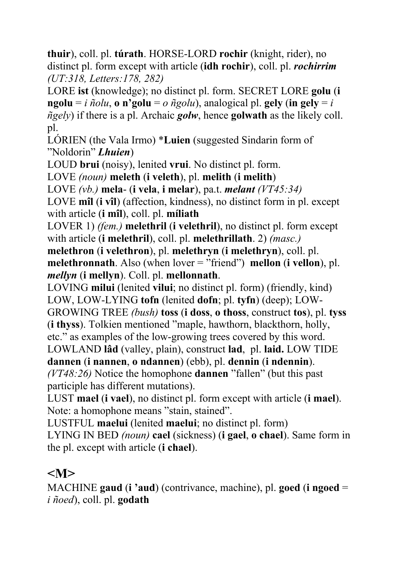**thuir**), coll. pl. **túrath**. HORSE-LORD **rochir** (knight, rider), no distinct pl. form except with article (**idh rochir**), coll. pl. *rochirrim (UT:318, Letters:178, 282)*

LORE **ist** (knowledge); no distinct pl. form. SECRET LORE **golu** (**i**   $n$ **golu** = *i*  $n$ *õolu*, **o**  $n$ **'golu** = *o*  $n$ *ĝolu*), analogical pl. **gely** (**in gely** = *i ñgely*) if there is a pl. Archaic *golw*, hence **golwath** as the likely coll. pl.

LÓRIEN (the Vala Irmo) \***Luien** (suggested Sindarin form of "Noldorin" *Lhuien*)

LOUD **brui** (noisy), lenited **vrui**. No distinct pl. form.

LOVE *(noun)* **meleth** (**i veleth**), pl. **melith** (**i melith**)

LOVE *(vb.)* **mela**- (**i vela**, **i melar**), pa.t. *melant (VT45:34)*

LOVE **mîl** (**i vîl**) (affection, kindness), no distinct form in pl. except with article (**i mîl**), coll. pl. **míliath** 

LOVER 1) *(fem.)* **melethril** (**i velethril**), no distinct pl. form except with article (**i melethril**), coll. pl. **melethrillath**. 2) *(masc.)*

**melethron** (**i velethron**), pl. **melethryn** (**i melethryn**), coll. pl. **melethronnath**. Also (when lover = "friend") **mellon** (**i vellon**), pl. *mellyn* (**i mellyn**). Coll. pl. **mellonnath**.

LOVING **milui** (lenited **vilui**; no distinct pl. form) (friendly, kind) LOW, LOW-LYING **tofn** (lenited **dofn**; pl. **tyfn**) (deep); LOW-

GROWING TREE *(bush)* **toss** (**i doss**, **o thoss**, construct **tos**), pl. **tyss** (**i thyss**). Tolkien mentioned "maple, hawthorn, blackthorn, holly, etc." as examples of the low-growing trees covered by this word.

LOWLAND **lâd** (valley, plain), construct **lad**, pl. **laid.** LOW TIDE

**dannen** (**i nannen**, **o ndannen**) (ebb), pl. **dennin** (**i ndennin**).

*(VT48:26)* Notice the homophone **dannen** "fallen" (but this past participle has different mutations).

LUST **mael** (**i vael**), no distinct pl. form except with article (**i mael**). Note: a homophone means "stain, stained".

LUSTFUL **maelui** (lenited **maelui**; no distinct pl. form)

LYING IN BED *(noun)* **cael** (sickness) (**i gael**, **o chael**). Same form in the pl. except with article (**i chael**).

## **<M>**

MACHINE **gaud** (**i 'aud**) (contrivance, machine), pl. **goed** (**i ngoed** = *i ñoed*), coll. pl. **godath**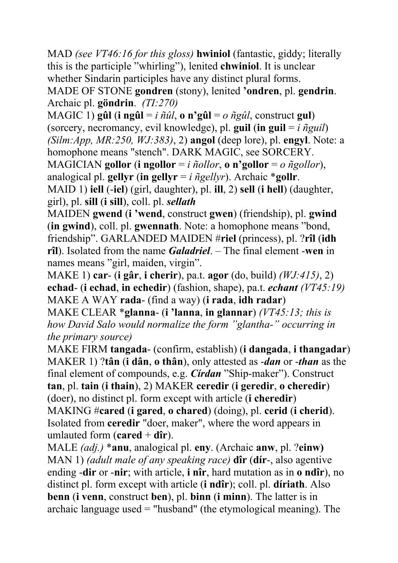MAD *(see VT46:16 for this gloss)* **hwiniol** (fantastic, giddy; literally this is the participle "whirling"), lenited **chwiniol**. It is unclear whether Sindarin participles have any distinct plural forms. MADE OF STONE **gondren** (stony), lenited **'ondren**, pl. **gendrin**. Archaic pl. **göndrin**.*(TI:270)*

MAGIC 1) **gûl** (**i** ng**ûl** = *i*  $\tilde{n}$ *ûl*, **o** n'gûl = *o*  $\tilde{n}$ *gûl*, construct gul) (sorcery, necromancy, evil knowledge), pl. **guil** (**in guil** =  $i$   $\tilde{n}$ *guil*) *(Silm:App, MR:250, WJ:383)*, 2) **angol** (deep lore), pl. **engyl**. Note: a homophone means "stench". DARK MAGIC, see SORCERY. MAGICIAN **gollor** (**i ngollor** = *i ñollor*, **o n'gollor** = *o ñgollor*), analogical pl. **gellyr** (**in gellyr** = *i ñgellyr*). Archaic \***gollr**. MAID 1) **iell** (-**iel**) (girl, daughter), pl. **ill**, 2) **sell** (**i hell**) (daughter,

girl), pl. **sill** (**i sill**), coll. pl. *sellath*

MAIDEN **gwend** (**i 'wend**, construct **gwen**) (friendship), pl. **gwind** (**in gwind**), coll. pl. **gwennath**. Note: a homophone means "bond, friendship". GARLANDED MAIDEN #**riel** (princess), pl. ?**rîl** (**idh rîl**). Isolated from the name *Galadriel*. – The final element -**wen** in names means "girl, maiden, virgin".

MAKE 1) **car**- (**i gâr**, **i cherir**), pa.t. **agor** (do, build) *(WJ:415)*, 2) **echad**- (**i echad**, **in echedir**) (fashion, shape), pa.t. *echant (VT45:19)* MAKE A WAY **rada**- (find a way) (**i rada**, **idh radar**)

MAKE CLEAR \***glanna**- (**i 'lanna**, **in glannar**) *(VT45:13; this is how David Salo would normalize the form "glantha-" occurring in the primary source)*

MAKE FIRM **tangada**- (confirm, establish) (**i dangada**, **i thangadar**) MAKER 1) ?**tân** (**i dân**, **o thân**), only attested as -*dan* or -*than* as the final element of compounds, e.g. *Círdan* "Ship-maker"). Construct **tan**, pl. **tain** (**i thain**), 2) MAKER **ceredir** (**i geredir**, **o cheredir**) (doer), no distinct pl. form except with article (**i cheredir**) MAKING #**cared** (**i gared**, **o chared**) (doing), pl. **cerid** (**i cherid**). Isolated from **ceredir** "doer, maker", where the word appears in umlauted form  $(\text{cared} + \text{dîr})$ .

MALE *(adj.)* \***anu**, analogical pl. **eny**. (Archaic **anw**, pl. ?**einw)** MAN 1) *(adult male of any speaking race)* **dîr** (**dír**-, also agentive ending -**dir** or -**nir**; with article, **i nîr**, hard mutation as in **o ndîr**), no distinct pl. form except with article (**i ndîr**); coll. pl. **díriath**. Also **benn** (**i venn**, construct **ben**), pl. **binn** (**i minn**). The latter is in archaic language used = "husband" (the etymological meaning). The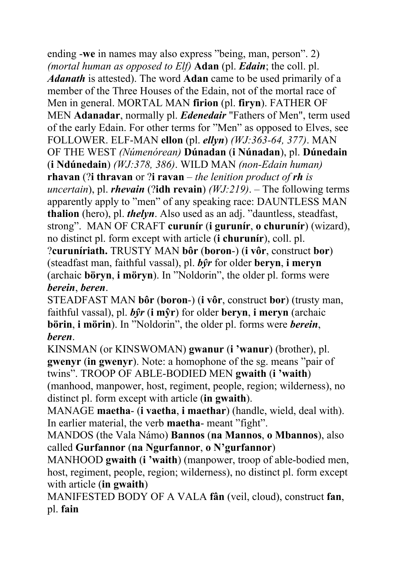ending -**we** in names may also express "being, man, person". 2) *(mortal human as opposed to Elf)* **Adan** (pl. *Edain*; the coll. pl. *Adanath* is attested). The word **Adan** came to be used primarily of a member of the Three Houses of the Edain, not of the mortal race of Men in general. MORTAL MAN **firion** (pl. **firyn**). FATHER OF MEN **Adanadar**, normally pl. *Edenedair* "Fathers of Men", term used of the early Edain. For other terms for "Men" as opposed to Elves, see FOLLOWER. ELF-MAN **ellon** (pl. *ellyn*) *(WJ:363-64, 377)*. MAN OF THE WEST *(Númenórean)* **Dúnadan** (**i Núnadan**), pl. **Dúnedain** (**i Ndúnedain**) *(WJ:378, 386)*. WILD MAN *(non-Edain human)* **rhavan** (?**i thravan** or ?**i ravan** – *the lenition product of rh is uncertain*), pl. *rhevain* (?**idh revain**) *(WJ:219)*. – The following terms apparently apply to "men" of any speaking race: DAUNTLESS MAN **thalion** (hero), pl. *thelyn*. Also used as an adj. "dauntless, steadfast, strong". MAN OF CRAFT **curunír** (**i gurunír**, **o churunír**) (wizard), no distinct pl. form except with article (**i churunír**), coll. pl. ?**curuníriath.** TRUSTY MAN **bôr** (**boron**-) (**i vôr**, construct **bor**)

(steadfast man, faithful vassal), pl. *bŷr* for older **beryn**, **i meryn** (archaic **böryn**, **i möryn**). In "Noldorin", the older pl. forms were *berein*, *beren*.

STEADFAST MAN **bôr** (**boron**-) (**i vôr**, construct **bor**) (trusty man, faithful vassal), pl. *bŷr* (**i mŷr**) for older **beryn**, **i meryn** (archaic **börin**, **i mörin**). In "Noldorin", the older pl. forms were *berein*, *beren*.

KINSMAN (or KINSWOMAN) **gwanur** (**i 'wanur**) (brother), pl. **gwenyr** (**in gwenyr**). Note: a homophone of the sg. means "pair of twins". TROOP OF ABLE-BODIED MEN **gwaith** (**i 'waith**) (manhood, manpower, host, regiment, people, region; wilderness), no distinct pl. form except with article (**in gwaith**).

MANAGE **maetha**- (**i vaetha**, **i maethar**) (handle, wield, deal with). In earlier material, the verb **maetha**- meant "fight".

MANDOS (the Vala Námo) **Bannos** (**na Mannos**, **o Mbannos**), also called **Gurfannor** (**na Ngurfannor**, **o N'gurfannor**)

MANHOOD **gwaith** (**i 'waith**) (manpower, troop of able-bodied men, host, regiment, people, region; wilderness), no distinct pl. form except with article (**in gwaith**)

MANIFESTED BODY OF A VALA **fân** (veil, cloud), construct **fan**, pl. **fain**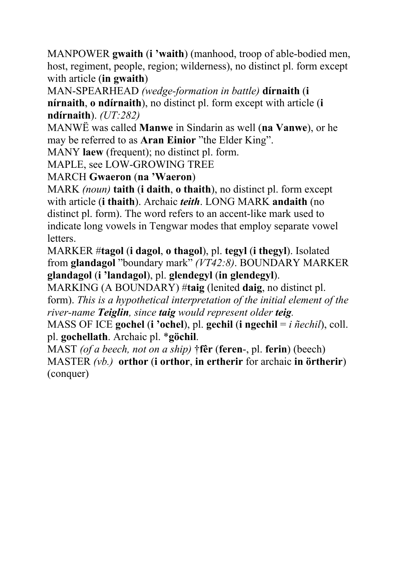MANPOWER **gwaith** (**i 'waith**) (manhood, troop of able-bodied men, host, regiment, people, region; wilderness), no distinct pl. form except with article (**in gwaith**)

MAN-SPEARHEAD *(wedge-formation in battle)* **dírnaith** (**i nírnaith**, **o ndírnaith**), no distinct pl. form except with article (**i ndírnaith**). *(UT:282)*

MANWË was called **Manwe** in Sindarin as well (**na Vanwe**), or he may be referred to as **Aran Einior** "the Elder King".

MANY **laew** (frequent); no distinct pl. form.

MAPLE, see LOW-GROWING TREE

MARCH **Gwaeron** (**na 'Waeron**)

MARK *(noun)* **taith** (**i daith**, **o thaith**), no distinct pl. form except with article (**i thaith**). Archaic *teith*. LONG MARK **andaith** (no distinct pl. form). The word refers to an accent-like mark used to indicate long vowels in Tengwar modes that employ separate vowel letters.

MARKER #**tagol** (**i dagol**, **o thagol**), pl. **tegyl** (**i thegyl**). Isolated from **glandagol** "boundary mark" *(VT42:8)*. BOUNDARY MARKER **glandagol** (**i 'landagol**), pl. **glendegyl** (**in glendegyl**).

MARKING (A BOUNDARY) #**taig** (lenited **daig**, no distinct pl. form). *This is a hypothetical interpretation of the initial element of the river-name Teiglin, since taig would represent older teig.* 

MASS OF ICE **gochel** (**i 'ochel**), pl. **gechil** (**i ngechil** = *i ñechil*), coll. pl. **gochellath**. Archaic pl. \***göchil**.

MAST *(of a beech, not on a ship)* †**fêr** (**feren**-, pl. **ferin**) (beech) MASTER *(vb.)* **orthor** (**i orthor**, **in ertherir** for archaic **in örtherir**) (conquer)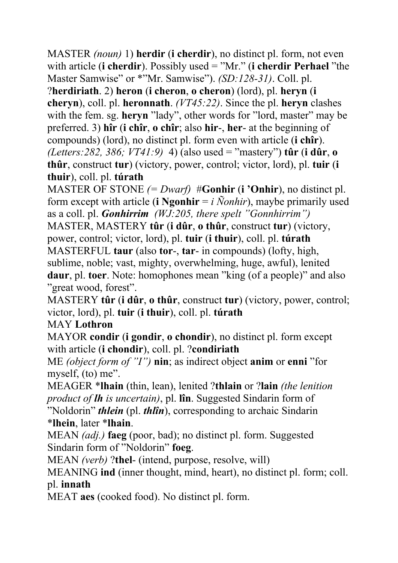MASTER *(noun)* 1) **herdir** (**i cherdir**), no distinct pl. form, not even with article (**i cherdir**). Possibly used = "Mr." (**i cherdir Perhael** "the Master Samwise" or \*"Mr. Samwise"). *(SD:128-31)*. Coll. pl.

?**herdiriath**. 2) **heron** (**i cheron**, **o cheron**) (lord), pl. **heryn** (**i cheryn**), coll. pl. **heronnath**. *(VT45:22)*. Since the pl. **heryn** clashes with the fem. sg. **heryn** "lady", other words for "lord, master" may be preferred. 3) **hîr** (**i chîr**, **o chîr**; also **hir**-, **her**- at the beginning of compounds) (lord), no distinct pl. form even with article (**i chîr**). *(Letters:282, 386; VT41:9)* 4) (also used = "mastery") **tûr** (**i dûr**, **o thûr**, construct **tur**) (victory, power, control; victor, lord), pl. **tuir** (**i thuir**), coll. pl. **túrath**

MASTER OF STONE *(= Dwarf)* #**Gonhir** (**i 'Onhir**), no distinct pl. form except with article (**i** Ngonhir  $= i$  Nonhir), maybe primarily used as a coll. pl. *Gonhirrim (WJ:205, there spelt "Gonnhirrim")* MASTER, MASTERY **tûr** (**i dûr**, **o thûr**, construct **tur**) (victory, power, control; victor, lord), pl. **tuir** (**i thuir**), coll. pl. **túrath** MASTERFUL **taur** (also **tor**-, **tar**- in compounds) (lofty, high, sublime, noble; vast, mighty, overwhelming, huge, awful), lenited **daur**, pl. **toer**. Note: homophones mean "king (of a people)" and also "great wood, forest".

MASTERY **tûr** (**i dûr**, **o thûr**, construct **tur**) (victory, power, control; victor, lord), pl. **tuir** (**i thuir**), coll. pl. **túrath**

MAY **Lothron**

MAYOR **condir** (**i gondir**, **o chondir**), no distinct pl. form except with article (**i chondir**), coll. pl. ?**condiriath** 

ME *(object form of "I")* **nin**; as indirect object **anim** or **enni** "for myself, (to) me".

MEAGER \***lhain** (thin, lean), lenited ?**thlain** or ?**lain** *(the lenition product of lh is uncertain)*, pl. **lîn**. Suggested Sindarin form of "Noldorin" *thlein* (pl. *thlîn*), corresponding to archaic Sindarin

#### \***lhein**, later \***lhain**.

MEAN *(adj.)* **faeg** (poor, bad); no distinct pl. form. Suggested Sindarin form of "Noldorin" **foeg**.

MEAN *(verb)* ?**thel**- (intend, purpose, resolve, will)

MEANING **ind** (inner thought, mind, heart), no distinct pl. form; coll. pl. **innath** 

MEAT **aes** (cooked food). No distinct pl. form.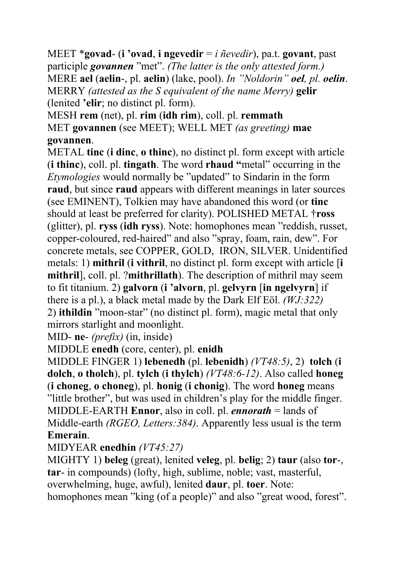MEET \***govad**- (**i 'ovad**, **i ngevedir** = *i ñevedir*), pa.t. **govant**, past participle *govannen* "met". *(The latter is the only attested form.)* MERE **ael** (**aelin**-, pl. **aelin**) (lake, pool). *In "Noldorin" oel, pl. oelin*. MERRY *(attested as the S equivalent of the name Merry)* **gelir** (lenited **'elir**; no distinct pl. form).

MESH **rem** (net), pl. **rim** (**idh rim**), coll. pl. **remmath** MET **govannen** (see MEET); WELL MET *(as greeting)* **mae govannen**.

METAL **tinc** (**i dinc**, **o thinc**), no distinct pl. form except with article (**i thinc**), coll. pl. **tingath**. The word **rhaud "**metal" occurring in the *Etymologies* would normally be "updated" to Sindarin in the form **raud**, but since **raud** appears with different meanings in later sources (see EMINENT), Tolkien may have abandoned this word (or **tinc** should at least be preferred for clarity). POLISHED METAL †**ross** (glitter), pl. **ryss** (**idh ryss**). Note: homophones mean "reddish, russet, copper-coloured, red-haired" and also "spray, foam, rain, dew". For concrete metals, see COPPER, GOLD, IRON, SILVER. Unidentified metals: 1) **mithril** (**i vithril**, no distinct pl. form except with article [**i mithril**], coll. pl. ?**mithrillath**). The description of mithril may seem to fit titanium. 2) **galvorn** (**i 'alvorn**, pl. **gelvyrn** [**in ngelvyrn**] if there is a pl.), a black metal made by the Dark Elf Eöl. *(WJ:322)* 2) **ithildin** "moon-star" (no distinct pl. form), magic metal that only mirrors starlight and moonlight.

MID- **ne**- *(prefix)* (in, inside)

MIDDLE **enedh** (core, center), pl. **enidh**

MIDDLE FINGER 1) **lebenedh** (pl. **lebenidh**) *(VT48:5)*, 2) **tolch** (**i dolch**, **o tholch**), pl. **tylch** (**i thylch**) *(VT48:6-12)*. Also called **honeg** (**i choneg**, **o choneg**), pl. **honig** (**i chonig**). The word **honeg** means "little brother", but was used in children's play for the middle finger. MIDDLE-EARTH **Ennor**, also in coll. pl. *ennorath* = lands of Middle-earth *(RGEO, Letters:384)*. Apparently less usual is the term **Emerain**.

#### MIDYEAR **enedhin** *(VT45:27)*

MIGHTY 1) **beleg** (great), lenited **veleg**, pl. **belig**; 2) **taur** (also **tor**-, **tar**- in compounds) (lofty, high, sublime, noble; vast, masterful, overwhelming, huge, awful), lenited **daur**, pl. **toer**. Note: homophones mean "king (of a people)" and also "great wood, forest".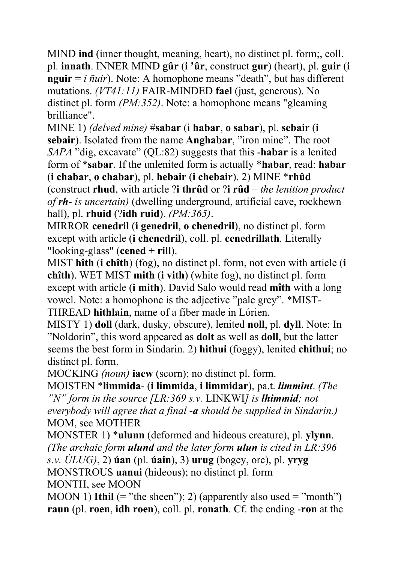MIND **ind** (inner thought, meaning, heart), no distinct pl. form;, coll. pl. **innath**. INNER MIND **gûr** (**i 'ûr**, construct **gur**) (heart), pl. **guir** (**i nguir**  $= i \tilde{n}$ *uir*). Note: A homophone means "death", but has different mutations. *(VT41:11)* FAIR-MINDED **fael** (just, generous). No distinct pl. form *(PM:352)*. Note: a homophone means "gleaming brilliance".

MINE 1) *(delved mine)* #**sabar** (i **habar**, **o sabar**), pl. **sebair** (**i sebair**). Isolated from the name **Anghabar**, "iron mine". The root *SAPA* "dig, excavate" (QL:82) suggests that this -**habar** is a lenited form of **\*sabar**. If the unlenited form is actually \***habar**, read: **habar**  (**i chabar**, **o chabar**), pl. **hebair** (**i chebair**). 2) MINE \***rhûd** (construct **rhud**, with article ?**i thrûd** or ?**i rûd** – *the lenition product of rh- is uncertain)* (dwelling underground, artificial cave, rockhewn hall), pl. **rhuid** (?**idh ruid**). *(PM:365)*.

MIRROR **cenedril** (**i genedril**, **o chenedril**), no distinct pl. form except with article (**i chenedril**), coll. pl. **cenedrillath**. Literally "looking-glass" (**cened** + **rill**).

MIST **hîth** (**i chîth**) (fog), no distinct pl. form, not even with article (**i chîth**). WET MIST **mith** (**i vith**) (white fog), no distinct pl. form except with article (**i mith**). David Salo would read **mîth** with a long vowel. Note: a homophone is the adjective "pale grey". \*MIST-THREAD **hithlain**, name of a fiber made in Lórien.

MISTY 1) **doll** (dark, dusky, obscure), lenited **noll**, pl. **dyll**. Note: In "Noldorin", this word appeared as **dolt** as well as **doll**, but the latter seems the best form in Sindarin. 2) **hithui** (foggy), lenited **chithui**; no distinct pl. form.

MOCKING *(noun)* **iaew** (scorn); no distinct pl. form.

MOISTEN \***limmida**- (**i limmida**, **i limmidar**), pa.t. *limmint*. *(The "N" form in the source [LR:369 s.v.* LINKWI*] is lhimmid; not everybody will agree that a final -a should be supplied in Sindarin.)* MOM, see MOTHER

MONSTER 1) \***ulunn** (deformed and hideous creature), pl. **ylynn**. *(The archaic form ulund and the later form ulun is cited in LR:396 s.v. ÚLUG)*, 2) **úan** (pl. **úain**), 3) **urug** (bogey, orc), pl. **yryg** MONSTROUS **uanui** (hideous); no distinct pl. form MONTH, see MOON

MOON 1) **Ithil**  $(=$  "the sheen"); 2) (apparently also used  $=$  "month") **raun** (pl. **roen**, **idh roen**), coll. pl. **ronath**. Cf. the ending -**ron** at the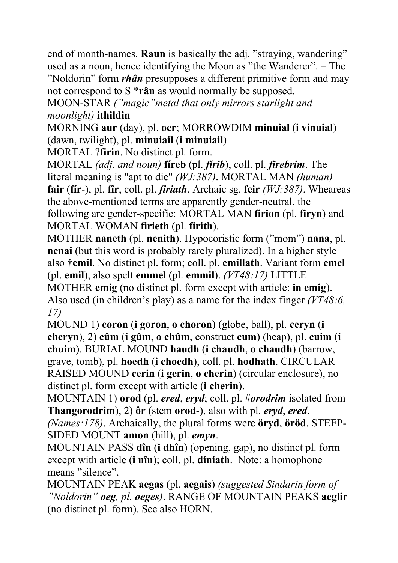end of month-names. **Raun** is basically the adj. "straying, wandering" used as a noun, hence identifying the Moon as "the Wanderer". – The "Noldorin" form *rhân* presupposes a different primitive form and may not correspond to S \***rân** as would normally be supposed.

MOON-STAR *("magic"metal that only mirrors starlight and moonlight)* **ithildin** 

MORNING **aur** (day), pl. **oer**; MORROWDIM **minuial** (**i vinuial**) (dawn, twilight), pl. **minuiail** (**i minuiail**)

MORTAL ?**firin**. No distinct pl. form.

MORTAL *(adj. and noun)* **fíreb** (pl. *fírib*), coll. pl. *firebrim*. The literal meaning is "apt to die" *(WJ:387)*. MORTAL MAN *(human)* **fair** (**fír**-), pl. **fîr**, coll. pl. *firiath*. Archaic sg. **feir** *(WJ:387)*. Wheareas the above-mentioned terms are apparently gender-neutral, the following are gender-specific: MORTAL MAN **firion** (pl. **firyn**) and MORTAL WOMAN **firieth** (pl. **firith**).

MOTHER **naneth** (pl. **nenith**). Hypocoristic form ("mom") **nana**, pl. **nenai** (but this word is probably rarely pluralized). In a higher style also †**emil**. No distinct pl. form; coll. pl. **emillath**. Variant form **emel** (pl. **emil**), also spelt **emmel** (pl. **emmil**). *(VT48:17)* LITTLE MOTHER **emig** (no distinct pl. form except with article: **in emig**).

Also used (in children's play) as a name for the index finger *(VT48:6, 17)*

MOUND 1) **coron** (**i goron**, **o choron**) (globe, ball), pl. **ceryn** (**i cheryn**), 2) **cûm** (**i gûm**, **o chûm**, construct **cum**) (heap), pl. **cuim** (**i chuim**). BURIAL MOUND **haudh** (**i chaudh**, **o chaudh**) (barrow, grave, tomb), pl. **hoedh** (**i choedh**), coll. pl. **hodhath**. CIRCULAR RAISED MOUND **cerin** (**i gerin**, **o cherin**) (circular enclosure), no distinct pl. form except with article (**i cherin**).

MOUNTAIN 1) **orod** (pl. *ered*, *eryd*; coll. pl. #*orodrim* isolated from **Thangorodrim**), 2) **ôr** (stem **orod**-), also with pl. *eryd*, *ered*.

*(Names:178)*. Archaically, the plural forms were **öryd**, **öröd**. STEEP-SIDED MOUNT **amon** (hill), pl. *emyn*.

MOUNTAIN PASS **dîn** (**i dhîn**) (opening, gap), no distinct pl. form except with article (**i nîn**); coll. pl. **díniath**. Note: a homophone means "silence".

MOUNTAIN PEAK **aegas** (pl. **aegais**) *(suggested Sindarin form of "Noldorin" oeg, pl. oeges)*. RANGE OF MOUNTAIN PEAKS **aeglir** (no distinct pl. form). See also HORN.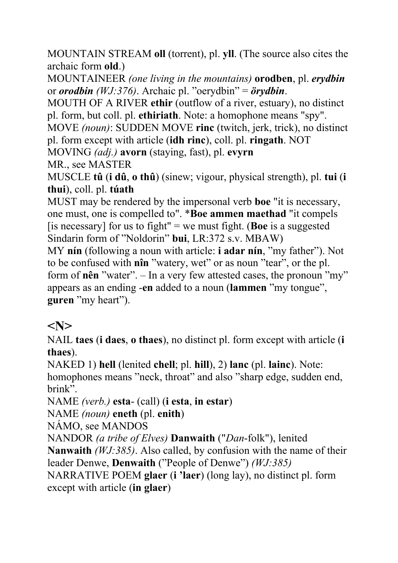MOUNTAIN STREAM **oll** (torrent), pl. **yll**. (The source also cites the archaic form **old**.)

MOUNTAINEER *(one living in the mountains)* **orodben**, pl. *erydbin* or *orodbin (WJ:376)*. Archaic pl. "oerydbin" = *örydbin*.

MOUTH OF A RIVER **ethir** (outflow of a river, estuary), no distinct pl. form, but coll. pl. **ethiriath**. Note: a homophone means "spy".

MOVE *(noun)*: SUDDEN MOVE **rinc** (twitch, jerk, trick), no distinct pl. form except with article (**idh rinc**), coll. pl. **ringath**. NOT

MOVING *(adj.)* **avorn** (staying, fast), pl. **evyrn**

MR., see MASTER

MUSCLE **tû** (**i dû**, **o thû**) (sinew; vigour, physical strength), pl. **tui** (**i thui**), coll. pl. **túath** 

MUST may be rendered by the impersonal verb **boe** "it is necessary, one must, one is compelled to". \***Boe ammen maethad** "it compels [is necessary] for us to fight" = we must fight. (**Boe** is a suggested Sindarin form of "Noldorin" **bui**, LR:372 s.v. MBAW)

MY **nín** (following a noun with article: **i adar nín**, "my father"). Not to be confused with **nîn** "watery, wet" or as noun "tear", or the pl. form of **nên** "water". – In a very few attested cases, the pronoun "my" appears as an ending -**en** added to a noun (**lammen** "my tongue", **guren** "my heart").

### **<N>**

NAIL **taes** (**i daes**, **o thaes**), no distinct pl. form except with article (**i thaes**).

NAKED 1) **hell** (lenited **chell**; pl. **hill**), 2) **lanc** (pl. **lainc**). Note: homophones means "neck, throat" and also "sharp edge, sudden end, brink".

NAME *(verb.)* **esta**- (call) (**i esta**, **in estar**)

NAME *(noun)* **eneth** (pl. **enith**)

NÁMO, see MANDOS

NANDOR *(a tribe of Elves)* **Danwaith** ("*Dan*-folk"), lenited

**Nanwaith** *(WJ:385)*. Also called, by confusion with the name of their leader Denwe, **Denwaith** ("People of Denwe") *(WJ:385)*

NARRATIVE POEM **glaer** (**i 'laer**) (long lay), no distinct pl. form except with article (**in glaer**)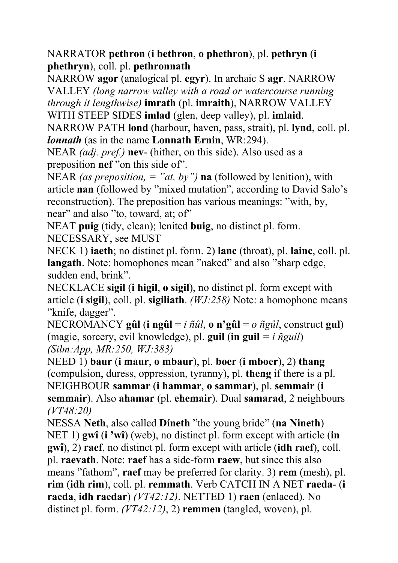NARRATOR **pethron** (**i bethron**, **o phethron**), pl. **pethryn** (**i phethryn**), coll. pl. **pethronnath**

NARROW **agor** (analogical pl. **egyr**). In archaic S **agr**. NARROW VALLEY *(long narrow valley with a road or watercourse running through it lengthwise)* **imrath** (pl. **imraith**), NARROW VALLEY WITH STEEP SIDES **imlad** (glen, deep valley), pl. **imlaid**.

NARROW PATH **lond** (harbour, haven, pass, strait), pl. **lynd**, coll. pl. *lonnath* (as in the name **Lonnath Ernin**, WR:294).

NEAR *(adj. pref.)* **nev**- (hither, on this side). Also used as a preposition **nef** "on this side of".

NEAR *(as preposition, = "at, by")* **na** (followed by lenition), with article **nan** (followed by "mixed mutation", according to David Salo's reconstruction). The preposition has various meanings: "with, by, near" and also "to, toward, at; of"

NEAT **puig** (tidy, clean); lenited **buig**, no distinct pl. form. NECESSARY, see MUST

NECK 1) **iaeth**; no distinct pl. form. 2) **lanc** (throat), pl. **lainc**, coll. pl. **langath**. Note: homophones mean "naked" and also "sharp edge, sudden end, brink".

NECKLACE **sigil** (**i higil**, **o sigil**), no distinct pl. form except with article (**i sigil**), coll. pl. **sigiliath**. *(WJ:258)* Note: a homophone means "knife, dagger".

NECROMANCY **gûl** (**i ngûl** = *i ñûl*, **o n'gûl** = *o ñgûl*, construct **gul**) (magic, sorcery, evil knowledge), pl. **guil** (**in guil** *= i ñguil*) *(Silm:App, MR:250, WJ:383)*

NEED 1) **baur** (**i maur**, **o mbaur**), pl. **boer** (**i mboer**), 2) **thang** (compulsion, duress, oppression, tyranny), pl. **theng** if there is a pl. NEIGHBOUR **sammar** (**i hammar**, **o sammar**), pl. **semmair** (**i semmair**). Also **ahamar** (pl. **ehemair**). Dual **samarad**, 2 neighbours *(VT48:20)*

NESSA **Neth**, also called **Díneth** "the young bride" (**na Nineth**) NET 1) **gwî** (**i 'wî**) (web), no distinct pl. form except with article (**in gwî**), 2) **raef**, no distinct pl. form except with article (**idh raef**), coll. pl. **raevath**. Note: **raef** has a side-form **raew**, but since this also means "fathom", **raef** may be preferred for clarity. 3) **rem** (mesh), pl. **rim** (**idh rim**), coll. pl. **remmath**. Verb CATCH IN A NET **raeda**- (**i raeda**, **idh raedar**) *(VT42:12)*. NETTED 1) **raen** (enlaced). No distinct pl. form. *(VT42:12)*, 2) **remmen** (tangled, woven), pl.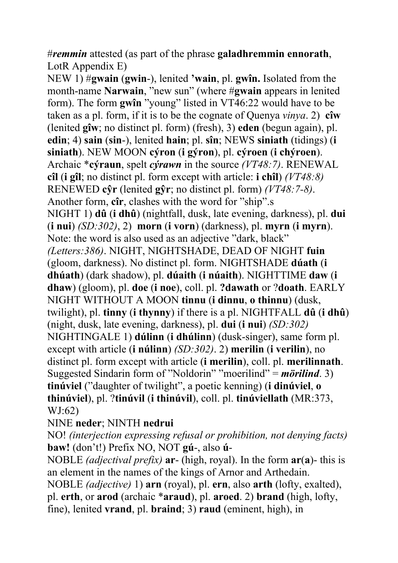#*remmin* attested (as part of the phrase **galadhremmin ennorath**, LotR Appendix E)

NEW 1) #**gwain** (**gwin**-), lenited **'wain**, pl. **gwîn.** Isolated from the month-name **Narwain**, "new sun" (where #**gwain** appears in lenited form). The form **gwîn** "young" listed in VT46:22 would have to be taken as a pl. form, if it is to be the cognate of Quenya *vinya*. 2) **cîw** (lenited **gîw**; no distinct pl. form) (fresh), 3) **eden** (begun again), pl. **edin**; 4) **sain** (**sin**-), lenited **hain**; pl. **sîn**; NEWS **siniath** (tidings) (**i siniath**). NEW MOON **cýron** (**i gýron**), pl. **cýroen** (**i chýroen**). Archaic \***cýraun**, spelt *cýrawn* in the source *(VT48:7)*. RENEWAL **cîl** (**i gîl**; no distinct pl. form except with article: **i chîl**) *(VT48:8)* RENEWED **cŷr** (lenited **gŷr**; no distinct pl. form) *(VT48:7-8)*. Another form, **cîr**, clashes with the word for "ship".s NIGHT 1) **dû** (**i dhû**) (nightfall, dusk, late evening, darkness), pl. **dui** (**i nui**) *(SD:302)*, 2) **morn** (**i vorn**) (darkness), pl. **myrn** (**i myrn**). Note: the word is also used as an adjective "dark, black" *(Letters:386)*. NIGHT, NIGHTSHADE, DEAD OF NIGHT **fuin** (gloom, darkness). No distinct pl. form. NIGHTSHADE **dúath** (**i dhúath**) (dark shadow), pl. **dúaith** (**i núaith**). NIGHTTIME **daw** (**i dhaw**) (gloom), pl. **doe** (**i noe**), coll. pl. **?dawath** or ?**doath**. EARLY NIGHT WITHOUT A MOON **tinnu** (**i dinnu**, **o thinnu**) (dusk, twilight), pl. **tinny** (**i thynny**) if there is a pl. NIGHTFALL **dû** (**i dhû**) (night, dusk, late evening, darkness), pl. **dui** (**i nui**) *(SD:302)* NIGHTINGALE 1) **dúlinn** (**i dhúlinn**) (dusk-singer), same form pl. except with article (**i núlinn**) *(SD:302)*. 2) **merilin** (**i verilin**), no distinct pl. form except with article (**i merilin**), coll. pl. **merilinnath**. Suggested Sindarin form of "Noldorin" "moerilind" = *mörilind*. 3) **tinúviel** ("daughter of twilight", a poetic kenning) (**i dinúviel**, **o thinúviel**), pl. ?**tinúvil** (**i thinúvil**), coll. pl. **tinúviellath** (MR:373, WJ:62)

#### NINE **neder**; NINTH **nedrui**

NO! *(interjection expressing refusal or prohibition, not denying facts)* **baw!** (don't!) Prefix NO, NOT **gú**-, also **ú**-

NOBLE *(adjectival prefix)* **ar**- (high, royal). In the form **ar**(**a**)- this is an element in the names of the kings of Arnor and Arthedain.

NOBLE *(adjective)* 1) **arn** (royal), pl. **ern**, also **arth** (lofty, exalted), pl. **erth**, or **arod** (archaic \***araud**), pl. **aroed**. 2) **brand** (high, lofty, fine), lenited **vrand**, pl. **braind**; 3) **raud** (eminent, high), in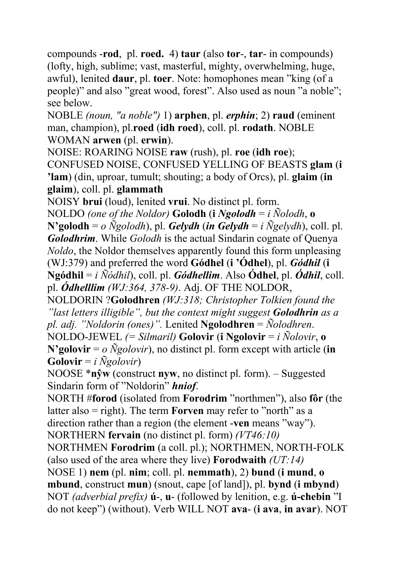compounds -**rod**, pl. **roed.** 4) **taur** (also **tor**-, **tar**- in compounds) (lofty, high, sublime; vast, masterful, mighty, overwhelming, huge, awful), lenited **daur**, pl. **toer**. Note: homophones mean "king (of a people)" and also "great wood, forest". Also used as noun "a noble"; see below.

NOBLE *(noun, "a noble")* 1) **arphen**, pl. *erphin*; 2) **raud** (eminent man, champion), pl.**roed** (**idh roed**), coll. pl. **rodath**. NOBLE WOMAN **arwen** (pl. **erwin**).

NOISE: ROARING NOISE **raw** (rush), pl. **roe** (**idh roe**); CONFUSED NOISE, CONFUSED YELLING OF BEASTS **glam** (**i 'lam**) (din, uproar, tumult; shouting; a body of Orcs), pl. **glaim** (**in glaim**), coll. pl. **glammath**

NOISY **brui** (loud), lenited **vrui**. No distinct pl. form.

NOLDO *(one of the Noldor)* **Golodh** (**i**  $N$ golodh = *i*  $\tilde{N}$ olodh, **o N'golodh** =  $o \tilde{N}$ golodh), pl. *Gelydh* (*in Gelydh* = *i*  $\tilde{N}$ gelydh), coll. pl. *Golodhrim*. While *Golodh* is the actual Sindarin cognate of Quenya *Noldo*, the Noldor themselves apparently found this form unpleasing (WJ:379) and preferred the word **Gódhel** (**i 'Ódhel**), pl. *Gódhil* (**i Ngódhil** = *i Ñódhil*), coll. pl. *Gódhellim*. Also **Ódhel**, pl. *Ódhil*, coll. pl. *Ódhelllim (WJ:364, 378-9)*. Adj. OF THE NOLDOR,

NOLDORIN ?**Golodhren** *(WJ:318; Christopher Tolkien found the "last letters illigible", but the context might suggest Golodhrin as a pl. adj. "Noldorin (ones)".* Lenited **Ngolodhren** = *Ñolodhren*.

NOLDO-JEWEL *(= Silmaril)* **Golovir** (**i Ngolovir** = *i Ñolovir*, **o N'golovir** =  $o$   $\tilde{N}$ *golovir*), no distinct pl. form except with article (**in Golovir** = *i Ñgolovir*)

NOOSE \***nŷw** (construct **nyw**, no distinct pl. form). – Suggested Sindarin form of "Noldorin" *hniof*.

NORTH #**forod** (isolated from **Forodrim** "northmen"), also **fôr** (the latter also = right). The term **Forven** may refer to "north" as a direction rather than a region (the element -**ven** means "way"). NORTHERN **fervain** (no distinct pl. form) *(VT46:10)*

NORTHMEN **Forodrim** (a coll. pl.); NORTHMEN, NORTH-FOLK (also used of the area where they live) **Forodwaith** *(UT:14)*

NOSE 1) **nem** (pl. **nim**; coll. pl. **nemmath**), 2) **bund** (**i mund**, **o mbund**, construct **mun**) (snout, cape [of land]), pl. **bynd** (**i mbynd**) NOT *(adverbial prefix)* **ú**-, **u**- (followed by lenition, e.g. **ú-chebin** "I do not keep") (without). Verb WILL NOT **ava**- (**i ava**, **in avar**). NOT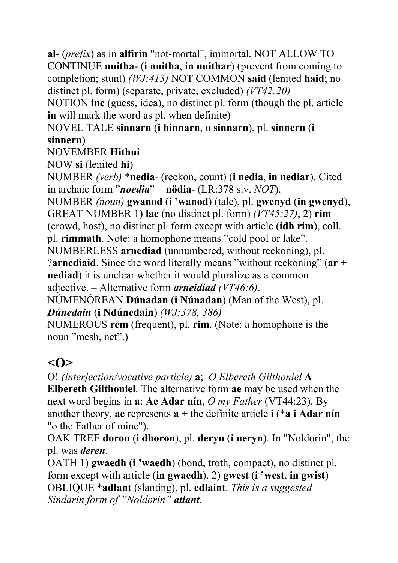**al**- (*prefix*) as in **alfirin** "not-mortal", immortal. NOT ALLOW TO CONTINUE **nuitha**- (**i nuitha**, **in nuithar**) (prevent from coming to completion; stunt) *(WJ:413)* NOT COMMON **said** (lenited **haid**; no distinct pl. form) (separate, private, excluded) *(VT42:20)*

NOTION **inc** (guess, idea), no distinct pl. form (though the pl. article **in** will mark the word as pl. when definite)

NOVEL TALE **sinnarn** (**i hinnarn**, **o sinnarn**), pl. **sinnern** (**i sinnern**)

NOVEMBER **Hithui**

NOW **si** (lenited **hi**)

NUMBER *(verb)* \***nedia**- (reckon, count) (**i nedia**, **in nediar**). Cited in archaic form "*noedia*" = **nödia**- (LR:378 s.v. *NOT*).

NUMBER *(noun)* **gwanod** (**i 'wanod**) (tale), pl. **gwenyd** (**in gwenyd**), GREAT NUMBER 1) **lae** (no distinct pl. form) *(VT45:27)*, 2) **rim**

(crowd, host), no distinct pl. form except with article (**idh rim**), coll.

pl. **rimmath**. Note: a homophone means "cold pool or lake".

NUMBERLESS **arnediad** (unnumbered, without reckoning), pl.

?**arnediaid**. Since the word literally means "without reckoning" (**ar + nediad**) it is unclear whether it would pluralize as a common adjective. – Alternative form *arneidiad (VT46:6)*.

NÚMENÓREAN **Dúnadan** (**i Núnadan**) (Man of the West), pl. *Dúnedain* (**i Ndúnedain**) *(WJ:378, 386)*

NUMEROUS **rem** (frequent), pl. **rim**. (Note: a homophone is the noun "mesh, net".)

# **<O>**

O! *(interjection/vocative particle)* **a**; *O Elbereth Gilthoniel* **A Elbereth Gilthoniel**. The alternative form **ae** may be used when the next word begins in **a**: **Ae Adar nín**, *O my Father* (VT44:23). By another theory, **ae** represents **a** + the definite article **i** (\***a i Adar nín** "o the Father of mine").

OAK TREE **doron** (**i dhoron**), pl. **deryn** (**i neryn**). In "Noldorin", the pl. was *deren*.

OATH 1) **gwaedh** (**i 'waedh**) (bond, troth, compact), no distinct pl. form except with article (**in gwaedh**). 2) **gwest** (**i 'west**, **in gwist**) OBLIQUE \***adlant** (slanting), pl. **edlaint**. *This is a suggested Sindarin form of "Noldorin" atlant.*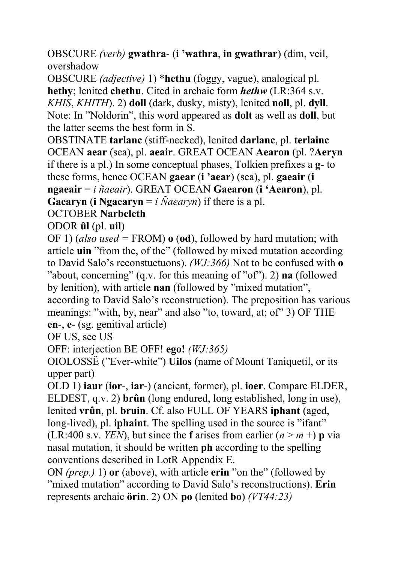OBSCURE *(verb)* **gwathra**- (**i 'wathra**, **in gwathrar**) (dim, veil, overshadow

OBSCURE *(adjective)* 1) \***hethu** (foggy, vague), analogical pl. **hethy**; lenited **chethu**. Cited in archaic form *hethw* (LR:364 s.v. *KHIS*, *KHITH*). 2) **doll** (dark, dusky, misty), lenited **noll**, pl. **dyll**. Note: In "Noldorin", this word appeared as **dolt** as well as **doll**, but the latter seems the best form in S.

OBSTINATE **tarlanc** (stiff-necked), lenited **darlanc**, pl. **terlainc** OCEAN **aear** (sea), pl. **aeair**. GREAT OCEAN **Aearon** (pl. ?**Aeryn** if there is a pl.) In some conceptual phases, Tolkien prefixes a **g**- to these forms, hence OCEAN **gaear** (**i 'aear**) (sea), pl. **gaeair** (**i ngaeair** = *i ñaeair*). GREAT OCEAN **Gaearon** (**i 'Aearon**), pl. **Gaearyn** (**i Ngaearyn** =  $i$   $\tilde{N}$ *aearyn*) if there is a pl.

#### OCTOBER **Narbeleth**

ODOR **ûl** (pl. **uil**)

OF 1) (*also used =* FROM) **o** (**od**), followed by hard mutation; with article **uin** "from the, of the" (followed by mixed mutation according to David Salo's reconstuctuons). *(WJ:366)* Not to be confused with **o** "about, concerning" (q.v. for this meaning of "of"). 2) **na** (followed by lenition), with article **nan** (followed by "mixed mutation", according to David Salo's reconstruction). The preposition has various meanings: "with, by, near" and also "to, toward, at; of" 3) OF THE **en**-, **e**- (sg. genitival article)

OF US, see US

OFF: interjection BE OFF! **ego!** *(WJ:365)*

OIOLOSSË ("Ever-white") **Uilos** (name of Mount Taniquetil, or its upper part)

OLD 1) **iaur** (**ior**-, **iar**-) (ancient, former), pl. **ioer**. Compare ELDER, ELDEST, q.v. 2) **brûn** (long endured, long established, long in use), lenited **vrûn**, pl. **bruin**. Cf. also FULL OF YEARS **iphant** (aged, long-lived), pl. **iphaint**. The spelling used in the source is "ifant" (LR:400 s.v. *YEN*), but since the **f** arises from earlier  $(n > m +)$  **p** via nasal mutation, it should be written **ph** according to the spelling conventions described in LotR Appendix E.

ON *(prep.)* 1) **or** (above), with article **erin** "on the" (followed by "mixed mutation" according to David Salo's reconstructions). **Erin** represents archaic **örin**. 2) ON **po** (lenited **bo**) *(VT44:23)*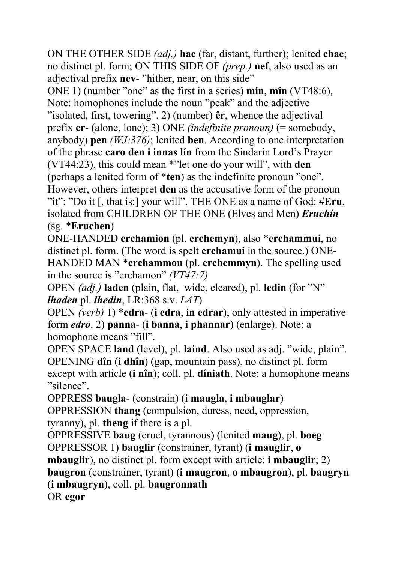ON THE OTHER SIDE *(adj.)* **hae** (far, distant, further); lenited **chae**; no distinct pl. form; ON THIS SIDE OF *(prep.)* **nef**, also used as an adjectival prefix **nev**- "hither, near, on this side"

ONE 1) (number "one" as the first in a series) **min**, **mîn** (VT48:6), Note: homophones include the noun "peak" and the adjective "isolated, first, towering". 2) (number) **êr**, whence the adjectival prefix **er**- (alone, lone); 3) ONE *(indefinite pronoun)* (= somebody, anybody) **pen** *(WJ:376)*; lenited **ben**. According to one interpretation of the phrase **caro den i innas lín** from the Sindarin Lord's Prayer (VT44:23), this could mean \*"let one do your will", with **den** (perhaps a lenited form of \***ten**) as the indefinite pronoun "one". However, others interpret **den** as the accusative form of the pronoun "it": "Do it [, that is:] your will". THE ONE as a name of God: #**Eru**, isolated from CHILDREN OF THE ONE (Elves and Men) *Eruchín* (sg. \***Eruchen**)

ONE-HANDED **erchamion** (pl. **erchemyn**), also \***erchammui**, no distinct pl. form. (The word is spelt **erchamui** in the source.) ONE-HANDED MAN \***erchammon** (pl. **erchemmyn**). The spelling used in the source is "erchamon" *(VT47:7)*

OPEN *(adj.)* **laden** (plain, flat, wide, cleared), pl. **ledin** (for "N" *lhaden* pl. *lhedin*, LR:368 s.v. *LAT*)

OPEN *(verb)* 1) \***edra**- (**i edra**, **in edrar**), only attested in imperative form *edro*. 2) **panna**- (**i banna**, **i phannar**) (enlarge). Note: a homophone means "fill".

OPEN SPACE **land** (level), pl. **laind**. Also used as adj. "wide, plain". OPENING **dîn** (**i dhîn**) (gap, mountain pass), no distinct pl. form except with article (**i nîn**); coll. pl. **díniath**. Note: a homophone means "silence".

OPPRESS **baugla**- (constrain) (**i maugla**, **i mbauglar**) OPPRESSION **thang** (compulsion, duress, need, oppression, tyranny), pl. **theng** if there is a pl.

OPPRESSIVE **baug** (cruel, tyrannous) (lenited **maug**), pl. **boeg** OPPRESSOR 1) **bauglir** (constrainer, tyrant) (**i mauglir**, **o** 

**mbauglir**), no distinct pl. form except with article: **i mbauglir**; 2)

**baugron** (constrainer, tyrant) (**i maugron**, **o mbaugron**), pl. **baugryn** (**i mbaugryn**), coll. pl. **baugronnath** 

OR **egor**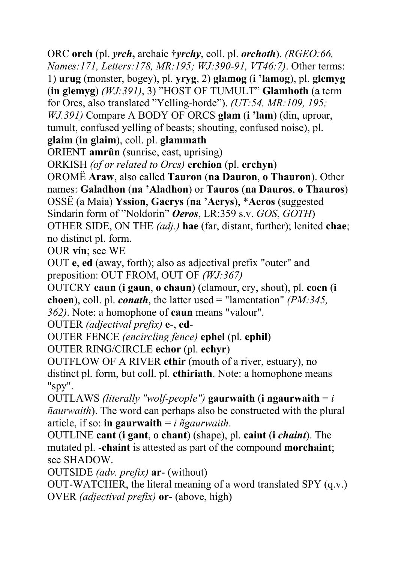ORC **orch** (pl. *yrch***,** archaic †*yrchy*, coll. pl. *orchoth*). *(RGEO:66, Names:171, Letters:178, MR:195; WJ:390-91, VT46:7)*. Other terms: 1) **urug** (monster, bogey), pl. **yryg**, 2) **glamog** (**i 'lamog**), pl. **glemyg** (**in glemyg**) *(WJ:391)*, 3) "HOST OF TUMULT" **Glamhoth** (a term for Orcs, also translated "Yelling-horde"). *(UT:54, MR:109, 195; WJ.391)* Compare A BODY OF ORCS **glam** (**i 'lam**) (din, uproar, tumult, confused yelling of beasts; shouting, confused noise), pl. **glaim** (**in glaim**), coll. pl. **glammath**

ORIENT **amrûn** (sunrise, east, uprising)

ORKISH *(of or related to Orcs)* **erchion** (pl. **erchyn**)

OROMË **Araw**, also called **Tauron** (**na Dauron**, **o Thauron**). Other names: **Galadhon** (**na 'Aladhon**) or **Tauros** (**na Dauros**, **o Thauros**) OSSË (a Maia) **Yssion**, **Gaerys** (**na 'Aerys**), \***Aeros** (suggested Sindarin form of "Noldorin" *Oeros*, LR:359 s.v. *GOS*, *GOTH*)

OTHER SIDE, ON THE *(adj.)* **hae** (far, distant, further); lenited **chae**; no distinct pl. form.

OUR **vín**; see WE

OUT **e**, **ed** (away, forth); also as adjectival prefix "outer" and preposition: OUT FROM, OUT OF *(WJ:367)*

OUTCRY **caun** (**i gaun**, **o chaun**) (clamour, cry, shout), pl. **coen** (**i choen**), coll. pl. *conath*, the latter used = "lamentation" *(PM:345, 362)*. Note: a homophone of **caun** means "valour".

OUTER *(adjectival prefix)* **e**-, **ed**-

OUTER FENCE *(encircling fence)* **ephel** (pl. **ephil**)

OUTER RING/CIRCLE **echor** (pl. **echyr**)

OUTFLOW OF A RIVER **ethir** (mouth of a river, estuary), no distinct pl. form, but coll. pl. **ethiriath**. Note: a homophone means "spy".

OUTLAWS *(literally "wolf-people")* **gaurwaith** (**i ngaurwaith** = *i ñaurwaith*). The word can perhaps also be constructed with the plural article, if so: **in gaurwaith** = *i ñgaurwaith*.

OUTLINE **cant** (**i gant**, **o chant**) (shape), pl. **caint** (**i** *chaint*). The mutated pl. -**chaint** is attested as part of the compound **morchaint**; see SHADOW.

OUTSIDE *(adv. prefix)* **ar**- (without)

OUT-WATCHER, the literal meaning of a word translated SPY (q.v.) OVER *(adjectival prefix)* **or**- (above, high)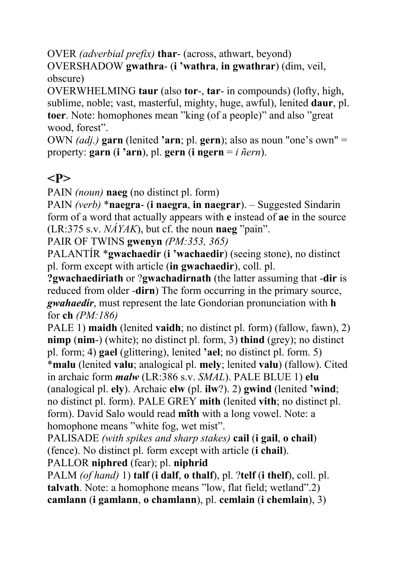OVER *(adverbial prefix)* **thar**- (across, athwart, beyond) OVERSHADOW **gwathra**- (**i 'wathra**, **in gwathrar**) (dim, veil, obscure)

OVERWHELMING **taur** (also **tor**-, **tar**- in compounds) (lofty, high, sublime, noble; vast, masterful, mighty, huge, awful), lenited **daur**, pl. **toer**. Note: homophones mean "king (of a people)" and also "great wood, forest".

OWN *(adj.)* **garn** (lenited **'arn**; pl. **gern**); also as noun "one's own" = property: **garn** (**i 'arn**), pl. **gern** (**i ngern** = *i ñern*).

### **<P>**

PAIN *(noun)* **naeg** (no distinct pl. form)

PAIN *(verb)* \***naegra**- (**i naegra**, **in naegrar**). – Suggested Sindarin form of a word that actually appears with **e** instead of **ae** in the source (LR:375 s.v. *NÁYAK*), but cf. the noun **naeg** "pain".

PAIR OF TWINS **gwenyn** *(PM:353, 365)* 

PALANTÍR \***gwachaedir** (**i 'wachaedir**) (seeing stone), no distinct pl. form except with article (**in gwachaedir**), coll. pl.

**?gwachaediriath** or ?**gwachadirnath** (the latter assuming that -**dir** is reduced from older -**dirn**) The form occurring in the primary source, *gwahaedir*, must represent the late Gondorian pronunciation with **h** for **ch** *(PM:186)*

PALE 1) **maidh** (lenited **vaidh**; no distinct pl. form) (fallow, fawn), 2) **nimp** (**nim**-) (white); no distinct pl. form, 3) **thind** (grey); no distinct pl. form; 4) **gael** (glittering), lenited **'ael**; no distinct pl. form. 5) \***malu** (lenited **valu**; analogical pl. **mely**; lenited **valu**) (fallow). Cited

in archaic form *malw* (LR:386 s.v. *SMAL*). PALE BLUE 1) **elu** (analogical pl. **ely**). Archaic **elw** (pl. **ilw**?). 2) **gwind** (lenited **'wind**; no distinct pl. form). PALE GREY **mith** (lenited **vith**; no distinct pl. form). David Salo would read **mîth** with a long vowel. Note: a homophone means "white fog, wet mist".

PALISADE *(with spikes and sharp stakes)* **cail** (**i gail**, **o chail**) (fence). No distinct pl. form except with article (**i chail**).

PALLOR **niphred** (fear); pl. **niphrid**

PALM *(of hand)* 1) **talf** (**i dalf**, **o thalf**), pl. ?**telf** (**i thelf**), coll. pl. **talvath**. Note: a homophone means "low, flat field; wetland".2) **camlann** (**i gamlann**, **o chamlann**), pl. **cemlain** (**i chemlain**), 3)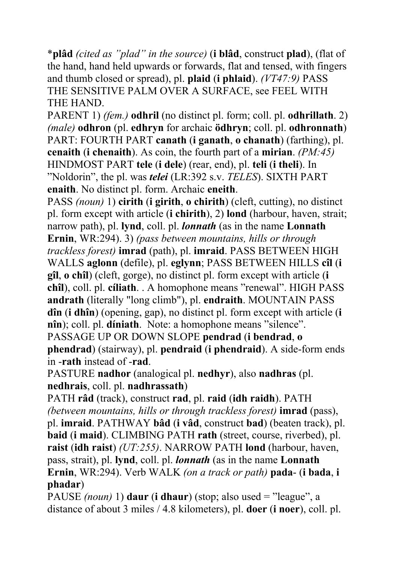\***plâd** *(cited as "plad" in the source)* (**i blâd**, construct **plad**), (flat of the hand, hand held upwards or forwards, flat and tensed, with fingers and thumb closed or spread), pl. **plaid** (**i phlaid**). *(VT47:9)* PASS THE SENSITIVE PALM OVER A SURFACE, see FEEL WITH THE HAND.

PARENT 1) *(fem.)* **odhril** (no distinct pl. form; coll. pl. **odhrillath**. 2) *(male)* **odhron** (pl. **edhryn** for archaic **ödhryn**; coll. pl. **odhronnath**) PART: FOURTH PART **canath** (**i ganath**, **o chanath**) (farthing), pl. **cenaith** (**i chenaith**). As coin, the fourth part of a **mirian**. *(PM:45)* HINDMOST PART **tele** (**i dele**) (rear, end), pl. **teli** (**i theli**). In "Noldorin", the pl. was *telei* (LR:392 s.v. *TELES*). SIXTH PART **enaith**. No distinct pl. form. Archaic **eneith**.

PASS *(noun)* 1) **cirith** (**i girith**, **o chirith**) (cleft, cutting), no distinct pl. form except with article (**i chirith**), 2) **lond** (harbour, haven, strait; narrow path), pl. **lynd**, coll. pl. *lonnath* (as in the name **Lonnath Ernin**, WR:294). 3) *(pass between mountains, hills or through trackless forest)* **imrad** (path), pl. **imraid**. PASS BETWEEN HIGH WALLS **aglonn** (defile), pl. **eglynn**; PASS BETWEEN HILLS **cîl** (**i gîl**, **o chîl**) (cleft, gorge), no distinct pl. form except with article (**i chîl**), coll. pl. **cíliath**. . A homophone means "renewal". HIGH PASS **andrath** (literally "long climb"), pl. **endraith**. MOUNTAIN PASS **dîn** (**i dhîn**) (opening, gap), no distinct pl. form except with article (**i nîn**); coll. pl. **díniath**. Note: a homophone means "silence". PASSAGE UP OR DOWN SLOPE **pendrad** (**i bendrad**, **o** 

**phendrad**) (stairway), pl. **pendraid** (**i phendraid**). A side-form ends in -**rath** instead of -**rad**.

PASTURE **nadhor** (analogical pl. **nedhyr**), also **nadhras** (pl. **nedhrais**, coll. pl. **nadhrassath**)

PATH **râd** (track), construct **rad**, pl. **raid** (**idh raidh**). PATH *(between mountains, hills or through trackless forest)* **imrad** (pass), pl. **imraid**. PATHWAY **bâd** (**i vâd**, construct **bad**) (beaten track), pl. **baid** (**i maid**). CLIMBING PATH **rath** (street, course, riverbed), pl. **raist** (**idh raist**) *(UT:255)*. NARROW PATH **lond** (harbour, haven, pass, strait), pl. **lynd**, coll. pl. *lonnath* (as in the name **Lonnath Ernin**, WR:294). Verb WALK *(on a track or path)* **pada**- (**i bada**, **i phadar**)

PAUSE *(noun)* 1) **daur** (**i dhaur**) (stop; also used = "league", a distance of about 3 miles / 4.8 kilometers), pl. **doer** (**i noer**), coll. pl.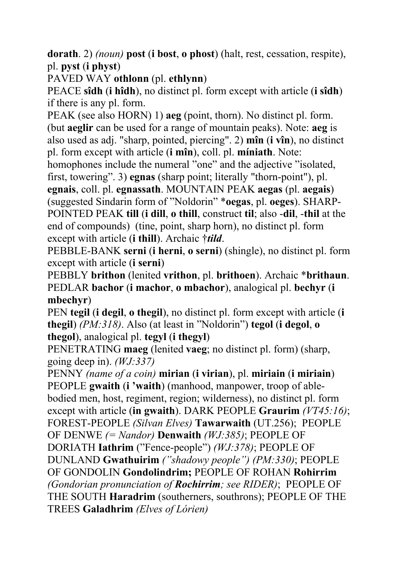**dorath**. 2) *(noun)* **post** (**i bost**, **o phost**) (halt, rest, cessation, respite), pl. **pyst** (**i physt**)

PAVED WAY **othlonn** (pl. **ethlynn**)

PEACE **sîdh** (**i hîdh**), no distinct pl. form except with article (**i sîdh**) if there is any pl. form.

PEAK (see also HORN) 1) **aeg** (point, thorn). No distinct pl. form. (but **aeglir** can be used for a range of mountain peaks). Note: **aeg** is also used as adj. "sharp, pointed, piercing". 2) **mîn** (**i vîn**), no distinct pl. form except with article (**i mîn**), coll. pl. **míniath**. Note:

homophones include the numeral "one" and the adjective "isolated, first, towering". 3) **egnas** (sharp point; literally "thorn-point"), pl.

**egnais**, coll. pl. **egnassath**. MOUNTAIN PEAK **aegas** (pl. **aegais**) (suggested Sindarin form of "Noldorin" \***oegas**, pl. **oeges**). SHARP-POINTED PEAK **till** (**i dill**, **o thill**, construct **til**; also -**dil**, -**thil** at the end of compounds) (tine, point, sharp horn), no distinct pl. form except with article (**i thill**). Archaic †*tild*.

PEBBLE-BANK **serni** (**i herni**, **o serni**) (shingle), no distinct pl. form except with article (**i serni**)

PEBBLY **brithon** (lenited **vrithon**, pl. **brithoen**). Archaic \***brithaun**. PEDLAR **bachor** (**i machor**, **o mbachor**), analogical pl. **bechyr** (**i mbechyr**)

PEN **tegil** (**i degil**, **o thegil**), no distinct pl. form except with article (**i thegil**) *(PM:318)*. Also (at least in "Noldorin") **tegol** (**i degol**, **o thegol**), analogical pl. **tegyl** (**i thegyl**)

PENETRATING **maeg** (lenited **vaeg**; no distinct pl. form) (sharp, going deep in). *(WJ:337)*

PENNY *(name of a coin)* **mirian** (**i virian**), pl. **miriain** (**i miriain**) PEOPLE **gwaith** (**i 'waith**) (manhood, manpower, troop of ablebodied men, host, regiment, region; wilderness), no distinct pl. form except with article (**in gwaith**). DARK PEOPLE **Graurim** *(VT45:16)*; FOREST-PEOPLE *(Silvan Elves)* **Tawarwaith** (UT.256); PEOPLE OF DENWE *(= Nandor)* **Denwaith** *(WJ:385)*; PEOPLE OF DORIATH **Iathrim** ("Fence-people") *(WJ:378)*; PEOPLE OF DUNLAND **Gwathuirim** *("shadowy people") (PM:330)*; PEOPLE OF GONDOLIN **Gondolindrim;** PEOPLE OF ROHAN **Rohirrim** *(Gondorian pronunciation of Rochirrim; see RIDER)*; PEOPLE OF THE SOUTH **Haradrim** (southerners, southrons); PEOPLE OF THE TREES **Galadhrim** *(Elves of Lórien)*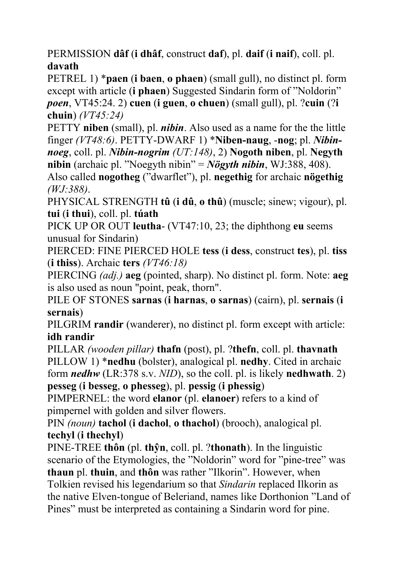PERMISSION **dâf** (**i dhâf**, construct **daf**), pl. **daif** (**i naif**), coll. pl. **davath**

PETREL 1) \***paen** (**i baen**, **o phaen**) (small gull), no distinct pl. form except with article (**i phaen**) Suggested Sindarin form of "Noldorin" *poen*, VT45:24. 2) **cuen** (**i guen**, **o chuen**) (small gull), pl. ?**cuin** (?**i chuin**) *(VT45:24)* 

PETTY **niben** (small), pl. *nibin*. Also used as a name for the the little finger *(VT48:6)*. PETTY-DWARF 1) \***Niben-naug**, -**nog**; pl. *Nibinnoeg*, coll. pl. *Nibin-nogrim (UT:148)*, 2) **Nogoth niben**, pl. **Negyth nibin** (archaic pl. "Noegyth nibin" = *Nögyth nibin*, WJ:388, 408).

Also called **nogotheg** ("dwarflet"), pl. **negethig** for archaic **nögethig** *(WJ:388)*.

PHYSICAL STRENGTH **tû** (**i dû**, **o thû**) (muscle; sinew; vigour), pl. **tui** (**i thui**), coll. pl. **túath**

PICK UP OR OUT **leutha**- (VT47:10, 23; the diphthong **eu** seems unusual for Sindarin)

PIERCED: FINE PIERCED HOLE **tess** (**i dess**, construct **tes**), pl. **tiss** (**i thiss**). Archaic **ters** *(VT46:18)*

PIERCING *(adj.)* **aeg** (pointed, sharp). No distinct pl. form. Note: **aeg** is also used as noun "point, peak, thorn".

PILE OF STONES **sarnas** (**i harnas**, **o sarnas**) (cairn), pl. **sernais** (**i sernais**)

PILGRIM **randir** (wanderer), no distinct pl. form except with article: **idh randir**

PILLAR *(wooden pillar)* **thafn** (post), pl. ?**thefn**, coll. pl. **thavnath**  PILLOW 1) \***nedhu** (bolster), analogical pl. **nedhy**. Cited in archaic form *nedhw* (LR:378 s.v. *NID*), so the coll. pl. is likely **nedhwath**. 2) **pesseg** (**i besseg**, **o phesseg**), pl. **pessig** (**i phessig**)

PIMPERNEL: the word **elanor** (pl. **elanoer**) refers to a kind of pimpernel with golden and silver flowers.

PIN *(noun)* **tachol** (**i dachol**, **o thachol**) (brooch), analogical pl. **techyl** (**i thechyl**)

PINE-TREE **thôn** (pl. **thŷn**, coll. pl. ?**thonath**). In the linguistic scenario of the Etymologies, the "Noldorin" word for "pine-tree" was **thaun** pl. **thuin**, and **thôn** was rather "Ilkorin". However, when Tolkien revised his legendarium so that *Sindarin* replaced Ilkorin as the native Elven-tongue of Beleriand, names like Dorthonion "Land of Pines" must be interpreted as containing a Sindarin word for pine.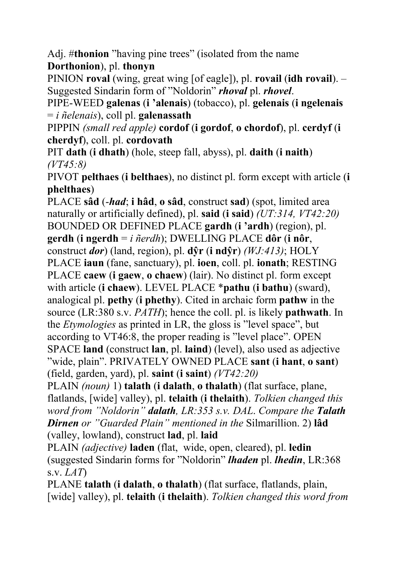Adj. #**thonion** "having pine trees" (isolated from the name **Dorthonion**), pl. **thonyn** 

PINION **roval** (wing, great wing [of eagle]), pl. **rovail** (**idh rovail**). – Suggested Sindarin form of "Noldorin" *rhoval* pl. *rhovel*.

PIPE-WEED **galenas** (**i 'alenais**) (tobacco), pl. **gelenais** (**i ngelenais** = *i ñelenais*), coll pl. **galenassath**

PIPPIN *(small red apple)* **cordof** (**i gordof**, **o chordof**), pl. **cerdyf** (**i cherdyf**), coll. pl. **cordovath**

PIT **dath** (**i dhath**) (hole, steep fall, abyss), pl. **daith** (**i naith**) *(VT45:8)*

PIVOT **pelthaes** (**i belthaes**), no distinct pl. form except with article (**i phelthaes**)

PLACE **sâd** (-*had*; **i hâd**, **o sâd**, construct **sad**) (spot, limited area naturally or artificially defined), pl. **said** (**i said**) *(UT:314, VT42:20)* BOUNDED OR DEFINED PLACE **gardh** (**i 'ardh**) (region), pl. **gerdh** (**i ngerdh** = *i ñerdh*); DWELLING PLACE **dôr** (**i nôr**, construct *dor*) (land, region), pl. **dŷr** (**i ndŷr**) *(WJ:413)*; HOLY PLACE **iaun** (fane, sanctuary), pl. **ioen**, coll. pl. **ionath**; RESTING PLACE **caew** (**i gaew**, **o chaew**) (lair). No distinct pl. form except with article (**i chaew**). LEVEL PLACE \***pathu** (**i bathu**) (sward), analogical pl. **pethy** (**i phethy**). Cited in archaic form **pathw** in the source (LR:380 s.v. *PATH*); hence the coll. pl. is likely **pathwath**. In the *Etymologies* as printed in LR, the gloss is "level space", but according to VT46:8, the proper reading is "level place". OPEN SPACE **land** (construct **lan**, pl. **laind**) (level), also used as adjective "wide, plain". PRIVATELY OWNED PLACE **sant** (**i hant**, **o sant**) (field, garden, yard), pl. **saint** (**i saint**) *(VT42:20)*

PLAIN *(noun)* 1) **talath** (**i dalath**, **o thalath**) (flat surface, plane, flatlands, [wide] valley), pl. **telaith** (**i thelaith**). *Tolkien changed this word from "Noldorin" dalath, LR:353 s.v. DAL*. *Compare the Talath Dirnen or "Guarded Plain" mentioned in the* Silmarillion. 2) **lâd** (valley, lowland), construct **lad**, pl. **laid**

PLAIN *(adjective)* **laden** (flat, wide, open, cleared), pl. **ledin** (suggested Sindarin forms for "Noldorin" *lhaden* pl. *lhedin*, LR:368 s.v. *LAT*)

PLANE **talath** (**i dalath**, **o thalath**) (flat surface, flatlands, plain, [wide] valley), pl. **telaith** (**i thelaith**). *Tolkien changed this word from*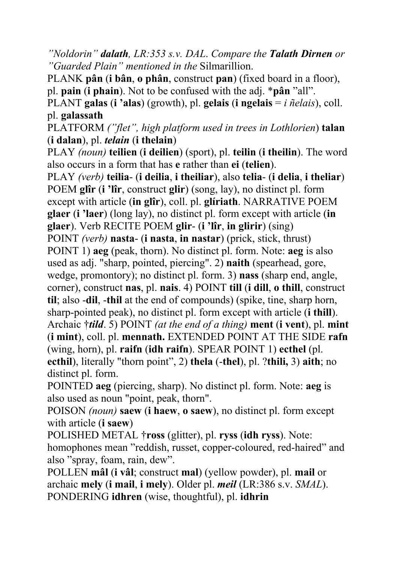*"Noldorin" dalath, LR:353 s.v. DAL*. *Compare the Talath Dirnen or "Guarded Plain" mentioned in the* Silmarillion.

PLANK **pân** (**i bân**, **o phân**, construct **pan**) (fixed board in a floor), pl. **pain** (**i phain**). Not to be confused with the adj. \***pân** "all".

PLANT **galas** (**i 'alas**) (growth), pl. **gelais** (**i ngelais** = *i ñelais*), coll. pl. **galassath**

PLATFORM *("flet", high platform used in trees in Lothlorien*) **talan** (**i dalan**), pl. *telain* (**i thelain**)

PLAY *(noun)* **teilien** (**i deilien**) (sport), pl. **teilin** (**i theilin**). The word also occurs in a form that has **e** rather than **ei** (**telien**).

PLAY *(verb)* **teilia**- (**i deilia**, **i theiliar**), also **telia**- (**i delia**, **i theliar**) POEM **glîr** (**i 'lîr**, construct **glir**) (song, lay), no distinct pl. form except with article (**in glîr**), coll. pl. **glíriath**. NARRATIVE POEM **glaer** (**i 'laer**) (long lay), no distinct pl. form except with article (**in glaer**). Verb RECITE POEM **glir**- (**i 'lîr**, **in glirir**) (sing) POINT *(verb)* **nasta**- (**i nasta**, **in nastar**) (prick, stick, thrust) POINT 1) **aeg** (peak, thorn). No distinct pl. form. Note: **aeg** is also used as adj. "sharp, pointed, piercing". 2) **naith** (spearhead, gore, wedge, promontory); no distinct pl. form. 3) **nass** (sharp end, angle, corner), construct **nas**, pl. **nais**. 4) POINT **till** (**i dill**, **o thill**, construct **til**; also -**dil**, -**thil** at the end of compounds) (spike, tine, sharp horn, sharp-pointed peak), no distinct pl. form except with article (**i thill**). Archaic †*tild*. 5) POINT *(at the end of a thing)* **ment** (**i vent**), pl. **mint** (**i mint**), coll. pl. **mennath.** EXTENDED POINT AT THE SIDE **rafn** (wing, horn), pl. **raifn** (**idh raifn**). SPEAR POINT 1) **ecthel** (pl. **ecthil**), literally "thorn point", 2) **thela** (-**thel**), pl. ?**thili,** 3) **aith**; no distinct pl. form.

POINTED **aeg** (piercing, sharp). No distinct pl. form. Note: **aeg** is also used as noun "point, peak, thorn".

POISON *(noun)* **saew** (**i haew**, **o saew**), no distinct pl. form except with article (**i saew**)

POLISHED METAL †**ross** (glitter), pl. **ryss** (**idh ryss**). Note: homophones mean "reddish, russet, copper-coloured, red-haired" and also "spray, foam, rain, dew".

POLLEN **mâl** (**i vâl**; construct **mal**) (yellow powder), pl. **mail** or archaic **mely** (**i mail**, **i mely**). Older pl. *meil* (LR:386 s.v. *SMAL*). PONDERING **idhren** (wise, thoughtful), pl. **idhrin**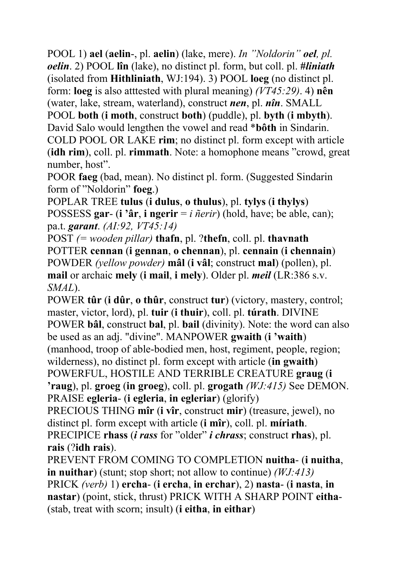POOL 1) **ael** (**aelin**-, pl. **aelin**) (lake, mere). *In "Noldorin" oel, pl. oelin*. 2) POOL **lîn** (lake), no distinct pl. form, but coll. pl. **#***liniath* (isolated from **Hithliniath**, WJ:194). 3) POOL **loeg** (no distinct pl. form: **loeg** is also atttested with plural meaning) *(VT45:29)*. 4) **nên** (water, lake, stream, waterland), construct *nen*, pl. *nîn*. SMALL POOL **both** (**i moth**, construct **both**) (puddle), pl. **byth** (**i mbyth**). David Salo would lengthen the vowel and read \***bôth** in Sindarin. COLD POOL OR LAKE **rim**; no distinct pl. form except with article (**idh rim**), coll. pl. **rimmath**. Note: a homophone means "crowd, great

number, host".

POOR **faeg** (bad, mean). No distinct pl. form. (Suggested Sindarin form of "Noldorin" **foeg**.)

POPLAR TREE **tulus** (**i dulus**, **o thulus**), pl. **tylys** (**i thylys**) POSSESS **gar**- (**i 'âr**, **i ngerir** = *i ñerir*) (hold, have; be able, can); pa.t. *garant*. *(AI:92, VT45:14)*

POST *(= wooden pillar)* **thafn**, pl. ?**thefn**, coll. pl. **thavnath**  POTTER **cennan** (**i gennan**, **o chennan**), pl. **cennain** (**i chennain**) POWDER *(yellow powder)* **mâl** (**i vâl**; construct **mal**) (pollen), pl. **mail** or archaic **mely** (**i mail**, **i mely**). Older pl. *meil* (LR:386 s.v. *SMAL*).

POWER **tûr** (**i dûr**, **o thûr**, construct **tur**) (victory, mastery, control; master, victor, lord), pl. **tuir** (**i thuir**), coll. pl. **túrath**. DIVINE POWER **bâl**, construct **bal**, pl. **bail** (divinity). Note: the word can also be used as an adj. "divine". MANPOWER **gwaith** (**i 'waith**) (manhood, troop of able-bodied men, host, regiment, people, region; wilderness), no distinct pl. form except with article (**in gwaith**) POWERFUL, HOSTILE AND TERRIBLE CREATURE **graug** (**i 'raug**), pl. **groeg** (**in groeg**), coll. pl. **grogath** *(WJ:415)* See DEMON. PRAISE **egleria**- (**i egleria**, **in egleriar**) (glorify)

PRECIOUS THING **mîr** (**i vîr**, construct **mir**) (treasure, jewel), no distinct pl. form except with article (**i mîr**), coll. pl. **míriath**. PRECIPICE **rhass** (*i rass* for "older" *i chrass*; construct **rhas**), pl.

**rais** (?**idh rais**).

PREVENT FROM COMING TO COMPLETION **nuitha**- (**i nuitha**, **in nuithar**) (stunt; stop short; not allow to continue) *(WJ:413)* PRICK *(verb)* 1) **ercha**- (**i ercha**, **in erchar**), 2) **nasta**- (**i nasta**, **in nastar**) (point, stick, thrust) PRICK WITH A SHARP POINT **eitha**- (stab, treat with scorn; insult) (**i eitha**, **in eithar**)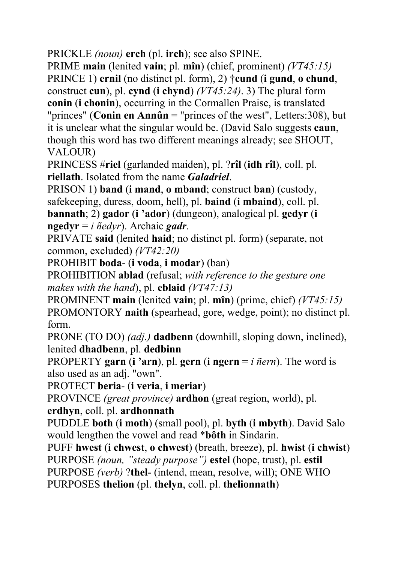PRICKLE *(noun)* **erch** (pl. **irch**); see also SPINE.

PRIME **main** (lenited **vain**; pl. **mîn**) (chief, prominent) *(VT45:15)* PRINCE 1) **ernil** (no distinct pl. form), 2) †**cund** (**i gund**, **o chund**, construct **cun**), pl. **cynd** (**i chynd**) *(VT45:24)*. 3) The plural form **conin** (**i chonin**), occurring in the Cormallen Praise, is translated "princes" (**Conin en Annûn** = "princes of the west", Letters:308), but it is unclear what the singular would be. (David Salo suggests **caun**, though this word has two different meanings already; see SHOUT, VALOUR)

PRINCESS #**riel** (garlanded maiden), pl. ?**rîl** (**idh rîl**), coll. pl. **riellath**. Isolated from the name *Galadriel*.

PRISON 1) **band** (**i mand**, **o mband**; construct **ban**) (custody, safekeeping, duress, doom, hell), pl. **baind** (**i mbaind**), coll. pl. **bannath**; 2) **gador** (**i 'ador**) (dungeon), analogical pl. **gedyr** (**i ngedyr** = *i ñedyr*). Archaic *gadr*.

PRIVATE **said** (lenited **haid**; no distinct pl. form) (separate, not common, excluded) *(VT42:20)*

PROHIBIT **boda**- (**i voda**, **i modar**) (ban)

PROHIBITION **ablad** (refusal; *with reference to the gesture one makes with the hand*), pl. **eblaid** *(VT47:13)*

PROMINENT **main** (lenited **vain**; pl. **mîn**) (prime, chief) *(VT45:15)*  PROMONTORY **naith** (spearhead, gore, wedge, point); no distinct pl. form.

PRONE (TO DO) *(adj.)* **dadbenn** (downhill, sloping down, inclined), lenited **dhadbenn**, pl. **dedbinn**

PROPERTY **garn** (**i 'arn**), pl. **gern** (**i ngern** = *i ñern*). The word is also used as an adj. "own".

PROTECT **beria**- (**i veria**, **i meriar**)

PROVINCE *(great province)* **ardhon** (great region, world), pl.

**erdhyn**, coll. pl. **ardhonnath** 

PUDDLE **both** (**i moth**) (small pool), pl. **byth** (**i mbyth**). David Salo would lengthen the vowel and read \***bôth** in Sindarin.

PUFF **hwest** (**i chwest**, **o chwest**) (breath, breeze), pl. **hwist** (**i chwist**) PURPOSE *(noun, "steady purpose")* **estel** (hope, trust), pl. **estil** PURPOSE *(verb)* ?**thel**- (intend, mean, resolve, will); ONE WHO PURPOSES **thelion** (pl. **thelyn**, coll. pl. **thelionnath**)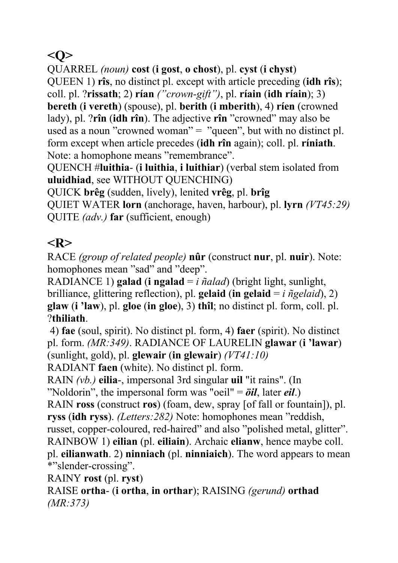## **<Q>**

QUARREL *(noun)* **cost** (**i gost**, **o chost**), pl. **cyst** (**i chyst**)

QUEEN 1) **rîs**, no distinct pl. except with article preceding (**idh rîs**);

coll. pl. ?**rissath**; 2) **rían** *("crown-gift")*, pl. **ríain** (**idh ríain**); 3) **bereth** (**i vereth**) (spouse), pl. **berith** (**i mberith**), 4) **ríen** (crowned lady), pl. ?**rîn** (**idh rîn**). The adjective **rîn** "crowned" may also be used as a noun "crowned woman" = "queen", but with no distinct pl. form except when article precedes (**idh rîn** again); coll. pl. **ríniath**. Note: a homophone means "remembrance".

QUENCH #**luithia**- (**i luithia**, **i luithiar**) (verbal stem isolated from **uluidhiad**, see WITHOUT QUENCHING)

QUICK **brêg** (sudden, lively), lenited **vrêg**, pl. **brîg** 

QUIET WATER **lorn** (anchorage, haven, harbour), pl. **lyrn** *(VT45:29)*  QUITE *(adv.)* **far** (sufficient, enough)

# **<R>**

RACE *(group of related people)* **nûr** (construct **nur**, pl. **nuir**). Note: homophones mean "sad" and "deep".

RADIANCE 1) **galad** (**i** ngalad  $=i$   $\tilde{n}alad$ ) (bright light, sunlight, brilliance, glittering reflection), pl. **gelaid** (**in gelaid** = *i ñgelaid*), 2) **glaw** (**i 'law**), pl. **gloe** (**in gloe**), 3) **thîl**; no distinct pl. form, coll. pl. ?**thiliath**.

 4) **fae** (soul, spirit). No distinct pl. form, 4) **faer** (spirit). No distinct pl. form. *(MR:349)*. RADIANCE OF LAURELIN **glawar** (**i 'lawar**) (sunlight, gold), pl. **glewair** (**in glewair**) *(VT41:10)*

RADIANT **faen** (white). No distinct pl. form.

RAIN *(vb.)* **eilia**-, impersonal 3rd singular **uil** "it rains". (In

"Noldorin", the impersonal form was "oeil" = *öil*, later *eil*.)

RAIN **ross** (construct **ros**) (foam, dew, spray [of fall or fountain]), pl. **ryss** (**idh ryss**). *(Letters:282)* Note: homophones mean "reddish,

russet, copper-coloured, red-haired" and also "polished metal, glitter".

RAINBOW 1) **eilian** (pl. **eiliain**). Archaic **elianw**, hence maybe coll.

pl. **eilianwath**. 2) **ninniach** (pl. **ninniaich**). The word appears to mean \*"slender-crossing".

RAINY **rost** (pl. **ryst**)

RAISE **ortha**- (**i ortha**, **in orthar**); RAISING *(gerund)* **orthad** *(MR:373)*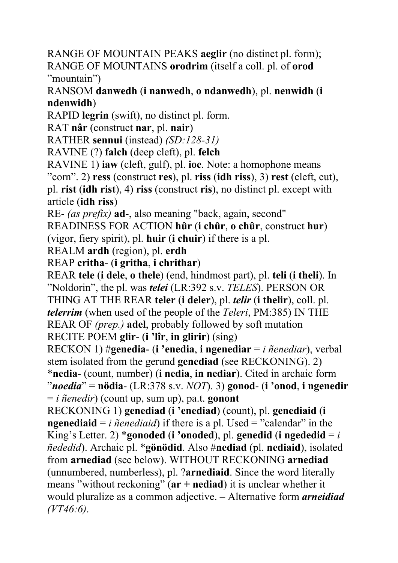RANGE OF MOUNTAIN PEAKS **aeglir** (no distinct pl. form); RANGE OF MOUNTAINS **orodrim** (itself a coll. pl. of **orod**  "mountain")

RANSOM **danwedh** (**i nanwedh**, **o ndanwedh**), pl. **nenwidh** (**i ndenwidh**)

RAPID **legrin** (swift), no distinct pl. form.

RAT **nâr** (construct **nar**, pl. **nair**)

RATHER **sennui** (instead) *(SD:128-31)*

RAVINE (?) **falch** (deep cleft), pl. **felch**

RAVINE 1) **iaw** (cleft, gulf), pl. **ioe**. Note: a homophone means

"corn". 2) **ress** (construct **res**), pl. **riss** (**idh riss**), 3) **rest** (cleft, cut),

pl. **rist** (**idh rist**), 4) **riss** (construct **ris**), no distinct pl. except with article (**idh riss**)

RE- *(as prefix)* **ad**-, also meaning "back, again, second"

READINESS FOR ACTION **hûr** (**i chûr**, **o chûr**, construct **hur**) (vigor, fiery spirit), pl. **huir** (**i chuir**) if there is a pl.

REALM **ardh** (region), pl. **erdh**

REAP **critha**- (**i gritha**, **i chrithar**)

REAR **tele** (**i dele**, **o thele**) (end, hindmost part), pl. **teli** (**i theli**). In "Noldorin", the pl. was *telei* (LR:392 s.v. *TELES*). PERSON OR THING AT THE REAR **teler** (**i deler**), pl. *telir* (**i thelir**), coll. pl. *telerrim* (when used of the people of the *Teleri*, PM:385) IN THE REAR OF *(prep.)* **adel**, probably followed by soft mutation RECITE POEM **glir**- (**i 'lîr**, **in glirir**) (sing)

RECKON 1) #**genedia**- (**i 'enedia**, **i ngenediar** = *i ñenediar*), verbal stem isolated from the gerund **genediad** (see RECKONING). 2) \***nedia**- (count, number) (**i nedia**, **in nediar**). Cited in archaic form "*noedia*" = **nödia**- (LR:378 s.v. *NOT*). 3) **gonod**- (**i 'onod**, **i ngenedir** = *i ñenedir*) (count up, sum up), pa.t. **gonont**

RECKONING 1) **genediad** (**i 'enediad**) (count), pl. **genediaid** (**i ngenediaid** =  $i$  *ñenediaid*) if there is a pl. Used = "calendar" in the King's Letter. 2) \***gonoded** (**i** '**onoded**), pl. **genedid** (**i ngededid** =  $i$ *ñededid*). Archaic pl. \***gönödid**. Also #**nediad** (pl. **nediaid**), isolated from **arnediad** (see below). WITHOUT RECKONING **arnediad** (unnumbered, numberless), pl. ?**arnediaid**. Since the word literally means "without reckoning" (**ar + nediad**) it is unclear whether it would pluralize as a common adjective. – Alternative form *arneidiad (VT46:6)*.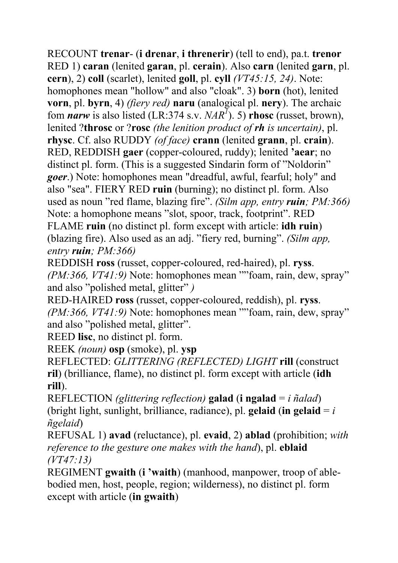RECOUNT **trenar**- (**i drenar**, **i threnerir**) (tell to end), pa.t. **trenor** RED 1) **caran** (lenited **garan**, pl. **cerain**). Also **carn** (lenited **garn**, pl. **cern**), 2) **coll** (scarlet), lenited **goll**, pl. **cyll** *(VT45:15, 24)*. Note: homophones mean "hollow" and also "cloak". 3) **born** (hot), lenited **vorn**, pl. **byrn**, 4) *(fiery red)* **naru** (analogical pl. **nery**). The archaic fom *narw* is also listed (LR:374 s.v.  $NAR^7$ ). 5) **rhosc** (russet, brown), lenited ?**throsc** or ?**rosc** *(the lenition product of rh is uncertain)*, pl. **rhysc**. Cf. also RUDDY *(of face)* **crann** (lenited **grann**, pl. **crain**). RED, REDDISH **gaer** (copper-coloured, ruddy); lenited **'aear**; no distinct pl. form. (This is a suggested Sindarin form of "Noldorin" *goer*.) Note: homophones mean "dreadful, awful, fearful; holy" and also "sea". FIERY RED **ruin** (burning); no distinct pl. form. Also used as noun "red flame, blazing fire". *(Silm app, entry ruin; PM:366)* Note: a homophone means "slot, spoor, track, footprint". RED FLAME **ruin** (no distinct pl. form except with article: **idh ruin**) (blazing fire). Also used as an adj. "fiery red, burning". *(Silm app, entry ruin; PM:366)*

REDDISH **ross** (russet, copper-coloured, red-haired), pl. **ryss**. *(PM:366, VT41:9)* Note: homophones mean ""foam, rain, dew, spray" and also "polished metal, glitter" *)*

RED-HAIRED **ross** (russet, copper-coloured, reddish), pl. **ryss**. *(PM:366, VT41:9)* Note: homophones mean ""foam, rain, dew, spray" and also "polished metal, glitter".

REED **lisc**, no distinct pl. form.

REEK *(noun)* **osp** (smoke), pl. **ysp**

REFLECTED: *GLITTERING (REFLECTED) LIGHT* **rill** (construct **ril**) (brilliance, flame), no distinct pl. form except with article (**idh rill**).

REFLECTION *(glittering reflection)* **galad** (**i ngalad** = *i ñalad*) (bright light, sunlight, brilliance, radiance), pl. **gelaid** (**in gelaid**  $= i$ *ñgelaid*)

REFUSAL 1) **avad** (reluctance), pl. **evaid**, 2) **ablad** (prohibition; *with reference to the gesture one makes with the hand*), pl. **eblaid** *(VT47:13)*

REGIMENT **gwaith** (**i 'waith**) (manhood, manpower, troop of ablebodied men, host, people, region; wilderness), no distinct pl. form except with article (**in gwaith**)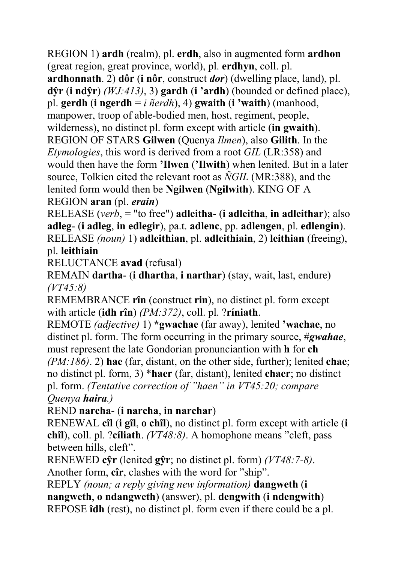REGION 1) **ardh** (realm), pl. **erdh**, also in augmented form **ardhon** (great region, great province, world), pl. **erdhyn**, coll. pl.

**ardhonnath**. 2) **dôr** (**i nôr**, construct *dor*) (dwelling place, land), pl. **dŷr** (**i ndŷr**) *(WJ:413)*, 3) **gardh** (**i 'ardh**) (bounded or defined place), pl. **gerdh** (**i ngerdh** = *i ñerdh*), 4) **gwaith** (**i 'waith**) (manhood, manpower, troop of able-bodied men, host, regiment, people, wilderness), no distinct pl. form except with article (**in gwaith**). REGION OF STARS **Gilwen** (Quenya *Ilmen*), also **Gilith**. In the *Etymologies*, this word is derived from a root *GIL* (LR:358) and would then have the form **'Ilwen** (**'Ilwith**) when lenited. But in a later source, Tolkien cited the relevant root as *ÑGIL* (MR:388), and the lenited form would then be **Ngilwen** (**Ngilwith**). KING OF A REGION **aran** (pl. *erain*)

RELEASE (*verb*, = "to free") **adleitha**- (**i adleitha**, **in adleithar**); also **adleg**- (**i adleg**, **in edlegir**), pa.t. **adlenc**, pp. **adlengen**, pl. **edlengin**). RELEASE *(noun)* 1) **adleithian**, pl. **adleithiain**, 2) **leithian** (freeing), pl. **leithiain**

RELUCTANCE **avad** (refusal)

REMAIN **dartha**- (**i dhartha**, **i narthar**) (stay, wait, last, endure) *(VT45:8)*

REMEMBRANCE **rîn** (construct **rin**), no distinct pl. form except with article (**idh rîn**) *(PM:372)*, coll. pl. ?**ríniath**.

REMOTE *(adjective)* 1) **\*gwachae** (far away), lenited **'wachae**, no distinct pl. form. The form occurring in the primary source, #*gwahae*, must represent the late Gondorian pronunciantion with **h** for **ch**

*(PM:186)*. 2) **hae** (far, distant, on the other side, further); lenited **chae**; no distinct pl. form, 3) \***haer** (far, distant), lenited **chaer**; no distinct pl. form. *(Tentative correction of "haen" in VT45:20; compare Quenya haira.)* 

REND **narcha**- (**i narcha**, **in narchar**)

RENEWAL **cîl** (**i gîl**, **o chîl**), no distinct pl. form except with article (**i chîl**), coll. pl. ?**cíliath**. *(VT48:8)*. A homophone means "cleft, pass between hills, cleft".

RENEWED **cŷr** (lenited **gŷr**; no distinct pl. form) *(VT48:7-8)*. Another form, **cîr**, clashes with the word for "ship".

REPLY *(noun; a reply giving new information)* **dangweth** (**i nangweth**, **o ndangweth**) (answer), pl. **dengwith** (**i ndengwith**) REPOSE **îdh** (rest), no distinct pl. form even if there could be a pl.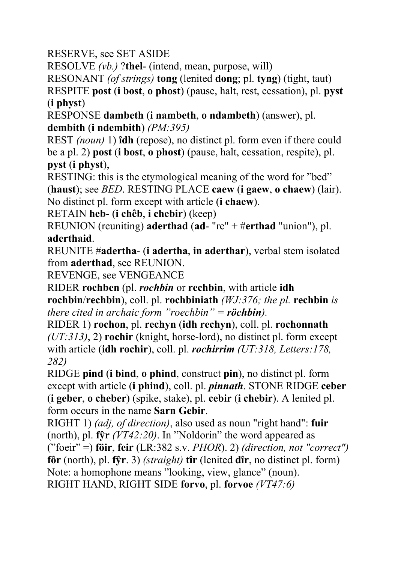RESERVE, see SET ASIDE

RESOLVE *(vb.)* ?**thel**- (intend, mean, purpose, will)

RESONANT *(of strings)* **tong** (lenited **dong**; pl. **tyng**) (tight, taut)

RESPITE **post** (**i bost**, **o phost**) (pause, halt, rest, cessation), pl. **pyst** (**i physt**)

RESPONSE **dambeth** (**i nambeth**, **o ndambeth**) (answer), pl. **dembith** (**i ndembith**) *(PM:395)*

REST *(noun)* 1) **îdh** (repose), no distinct pl. form even if there could be a pl. 2) **post** (**i bost**, **o phost**) (pause, halt, cessation, respite), pl. **pyst** (**i physt**),

RESTING: this is the etymological meaning of the word for "bed" (**haust**); see *BED*. RESTING PLACE **caew** (**i gaew**, **o chaew**) (lair). No distinct pl. form except with article (**i chaew**).

RETAIN **heb**- (**i chêb**, **i chebir**) (keep)

REUNION (reuniting) **aderthad** (**ad**- "re" + #**erthad** "union"), pl. **aderthaid**.

REUNITE #**adertha**- (**i adertha**, **in aderthar**), verbal stem isolated from **aderthad**, see REUNION.

REVENGE, see VENGEANCE

RIDER **rochben** (pl. *rochbin* or **rechbin**, with article **idh rochbin**/**rechbin**), coll. pl. **rochbiniath** *(WJ:376; the pl.* **rechbin** *is there cited in archaic form "roechbin" = röchbin).*

RIDER 1) **rochon**, pl. **rechyn** (**idh rechyn**), coll. pl. **rochonnath** *(UT:313)*, 2) **rochir** (knight, horse-lord), no distinct pl. form except with article (**idh rochir**), coll. pl. *rochirrim (UT:318, Letters:178, 282)*

RIDGE **pind** (**i bind**, **o phind**, construct **pin**), no distinct pl. form except with article (**i phind**), coll. pl. *pinnath*. STONE RIDGE **ceber** (**i geber**, **o cheber**) (spike, stake), pl. **cebir** (**i chebir**). A lenited pl. form occurs in the name **Sarn Gebir**.

RIGHT 1) *(adj, of direction)*, also used as noun "right hand": **fuir** (north), pl. **fŷr** *(VT42:20)*. In "Noldorin" the word appeared as ("foeir" =) **föir**, **feir** (LR:382 s.v. *PHOR*). 2) *(direction, not "correct")* **fôr** (north), pl. **fŷr**. 3) *(straight)* **tîr** (lenited **dîr**, no distinct pl. form) Note: a homophone means "looking, view, glance" (noun). RIGHT HAND, RIGHT SIDE **forvo**, pl. **forvoe** *(VT47:6)*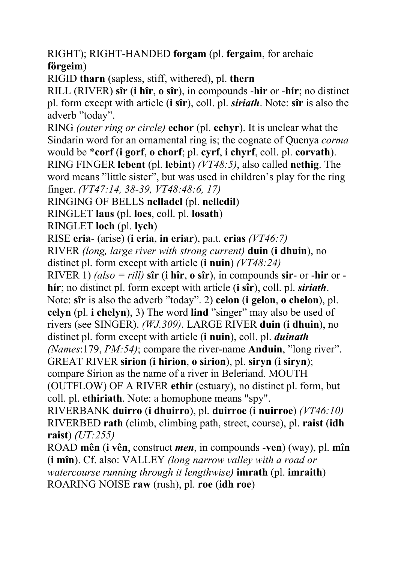RIGHT); RIGHT-HANDED **forgam** (pl. **fergaim**, for archaic **förgeim**)

RIGID **tharn** (sapless, stiff, withered), pl. **thern** 

RILL (RIVER) **sîr** (**i hîr**, **o sîr**), in compounds -**hir** or -**hír**; no distinct pl. form except with article (**i sîr**), coll. pl. *siriath*. Note: **sîr** is also the adverb "today".

RING *(outer ring or circle)* **echor** (pl. **echyr**). It is unclear what the Sindarin word for an ornamental ring is; the cognate of Quenya *corma* would be \***corf** (**i gorf**, **o chorf**; pl. **cyrf**, **i chyrf**, coll. pl. **corvath**). RING FINGER **lebent** (pl. **lebint**) *(VT48:5)*, also called **nethig**. The word means "little sister", but was used in children's play for the ring finger. *(VT47:14, 38-39, VT48:48:6, 17)*

RINGING OF BELLS **nelladel** (pl. **nelledil**)

RINGLET **laus** (pl. **loes**, coll. pl. **losath**)

RINGLET **loch** (pl. **lych**)

RISE **eria**- (arise) (**i eria**, **in eriar**), pa.t. **erias** *(VT46:7)* 

RIVER *(long, large river with strong current)* **duin** (**i dhuin**), no distinct pl. form except with article (**i nuin**) *(VT48:24)*

RIVER 1) *(also = rill)* **sîr** (**i** hîr, **o** sîr), in compounds **sir**- or -hir or **hír**; no distinct pl. form except with article (**i sîr**), coll. pl. *siriath*. Note: **sîr** is also the adverb "today". 2) **celon** (**i gelon**, **o chelon**), pl.

**celyn** (pl. **i chelyn**), 3) The word **lind** "singer" may also be used of rivers (see SINGER). *(WJ.309)*. LARGE RIVER **duin** (**i dhuin**), no distinct pl. form except with article (**i nuin**), coll. pl. *duinath*

*(Names*:179, *PM:54)*; compare the river-name **Anduin**, "long river".

GREAT RIVER **sirion** (**i hirion**, **o sirion**), pl. **siryn** (**i siryn**);

compare Sirion as the name of a river in Beleriand. MOUTH

(OUTFLOW) OF A RIVER **ethir** (estuary), no distinct pl. form, but coll. pl. **ethiriath**. Note: a homophone means "spy".

RIVERBANK **duirro** (**i dhuirro**), pl. **duirroe** (**i nuirroe**) *(VT46:10)* RIVERBED **rath** (climb, climbing path, street, course), pl. **raist** (**idh raist**) *(UT:255)*

ROAD **mên** (**i vên**, construct *men*, in compounds -**ven**) (way), pl. **mîn** (**i mîn**). Cf. also: VALLEY *(long narrow valley with a road or watercourse running through it lengthwise)* **imrath** (pl. **imraith**) ROARING NOISE **raw** (rush), pl. **roe** (**idh roe**)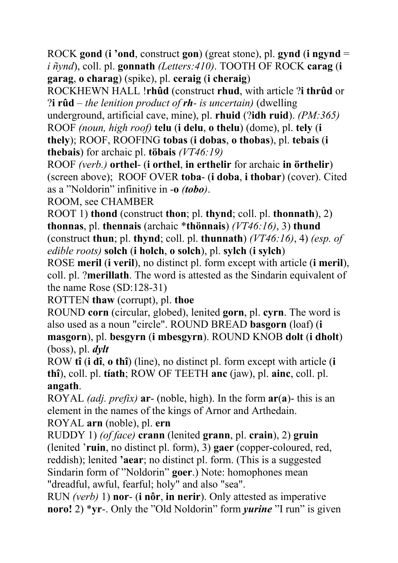ROCK **gond** (**i 'ond**, construct **gon**) (great stone), pl. **gynd** (**i ngynd** = *i ñynd*), coll. pl. **gonnath** *(Letters:410)*. TOOTH OF ROCK **carag** (**i garag**, **o charag**) (spike), pl. **ceraig** (**i cheraig**)

ROCKHEWN HALL !**rhûd** (construct **rhud**, with article ?**i thrûd** or ?**i rûd** – *the lenition product of rh- is uncertain)* (dwelling

underground, artificial cave, mine), pl. **rhuid** (?**idh ruid**). *(PM:365)*

ROOF *(noun, high roof)* **telu** (**i delu**, **o thelu**) (dome), pl. **tely** (**i thely**); ROOF, ROOFING **tobas** (**i dobas**, **o thobas**), pl. **tebais** (**i thebais**) for archaic pl. **töbais** *(VT46:19)*

ROOF *(verb.)* **orthel**- (**i orthel**, **in erthelir** for archaic **in örthelir**) (screen above); ROOF OVER **toba**- (**i doba**, **i thobar**) (cover). Cited as a "Noldorin" infinitive in -**o** *(tobo)*.

ROOM, see CHAMBER

ROOT 1) **thond** (construct **thon**; pl. **thynd**; coll. pl. **thonnath**), 2) **thonnas**, pl. **thennais** (archaic \***thönnais**) *(VT46:16)*, 3) **thund** (construct **thun**; pl. **thynd**; coll. pl. **thunnath**) *(VT46:16)*, 4) *(esp. of edible roots)* **solch** (**i holch**, **o solch**), pl. **sylch** (**i sylch**)

ROSE **meril** (**i veril**), no distinct pl. form except with article (**i meril**), coll. pl. ?**merillath**. The word is attested as the Sindarin equivalent of the name Rose (SD:128-31)

ROTTEN **thaw** (corrupt), pl. **thoe** 

ROUND **corn** (circular, globed), lenited **gorn**, pl. **cyrn**. The word is also used as a noun "circle". ROUND BREAD **basgorn** (loaf) (**i masgorn**), pl. **besgyrn** (**i mbesgyrn**). ROUND KNOB **dolt** (**i dholt**) (boss), pl. *dylt*

ROW **tî** (**i dî**, **o thî**) (line), no distinct pl. form except with article (**i thî**), coll. pl. **tíath**; ROW OF TEETH **anc** (jaw), pl. **ainc**, coll. pl. **angath**.

ROYAL *(adj. prefix)* **ar**- (noble, high). In the form **ar**(**a**)- this is an element in the names of the kings of Arnor and Arthedain. ROYAL **arn** (noble), pl. **ern**

RUDDY 1) *(of face)* **crann** (lenited **grann**, pl. **crain**), 2) **gruin**

(lenited '**ruin**, no distinct pl. form), 3) **gaer** (copper-coloured, red, reddish); lenited **'aear**; no distinct pl. form. (This is a suggested Sindarin form of "Noldorin" **goer**.) Note: homophones mean "dreadful, awful, fearful; holy" and also "sea".

RUN *(verb)* 1) **nor**- (**i nôr**, **in nerir**). Only attested as imperative **noro!** 2) \***yr**-. Only the "Old Noldorin" form *yurine* "I run" is given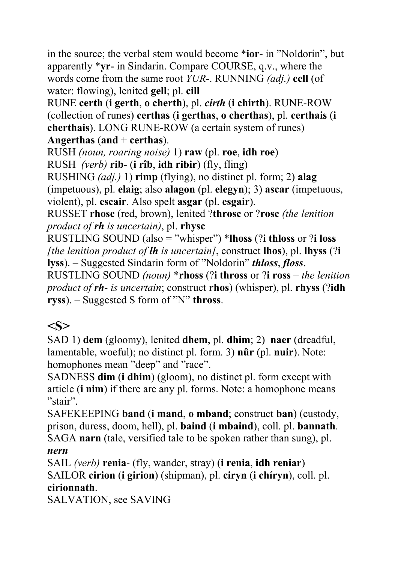in the source; the verbal stem would become \***ior**- in "Noldorin", but apparently \***yr**- in Sindarin. Compare COURSE, q.v., where the words come from the same root *YUR*-. RUNNING *(adj.)* **cell** (of water: flowing), lenited **gell**; pl. **cill**

RUNE **certh** (**i gerth**, **o cherth**), pl. *cirth* (**i chirth**). RUNE-ROW (collection of runes) **certhas** (**i gerthas**, **o cherthas**), pl. **certhais** (**i cherthais**). LONG RUNE-ROW (a certain system of runes) **Angerthas** (**and** + **certhas**).

RUSH *(noun, roaring noise)* 1) **raw** (pl. **roe**, **idh roe**) RUSH *(verb)* **rib**- (**i rîb**, **idh ribir**) (fly, fling)

RUSHING *(adj.)* 1) **rimp** (flying), no distinct pl. form; 2) **alag** (impetuous), pl. **elaig**; also **alagon** (pl. **elegyn**); 3) **ascar** (impetuous, violent), pl. **escair**. Also spelt **asgar** (pl. **esgair**).

RUSSET **rhosc** (red, brown), lenited ?**throsc** or ?**rosc** *(the lenition product of rh is uncertain)*, pl. **rhysc**

RUSTLING SOUND (also = "whisper") \***lhoss** (?**i thloss** or ?**i loss** *[the lenition product of lh is uncertain]*, construct **lhos**), pl. **lhyss** (?**i lyss**). – Suggested Sindarin form of "Noldorin" *thloss*, *floss*.

RUSTLING SOUND *(noun)* \***rhoss** (?**i thross** or ?**i ross** *– the lenition product of rh- is uncertain*; construct **rhos**) (whisper), pl. **rhyss** (?**idh ryss**). – Suggested S form of "N" **thross**.

# **<S>**

SAD 1) **dem** (gloomy), lenited **dhem**, pl. **dhim**; 2) **naer** (dreadful, lamentable, woeful); no distinct pl. form. 3) **nûr** (pl. **nuir**). Note: homophones mean "deep" and "race".

SADNESS **dim** (**i dhim**) (gloom), no distinct pl. form except with article (**i nim**) if there are any pl. forms. Note: a homophone means "stair".

SAFEKEEPING **band** (**i mand**, **o mband**; construct **ban**) (custody, prison, duress, doom, hell), pl. **baind** (**i mbaind**), coll. pl. **bannath**. SAGA **narn** (tale, versified tale to be spoken rather than sung), pl. *nern*

SAIL *(verb)* **renia**- (fly, wander, stray) (**i renia**, **idh reniar**) SAILOR **cirion** (**i girion**) (shipman), pl. **ciryn** (**i chíryn**), coll. pl. **cirionnath**.

SALVATION, see SAVING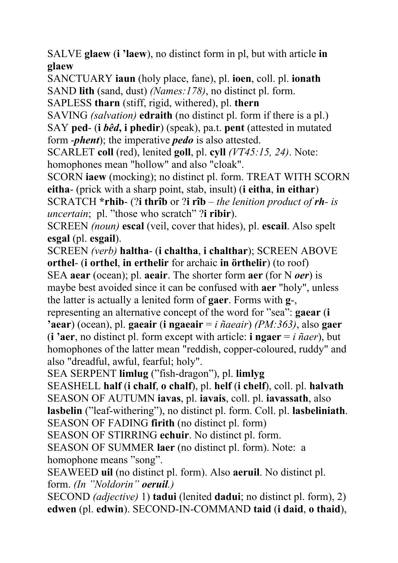SALVE **glaew** (**i 'laew**), no distinct form in pl, but with article **in glaew**

SANCTUARY **iaun** (holy place, fane), pl. **ioen**, coll. pl. **ionath** SAND **lith** (sand, dust) *(Names:178)*, no distinct pl. form.

SAPLESS **tharn** (stiff, rigid, withered), pl. **thern** 

SAVING *(salvation)* **edraith** (no distinct pl. form if there is a pl.) SAY **ped**- (**i** *bêd***, i phedir**) (speak), pa.t. **pent** (attested in mutated form -*phent*); the imperative *pedo* is also attested.

SCARLET **coll** (red), lenited **goll**, pl. **cyll** *(VT45:15, 24)*. Note: homophones mean "hollow" and also "cloak".

SCORN **iaew** (mocking); no distinct pl. form. TREAT WITH SCORN **eitha**- (prick with a sharp point, stab, insult) (**i eitha**, **in eithar**)

SCRATCH **\*rhib**- (?**i thrîb** or ?**i rîb** – *the lenition product of rh- is uncertain*; pl. "those who scratch" ?**i ribir**).

SCREEN *(noun)* **escal** (veil, cover that hides), pl. **escail**. Also spelt **esgal** (pl. **esgail**).

SCREEN *(verb)* **haltha**- (**i chaltha**, **i chalthar**); SCREEN ABOVE **orthel**- (**i orthel**, **in erthelir** for archaic **in örthelir**) (to roof)

SEA **aear** (ocean); pl. **aeair**. The shorter form **aer** (for N *oer*) is maybe best avoided since it can be confused with **aer** "holy", unless the latter is actually a lenited form of **gaer**. Forms with **g**-,

representing an alternative concept of the word for "sea": **gaear** (**i 'aear**) (ocean), pl. **gaeair** (**i ngaeair** = *i ñaeair*) *(PM:363)*, also **gaer** (**i** 'aer, no distinct pl. form except with article: **i** ngaer =  $i$   $\tilde{n}$ *aer*), but homophones of the latter mean "reddish, copper-coloured, ruddy" and also "dreadful, awful, fearful; holy".

SEA SERPENT **limlug** ("fish-dragon"), pl. **limlyg**

SEASHELL **half** (**i chalf**, **o chalf**), pl. **helf** (**i chelf**), coll. pl. **halvath** SEASON OF AUTUMN **iavas**, pl. **iavais**, coll. pl. **iavassath**, also **lasbelin** ("leaf-withering"), no distinct pl. form. Coll. pl. **lasbeliniath**. SEASON OF FADING **firith** (no distinct pl. form)

SEASON OF STIRRING **echuir**. No distinct pl. form.

SEASON OF SUMMER **laer** (no distinct pl. form). Note: a homophone means "song".

SEAWEED **uil** (no distinct pl. form). Also **aeruil**. No distinct pl. form. *(In "Noldorin" oeruil.)*

SECOND *(adjective)* 1) **tadui** (lenited **dadui**; no distinct pl. form), 2) **edwen** (pl. **edwin**). SECOND-IN-COMMAND **taid** (**i daid**, **o thaid**),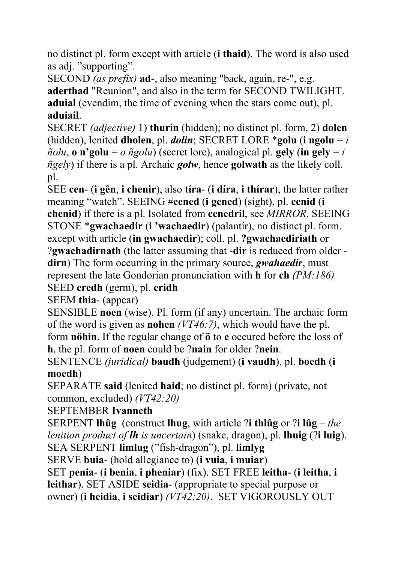no distinct pl. form except with article (**i thaid**). The word is also used as adj. "supporting".

SECOND *(as prefix)* **ad**-, also meaning "back, again, re-", e.g. **aderthad** "Reunion", and also in the term for SECOND TWILIGHT. **aduial** (evendim, the time of evening when the stars come out), pl. **aduiail**.

SECRET *(adjective)* 1) **thurin** (hidden); no distinct pl. form, 2) **dolen** (hidden), lenited **dholen**, pl. *dolin*; SECRET LORE \***golu** (**i** ngolu =  $i$  $ñolu$ , **o** n'golu = *o*  $ñgolu$  (secret lore), analogical pl. gely (in gely = *i ñgely*) if there is a pl. Archaic *golw*, hence **golwath** as the likely coll. pl.

SEE **cen**- (**i gên**, **i chenir**), also **tíra**- (**i díra**, **i thírar**), the latter rather meaning "watch". SEEING #**cened** (**i gened**) (sight), pl. **cenid** (**i chenid**) if there is a pl. Isolated from **cenedril**, see *MIRROR*. SEEING STONE \***gwachaedir** (**i 'wachaedir**) (palantír), no distinct pl. form.

except with article (**in gwachaedir**); coll. pl. **?gwachaediriath** or

?**gwachadirnath** (the latter assuming that -**dir** is reduced from older **dirn**) The form occurring in the primary source, *gwahaedir*, must represent the late Gondorian pronunciation with **h** for **ch** *(PM:186)* SEED **eredh** (germ), pl. **eridh**

SEEM **thia**- (appear)

SENSIBLE **noen** (wise). Pl. form (if any) uncertain. The archaic form of the word is given as **nohen** *(VT46:7)*, which would have the pl. form **nöhin**. If the regular change of **ö** to **e** occured before the loss of

**h**, the pl. form of **noen** could be ?**nain** for older ?**nein**.

SENTENCE *(juridical)* **baudh** (judgement) (**i vaudh**), pl. **boedh** (**i moedh**)

SEPARATE **said** (lenited **haid**; no distinct pl. form) (private, not common, excluded) *(VT42:20)*

### SEPTEMBER **Ivanneth**

SERPENT **lhûg** (construct **lhug**, with article ?**i thlûg** or ?**i lûg** – *the lenition product of lh is uncertain*) (snake, dragon), pl. **lhuig** (?**i luig**). SEA SERPENT **limlug** ("fish-dragon"), pl. **limlyg**

SERVE **buia**- (hold allegiance to) (**i vuia**, **i muiar**)

SET **penia**- (**i benia**, **i pheniar**) (fix). SET FREE **leitha**- (**i leitha**, **i leithar**). SET ASIDE **seidia**- (appropriate to special purpose or owner) (**i heidia**, **i seidiar**) *(VT42:20)*. SET VIGOROUSLY OUT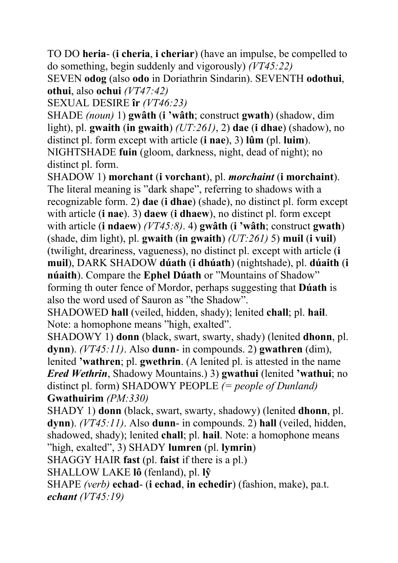TO DO **heria**- (**i cheria**, **i cheriar**) (have an impulse, be compelled to do something, begin suddenly and vigorously) *(VT45:22)*

SEVEN **odog** (also **odo** in Doriathrin Sindarin). SEVENTH **odothui**, **othui**, also **ochui** *(VT47:42)* 

SEXUAL DESIRE **îr** *(VT46:23)*

SHADE *(noun)* 1) **gwâth** (**i 'wâth**; construct **gwath**) (shadow, dim light), pl. **gwaith** (**in gwaith**) *(UT:261)*, 2) **dae** (**i dhae**) (shadow), no distinct pl. form except with article (**i nae**), 3) **lûm** (pl. **luim**). NIGHTSHADE **fuin** (gloom, darkness, night, dead of night); no distinct pl. form.

SHADOW 1) **morchant** (**i vorchant**), pl. *morchaint* (**i morchaint**). The literal meaning is "dark shape", referring to shadows with a recognizable form. 2) **dae** (**i dhae**) (shade), no distinct pl. form except with article (**i nae**). 3) **daew** (**i dhaew**), no distinct pl. form except with article (**i ndaew**) *(VT45:8)*. 4) **gwâth** (**i 'wâth**; construct **gwath**) (shade, dim light), pl. **gwaith** (**in gwaith**) *(UT:261)* 5) **muil** (**i vuil**) (twilight, dreariness, vagueness), no distinct pl. except with article (**i muil**), DARK SHADOW **dúath** (**i dhúath**) (nightshade), pl. **dúaith** (**i núaith**). Compare the **Ephel Dúath** or "Mountains of Shadow" forming th outer fence of Mordor, perhaps suggesting that **Dúath** is also the word used of Sauron as "the Shadow".

SHADOWED **hall** (veiled, hidden, shady); lenited **chall**; pl. **hail**. Note: a homophone means "high, exalted".

SHADOWY 1) **donn** (black, swart, swarty, shady) (lenited **dhonn**, pl. **dynn**). *(VT45:11)*. Also **dunn**- in compounds. 2) **gwathren** (dim), lenited **'wathren**; pl. **gwethrin**. (A lenited pl. is attested in the name *Ered Wethrin*, Shadowy Mountains.) 3) **gwathui** (lenited **'wathui**; no distinct pl. form) SHADOWY PEOPLE *(= people of Dunland)* **Gwathuirim** *(PM:330)*

SHADY 1) **donn** (black, swart, swarty, shadowy) (lenited **dhonn**, pl. **dynn**). *(VT45:11)*. Also **dunn**- in compounds. 2) **hall** (veiled, hidden, shadowed, shady); lenited **chall**; pl. **hail**. Note: a homophone means "high, exalted", 3) SHADY **lumren** (pl. **lymrin**)

SHAGGY HAIR **fast** (pl. **faist** if there is a pl.)

SHALLOW LAKE **lô** (fenland), pl. **lŷ**

SHAPE *(verb)* **echad**- (**i echad**, **in echedir**) (fashion, make), pa.t. *echant (VT45:19)*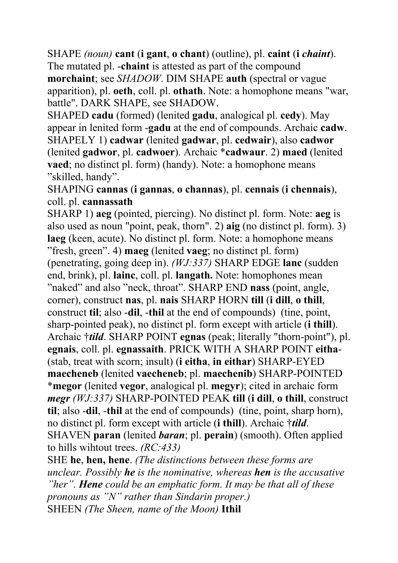SHAPE *(noun)* **cant** (**i gant**, **o chant**) (outline), pl. **caint** (**i** *chaint*). The mutated pl. -**chaint** is attested as part of the compound **morchaint**; see *SHADOW*. DIM SHAPE **auth** (spectral or vague apparition), pl. **oeth**, coll. pl. **othath**. Note: a homophone means "war, battle". DARK SHAPE, see SHADOW.

SHAPED **cadu** (formed) (lenited **gadu**, analogical pl. **cedy**). May appear in lenited form -**gadu** at the end of compounds. Archaic **cadw**. SHAPELY 1) **cadwar** (lenited **gadwar**, pl. **cedwair**), also **cadwor** (lenited **gadwor**, pl. **cadwoer**). Archaic \***cadwaur**. 2) **maed** (lenited **vaed**; no distinct pl. form) (handy). Note: a homophone means "skilled, handy".

SHAPING **cannas** (**i gannas**, **o channas**), pl. **cennais** (**i chennais**), coll. pl. **cannassath**

SHARP 1) **aeg** (pointed, piercing). No distinct pl. form. Note: **aeg** is also used as noun "point, peak, thorn". 2) **aig** (no distinct pl. form). 3) **laeg** (keen, acute). No distinct pl. form. Note: a homophone means "fresh, green". 4) **maeg** (lenited **vaeg**; no distinct pl. form) (penetrating, going deep in). *(WJ:337)* SHARP EDGE **lanc** (sudden end, brink), pl. **lainc**, coll. pl. **langath.** Note: homophones mean "naked" and also "neck, throat". SHARP END **nass** (point, angle, corner), construct **nas**, pl. **nais** SHARP HORN **till** (**i dill**, **o thill**, construct **til**; also -**dil**, -**thil** at the end of compounds) (tine, point, sharp-pointed peak), no distinct pl. form except with article (**i thill**). Archaic †*tild*. SHARP POINT **egnas** (peak; literally "thorn-point"), pl. **egnais**, coll. pl. **egnassaith**. PRICK WITH A SHARP POINT **eitha**- (stab, treat with scorn; insult) (**i eitha**, **in eithar**) SHARP-EYED **maecheneb** (lenited **vaecheneb**; pl. **maechenib**) SHARP-POINTED \***megor** (lenited **vegor**, analogical pl. **megyr**); cited in archaic form *megr (WJ:337)* SHARP-POINTED PEAK **till** (**i dill**, **o thill**, construct **til**; also -**dil**, -**thil** at the end of compounds) (tine, point, sharp horn), no distinct pl. form except with article (**i thill**). Archaic †*tild*. SHAVEN **paran** (lenited *baran*; pl. **perain**) (smooth). Often applied to hills wihtout trees. *(RC:433)*

SHE **he**, **hen, hene**. *(The distinctions between these forms are unclear. Possibly he is the nominative, whereas hen is the accusative "her". Hene could be an emphatic form. It may be that all of these pronouns as "N" rather than Sindarin proper.)* SHEEN *(The Sheen, name of the Moon)* **Ithil**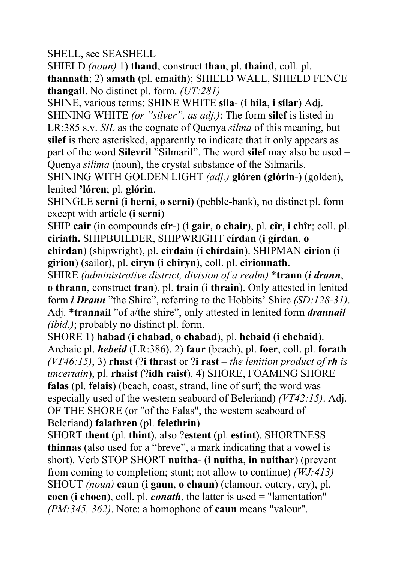SHELL, see SEASHELL

SHIELD *(noun)* 1) **thand**, construct **than**, pl. **thaind**, coll. pl. **thannath**; 2) **amath** (pl. **emaith**); SHIELD WALL, SHIELD FENCE **thangail**. No distinct pl. form. *(UT:281)* 

SHINE, various terms: SHINE WHITE **síla**- (**i híla**, **i sílar**) Adj. SHINING WHITE *(or "silver", as adj.)*: The form **silef** is listed in LR:385 s.v. *SIL* as the cognate of Quenya *silma* of this meaning, but **silef** is there asterisked, apparently to indicate that it only appears as part of the word **Silevril** "Silmaril". The word **silef** may also be used = Quenya *silima* (noun), the crystal substance of the Silmarils.

SHINING WITH GOLDEN LIGHT *(adj.)* **glóren** (**glórin**-) (golden), lenited **'lóren**; pl. **glórin**.

SHINGLE **serni** (**i herni**, **o serni**) (pebble-bank), no distinct pl. form except with article (**i serni**)

SHIP **cair** (in compounds **cír**-) (**i gair**, **o chair**), pl. **cîr**, **i chîr**; coll. pl. **ciriath.** SHIPBUILDER, SHIPWRIGHT **círdan** (**i gírdan**, **o chírdan**) (shipwright), pl. **círdain** (**i chírdain**). SHIPMAN **cirion** (**i girion**) (sailor), pl. **ciryn** (**i chiryn**), coll. pl. **cirionnath**.

SHIRE *(administrative district, division of a realm)* \***trann** (*i drann*, **o thrann**, construct **tran**), pl. **train** (**i thrain**). Only attested in lenited form *i Drann* "the Shire", referring to the Hobbits' Shire *(SD:128-31)*. Adj. \***trannail** "of a/the shire", only attested in lenited form *drannail (ibid.)*; probably no distinct pl. form.

SHORE 1) **habad** (**i chabad**, **o chabad**), pl. **hebaid** (**i chebaid**). Archaic pl. *hebeid* (LR:386). 2) **faur** (beach), pl. **foer**, coll. pl. **forath** *(VT46:15)*, 3) **rhast** (?**i thrast** or ?**i rast** – *the lenition product of rh is uncertain*), pl. **rhaist** (?**idh raist**). 4) SHORE, FOAMING SHORE **falas** (pl. **felais**) (beach, coast, strand, line of surf; the word was especially used of the western seaboard of Beleriand) *(VT42:15)*. Adj. OF THE SHORE (or "of the Falas", the western seaboard of Beleriand) **falathren** (pl. **felethrin**)

SHORT **thent** (pl. **thint**), also ?**estent** (pl. **estint**). SHORTNESS **thinnas** (also used for a "breve", a mark indicating that a vowel is short). Verb STOP SHORT **nuitha**- (**i nuitha**, **in nuithar**) (prevent from coming to completion; stunt; not allow to continue) *(WJ:413)* SHOUT *(noun)* **caun** (**i gaun**, **o chaun**) (clamour, outcry, cry), pl. **coen** (**i choen**), coll. pl. *conath*, the latter is used = "lamentation" *(PM:345, 362)*. Note: a homophone of **caun** means "valour".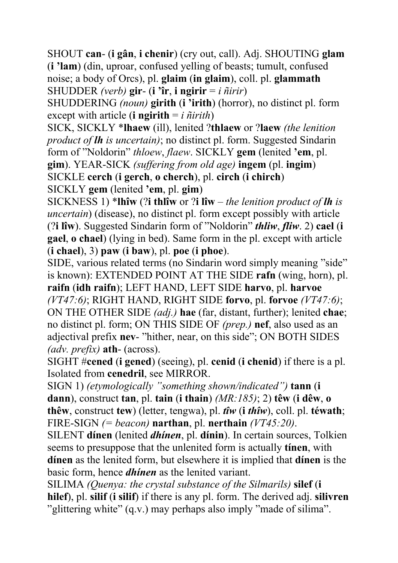SHOUT **can**- (**i gân**, **i chenir**) (cry out, call). Adj. SHOUTING **glam** (**i 'lam**) (din, uproar, confused yelling of beasts; tumult, confused noise; a body of Orcs), pl. **glaim** (**in glaim**), coll. pl. **glammath** SHUDDER *(verb)* **gir**- (**i 'îr**, **i ngirir** = *i ñirir*)

SHUDDERING *(noun)* **girith** (**i 'irith**) (horror), no distinct pl. form except with article (**i ngirith** = *i ñirith*)

SICK, SICKLY \***lhaew** (ill), lenited ?**thlaew** or ?**laew** *(the lenition product of lh is uncertain)*; no distinct pl. form. Suggested Sindarin form of "Noldorin" *thloew*, *flaew*. SICKLY **gem** (lenited **'em**, pl. **gim**). YEAR-SICK *(suffering from old age)* **ingem** (pl. **ingim**) SICKLE **cerch** (**i gerch**, **o cherch**), pl. **circh** (**i chirch**)

SICKLY **gem** (lenited **'em**, pl. **gim**)

SICKNESS 1) \***lhîw** (?**i thlîw** or ?**i lîw** – *the lenition product of lh is uncertain*) (disease), no distinct pl. form except possibly with article (?**i lîw**). Suggested Sindarin form of "Noldorin" *thliw*, *fliw*. 2) **cael** (**i gael**, **o chael**) (lying in bed). Same form in the pl. except with article (**i chael**), 3) **paw** (**i baw**), pl. **poe** (**i phoe**).

SIDE, various related terms (no Sindarin word simply meaning "side" is known): EXTENDED POINT AT THE SIDE **rafn** (wing, horn), pl. **raifn** (**idh raifn**); LEFT HAND, LEFT SIDE **harvo**, pl. **harvoe** *(VT47:6)*; RIGHT HAND, RIGHT SIDE **forvo**, pl. **forvoe** *(VT47:6)*; ON THE OTHER SIDE *(adj.)* **hae** (far, distant, further); lenited **chae**; no distinct pl. form; ON THIS SIDE OF *(prep.)* **nef**, also used as an adjectival prefix **nev**- "hither, near, on this side"; ON BOTH SIDES *(adv. prefix)* **ath**- (across).

SIGHT #**cened** (**i gened**) (seeing), pl. **cenid** (**i chenid**) if there is a pl. Isolated from **cenedril**, see MIRROR.

SIGN 1) *(etymologically "something shown/indicated")* **tann** (**i dann**), construct **tan**, pl. **tain** (**i thain**) *(MR:185)*; 2) **têw** (**i dêw**, **o thêw**, construct **tew**) (letter, tengwa), pl. *tîw* (**i** *thîw*), coll. pl. **téwath**; FIRE-SIGN *(= beacon)* **narthan**, pl. **nerthain** *(VT45:20)*.

SILENT **dínen** (lenited *dhínen*, pl. **dínin**). In certain sources, Tolkien seems to presuppose that the unlenited form is actually **tínen**, with **dínen** as the lenited form, but elsewhere it is implied that **dínen** is the basic form, hence *dhínen* as the lenited variant.

SILIMA *(Quenya: the crystal substance of the Silmarils)* **silef** (**i hilef**), pl. **silif** (**i silif**) if there is any pl. form. The derived adj. **silivren** "glittering white" (q.v.) may perhaps also imply "made of silima".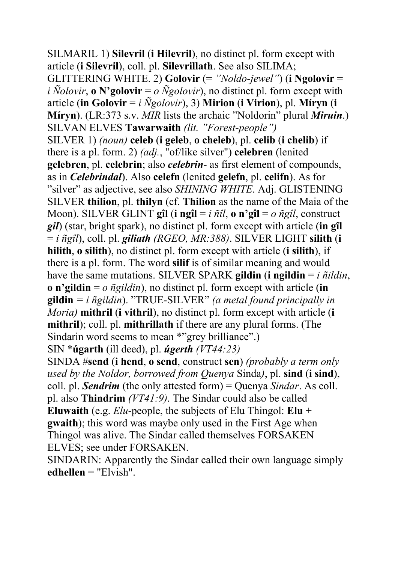SILMARIL 1) **Silevril** (**i Hilevril**), no distinct pl. form except with article (**i Silevril**), coll. pl. **Silevrillath**. See also SILIMA; GLITTERING WHITE. 2) **Golovir** (= *"Noldo-jewel"*) (**i Ngolovir** = *i*  $\tilde{N}$ *olovir*, **o** N'golovir = *o*  $\tilde{N}$ *golovir*), no distinct pl. form except with article (**in Golovir** = *i Ñgolovir*), 3) **Mirion** (**i Virion**), pl. **Míryn** (**i Míryn**). (LR:373 s.v. *MIR* lists the archaic "Noldorin" plural *Miruin*.) SILVAN ELVES **Tawarwaith** *(lit. "Forest-people")* SILVER 1) *(noun)* **celeb** (**i geleb**, **o cheleb**), pl. **celib** (**i chelib**) if there is a pl. form. 2) *(adj.*, "of/like silver") **celebren** (lenited **gelebren**, pl. **celebrin**; also *celebrin*- as first element of compounds, as in *Celebrindal*). Also **celefn** (lenited **gelefn**, pl. **celifn**). As for "silver" as adjective, see also *SHINING WHITE*. Adj. GLISTENING SILVER **thilion**, pl. **thilyn** (cf. **Thilion** as the name of the Maia of the Moon). SILVER GLINT **gîl** (**i ngîl** = *i ñîl*, **o n'gîl** = *o ñgîl*, construct *gil*) (star, bright spark), no distinct pl. form except with article (**in gîl** = *i ñgîl*), coll. pl. *giliath (RGEO, MR:388)*. SILVER LIGHT **silith** (**i hilith**, **o silith**), no distinct pl. form except with article (**i silith**), if there is a pl. form. The word **silif** is of similar meaning and would have the same mutations. SILVER SPARK gildin (**i** ngildin  $= i \tilde{n}$ *ildin*, **o n'gildin** = *o ñgildin*), no distinct pl. form except with article (**in gildin** *= i ñgildin*). "TRUE-SILVER" *(a metal found principally in Moria)* **mithril** (**i vithril**), no distinct pl. form except with article (**i mithril**); coll. pl. **mithrillath** if there are any plural forms. (The Sindarin word seems to mean \*"grey brilliance".) SIN \***úgarth** (ill deed), pl. *úgerth (VT44:23)*

SINDA #**send** (**i hend**, **o send**, construct **sen**) *(probably a term only used by the Noldor, borrowed from Quenya* Sinda*)*, pl. **sind** (**i sind**), coll. pl. *Sendrim* (the only attested form) = Quenya *Sindar*. As coll. pl. also **Thindrim** *(VT41:9)*. The Sindar could also be called **Eluwaith** (e.g. *Elu-*people, the subjects of Elu Thingol: **Elu** + **gwaith**); this word was maybe only used in the First Age when Thingol was alive. The Sindar called themselves FORSAKEN ELVES; see under FORSAKEN.

SINDARIN: Apparently the Sindar called their own language simply **edhellen** = "Elvish".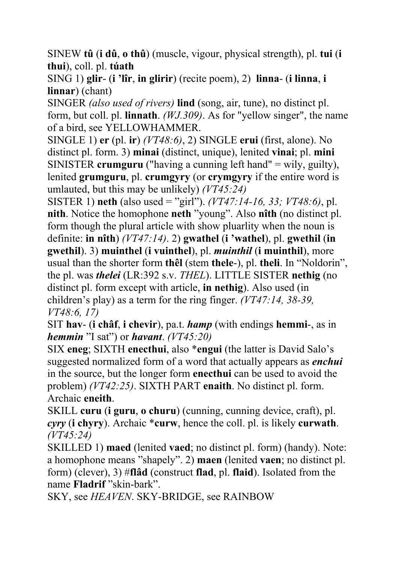SINEW **tû** (**i dû**, **o thû**) (muscle, vigour, physical strength), pl. **tui** (**i thui**), coll. pl. **túath** 

SING 1) **glir**- (**i 'lîr**, **in glirir**) (recite poem), 2) **linna**- (**i linna**, **i linnar**) (chant)

SINGER *(also used of rivers)* **lind** (song, air, tune), no distinct pl. form, but coll. pl. **linnath**. *(WJ.309)*. As for "yellow singer", the name of a bird, see YELLOWHAMMER.

SINGLE 1) **er** (pl. **ir**) *(VT48:6)*, 2) SINGLE **erui** (first, alone). No distinct pl. form. 3) **minai** (distinct, unique), lenited **vinai**; pl. **mini** SINISTER **crumguru** ("having a cunning left hand" = wily, guilty), lenited **grumguru**, pl. **crumgyry** (or **crymgyry** if the entire word is umlauted, but this may be unlikely) *(VT45:24)*

SISTER 1) **neth** (also used = "girl"). *(VT47:14-16, 33; VT48:6)*, pl. **nith**. Notice the homophone **neth** "young". Also **nîth** (no distinct pl. form though the plural article with show pluarlity when the noun is definite: **in nîth**) *(VT47:14)*. 2) **gwathel** (**i 'wathel**), pl. **gwethil** (**in gwethil**). 3) **muinthel** (**i vuinthel**), pl. *muinthil* (**i muinthil**), more usual than the shorter form **thêl** (stem **thele**-), pl. **theli**. In "Noldorin", the pl. was *thelei* (LR:392 s.v. *THEL*). LITTLE SISTER **nethig** (no distinct pl. form except with article, **in nethig**). Also used (in children's play) as a term for the ring finger. *(VT47:14, 38-39, VT48:6, 17)* 

SIT **hav**- (**i châf**, **i chevir**), pa.t. *hamp* (with endings **hemmi**-, as in *hemmin* "I sat") or *havant*. *(VT45:20)* 

SIX **eneg**; SIXTH **enecthui**, also \***engui** (the latter is David Salo's suggested normalized form of a word that actually appears as *enchui* in the source, but the longer form **enecthui** can be used to avoid the problem) *(VT42:25)*. SIXTH PART **enaith**. No distinct pl. form. Archaic **eneith**.

SKILL **curu** (**i guru**, **o churu**) (cunning, cunning device, craft), pl. *cyry* (**i chyry**). Archaic \***curw**, hence the coll. pl. is likely **curwath**. *(VT45:24)*

SKILLED 1) **maed** (lenited **vaed**; no distinct pl. form) (handy). Note: a homophone means "shapely". 2) **maen** (lenited **vaen**; no distinct pl. form) (clever), 3) #**flâd** (construct **flad**, pl. **flaid**). Isolated from the name **Fladrif** "skin-bark".

SKY, see *HEAVEN*. SKY-BRIDGE, see RAINBOW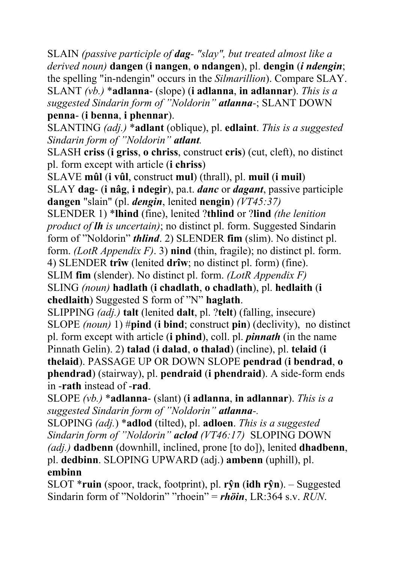SLAIN *(passive participle of dag- "slay", but treated almost like a derived noun)* **dangen** (**i nangen**, **o ndangen**), pl. **dengin** (*i ndengin*; the spelling "in-ndengin" occurs in the *Silmarillion*). Compare SLAY. SLANT *(vb.)* \***adlanna**- (slope) (**i adlanna**, **in adlannar**). *This is a suggested Sindarin form of "Noldorin" atlanna-*; SLANT DOWN

**penna**- (**i benna**, **i phennar**).

SLANTING *(adj.)* \***adlant** (oblique), pl. **edlaint**. *This is a suggested Sindarin form of "Noldorin" atlant.*

SLASH **criss** (**i griss**, **o chriss**, construct **cris**) (cut, cleft), no distinct pl. form except with article (**i chriss**)

SLAVE **mûl** (**i vûl**, construct **mul**) (thrall), pl. **muil** (**i muil**)

SLAY **dag**- (**i nâg**, **i ndegir**), pa.t. *danc* or *dagant*, passive participle **dangen** "slain" (pl. *dengin*, lenited **nengin**) *(VT45:37)*

SLENDER 1) \***lhind** (fine), lenited ?**thlind** or ?**lind** *(the lenition product of lh is uncertain)*; no distinct pl. form. Suggested Sindarin form of "Noldorin" *thlind*. 2) SLENDER **fim** (slim). No distinct pl.

form. *(LotR Appendix F)*. 3) **nind** (thin, fragile); no distinct pl. form.

4) SLENDER **trîw** (lenited **drîw**; no distinct pl. form) (fine).

SLIM **fim** (slender). No distinct pl. form. *(LotR Appendix F)*

SLING *(noun)* **hadlath** (**i chadlath**, **o chadlath**), pl. **hedlaith** (**i chedlaith**) Suggested S form of "N" **haglath**.

SLIPPING *(adj.)* **talt** (lenited **dalt**, pl. ?**telt**) (falling, insecure) SLOPE *(noun)* 1) #**pind** (**i bind**; construct **pin**) (declivity), no distinct pl. form except with article (**i phind**), coll. pl. *pinnath* (in the name Pinnath Gelin). 2) **talad** (**i dalad**, **o thalad**) (incline), pl. **telaid** (**i thelaid**). PASSAGE UP OR DOWN SLOPE **pendrad** (**i bendrad**, **o phendrad**) (stairway), pl. **pendraid** (**i phendraid**). A side-form ends in -**rath** instead of -**rad**.

SLOPE *(vb.)* \***adlanna**- (slant) (**i adlanna**, **in adlannar**). *This is a suggested Sindarin form of "Noldorin" atlanna-.*

SLOPING *(adj.*) \***adlod** (tilted), pl. **adloen**. *This is a suggested Sindarin form of "Noldorin" aclod (VT46:17)* SLOPING DOWN *(adj.)* **dadbenn** (downhill, inclined, prone [to do]), lenited **dhadbenn**, pl. **dedbinn**. SLOPING UPWARD (adj.) **ambenn** (uphill), pl. **embinn**

SLOT \***ruin** (spoor, track, footprint), pl. **rŷn** (**idh rŷn**). – Suggested Sindarin form of "Noldorin" "rhoein" = *rhöin*, LR:364 s.v. *RUN*.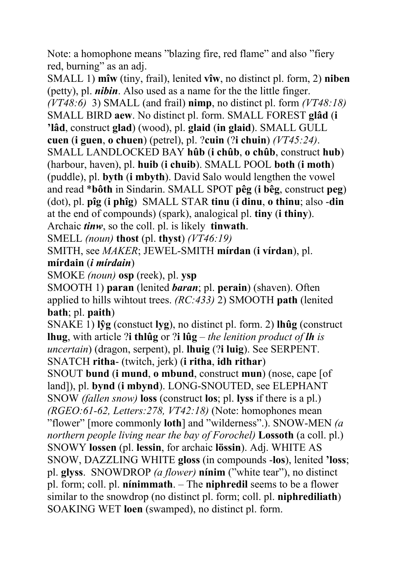Note: a homophone means "blazing fire, red flame" and also "fiery red, burning" as an adj.

SMALL 1) **mîw** (tiny, frail), lenited **vîw**, no distinct pl. form, 2) **niben** (petty), pl. *nibin*. Also used as a name for the the little finger. *(VT48:6)* 3) SMALL (and frail) **nimp**, no distinct pl. form *(VT48:18)*  SMALL BIRD **aew**. No distinct pl. form. SMALL FOREST **glâd** (**i 'lâd**, construct **glad**) (wood), pl. **glaid** (**in glaid**). SMALL GULL **cuen** (**i guen**, **o chuen**) (petrel), pl. ?**cuin** (?**i chuin**) *(VT45:24)*. SMALL LANDLOCKED BAY **hûb** (**i chûb**, **o chûb**, construct **hub**) (harbour, haven), pl. **huib** (**i chuib**). SMALL POOL **both** (**i moth**) (puddle), pl. **byth** (**i mbyth**). David Salo would lengthen the vowel and read \***bôth** in Sindarin. SMALL SPOT **pêg** (**i bêg**, construct **peg**) (dot), pl. **pîg** (**i phîg**) SMALL STAR **tinu** (**i dinu**, **o thinu**; also -**din** at the end of compounds) (spark), analogical pl. **tiny** (**i thiny**).

Archaic *tinw*, so the coll. pl. is likely **tinwath**.

SMELL *(noun)* **thost** (pl. **thyst**) *(VT46:19)*

SMITH, see *MAKER*; JEWEL-SMITH **mírdan** (**i vírdan**), pl.

#### **mírdain** (*i mírdain*)

SMOKE *(noun)* **osp** (reek), pl. **ysp**

SMOOTH 1) **paran** (lenited *baran*; pl. **perain**) (shaven). Often applied to hills wihtout trees. *(RC:433)* 2) SMOOTH **path** (lenited **bath**; pl. **paith**)

SNAKE 1) **lŷg** (constuct **lyg**), no distinct pl. form. 2) **lhûg** (construct **lhug**, with article ?**i thlûg** or ?**i lûg** – *the lenition product of lh is uncertain*) (dragon, serpent), pl. **lhuig** (?**i luig**). See SERPENT. SNATCH **ritha**- (twitch, jerk) (**i ritha**, **idh rithar**)

SNOUT **bund** (**i mund**, **o mbund**, construct **mun**) (nose, cape [of land]), pl. **bynd** (**i mbynd**). LONG-SNOUTED, see ELEPHANT SNOW *(fallen snow)* **loss** (construct **los**; pl. **lyss** if there is a pl.) *(RGEO:61-62, Letters:278, VT42:18)* (Note: homophones mean "flower" [more commonly **loth**] and "wilderness".). SNOW-MEN *(a northern people living near the bay of Forochel)* **Lossoth** (a coll. pl.) SNOWY **lossen** (pl. **lessin**, for archaic **lössin**). Adj. WHITE AS SNOW, DAZZLING WHITE **gloss** (in compounds -**los**), lenited **'loss**; pl. **glyss**. SNOWDROP *(a flower)* **nínim** ("white tear"), no distinct pl. form; coll. pl. **nínimmath**. – The **niphredil** seems to be a flower similar to the snowdrop (no distinct pl. form; coll. pl. **niphrediliath**) SOAKING WET **loen** (swamped), no distinct pl. form.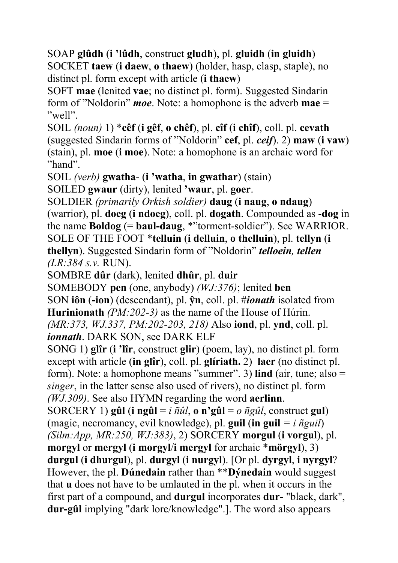SOAP **glûdh** (**i 'lûdh**, construct **gludh**), pl. **gluidh** (**in gluidh**) SOCKET **taew** (**i daew**, **o thaew**) (holder, hasp, clasp, staple), no distinct pl. form except with article (**i thaew**)

SOFT **mae** (lenited **vae**; no distinct pl. form). Suggested Sindarin form of "Noldorin" *moe*. Note: a homophone is the adverb **mae** = "well".

SOIL *(noun)* 1) \***cêf** (**i gêf**, **o chêf**), pl. **cîf** (**i chîf**), coll. pl. **cevath** (suggested Sindarin forms of "Noldorin" **cef**, pl. *ceif*). 2) **maw** (**i vaw**) (stain), pl. **moe** (**i moe**). Note: a homophone is an archaic word for "hand".

SOIL *(verb)* **gwatha**- (**i 'watha**, **in gwathar**) (stain)

SOILED **gwaur** (dirty), lenited **'waur**, pl. **goer**.

SOLDIER *(primarily Orkish soldier)* **daug** (**i naug**, **o ndaug**) (warrior), pl. **doeg** (**i ndoeg**), coll. pl. **dogath**. Compounded as -**dog** in the name **Boldog** (= **baul-daug**, \*"torment-soldier"). See WARRIOR. SOLE OF THE FOOT \***telluin** (**i delluin**, **o thelluin**), pl. **tellyn** (**i thellyn**). Suggested Sindarin form of "Noldorin" *telloein, tellen (LR:384 s.v.* RUN).

SOMBRE **dûr** (dark), lenited **dhûr**, pl. **duir**

SOMEBODY **pen** (one, anybody) *(WJ:376)*; lenited **ben** 

SON **iôn** (**-ion**) (descendant), pl. **ŷn**, coll. pl. #*ionath* isolated from **Hurinionath** *(PM:202-3)* as the name of the House of Húrin.

*(MR:373, WJ.337, PM:202-203, 218)* Also **iond**, pl. **ynd**, coll. pl. *ionnath*. DARK SON, see DARK ELF

SONG 1) **glîr** (**i 'lîr**, construct **glir**) (poem, lay), no distinct pl. form except with article (**in glîr**), coll. pl. **glíriath.** 2) **laer** (no distinct pl. form). Note: a homophone means "summer". 3) **lind** (air, tune; also = *singer*, in the latter sense also used of rivers), no distinct pl. form *(WJ.309)*. See also HYMN regarding the word **aerlinn**.

SORCERY 1) **gûl** (**i** ngûl = *i*  $\tilde{n}$ *ûl*, **o** n'gûl = *o*  $\tilde{n}$ *gûl*, construct gul) (magic, necromancy, evil knowledge), pl. **guil** (**in guil** *= i ñguil*) *(Silm:App, MR:250, WJ:383)*, 2) SORCERY **morgul** (**i vorgul**), pl. **morgyl** or **mergyl** (**i morgyl**/**i mergyl** for archaic \***mörgyl**), 3) **durgul** (**i dhurgul**), pl. **durgyl** (**i nurgyl**). [Or pl. **dyrgyl**, **i nyrgyl**? However, the pl. **Dúnedain** rather than \*\***Dýnedain** would suggest that **u** does not have to be umlauted in the pl. when it occurs in the first part of a compound, and **durgul** incorporates **dur**- "black, dark", **dur-gûl** implying "dark lore/knowledge".]. The word also appears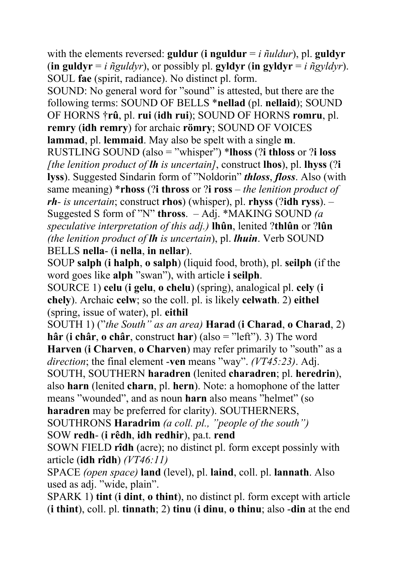with the elements reversed: **guldur** (**i** nguldur  $=$  *i*  $\tilde{\eta}$ *uldur*), pl. guldyr (**in guldyr** = *i*  $\tilde{n}$ *guldyr*), or possibly pl. **gyldyr** (**in gyldyr** = *i*  $\tilde{n}$ *gyldyr*). SOUL **fae** (spirit, radiance). No distinct pl. form.

SOUND: No general word for "sound" is attested, but there are the following terms: SOUND OF BELLS \***nellad** (pl. **nellaid**); SOUND OF HORNS †**rû**, pl. **rui** (**idh rui**); SOUND OF HORNS **romru**, pl. **remry** (**idh remry**) for archaic **römry**; SOUND OF VOICES **lammad**, pl. **lemmaid**. May also be spelt with a single **m**.

RUSTLING SOUND (also = "whisper") \***lhoss** (?**i thloss** or ?**i loss** *[the lenition product of lh is uncertain]*, construct **lhos**), pl. **lhyss** (?**i lyss**). Suggested Sindarin form of "Noldorin" *thloss*, *floss*. Also (with same meaning) \***rhoss** (?**i thross** or ?**i ross** *– the lenition product of rh- is uncertain*; construct **rhos**) (whisper), pl. **rhyss** (?**idh ryss**). – Suggested S form of "N" **thross**. – Adj. \*MAKING SOUND *(a speculative interpretation of this adj.)* **lhûn**, lenited ?**thlûn** or ?**lûn** *(the lenition product of lh is uncertain*), pl. *lhuin*. Verb SOUND BELLS **nella**- (**i nella**, **in nellar**).

SOUP **salph** (**i halph**, **o salph**) (liquid food, broth), pl. **seilph** (if the word goes like **alph** "swan"), with article **i seilph**.

SOURCE 1) **celu** (**i gelu**, **o chelu**) (spring), analogical pl. **cely** (**i chely**). Archaic **celw**; so the coll. pl. is likely **celwath**. 2) **eithel** (spring, issue of water), pl. **eithil**

SOUTH 1) ("*the South" as an area)* **Harad** (**i Charad**, **o Charad**, 2) **hâr** (**i châr**, **o châr**, construct **har**) (also = "left"). 3) The word

**Harven** (**i Charven**, **o Charven**) may refer primarily to "south" as a *direction*; the final element -**ven** means "way". *(VT45:23)*. Adj.

SOUTH, SOUTHERN **haradren** (lenited **charadren**; pl. **heredrin**), also **harn** (lenited **charn**, pl. **hern**). Note: a homophone of the latter means "wounded", and as noun **harn** also means "helmet" (so **haradren** may be preferred for clarity). SOUTHERNERS,

SOUTHRONS **Haradrim** *(a coll. pl., "people of the south")* SOW **redh**- (**i rêdh**, **idh redhir**), pa.t. **rend**

SOWN FIELD **rîdh** (acre); no distinct pl. form except possinly with article (**idh rîdh**) *(VT46:11)*

SPACE *(open space)* **land** (level), pl. **laind**, coll. pl. **lannath**. Also used as adj. "wide, plain".

SPARK 1) **tint** (**i dint**, **o thint**), no distinct pl. form except with article (**i thint**), coll. pl. **tinnath**; 2) **tinu** (**i dinu**, **o thinu**; also -**din** at the end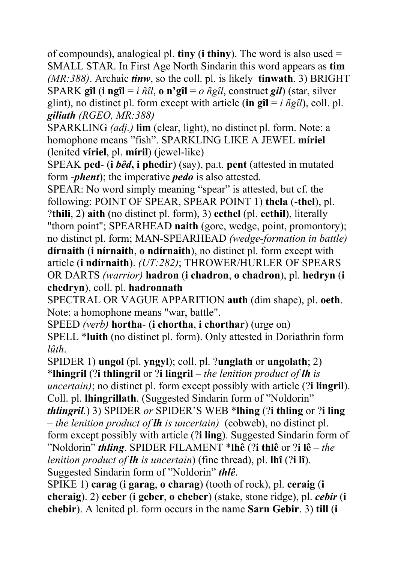of compounds), analogical pl. **tiny** (**i thiny**). The word is also used = SMALL STAR. In First Age North Sindarin this word appears as **tim** *(MR:388)*. Archaic *tinw*, so the coll. pl. is likely **tinwath**. 3) BRIGHT SPARK **gîl** (**i ngîl** = *i ñîl*, **o n'gîl** = *o ñgîl*, construct *gil*) (star, silver glint), no distinct pl. form except with article (in  $\mathbf{g} \hat{\mathbf{l}} = i \hat{n} g \hat{\mathbf{l}}$ ), coll. pl. *giliath (RGEO, MR:388)*

SPARKLING *(adj.)* **lim** (clear, light), no distinct pl. form. Note: a homophone means "fish". SPARKLING LIKE A JEWEL **míriel** (lenited **víriel**, pl. **míril**) (jewel-like)

SPEAK **ped**- (**i** *bêd***, i phedir**) (say), pa.t. **pent** (attested in mutated form -*phent*); the imperative *pedo* is also attested.

SPEAR: No word simply meaning "spear" is attested, but cf. the following: POINT OF SPEAR, SPEAR POINT 1) **thela** (-**thel**), pl. ?**thili**, 2) **aith** (no distinct pl. form), 3) **ecthel** (pl. **ecthil**), literally "thorn point"; SPEARHEAD **naith** (gore, wedge, point, promontory); no distinct pl. form; MAN-SPEARHEAD *(wedge-formation in battle)* **dírnaith** (**i nírnaith**, **o ndírnaith**), no distinct pl. form except with article (**i ndírnaith**). *(UT:282)*; THROWER/HURLER OF SPEARS OR DARTS *(warrior)* **hadron** (**i chadron**, **o chadron**), pl. **hedryn** (**i chedryn**), coll. pl. **hadronnath**

SPECTRAL OR VAGUE APPARITION **auth** (dim shape), pl. **oeth**. Note: a homophone means "war, battle".

SPEED *(verb)* **hortha**- (**i chortha**, **i chorthar**) (urge on) SPELL \***luith** (no distinct pl. form). Only attested in Doriathrin form *lûth*.

SPIDER 1) **ungol** (pl. **yngyl**); coll. pl. ?**unglath** or **ungolath**; 2)

\***lhingril** (?**i thlingril** or ?**i lingril** – *the lenition product of lh is uncertain)*; no distinct pl. form except possibly with article (?**i lingril**). Coll. pl. **lhingrillath**. (Suggested Sindarin form of "Noldorin"

*thlingril.*) 3) SPIDER *or* SPIDER'S WEB \***lhing** (?**i thling** or ?**i ling** – *the lenition product of lh is uncertain)* (cobweb), no distinct pl. form except possibly with article (?**i ling**). Suggested Sindarin form of "Noldorin" *thling*. SPIDER FILAMENT \***lhê** (?**i thlê** or ?**i lê** – *the lenition product of lh is uncertain*) (fine thread), pl. **lhî** (?**i lî**). Suggested Sindarin form of "Noldorin" *thlê*.

SPIKE 1) **carag** (**i garag**, **o charag**) (tooth of rock), pl. **ceraig** (**i cheraig**). 2) **ceber** (**i geber**, **o cheber**) (stake, stone ridge), pl. *cebir* (**i chebir**). A lenited pl. form occurs in the name **Sarn Gebir**. 3) **till** (**i**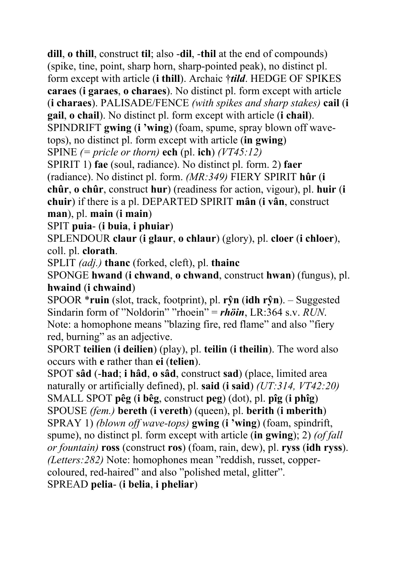**dill**, **o thill**, construct **til**; also -**dil**, -**thil** at the end of compounds) (spike, tine, point, sharp horn, sharp-pointed peak), no distinct pl. form except with article (**i thill**). Archaic †*tild*. HEDGE OF SPIKES **caraes** (**i garaes**, **o charaes**). No distinct pl. form except with article (**i charaes**). PALISADE/FENCE *(with spikes and sharp stakes)* **cail** (**i gail**, **o chail**). No distinct pl. form except with article (**i chail**). SPINDRIFT **gwing** (**i 'wing**) (foam, spume, spray blown off wavetops), no distinct pl. form except with article (**in gwing**) SPINE *(= pricle or thorn)* **ech** (pl. **ich**) *(VT45:12)* SPIRIT 1) **fae** (soul, radiance). No distinct pl. form. 2) **faer**

(radiance). No distinct pl. form. *(MR:349)* FIERY SPIRIT **hûr** (**i chûr**, **o chûr**, construct **hur**) (readiness for action, vigour), pl. **huir** (**i chuir**) if there is a pl. DEPARTED SPIRIT **mân** (**i vân**, construct **man**), pl. **main** (**i main**)

SPIT **puia**- (**i buia**, **i phuiar**)

SPLENDOUR **claur** (**i glaur**, **o chlaur**) (glory), pl. **cloer** (**i chloer**), coll. pl. **clorath**.

SPLIT *(adj.)* **thanc** (forked, cleft), pl. **thainc** 

SPONGE **hwand** (**i chwand**, **o chwand**, construct **hwan**) (fungus), pl. **hwaind** (**i chwaind**)

SPOOR \***ruin** (slot, track, footprint), pl. **rŷn** (**idh rŷn**). – Suggested Sindarin form of "Noldorin" "rhoein" = *rhöin*, LR:364 s.v. *RUN*. Note: a homophone means "blazing fire, red flame" and also "fiery red, burning" as an adjective.

SPORT **teilien** (**i deilien**) (play), pl. **teilin** (**i theilin**). The word also occurs with **e** rather than **ei** (**telien**).

SPOT **sâd** (-**had**; **i hâd**, **o sâd**, construct **sad**) (place, limited area naturally or artificially defined), pl. **said** (**i said**) *(UT:314, VT42:20)* SMALL SPOT **pêg** (**i bêg**, construct **peg**) (dot), pl. **pîg** (**i phîg**) SPOUSE *(fem.)* **bereth** (**i vereth**) (queen), pl. **berith** (**i mberith**) SPRAY 1) *(blown off wave-tops)* **gwing** (**i 'wing**) (foam, spindrift, spume), no distinct pl. form except with article (**in gwing**); 2) *(of fall or fountain)* **ross** (construct **ros**) (foam, rain, dew), pl. **ryss** (**idh ryss**). *(Letters:282)* Note: homophones mean "reddish, russet, coppercoloured, red-haired" and also "polished metal, glitter". SPREAD **pelia**- (**i belia**, **i pheliar**)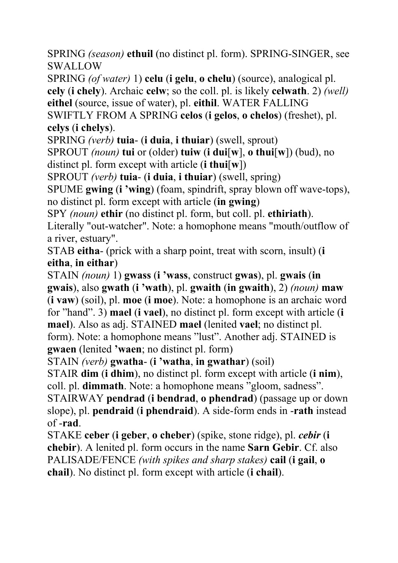SPRING *(season)* **ethuil** (no distinct pl. form). SPRING-SINGER, see SWALLOW

SPRING *(of water)* 1) **celu** (**i gelu**, **o chelu**) (source), analogical pl. **cely** (**i chely**). Archaic **celw**; so the coll. pl. is likely **celwath**. 2) *(well)* **eithel** (source, issue of water), pl. **eithil**. WATER FALLING SWIFTLY FROM A SPRING **celos** (**i gelos**, **o chelos**) (freshet), pl.

**celys** (**i chelys**).

SPRING *(verb)* **tuia**- (**i duia**, **i thuiar**) (swell, sprout)

SPROUT *(noun)* **tui** or (older) **tuiw** (**i dui**[**w**], **o thui**[**w**]) (bud), no distinct pl. form except with article (**i thui**[**w**])

SPROUT *(verb)* **tuia**- (**i duia**, **i thuiar**) (swell, spring)

SPUME **gwing** (**i 'wing**) (foam, spindrift, spray blown off wave-tops), no distinct pl. form except with article (**in gwing**)

SPY *(noun)* **ethir** (no distinct pl. form, but coll. pl. **ethiriath**).

Literally "out-watcher". Note: a homophone means "mouth/outflow of a river, estuary".

STAB **eitha**- (prick with a sharp point, treat with scorn, insult) (**i eitha**, **in eithar**)

STAIN *(noun)* 1) **gwass** (**i 'wass**, construct **gwas**), pl. **gwais** (**in gwais**), also **gwath** (**i 'wath**), pl. **gwaith** (**in gwaith**), 2) *(noun)* **maw** (**i vaw**) (soil), pl. **moe** (**i moe**). Note: a homophone is an archaic word for "hand". 3) **mael** (**i vael**), no distinct pl. form except with article (**i mael**). Also as adj. STAINED **mael** (lenited **vael**; no distinct pl. form). Note: a homophone means "lust". Another adj. STAINED is **gwaen** (lenited **'waen**; no distinct pl. form)

STAIN *(verb)* **gwatha**- (**i 'watha**, **in gwathar**) (soil)

STAIR **dim** (**i dhim**), no distinct pl. form except with article (**i nim**), coll. pl. **dimmath**. Note: a homophone means "gloom, sadness".

STAIRWAY **pendrad** (**i bendrad**, **o phendrad**) (passage up or down slope), pl. **pendraid** (**i phendraid**). A side-form ends in -**rath** instead of -**rad**.

STAKE **ceber** (**i geber**, **o cheber**) (spike, stone ridge), pl. *cebir* (**i chebir**). A lenited pl. form occurs in the name **Sarn Gebir**. Cf. also PALISADE/FENCE *(with spikes and sharp stakes)* **cail** (**i gail**, **o chail**). No distinct pl. form except with article (**i chail**).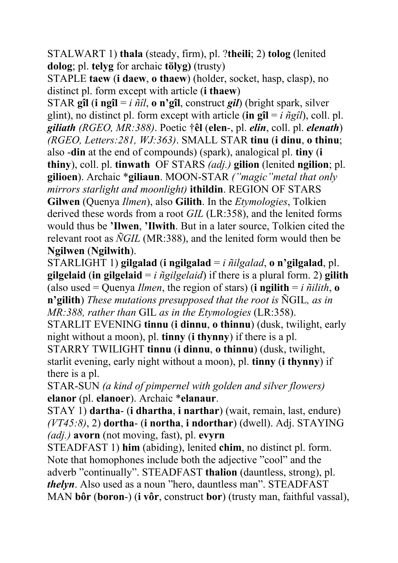STALWART 1) **thala** (steady, firm), pl. ?**theili**; 2) **tolog** (lenited **dolog**; pl. **telyg** for archaic **tölyg)** (trusty)

STAPLE **taew** (**i daew**, **o thaew**) (holder, socket, hasp, clasp), no distinct pl. form except with article (**i thaew**)

STAR **gîl** (**i ngîl** = *i ñîl*, **o n'gîl**, construct *gil*) (bright spark, silver glint), no distinct pl. form except with article (in  $\mathbf{g} \mathbf{\hat{i}} = i \hat{n} g \hat{i}$ ), coll. pl. *giliath (RGEO, MR:388)*. Poetic †**êl** (**elen**-, pl. *elin*, coll. pl. *elenath*) *(RGEO, Letters:281, WJ:363)*. SMALL STAR **tinu** (**i dinu**, **o thinu**; also -**din** at the end of compounds) (spark), analogical pl. **tiny** (**i thiny**), coll. pl. **tinwath** OF STARS *(adj.)* **gilion** (lenited **ngilion**; pl. **gilioen**). Archaic \***giliaun**. MOON-STAR *("magic"metal that only mirrors starlight and moonlight)* **ithildin**. REGION OF STARS **Gilwen** (Quenya *Ilmen*), also **Gilith**. In the *Etymologies*, Tolkien derived these words from a root *GIL* (LR:358), and the lenited forms

would thus be **'Ilwen**, **'Ilwith**. But in a later source, Tolkien cited the relevant root as *ÑGIL* (MR:388), and the lenited form would then be **Ngilwen** (**Ngilwith**).

STARLIGHT 1) **gilgalad** (**i ngilgalad** = *i ñilgalad*, **o n'gilgalad**, pl. **gilgelaid** (**in gilgelaid** = *i ñgilgelaid*) if there is a plural form. 2) **gilith** (also used = Quenya *Ilmen*, the region of stars) (**i** ngilith =  $i$   $\tilde{n}$ *ilith*,  $\bf{o}$ **n'gilith**) *These mutations presupposed that the root is* ÑGIL*, as in MR:388, rather than* GIL *as in the Etymologies* (LR:358).

STARLIT EVENING **tinnu** (**i dinnu**, **o thinnu**) (dusk, twilight, early night without a moon), pl. **tinny** (**i thynny**) if there is a pl.

STARRY TWILIGHT **tinnu** (**i dinnu**, **o thinnu**) (dusk, twilight, starlit evening, early night without a moon), pl. **tinny** (**i thynny**) if there is a pl.

STAR-SUN *(a kind of pimpernel with golden and silver flowers)* **elanor** (pl. **elanoer**). Archaic \***elanaur**.

STAY 1) **dartha**- (**i dhartha**, **i narthar**) (wait, remain, last, endure) *(VT45:8)*, 2) **dortha**- (**i northa**, **i ndorthar**) (dwell). Adj. STAYING *(adj.)* **avorn** (not moving, fast), pl. **evyrn**

STEADFAST 1) **him** (abiding), lenited **chim**, no distinct pl. form. Note that homophones include both the adjective "cool" and the adverb "continually". STEADFAST **thalion** (dauntless, strong), pl. *thelyn*. Also used as a noun "hero, dauntless man". STEADFAST MAN **bôr** (**boron**-) (**i vôr**, construct **bor**) (trusty man, faithful vassal),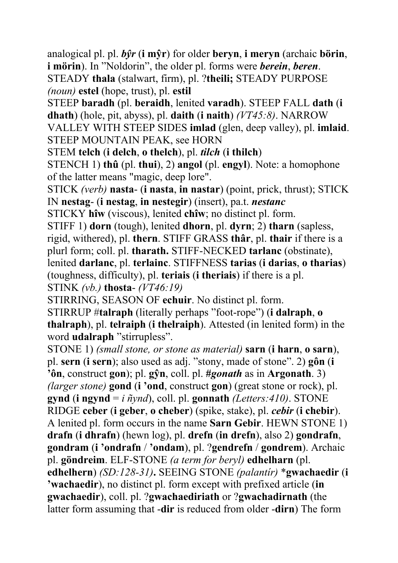analogical pl. pl. *bŷr* (**i mŷr**) for older **beryn**, **i meryn** (archaic **börin**, **i mörin**). In "Noldorin", the older pl. forms were *berein*, *beren*. STEADY **thala** (stalwart, firm), pl. ?**theili;** STEADY PURPOSE *(noun)* **estel** (hope, trust), pl. **estil**

STEEP **baradh** (pl. **beraidh**, lenited **varadh**). STEEP FALL **dath** (**i dhath**) (hole, pit, abyss), pl. **daith** (**i naith**) *(VT45:8)*. NARROW VALLEY WITH STEEP SIDES **imlad** (glen, deep valley), pl. **imlaid**. STEEP MOUNTAIN PEAK, see HORN

STEM **telch** (**i delch**, **o thelch**), pl. *tilch* (**i thilch**)

STENCH 1) **thû** (pl. **thui**), 2) **angol** (pl. **engyl**). Note: a homophone of the latter means "magic, deep lore".

STICK *(verb)* **nasta**- (**i nasta**, **in nastar**) (point, prick, thrust); STICK IN **nestag**- (**i nestag**, **in nestegir**) (insert), pa.t. *nestanc*

STICKY **hîw** (viscous), lenited **chîw**; no distinct pl. form.

STIFF 1) **dorn** (tough), lenited **dhorn**, pl. **dyrn**; 2) **tharn** (sapless, rigid, withered), pl. **thern**. STIFF GRASS **thâr**, pl. **thair** if there is a plurl form; coll. pl. **tharath.** STIFF-NECKED **tarlanc** (obstinate), lenited **darlanc**, pl. **terlainc**. STIFFNESS **tarias** (**i darias**, **o tharias**) (toughness, difficulty), pl. **teriais** (**i theriais**) if there is a pl. STINK *(vb.)* **thosta**- *(VT46:19)*

STIRRING, SEASON OF **echuir**. No distinct pl. form.

STIRRUP #**talraph** (literally perhaps "foot-rope") (**i dalraph**, **o thalraph**), pl. **telraiph** (**i thelraiph**). Attested (in lenited form) in the word **udalraph** "stirrupless".

STONE 1) *(small stone, or stone as material)* **sarn** (**i harn**, **o sarn**), pl. **sern** (**i sern**); also used as adj. "stony, made of stone". 2) **gôn** (**i 'ôn**, construct **gon**); pl. **gŷn**, coll. pl. **#***gonath* as in **Argonath**. 3) *(larger stone)* **gond** (**i 'ond**, construct **gon**) (great stone or rock), pl. **gynd** (**i ngynd** = *i ñynd*), coll. pl. **gonnath** *(Letters:410)*. STONE RIDGE **ceber** (**i geber**, **o cheber**) (spike, stake), pl. *cebir* (**i chebir**). A lenited pl. form occurs in the name **Sarn Gebir**. HEWN STONE 1) **drafn** (**i dhrafn**) (hewn log), pl. **drefn** (**in drefn**), also 2) **gondrafn**, **gondram** (**i 'ondrafn** / **'ondam**), pl. ?**gendrefn** / **gondrem**). Archaic pl. **göndreim**. ELF-STONE *(a term for beryl)* **edhelharn** (pl. **edhelhern**) *(SD:128-31)***.** SEEING STONE *(palantír)* \***gwachaedir** (**i 'wachaedir**), no distinct pl. form except with prefixed article (**in gwachaedir**), coll. pl. ?**gwachaediriath** or ?**gwachadirnath** (the latter form assuming that -**dir** is reduced from older -**dirn**) The form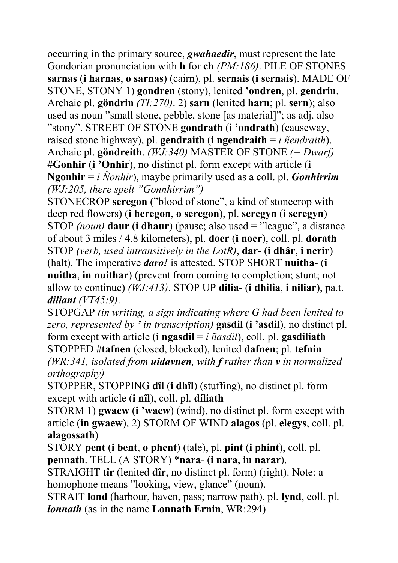occurring in the primary source, *gwahaedir*, must represent the late Gondorian pronunciation with **h** for **ch** *(PM:186)*. PILE OF STONES **sarnas** (**i harnas**, **o sarnas**) (cairn), pl. **sernais** (**i sernais**). MADE OF STONE, STONY 1) **gondren** (stony), lenited **'ondren**, pl. **gendrin**. Archaic pl. **göndrin** *(TI:270)*. 2) **sarn** (lenited **harn**; pl. **sern**); also used as noun "small stone, pebble, stone [as material]"; as adj. also = "stony". STREET OF STONE **gondrath** (**i 'ondrath**) (causeway, raised stone highway), pl. **gendraith** (**i ngendraith** = *i ñendraith*). Archaic pl. **göndreith**. *(WJ:340)* MASTER OF STONE *(= Dwarf)* #**Gonhir** (**i 'Onhir**), no distinct pl. form except with article (**i Ngonhir** = *i Ñonhir*), maybe primarily used as a coll. pl. *Gonhirrim (WJ:205, there spelt "Gonnhirrim")*

STONECROP **seregon** ("blood of stone", a kind of stonecrop with deep red flowers) (**i heregon**, **o seregon**), pl. **seregyn** (**i seregyn**) STOP *(noun)* **daur** (**i dhaur**) (pause; also used = "league", a distance of about 3 miles / 4.8 kilometers), pl. **doer** (**i noer**), coll. pl. **dorath**  STOP *(verb, used intransitively in the LotR)*, **dar**- (**i dhâr**, **i nerir**) (halt). The imperative *daro!* is attested. STOP SHORT **nuitha**- (**i nuitha**, **in nuithar**) (prevent from coming to completion; stunt; not allow to continue) *(WJ:413)*. STOP UP **dilia**- (**i dhilia**, **i niliar**), pa.t. *diliant (VT45:9)*.

STOPGAP *(in writing, a sign indicating where G had been lenited to zero, represented by ' in transcription)* **gasdil** (**i 'asdil**), no distinct pl. form except with article (**i ngasdil** = *i ñasdil*), coll. pl. **gasdiliath**  STOPPED #**tafnen** (closed, blocked), lenited **dafnen**; pl. **tefnin** *(WR:341, isolated from uidavnen, with f rather than v in normalized* 

*orthography)*

STOPPER, STOPPING **dîl** (**i dhîl**) (stuffing), no distinct pl. form except with article (**i nîl**), coll. pl. **díliath** 

STORM 1) **gwaew** (**i 'waew**) (wind), no distinct pl. form except with article (**in gwaew**), 2) STORM OF WIND **alagos** (pl. **elegys**, coll. pl. **alagossath**)

STORY **pent** (**i bent**, **o phent**) (tale), pl. **pint** (**i phint**), coll. pl. **pennath**. TELL (A STORY) \***nara**- (**i nara**, **in narar**).

STRAIGHT **tîr** (lenited **dîr**, no distinct pl. form) (right). Note: a homophone means "looking, view, glance" (noun).

STRAIT **lond** (harbour, haven, pass; narrow path), pl. **lynd**, coll. pl. *lonnath* (as in the name **Lonnath Ernin**, WR:294)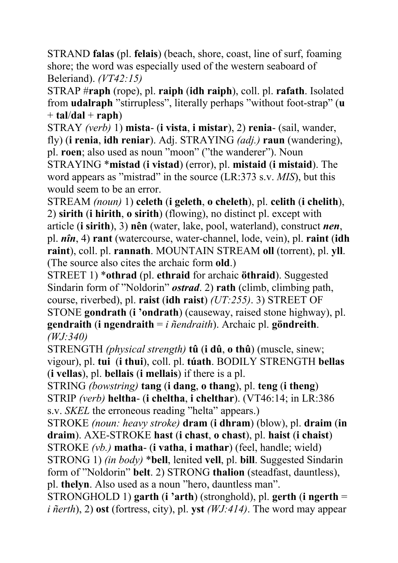STRAND **falas** (pl. **felais**) (beach, shore, coast, line of surf, foaming shore; the word was especially used of the western seaboard of Beleriand). *(VT42:15)*

STRAP #**raph** (rope), pl. **raiph** (**idh raiph**), coll. pl. **rafath**. Isolated from **udalraph** "stirrupless", literally perhaps "without foot-strap" (**u**  $+$ **tal/dal** + **raph**)

STRAY *(verb)* 1) **mista**- (**i vista**, **i mistar**), 2) **renia**- (sail, wander, fly) (**i renia**, **idh reniar**). Adj. STRAYING *(adj.)* **raun** (wandering), pl. **roen**; also used as noun "moon" ("the wanderer"). Noun

STRAYING \***mistad** (**i vistad**) (error), pl. **mistaid** (**i mistaid**). The word appears as "mistrad" in the source (LR:373 s.v. *MIS*), but this would seem to be an error.

STREAM *(noun)* 1) **celeth** (**i geleth**, **o cheleth**), pl. **celith** (**i chelith**), 2) **sirith** (**i hirith**, **o sirith**) (flowing), no distinct pl. except with article (**i sirith**), 3) **nên** (water, lake, pool, waterland), construct *nen*, pl. *nîn*, 4) **rant** (watercourse, water-channel, lode, vein), pl. **raint** (**idh raint**), coll. pl. **rannath**. MOUNTAIN STREAM **oll** (torrent), pl. **yll**. (The source also cites the archaic form **old**.)

STREET 1) \***othrad** (pl. **ethraid** for archaic **öthraid**). Suggested Sindarin form of "Noldorin" *ostrad*. 2) **rath** (climb, climbing path, course, riverbed), pl. **raist** (**idh raist**) *(UT:255)*. 3) STREET OF STONE **gondrath** (**i 'ondrath**) (causeway, raised stone highway), pl. **gendraith** (**i ngendraith** = *i ñendraith*). Archaic pl. **göndreith**. *(WJ:340)*

STRENGTH *(physical strength)* **tû** (**i dû**, **o thû**) (muscle, sinew; vigour), pl. **tui** (**i thui**), coll. pl. **túath**. BODILY STRENGTH **bellas** (**i vellas**), pl. **bellais** (**i mellais**) if there is a pl.

STRING *(bowstring)* **tang** (**i dang**, **o thang**), pl. **teng** (**i theng**) STRIP *(verb)* **heltha**- (**i cheltha**, **i chelthar**). (VT46:14; in LR:386 s.v. *SKEL* the erroneous reading "helta" appears.)

STROKE *(noun: heavy stroke)* **dram** (**i dhram**) (blow), pl. **draim** (**in draim**). AXE-STROKE **hast** (**i chast**, **o chast**), pl. **haist** (**i chaist**) STROKE *(vb.)* **matha**- (**i vatha**, **i mathar**) (feel, handle; wield) STRONG 1) *(in body)* \***bell**, lenited **vell**, pl. **bill**. Suggested Sindarin form of "Noldorin" **belt**. 2) STRONG **thalion** (steadfast, dauntless), pl. **thelyn**. Also used as a noun "hero, dauntless man".

STRONGHOLD 1) **garth** (**i 'arth**) (stronghold), pl. **gerth** (**i ngerth** = *i ñerth*), 2) **ost** (fortress, city), pl. **yst** *(WJ:414)*. The word may appear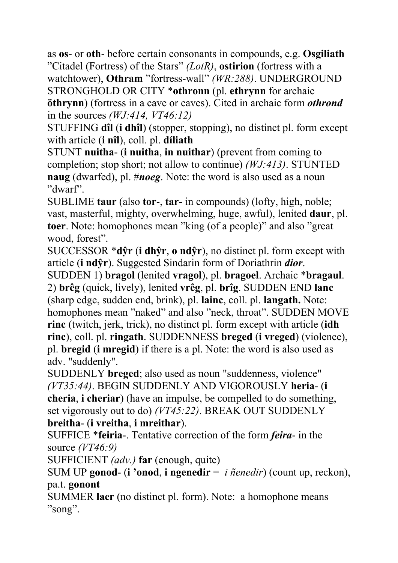as **os**- or **oth**- before certain consonants in compounds, e.g. **Osgiliath** "Citadel (Fortress) of the Stars" *(LotR)*, **ostirion** (fortress with a watchtower), **Othram** "fortress-wall" *(WR:288)*. UNDERGROUND STRONGHOLD OR CITY \***othronn** (pl. **ethrynn** for archaic **öthrynn**) (fortress in a cave or caves). Cited in archaic form *othrond* in the sources *(WJ:414, VT46:12)*

STUFFING **dîl** (**i dhîl**) (stopper, stopping), no distinct pl. form except with article (**i nîl**), coll. pl. **díliath**

STUNT **nuitha**- (**i nuitha**, **in nuithar**) (prevent from coming to completion; stop short; not allow to continue) *(WJ:413)*. STUNTED **naug** (dwarfed), pl. #*noeg*. Note: the word is also used as a noun "dwarf".

SUBLIME **taur** (also **tor**-, **tar**- in compounds) (lofty, high, noble; vast, masterful, mighty, overwhelming, huge, awful), lenited **daur**, pl. **toer**. Note: homophones mean "king (of a people)" and also "great wood, forest".

SUCCESSOR \***dŷr** (**i dhŷr**, **o ndŷr**), no distinct pl. form except with article (**i ndŷr**). Suggested Sindarin form of Doriathrin *dior*.

SUDDEN 1) **bragol** (lenited **vragol**), pl. **bragoel**. Archaic \***bragaul**. 2) **brêg** (quick, lively), lenited **vrêg**, pl. **brîg**. SUDDEN END **lanc** (sharp edge, sudden end, brink), pl. **lainc**, coll. pl. **langath.** Note: homophones mean "naked" and also "neck, throat". SUDDEN MOVE **rinc** (twitch, jerk, trick), no distinct pl. form except with article (**idh rinc**), coll. pl. **ringath**. SUDDENNESS **breged** (**i vreged**) (violence), pl. **bregid** (**i mregid**) if there is a pl. Note: the word is also used as adv. "suddenly".

SUDDENLY **breged**; also used as noun "suddenness, violence" *(VT35:44)*. BEGIN SUDDENLY AND VIGOROUSLY **heria**- (**i cheria**, **i cheriar**) (have an impulse, be compelled to do something, set vigorously out to do) *(VT45:22)*. BREAK OUT SUDDENLY **breitha**- (**i vreitha**, **i mreithar**).

SUFFICE \***feiria**-. Tentative correction of the form *feira*- in the source *(VT46:9)*

SUFFICIENT *(adv.)* **far** (enough, quite)

SUM UP **gonod**- (**i 'onod**, **i ngenedir** = *i ñenedir*) (count up, reckon), pa.t. **gonont** 

SUMMER **laer** (no distinct pl. form). Note: a homophone means "song".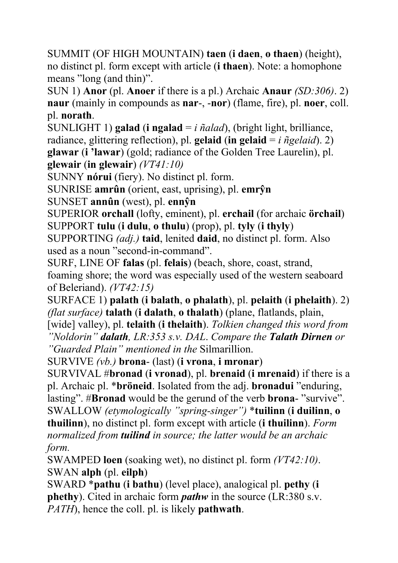SUMMIT (OF HIGH MOUNTAIN) **taen** (**i daen**, **o thaen**) (height), no distinct pl. form except with article (**i thaen**). Note: a homophone means "long (and thin)".

SUN 1) **Anor** (pl. **Anoer** if there is a pl.) Archaic **Anaur** *(SD:306)*. 2) **naur** (mainly in compounds as **nar**-, -**nor**) (flame, fire), pl. **noer**, coll. pl. **norath**.

SUNLIGHT 1) **galad** (**i ngalad** = *i ñalad*), (bright light, brilliance, radiance, glittering reflection), pl. **gelaid** (**in gelaid** =  $i$  *ñgelaid*). 2) **glawar** (**i 'lawar**) (gold; radiance of the Golden Tree Laurelin), pl. **glewair** (**in glewair**) *(VT41:10)*

SUNNY **nórui** (fiery). No distinct pl. form.

SUNRISE **amrûn** (orient, east, uprising), pl. **emrŷn**

SUNSET **annûn** (west), pl. **ennŷn**

SUPERIOR **orchall** (lofty, eminent), pl. **erchail** (for archaic **örchail**) SUPPORT **tulu** (**i dulu**, **o thulu**) (prop), pl. **tyly** (**i thyly**)

SUPPORTING *(adj.)* **taid**, lenited **daid**, no distinct pl. form. Also used as a noun "second-in-command".

SURF, LINE OF **falas** (pl. **felais**) (beach, shore, coast, strand, foaming shore; the word was especially used of the western seaboard of Beleriand). *(VT42:15)*

SURFACE 1) **palath** (**i balath**, **o phalath**), pl. **pelaith** (**i phelaith**). 2) *(flat surface)* **talath** (**i dalath**, **o thalath**) (plane, flatlands, plain,

[wide] valley), pl. **telaith** (**i thelaith**). *Tolkien changed this word from "Noldorin" dalath, LR:353 s.v. DAL*. *Compare the Talath Dirnen or "Guarded Plain" mentioned in the* Silmarillion.

SURVIVE *(vb.)* **brona**- (last) (**i vrona**, **i mronar**)

SURVIVAL #**bronad** (**i vronad**), pl. **brenaid** (**i mrenaid**) if there is a pl. Archaic pl. \***bröneid**. Isolated from the adj. **bronadui** "enduring, lasting". #**Bronad** would be the gerund of the verb **brona**- "survive". SWALLOW *(etymologically "spring-singer")* \***tuilinn** (**i duilinn**, **o thuilinn**), no distinct pl. form except with article (**i thuilinn**). *Form normalized from tuilind in source; the latter would be an archaic form.*

SWAMPED **loen** (soaking wet), no distinct pl. form *(VT42:10)*. SWAN **alph** (pl. **eilph**)

SWARD \***pathu** (**i bathu**) (level place), analogical pl. **pethy** (**i phethy**). Cited in archaic form *pathw* in the source (LR:380 s.v. *PATH*), hence the coll. pl. is likely **pathwath**.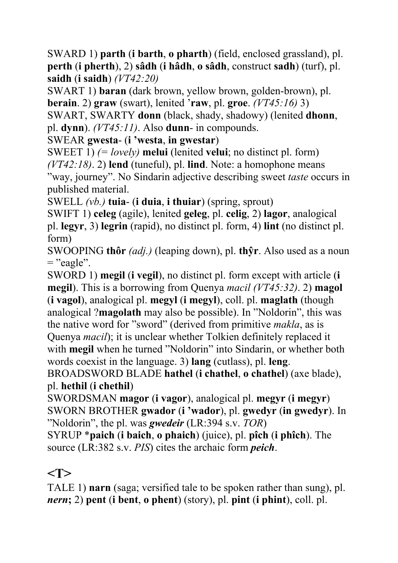SWARD 1) **parth** (**i barth**, **o pharth**) (field, enclosed grassland), pl. **perth** (**i pherth**), 2) **sâdh** (**i hâdh**, **o sâdh**, construct **sadh**) (turf), pl. **saidh** (**i saidh**) *(VT42:20)*

SWART 1) **baran** (dark brown, yellow brown, golden-brown), pl. **berain**. 2) **graw** (swart), lenited '**raw**, pl. **groe**. *(VT45:16)* 3)

SWART, SWARTY **donn** (black, shady, shadowy) (lenited **dhonn**, pl. **dynn**). *(VT45:11)*. Also **dunn**- in compounds.

SWEAR **gwesta**- (**i 'westa**, **in gwestar**)

SWEET 1) *(= lovely)* **melui** (lenited **velui**; no distinct pl. form) *(VT42:18)*. 2) **lend** (tuneful), pl. **lind**. Note: a homophone means

"way, journey". No Sindarin adjective describing sweet *taste* occurs in published material.

SWELL *(vb.)* **tuia**- (**i duia**, **i thuiar**) (spring, sprout)

SWIFT 1) **celeg** (agile), lenited **geleg**, pl. **celig**, 2) **lagor**, analogical pl. **legyr**, 3) **legrin** (rapid), no distinct pl. form, 4) **lint** (no distinct pl. form)

SWOOPING **thôr** *(adj.)* (leaping down), pl. **thŷr**. Also used as a noun  $=$  "eagle".

SWORD 1) **megil** (**i vegil**), no distinct pl. form except with article (**i megil**). This is a borrowing from Quenya *macil (VT45:32)*. 2) **magol** (**i vagol**), analogical pl. **megyl** (**i megyl**), coll. pl. **maglath** (though analogical ?**magolath** may also be possible). In "Noldorin", this was the native word for "sword" (derived from primitive *makla*, as is Quenya *macil*); it is unclear whether Tolkien definitely replaced it with **megil** when he turned "Noldorin" into Sindarin, or whether both words coexist in the language. 3) **lang** (cutlass), pl. **leng**.

BROADSWORD BLADE **hathel** (**i chathel**, **o chathel**) (axe blade), pl. **hethil** (**i chethil**)

SWORDSMAN **magor** (**i vagor**), analogical pl. **megyr** (**i megyr**) SWORN BROTHER **gwador** (**i 'wador**), pl. **gwedyr** (**in gwedyr**). In "Noldorin", the pl. was *gwedeir* (LR:394 s.v. *TOR*)

SYRUP \***paich** (**i baich**, **o phaich**) (juice), pl. **pîch** (**i phîch**). The source (LR:382 s.v. *PIS*) cites the archaic form *peich*.

## **<T>**

TALE 1) **narn** (saga; versified tale to be spoken rather than sung), pl. *nern***;** 2) **pent** (**i bent**, **o phent**) (story), pl. **pint** (**i phint**), coll. pl.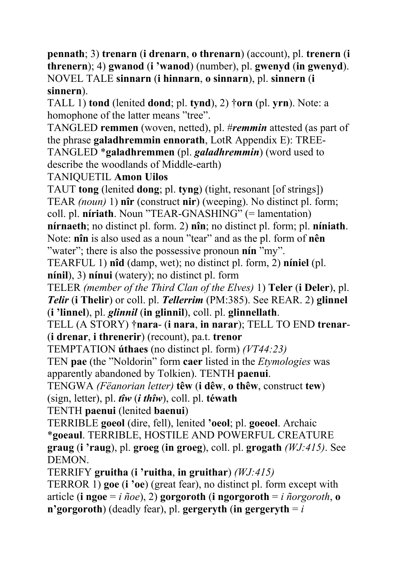**pennath**; 3) **trenarn** (**i drenarn**, **o threnarn**) (account), pl. **trenern** (**i threnern**); 4) **gwanod** (**i 'wanod**) (number), pl. **gwenyd** (**in gwenyd**). NOVEL TALE **sinnarn** (**i hinnarn**, **o sinnarn**), pl. **sinnern** (**i sinnern**).

TALL 1) **tond** (lenited **dond**; pl. **tynd**), 2) †**orn** (pl. **yrn**). Note: a homophone of the latter means "tree".

TANGLED **remmen** (woven, netted), pl. #*remmin* attested (as part of the phrase **galadhremmin ennorath**, LotR Appendix E): TREE-TANGLED \***galadhremmen** (pl. *galadhremmin*) (word used to describe the woodlands of Middle-earth)

TANIQUETIL **Amon Uilos**

TAUT **tong** (lenited **dong**; pl. **tyng**) (tight, resonant [of strings]) TEAR *(noun)* 1) **nîr** (construct **nir**) (weeping). No distinct pl. form; coll. pl. **níriath**. Noun "TEAR-GNASHING" (= lamentation) **nírnaeth**; no distinct pl. form. 2) **nîn**; no distinct pl. form; pl. **níniath**. Note: **nîn** is also used as a noun "tear" and as the pl. form of **nên**

"water"; there is also the possessive pronoun **nín** "my". TEARFUL 1) **nîd** (damp, wet); no distinct pl. form, 2) **níniel** (pl.

**nínil**), 3) **nínui** (watery); no distinct pl. form

TELER *(member of the Third Clan of the Elves)* 1) **Teler** (**i Deler**), pl. *Telir* (**i Thelir**) or coll. pl. *Tellerrim* (PM:385). See REAR. 2) **glinnel** (**i 'linnel**), pl. *glinnil* (**in glinnil**), coll. pl. **glinnellath**.

TELL (A STORY) †**nara**- (**i nara**, **in narar**); TELL TO END **trenar**- (**i drenar**, **i threnerir**) (recount), pa.t. **trenor** 

TEMPTATION **úthaes** (no distinct pl. form) *(VT44:23)*

TEN **pae** (the "Noldorin" form **caer** listed in the *Etymologies* was apparently abandoned by Tolkien). TENTH **paenui**.

TENGWA *(Fëanorian letter)* **têw** (**i dêw**, **o thêw**, construct **tew**) (sign, letter), pl. *tîw* (*i thîw*), coll. pl. **téwath** 

TENTH **paenui** (lenited **baenui**)

TERRIBLE **goeol** (dire, fell), lenited **'oeol**; pl. **goeoel**. Archaic \***goeaul**. TERRIBLE, HOSTILE AND POWERFUL CREATURE **graug** (**i 'raug**), pl. **groeg** (**in groeg**), coll. pl. **grogath** *(WJ:415)*. See **DEMON** 

TERRIFY **gruitha** (**i 'ruitha**, **in gruithar**) *(WJ:415)*

TERROR 1) **goe** (**i 'oe**) (great fear), no distinct pl. form except with article (**i ngoe** = *i ñoe*), 2) **gorgoroth** (**i ngorgoroth** = *i ñorgoroth*, **o n'gorgoroth**) (deadly fear), pl. **gergeryth** (**in gergeryth**  $=i$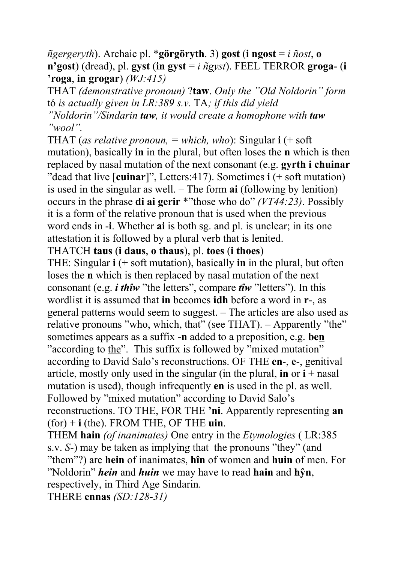*ñgergeryth*). Archaic pl. \***görgöryth**. 3) **gost** (**i ngost** = *i ñost*, **o n'gost**) (dread), pl. **gyst** (**in gyst** =  $i$   $\tilde{n}$ gyst). FEEL TERROR **groga**- (**i 'roga**, **in grogar**) *(WJ:415)*

THAT *(demonstrative pronoun)* ?**taw**. *Only the "Old Noldorin" form*  tó *is actually given in LR:389 s.v.* TA*; if this did yield "Noldorin"/Sindarin taw, it would create a homophone with taw "wool".*

THAT (*as relative pronoun, = which, who*): Singular **i** (+ soft mutation), basically **in** in the plural, but often loses the **n** which is then replaced by nasal mutation of the next consonant (e.g. **gyrth i chuinar** "dead that live [**cuinar**]", Letters:417). Sometimes **i** (+ soft mutation) is used in the singular as well. – The form **ai** (following by lenition) occurs in the phrase **di ai gerir** \*"those who do" *(VT44:23)*. Possibly it is a form of the relative pronoun that is used when the previous word ends in -**i**. Whether **ai** is both sg. and pl. is unclear; in its one attestation it is followed by a plural verb that is lenited.

#### THATCH **taus** (**i daus**, **o thaus**), pl. **toes** (**i thoes**)

THE: Singular **i** (+ soft mutation), basically **in** in the plural, but often loses the **n** which is then replaced by nasal mutation of the next consonant (e.g. *i thîw* "the letters", compare *tîw* "letters"). In this wordlist it is assumed that **in** becomes **idh** before a word in **r**-, as general patterns would seem to suggest. – The articles are also used as relative pronouns "who, which, that" (see THAT). – Apparently "the" sometimes appears as a suffix -**n** added to a preposition, e.g. **ben** "according to the". This suffix is followed by "mixed mutation" according to David Salo's reconstructions. OF THE **en**-, **e**-, genitival article, mostly only used in the singular (in the plural, **in** or  $\mathbf{i}$  + nasal mutation is used), though infrequently **en** is used in the pl. as well. Followed by "mixed mutation" according to David Salo's reconstructions. TO THE, FOR THE **'ni**. Apparently representing **an** (for) + **i** (the). FROM THE, OF THE **uin**.

THEM **hain** *(of inanimates)* One entry in the *Etymologies* ( LR:385 s.v. *S*-) may be taken as implying that the pronouns "they" (and "them"?) are **hein** of inanimates, **hîn** of women and **huin** of men. For "Noldorin" *hein* and *huin* we may have to read **hain** and **hŷn**, respectively, in Third Age Sindarin.

THERE **ennas** *(SD:128-31)*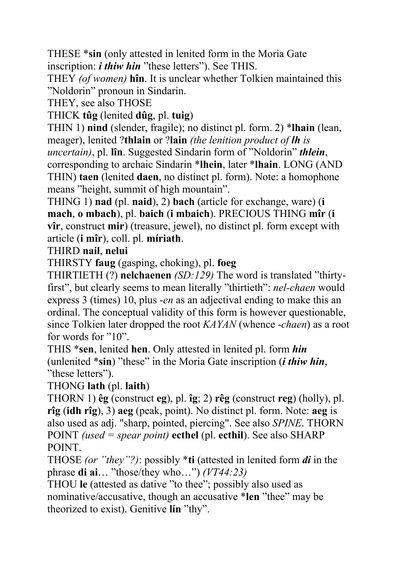THESE \***sin** (only attested in lenited form in the Moria Gate inscription: *i thiw hin* "these letters"). See THIS.

THEY *(of women)* **hîn**. It is unclear whether Tolkien maintained this "Noldorin" pronoun in Sindarin.

THEY, see also THOSE

THICK **tûg** (lenited **dûg**, pl. **tuig**)

THIN 1) **nind** (slender, fragile); no distinct pl. form. 2) \***lhain** (lean, meager), lenited ?**thlain** or ?**lain** *(the lenition product of lh is uncertain)*, pl. **lîn**. Suggested Sindarin form of "Noldorin" *thlein*, corresponding to archaic Sindarin \***lhein**, later \***lhain**. LONG (AND THIN) **taen** (lenited **daen**, no distinct pl. form). Note: a homophone means "height, summit of high mountain".

THING 1) **nad** (pl. **naid**), 2) **bach** (article for exchange, ware) (**i mach**, **o mbach**), pl. **baich** (**i mbaich**). PRECIOUS THING **mîr** (**i vîr**, construct **mir**) (treasure, jewel), no distinct pl. form except with article (**i mîr**), coll. pl. **míriath**.

### THIRD **nail**, **nelui**

THIRSTY **faug** (gasping, choking), pl. **foeg**

THIRTIETH (?) **nelchaenen** *(SD:129)* The word is translated "thirtyfirst", but clearly seems to mean literally "thirtieth": *nel-chaen* would express 3 (times) 10, plus -*en* as an adjectival ending to make this an ordinal. The conceptual validity of this form is however questionable, since Tolkien later dropped the root *KAYAN* (whence -*chaen*) as a root for words for "10".

THIS \***sen**, lenited **hen**. Only attested in lenited pl. form *hin* (unlenited \***sin**) "these" in the Moria Gate inscription (*i thiw hin*, "these letters").

THONG **lath** (pl. **laith**)

THORN 1) **êg** (construct **eg**), pl. **îg**; 2) **rêg** (construct **reg**) (holly), pl. **rîg** (**idh rîg**), 3) **aeg** (peak, point). No distinct pl. form. Note: **aeg** is also used as adj. "sharp, pointed, piercing". See also *SPINE*. THORN POINT *(used = spear point)* **ecthel** (pl. **ecthil**). See also SHARP POINT.

THOSE *(or "they"?)*: possibly \***ti** (attested in lenited form *di* in the phrase **di ai**… "those/they who…") *(VT44:23)*

THOU **le** (attested as dative "to thee"; possibly also used as nominative/accusative, though an accusative \***len** "thee" may be theorized to exist). Genitive **lín** "thy".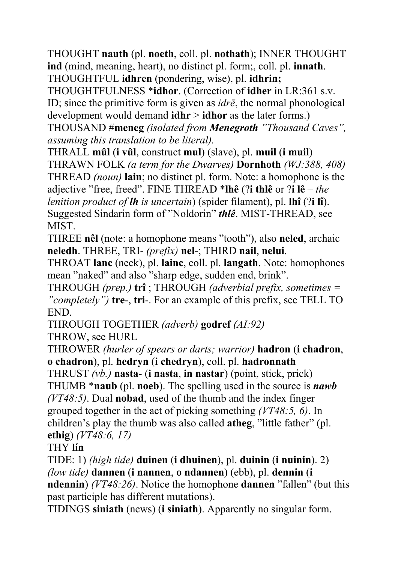THOUGHT **nauth** (pl. **noeth**, coll. pl. **nothath**); INNER THOUGHT **ind** (mind, meaning, heart), no distinct pl. form;, coll. pl. **innath**. THOUGHTFUL **idhren** (pondering, wise), pl. **idhrin;** 

THOUGHTFULNESS \***idhor**. (Correction of **idher** in LR:361 s.v. ID; since the primitive form is given as *idrē*, the normal phonological development would demand **idhr** > **idhor** as the later forms.)

THOUSAND #**meneg** *(isolated from Menegroth "Thousand Caves", assuming this translation to be literal).*

THRALL **mûl** (**i vûl**, construct **mul**) (slave), pl. **muil** (**i muil**)

THRAWN FOLK *(a term for the Dwarves)* **Dornhoth** *(WJ:388, 408)* THREAD *(noun)* **lain**; no distinct pl. form. Note: a homophone is the adjective "free, freed". FINE THREAD \***lhê** (?**i thlê** or ?**i lê** – *the lenition product of lh is uncertain*) (spider filament), pl. **lhî** (?**i lî**). Suggested Sindarin form of "Noldorin" *thlê*. MIST-THREAD, see MIST.

THREE **nêl** (note: a homophone means "tooth"), also **neled**, archaic **neledh**. THREE, TRI- *(prefix)* **nel**-; THIRD **nail**, **nelui**.

THROAT **lanc** (neck), pl. **lainc**, coll. pl. **langath**. Note: homophones mean "naked" and also "sharp edge, sudden end, brink".

THROUGH *(prep.)* **trî** ; THROUGH *(adverbial prefix, sometimes = "completely")* **tre**-, **tri**-. For an example of this prefix, see TELL TO END.

THROUGH TOGETHER *(adverb)* **godref** *(AI:92)*

THROW, see HURL

THROWER *(hurler of spears or darts; warrior)* **hadron** (**i chadron**, **o chadron**), pl. **hedryn** (**i chedryn**), coll. pl. **hadronnath**

THRUST *(vb.)* **nasta**- (**i nasta**, **in nastar**) (point, stick, prick) THUMB \***naub** (pl. **noeb**). The spelling used in the source is *nawb (VT48:5)*. Dual **nobad**, used of the thumb and the index finger grouped together in the act of picking something *(VT48:5, 6)*. In children's play the thumb was also called **atheg**, "little father" (pl. **ethig**) *(VT48:6, 17)*

### THY **lín**

TIDE: 1) *(high tide)* **duinen** (**i dhuinen**), pl. **duinin** (**i nuinin**). 2) *(low tide)* **dannen** (**i nannen**, **o ndannen**) (ebb), pl. **dennin** (**i ndennin**) *(VT48:26)*. Notice the homophone **dannen** "fallen" (but this past participle has different mutations).

TIDINGS **siniath** (news) (**i siniath**). Apparently no singular form.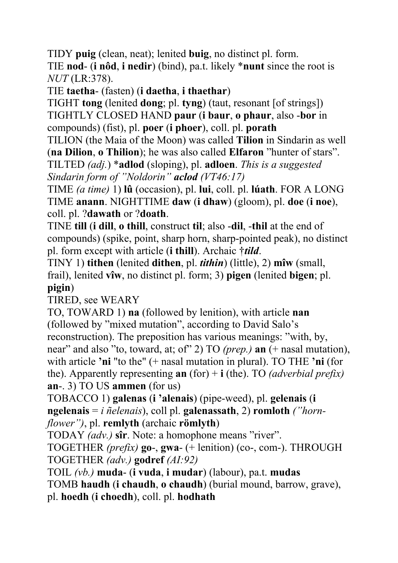TIDY **puig** (clean, neat); lenited **buig**, no distinct pl. form. TIE **nod**- (**i nôd**, **i nedir**) (bind), pa.t. likely \***nunt** since the root is *NUT* (LR:378).

TIE **taetha**- (fasten) (**i daetha**, **i thaethar**)

TIGHT **tong** (lenited **dong**; pl. **tyng**) (taut, resonant [of strings]) TIGHTLY CLOSED HAND **paur** (**i baur**, **o phaur**, also -**bor** in compounds) (fist), pl. **poer** (**i phoer**), coll. pl. **porath** 

TILION (the Maia of the Moon) was called **Tilion** in Sindarin as well (**na Dilion**, **o Thilion**); he was also called **Elfaron** "hunter of stars".

TILTED *(adj.*) \***adlod** (sloping), pl. **adloen**. *This is a suggested Sindarin form of "Noldorin" aclod (VT46:17)*

TIME *(a time)* 1) **lû** (occasion), pl. **lui**, coll. pl. **lúath**. FOR A LONG TIME **anann**. NIGHTTIME **daw** (**i dhaw**) (gloom), pl. **doe** (**i noe**), coll. pl. ?**dawath** or ?**doath**.

TINE **till** (**i dill**, **o thill**, construct **til**; also -**dil**, -**thil** at the end of compounds) (spike, point, sharp horn, sharp-pointed peak), no distinct pl. form except with article (**i thill**). Archaic †*tild*.

TINY 1) **tithen** (lenited **dithen**, pl. *tithin*) (little), 2) **mîw** (small, frail), lenited **vîw**, no distinct pl. form; 3) **pigen** (lenited **bigen**; pl. **pigin**)

TIRED, see WEARY

TO, TOWARD 1) **na** (followed by lenition), with article **nan** (followed by "mixed mutation", according to David Salo's reconstruction). The preposition has various meanings: "with, by, near" and also "to, toward, at; of" 2) TO *(prep.)* **an** (+ nasal mutation), with article **'ni** "to the" (+ nasal mutation in plural). TO THE **'ni** (for the). Apparently representing **an** (for) + **i** (the). TO *(adverbial prefix)* **an**-. 3) TO US **ammen** (for us)

TOBACCO 1) **galenas** (**i 'alenais**) (pipe-weed), pl. **gelenais** (**i ngelenais** = *i ñelenais*), coll pl. **galenassath**, 2) **romloth** *("hornflower")*, pl. **remlyth** (archaic **römlyth**)

TODAY *(adv.)* **sîr**. Note: a homophone means "river".

TOGETHER *(prefix)* **go**-, **gwa**- (+ lenition) (co-, com-). THROUGH TOGETHER *(adv.)* **godref** *(AI:92)*

TOIL *(vb.)* **muda**- (**i vuda**, **i mudar**) (labour), pa.t. **mudas**

TOMB **haudh** (**i chaudh**, **o chaudh**) (burial mound, barrow, grave),

pl. **hoedh** (**i choedh**), coll. pl. **hodhath**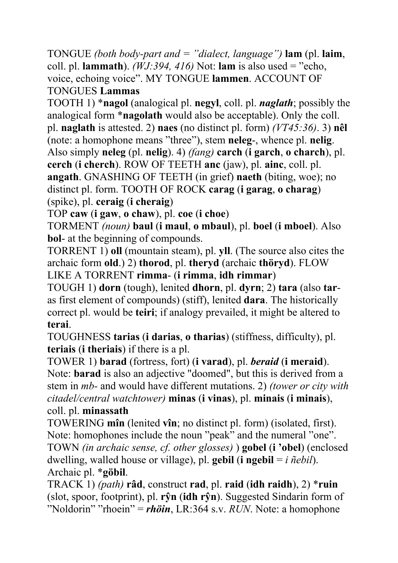TONGUE *(both body-part and = "dialect, language")* **lam** (pl. **laim**, coll. pl. **lammath**). *(WJ:394, 416)* Not: **lam** is also used = "echo, voice, echoing voice". MY TONGUE **lammen**. ACCOUNT OF TONGUES **Lammas**

TOOTH 1) \***nagol** (analogical pl. **negyl**, coll. pl. *naglath*; possibly the analogical form \***nagolath** would also be acceptable). Only the coll. pl. **naglath** is attested. 2) **naes** (no distinct pl. form) *(VT45:36)*. 3) **nêl** (note: a homophone means "three"), stem **neleg**-, whence pl. **nelig**. Also simply **neleg** (pl. **nelig**). 4) *(fang)* **carch** (**i garch**, **o charch**), pl. **cerch** (**i cherch**). ROW OF TEETH **anc** (jaw), pl. **ainc**, coll. pl. **angath**. GNASHING OF TEETH (in grief) **naeth** (biting, woe); no distinct pl. form. TOOTH OF ROCK **carag** (**i garag**, **o charag**) (spike), pl. **ceraig** (**i cheraig**)

TOP **caw** (**i gaw**, **o chaw**), pl. **coe** (**i choe**)

TORMENT *(noun)* **baul** (**i maul**, **o mbaul**), pl. **boel** (**i mboel**). Also **bol**- at the beginning of compounds.

TORRENT 1) **oll** (mountain steam), pl. **yll**. (The source also cites the archaic form **old**.) 2) **thorod**, pl. **theryd** (archaic **thöryd**). FLOW LIKE A TORRENT **rimma**- (**i rimma**, **idh rimmar**)

TOUGH 1) **dorn** (tough), lenited **dhorn**, pl. **dyrn**; 2) **tara** (also **tar**as first element of compounds) (stiff), lenited **dara**. The historically correct pl. would be **teiri**; if analogy prevailed, it might be altered to **terai**.

TOUGHNESS **tarias** (**i darias**, **o tharias**) (stiffness, difficulty), pl. **teriais** (**i theriais**) if there is a pl.

TOWER 1) **barad** (fortress, fort) (**i varad**), pl. *beraid* (**i meraid**). Note: **barad** is also an adjective "doomed", but this is derived from a stem in *mb-* and would have different mutations. 2) *(tower or city with citadel/central watchtower)* **minas** (**i vinas**), pl. **minais** (**i minais**), coll. pl. **minassath**

TOWERING **mîn** (lenited **vîn**; no distinct pl. form) (isolated, first). Note: homophones include the noun "peak" and the numeral "one". TOWN *(in archaic sense, cf. other glosses)* ) **gobel** (**i 'obel**) (enclosed dwelling, walled house or village), pl. **gebil** (**i ngebil** = *i ñebil*). Archaic pl. \***göbil**.

TRACK 1) *(path)* **râd**, construct **rad**, pl. **raid** (**idh raidh**), 2) \***ruin**  (slot, spoor, footprint), pl. **rŷn** (**idh rŷn**). Suggested Sindarin form of "Noldorin" "rhoein" = *rhöin*, LR:364 s.v. *RUN*. Note: a homophone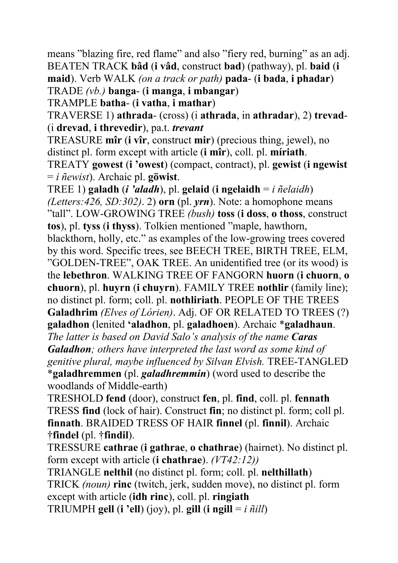means "blazing fire, red flame" and also "fiery red, burning" as an adj. BEATEN TRACK **bâd** (**i vâd**, construct **bad**) (pathway), pl. **baid** (**i maid**). Verb WALK *(on a track or path)* **pada**- (**i bada**, **i phadar**)

TRADE *(vb.)* **banga**- (**i manga**, **i mbangar**)

TRAMPLE **batha**- (**i vatha**, **i mathar**)

TRAVERSE 1) **athrada**- (cross) (i **athrada**, in **athradar**), 2) **trevad**- (i **drevad**, **i threvedir**), pa.t. *trevant*

TREASURE **mîr** (**i vîr**, construct **mir**) (precious thing, jewel), no distinct pl. form except with article (**i mîr**), coll. pl. **míriath**.

TREATY **gowest** (**i 'owest**) (compact, contract), pl. **gewist** (**i ngewist** = *i ñewist*). Archaic pl. **göwist**.

TREE 1) **galadh** (*i 'aladh*), pl. **gelaid** (**i ngelaidh** = *i ñelaidh*) *(Letters:426, SD:302)*. 2) **orn** (pl. *yrn*). Note: a homophone means "tall". LOW-GROWING TREE *(bush)* **toss** (**i doss**, **o thoss**, construct **tos**), pl. **tyss** (**i thyss**). Tolkien mentioned "maple, hawthorn, blackthorn, holly, etc." as examples of the low-growing trees covered by this word. Specific trees, see BEECH TREE, BIRTH TREE, ELM, "GOLDEN-TREE", OAK TREE. An unidentified tree (or its wood) is the **lebethron**. WALKING TREE OF FANGORN **huorn** (**i chuorn**, **o chuorn**), pl. **huyrn** (**i chuyrn**). FAMILY TREE **nothlir** (family line); no distinct pl. form; coll. pl. **nothliriath**. PEOPLE OF THE TREES **Galadhrim** *(Elves of Lórien)*. Adj. OF OR RELATED TO TREES (?) **galadhon** (lenited **'aladhon**, pl. **galadhoen**). Archaic \***galadhaun**. *The latter is based on David Salo's analysis of the name Caras Galadhon; others have interpreted the last word as some kind of genitive plural, maybe influenced by Silvan Elvish.* TREE-TANGLED \***galadhremmen** (pl. *galadhremmin*) (word used to describe the

woodlands of Middle-earth)

TRESHOLD **fend** (door), construct **fen**, pl. **find**, coll. pl. **fennath** TRESS **find** (lock of hair). Construct **fin**; no distinct pl. form; coll pl. **finnath**. BRAIDED TRESS OF HAIR **finnel** (pl. **finnil**). Archaic †**findel** (pl. †**findil**).

TRESSURE **cathrae** (**i gathrae**, **o chathrae**) (hairnet). No distinct pl. form except with article (**i chathrae**). *(VT42:12))*

TRIANGLE **nelthil** (no distinct pl. form; coll. pl. **nelthillath**) TRICK *(noun)* **rinc** (twitch, jerk, sudden move), no distinct pl. form except with article (**idh rinc**), coll. pl. **ringiath** TRIUMPH **gell** (**i** 'ell) (joy), pl. **gill** (**i** ngill =  $i \tilde{\eta}$ *ill*)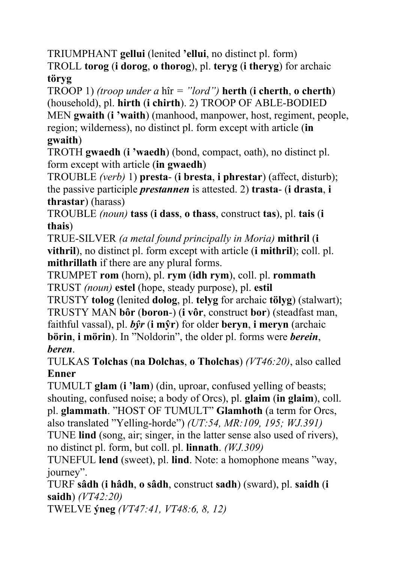TRIUMPHANT **gellui** (lenited **'ellui**, no distinct pl. form) TROLL **torog** (**i dorog**, **o thorog**), pl. **teryg** (**i theryg**) for archaic **töryg**

TROOP 1) *(troop under a* hîr *= "lord")* **herth** (**i cherth**, **o cherth**) (household), pl. **hirth** (**i chirth**). 2) TROOP OF ABLE-BODIED MEN **gwaith** (**i 'waith**) (manhood, manpower, host, regiment, people, region; wilderness), no distinct pl. form except with article (**in gwaith**)

TROTH **gwaedh** (**i 'waedh**) (bond, compact, oath), no distinct pl. form except with article (**in gwaedh**)

TROUBLE *(verb)* 1) **presta**- (**i bresta**, **i phrestar**) (affect, disturb); the passive participle *prestannen* is attested. 2) **trasta**- (**i drasta**, **i thrastar**) (harass)

TROUBLE *(noun)* **tass** (**i dass**, **o thass**, construct **tas**), pl. **tais** (**i thais**)

TRUE-SILVER *(a metal found principally in Moria)* **mithril** (**i vithril**), no distinct pl. form except with article (**i mithril**); coll. pl. **mithrillath** if there are any plural forms.

TRUMPET **rom** (horn), pl. **rym** (**idh rym**), coll. pl. **rommath** TRUST *(noun)* **estel** (hope, steady purpose), pl. **estil**

TRUSTY **tolog** (lenited **dolog**, pl. **telyg** for archaic **tölyg**) (stalwart); TRUSTY MAN **bôr** (**boron**-) (**i vôr**, construct **bor**) (steadfast man, faithful vassal), pl. *bŷr* (**i mŷr**) for older **beryn**, **i meryn** (archaic **börin**, **i mörin**). In "Noldorin", the older pl. forms were *berein*, *beren*.

TULKAS **Tolchas** (**na Dolchas**, **o Tholchas**) *(VT46:20)*, also called **Enner**

TUMULT **glam** (**i 'lam**) (din, uproar, confused yelling of beasts; shouting, confused noise; a body of Orcs), pl. **glaim** (**in glaim**), coll. pl. **glammath**. "HOST OF TUMULT" **Glamhoth** (a term for Orcs,

also translated "Yelling-horde") *(UT:54, MR:109, 195; WJ.391)*

TUNE **lind** (song, air; singer, in the latter sense also used of rivers), no distinct pl. form, but coll. pl. **linnath**. *(WJ.309)*

TUNEFUL **lend** (sweet), pl. **lind**. Note: a homophone means "way, journey".

TURF **sâdh** (**i hâdh**, **o sâdh**, construct **sadh**) (sward), pl. **saidh** (**i saidh**) *(VT42:20)*

TWELVE **ýneg** *(VT47:41, VT48:6, 8, 12)*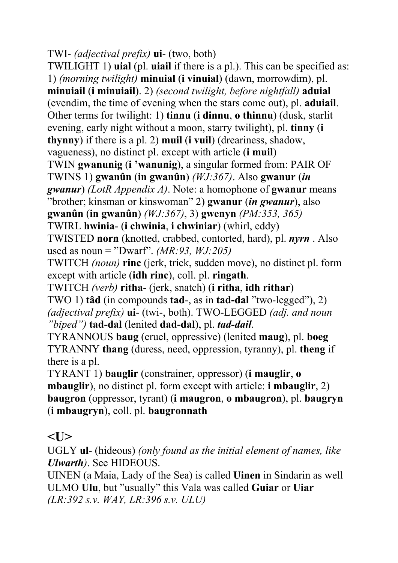```
TWI- (adjectival prefix) ui- (two, both)
```
TWILIGHT 1) **uial** (pl. **uiail** if there is a pl.). This can be specified as: 1) *(morning twilight)* **minuial** (**i vinuial**) (dawn, morrowdim), pl. **minuiail** (**i minuiail**). 2) *(second twilight, before nightfall)* **aduial** (evendim, the time of evening when the stars come out), pl. **aduiail**. Other terms for twilight: 1) **tinnu** (**i dinnu**, **o thinnu**) (dusk, starlit evening, early night without a moon, starry twilight), pl. **tinny** (**i thynny**) if there is a pl. 2) **muil** (**i vuil**) (dreariness, shadow, vagueness), no distinct pl. except with article (**i muil**) TWIN **gwanunig** (**i 'wanunig**), a singular formed from: PAIR OF TWINS 1) **gwanûn** (**in gwanûn**) *(WJ:367)*. Also **gwanur** (*in gwanur*) *(LotR Appendix A)*. Note: a homophone of **gwanur** means "brother; kinsman or kinswoman" 2) **gwanur** (*in gwanur*), also **gwanûn** (**in gwanûn**) *(WJ:367)*, 3) **gwenyn** *(PM:353, 365)*  TWIRL **hwinia**- (**i chwinia**, **i chwiniar**) (whirl, eddy) TWISTED **norn** (knotted, crabbed, contorted, hard), pl. *nyrn* . Also used as noun = "Dwarf". *(MR:93, WJ:205)* TWITCH *(noun)* **rinc** (jerk, trick, sudden move), no distinct pl. form except with article (**idh rinc**), coll. pl. **ringath**. TWITCH *(verb)* **ritha**- (jerk, snatch) (**i ritha**, **idh rithar**) TWO 1) **tâd** (in compounds **tad**-, as in **tad-dal** "two-legged"), 2) *(adjectival prefix)* **ui**- (twi-, both). TWO-LEGGED *(adj. and noun "biped")* **tad-dal** (lenited **dad-dal**), pl. *tad-dail*. TYRANNOUS **baug** (cruel, oppressive) (lenited **maug**), pl. **boeg** TYRANNY **thang** (duress, need, oppression, tyranny), pl. **theng** if there is a pl. TYRANT 1) **bauglir** (constrainer, oppressor) (**i mauglir**, **o** 

**mbauglir**), no distinct pl. form except with article: **i mbauglir**, 2) **baugron** (oppressor, tyrant) (**i maugron**, **o mbaugron**), pl. **baugryn** (**i mbaugryn**), coll. pl. **baugronnath** 

#### $<$ U $>$

UGLY **ul**- (hideous) *(only found as the initial element of names, like Ulwarth)*. See HIDEOUS.

UINEN (a Maia, Lady of the Sea) is called **Uinen** in Sindarin as well ULMO **Ulu**, but "usually" this Vala was called **Guiar** or **Uiar**  *(LR:392 s.v. WAY, LR:396 s.v. ULU)*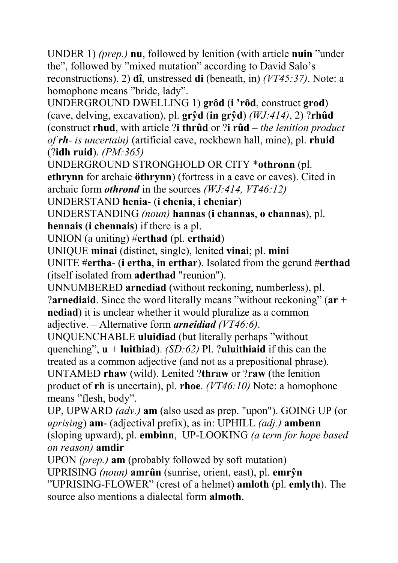UNDER 1) *(prep.)* **nu**, followed by lenition (with article **nuin** "under the", followed by "mixed mutation" according to David Salo's reconstructions), 2) **dî**, unstressed **di** (beneath, in) *(VT45:37)*. Note: a homophone means "bride, lady".

UNDERGROUND DWELLING 1) **grôd** (**i 'rôd**, construct **grod**) (cave, delving, excavation), pl. **grŷd** (**in grŷd**) *(WJ:414)*, 2) ?**rhûd** (construct **rhud**, with article ?**i thrûd** or ?**i rûd** – *the lenition product of rh- is uncertain)* (artificial cave, rockhewn hall, mine), pl. **rhuid** (?**idh ruid**). *(PM:365)*

UNDERGROUND STRONGHOLD OR CITY \***othronn** (pl.

**ethrynn** for archaic **öthrynn**) (fortress in a cave or caves). Cited in archaic form *othrond* in the sources *(WJ:414, VT46:12)*

UNDERSTAND **henia**- (**i chenia**, **i cheniar**)

UNDERSTANDING *(noun)* **hannas** (**i channas**, **o channas**), pl.

**hennais** (**i chennais**) if there is a pl.

UNION (a uniting) #**erthad** (pl. **erthaid**)

UNIQUE **minai** (distinct, single), lenited **vinai**; pl. **mini**

UNITE #**ertha**- (**i ertha**, **in erthar**). Isolated from the gerund #**erthad** (itself isolated from **aderthad** "reunion").

UNNUMBERED **arnediad** (without reckoning, numberless), pl. ?**arnediaid**. Since the word literally means "without reckoning" (**ar + nediad**) it is unclear whether it would pluralize as a common adjective. – Alternative form *arneidiad (VT46:6)*.

UNQUENCHABLE **uluidiad** (but literally perhaps "without quenching",  $\mathbf{u}$  + **luithiad**). *(SD:62)* Pl. ?**uluithiaid** if this can the treated as a common adjective (and not as a prepositional phrase). UNTAMED **rhaw** (wild). Lenited ?**thraw** or ?**raw** (the lenition

product of **rh** is uncertain), pl. **rhoe**. *(VT46:10)* Note: a homophone means "flesh, body".

UP, UPWARD *(adv.)* **am** (also used as prep. "upon"). GOING UP (or *uprising*) **am**- (adjectival prefix), as in: UPHILL *(adj.)* **ambenn** (sloping upward), pl. **embinn**, UP-LOOKING *(a term for hope based on reason)* **amdir**

UPON *(prep.)* **am** (probably followed by soft mutation)

UPRISING *(noun)* **amrûn** (sunrise, orient, east), pl. **emrŷn**

"UPRISING-FLOWER" (crest of a helmet) **amloth** (pl. **emlyth**). The source also mentions a dialectal form **almoth**.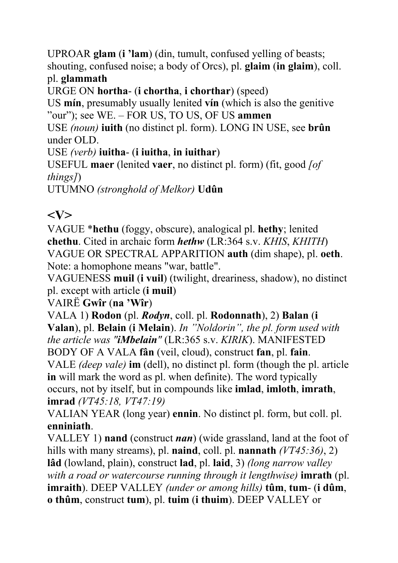UPROAR **glam** (**i 'lam**) (din, tumult, confused yelling of beasts; shouting, confused noise; a body of Orcs), pl. **glaim** (**in glaim**), coll. pl. **glammath**

URGE ON **hortha**- (**i chortha**, **i chorthar**) (speed)

US **mín**, presumably usually lenited **vín** (which is also the genitive "our"); see WE. – FOR US, TO US, OF US **ammen**

USE *(noun)* **iuith** (no distinct pl. form). LONG IN USE, see **brûn** under OLD.

USE *(verb)* **iuitha**- (**i iuitha**, **in iuithar**)

USEFUL **maer** (lenited **vaer**, no distinct pl. form) (fit, good *[of things]*)

UTUMNO *(stronghold of Melkor)* **Udûn**

## **<V>**

VAGUE \***hethu** (foggy, obscure), analogical pl. **hethy**; lenited **chethu**. Cited in archaic form *hethw* (LR:364 s.v. *KHIS*, *KHITH*) VAGUE OR SPECTRAL APPARITION **auth** (dim shape), pl. **oeth**. Note: a homophone means "war, battle".

VAGUENESS **muil** (**i vuil**) (twilight, dreariness, shadow), no distinct pl. except with article (**i muil**)

VAIRË **Gwîr** (**na 'Wîr**)

VALA 1) **Rodon** (pl. *Rodyn*, coll. pl. **Rodonnath**), 2) **Balan** (**i** 

**Valan**), pl. **Belain** (**i Melain**). *In "Noldorin", the pl. form used with the article was "iMbelain"* (LR:365 s.v. *KIRIK*). MANIFESTED BODY OF A VALA **fân** (veil, cloud), construct **fan**, pl. **fain**.

VALE *(deep vale)* **im** (dell), no distinct pl. form (though the pl. article **in** will mark the word as pl. when definite). The word typically occurs, not by itself, but in compounds like **imlad**, **imloth**, **imrath**, **imrad** *(VT45:18, VT47:19)*

VALIAN YEAR (long year) **ennin**. No distinct pl. form, but coll. pl. **enniniath**.

VALLEY 1) **nand** (construct *nan*) (wide grassland, land at the foot of hills with many streams), pl. **naind**, coll. pl. **nannath** *(VT45:36)*, 2) **lâd** (lowland, plain), construct **lad**, pl. **laid**, 3) *(long narrow valley with a road or watercourse running through it lengthwise)* **imrath** (pl. **imraith**). DEEP VALLEY *(under or among hills)* **tûm**, **tum**- (**i dûm**, **o thûm**, construct **tum**), pl. **tuim** (**i thuim**). DEEP VALLEY or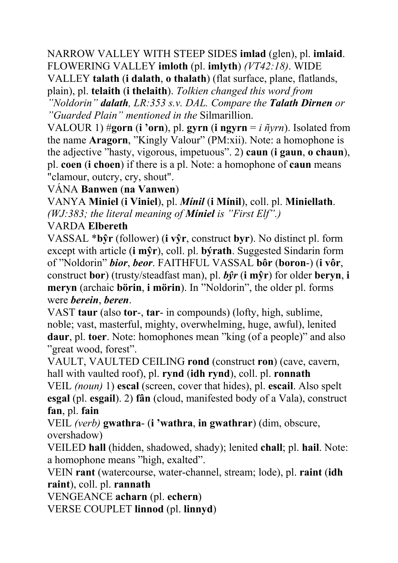NARROW VALLEY WITH STEEP SIDES **imlad** (glen), pl. **imlaid**. FLOWERING VALLEY **imloth** (pl. **imlyth**) *(VT42:18)*. WIDE

VALLEY **talath** (**i dalath**, **o thalath**) (flat surface, plane, flatlands, plain), pl. **telaith** (**i thelaith**). *Tolkien changed this word from* 

*"Noldorin" dalath, LR:353 s.v. DAL. Compare the Talath Dirnen or "Guarded Plain" mentioned in the* Silmarillion.

VALOUR 1)  $\#$ **gorn** (**i** 'orn), pl. **gyrn** (**i** ngyrn = *i*  $\tilde{n}$ *yrn*). Isolated from the name **Aragorn**, "Kingly Valour" (PM:xii). Note: a homophone is the adjective "hasty, vigorous, impetuous". 2) **caun** (**i gaun**, **o chaun**), pl. **coen** (**i choen**) if there is a pl. Note: a homophone of **caun** means "clamour, outcry, cry, shout".

VÁNA **Banwen** (**na Vanwen**)

VANYA **Miniel** (**i Viniel**), pl. *Mínil* (**i Mínil**), coll. pl. **Miniellath**. *(WJ:383; the literal meaning of Míniel is "First Elf".)*

#### VARDA **Elbereth**

VASSAL \***bŷr** (follower) (**i vŷr**, construct **byr**). No distinct pl. form except with article (**i mŷr**), coll. pl. **býrath**. Suggested Sindarin form of "Noldorin" *bior*, *beor*. FAITHFUL VASSAL **bôr** (**boron**-) (**i vôr**, construct **bor**) (trusty/steadfast man), pl. *bŷr* (**i mŷr**) for older **beryn**, **i meryn** (archaic **börin**, **i mörin**). In "Noldorin", the older pl. forms were *berein*, *beren*.

VAST **taur** (also **tor**-, **tar**- in compounds) (lofty, high, sublime, noble; vast, masterful, mighty, overwhelming, huge, awful), lenited **daur**, pl. **toer**. Note: homophones mean "king (of a people)" and also "great wood, forest".

VAULT, VAULTED CEILING **rond** (construct **ron**) (cave, cavern, hall with vaulted roof), pl. **rynd** (**idh rynd**), coll. pl. **ronnath**

VEIL *(noun)* 1) **escal** (screen, cover that hides), pl. **escail**. Also spelt **esgal** (pl. **esgail**). 2) **fân** (cloud, manifested body of a Vala), construct **fan**, pl. **fain**

VEIL *(verb)* **gwathra**- (**i 'wathra**, **in gwathrar**) (dim, obscure, overshadow)

VEILED **hall** (hidden, shadowed, shady); lenited **chall**; pl. **hail**. Note: a homophone means "high, exalted".

VEIN **rant** (watercourse, water-channel, stream; lode), pl. **raint** (**idh raint**), coll. pl. **rannath**

VENGEANCE **acharn** (pl. **echern**)

VERSE COUPLET **linnod** (pl. **linnyd**)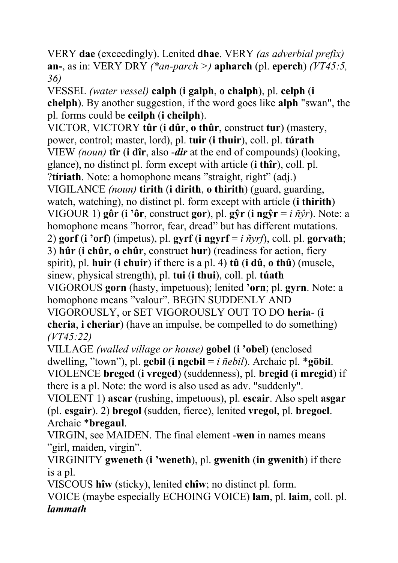VERY **dae** (exceedingly). Lenited **dhae**. VERY *(as adverbial prefix)* **an-**, as in: VERY DRY *(\*an-parch >)* **apharch** (pl. **eperch**) *(VT45:5, 36)*

VESSEL *(water vessel)* **calph** (**i galph**, **o chalph**), pl. **celph** (**i chelph**). By another suggestion, if the word goes like **alph** "swan", the pl. forms could be **ceilph** (**i cheilph**).

VICTOR, VICTORY **tûr** (**i dûr**, **o thûr**, construct **tur**) (mastery, power, control; master, lord), pl. **tuir** (**i thuir**), coll. pl. **túrath** VIEW *(noun)* **tîr** (**i dîr**, also -*dir* at the end of compounds) (looking, glance), no distinct pl. form except with article (**i thîr**), coll. pl. ?**tíriath**. Note: a homophone means "straight, right" (adj.) VIGILANCE *(noun)* **tirith** (**i dirith**, **o thirith**) (guard, guarding, watch, watching), no distinct pl. form except with article (**i thirith**) VIGOUR 1) **gôr** (**i 'ôr**, construct **gor**), pl. **gŷr** (**i ngŷr** = *i ñŷr*). Note: a homophone means "horror, fear, dread" but has different mutations. 2) **gorf** (**i** 'orf) (impetus), pl. **gyrf** (**i** ngyrf =  $i \pi y r f$ ), coll. pl. **gorvath**; 3) **hûr** (**i chûr**, **o chûr**, construct **hur**) (readiness for action, fiery spirit), pl. **huir** (**i chuir**) if there is a pl. 4) **tû** (**i dû**, **o thû**) (muscle, sinew, physical strength), pl. **tui** (**i thui**), coll. pl. **túath** VIGOROUS **gorn** (hasty, impetuous); lenited **'orn**; pl. **gyrn**. Note: a homophone means "valour". BEGIN SUDDENLY AND VIGOROUSLY, or SET VIGOROUSLY OUT TO DO **heria**- (**i cheria**, **i cheriar**) (have an impulse, be compelled to do something) *(VT45:22)*

VILLAGE *(walled village or house)* **gobel** (**i 'obel**) (enclosed dwelling, "town"), pl. **gebil** (**i** ngebil =  $i$   $\tilde{n}$ *ebil*). Archaic pl. \*göbil. VIOLENCE **breged** (**i vreged**) (suddenness), pl. **bregid** (**i mregid**) if there is a pl. Note: the word is also used as adv. "suddenly".

VIOLENT 1) **ascar** (rushing, impetuous), pl. **escair**. Also spelt **asgar** (pl. **esgair**). 2) **bregol** (sudden, fierce), lenited **vregol**, pl. **bregoel**. Archaic \***bregaul**.

VIRGIN, see MAIDEN. The final element -**wen** in names means "girl, maiden, virgin".

VIRGINITY **gweneth** (**i 'weneth**), pl. **gwenith** (**in gwenith**) if there is a pl.

VISCOUS **hîw** (sticky), lenited **chîw**; no distinct pl. form.

VOICE (maybe especially ECHOING VOICE) **lam**, pl. **laim**, coll. pl. *lammath*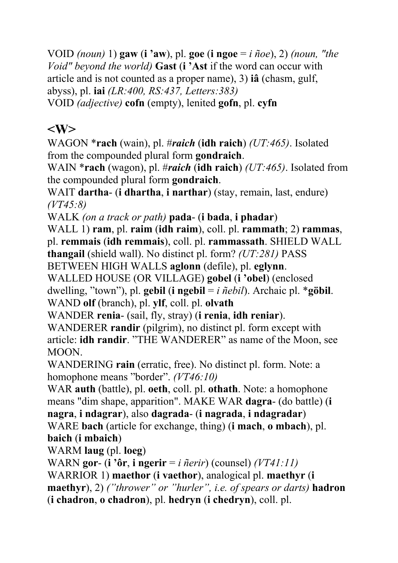VOID *(noun)* 1) **gaw** (**i 'aw**), pl. **goe** (**i ngoe** = *i ñoe*), 2) *(noun, "the Void" beyond the world)* **Gast** (**i 'Ast** if the word can occur with article and is not counted as a proper name), 3) **iâ** (chasm, gulf, abyss), pl. **iai** *(LR:400, RS:437, Letters:383)* VOID *(adjective)* **cofn** (empty), lenited **gofn**, pl. **cyfn**

## **<W>**

WAGON \***rach** (wain), pl. #*raich* (**idh raich**) *(UT:465)*. Isolated from the compounded plural form **gondraich**.

WAIN \***rach** (wagon), pl. #*raich* (**idh raich**) *(UT:465)*. Isolated from the compounded plural form **gondraich**.

WAIT **dartha**- (**i dhartha**, **i narthar**) (stay, remain, last, endure) *(VT45:8)*

WALK *(on a track or path)* **pada**- (**i bada**, **i phadar**)

WALL 1) **ram**, pl. **raim** (**idh raim**), coll. pl. **rammath**; 2) **rammas**, pl. **remmais** (**idh remmais**), coll. pl. **rammassath**. SHIELD WALL **thangail** (shield wall). No distinct pl. form? *(UT:281)* PASS

BETWEEN HIGH WALLS **aglonn** (defile), pl. **eglynn**.

WALLED HOUSE (OR VILLAGE) **gobel** (**i 'obel**) (enclosed dwelling, "town"), pl. **gebil** (**i** ngebil =  $i$   $\tilde{n}$ *ebil*). Archaic pl. \*göbil. WAND **olf** (branch), pl. **ylf**, coll. pl. **olvath**

WANDER **renia**- (sail, fly, stray) (**i renia**, **idh reniar**).

WANDERER **randir** (pilgrim), no distinct pl. form except with article: **idh randir**. "THE WANDERER" as name of the Moon, see MOON.

WANDERING **rain** (erratic, free). No distinct pl. form. Note: a homophone means "border". *(VT46:10)*

WAR **auth** (battle), pl. **oeth**, coll. pl. **othath**. Note: a homophone means "dim shape, apparition". MAKE WAR **dagra**- (do battle) (**i nagra**, **i ndagrar**), also **dagrada**- (**i nagrada**, **i ndagradar**) WARE **bach** (article for exchange, thing) (**i mach**, **o mbach**), pl.

**baich** (**i mbaich**)

WARM **laug** (pl. **loeg**)

WARN **gor**- (**i 'ôr**, **i ngerir** = *i ñerir*) (counsel) *(VT41:11)*

WARRIOR 1) **maethor** (**i vaethor**), analogical pl. **maethyr** (**i maethyr**), 2) *("thrower" or "hurler", i.e. of spears or darts)* **hadron** (**i chadron**, **o chadron**), pl. **hedryn** (**i chedryn**), coll. pl.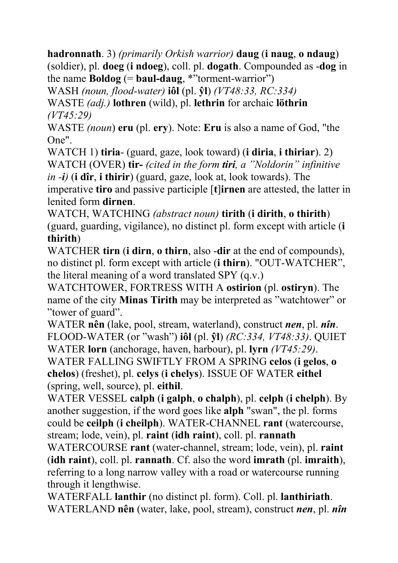**hadronnath**. 3) *(primarily Orkish warrior)* **daug** (**i naug**, **o ndaug**) (soldier), pl. **doeg** (**i ndoeg**), coll. pl. **dogath**. Compounded as -**dog** in the name **Boldog** (=  $\mathbf{baul}\text{-}\mathbf{daug}$ , \*"torment-warrior")

WASH *(noun, flood-water)* **iôl** (pl. **ŷl**) *(VT48:33, RC:334)*

WASTE *(adj.)* **lothren** (wild), pl. **lethrin** for archaic **löthrin** *(VT45:29)* 

WASTE *(noun*) **eru** (pl. **ery**). Note: **Eru** is also a name of God, "the One".

WATCH 1) **tiria**- (guard, gaze, look toward) (**i diria**, **i thiriar**). 2) WATCH (OVER) **tir-** *(cited in the form tiri, a "Noldorin" infinitive* 

*in -i)* (**i dîr**, **i thirir**) (guard, gaze, look at, look towards). The imperative **tiro** and passive participle [**t**]**irnen** are attested, the latter in lenited form **dirnen**.

WATCH, WATCHING *(abstract noun)* **tirith** (**i dirith**, **o thirith**) (guard, guarding, vigilance), no distinct pl. form except with article (**i thirith**)

WATCHER **tirn** (**i dirn**, **o thirn**, also -**dir** at the end of compounds), no distinct pl. form except with article (**i thirn**). "OUT-WATCHER", the literal meaning of a word translated SPY (q.v.)

WATCHTOWER, FORTRESS WITH A **ostirion** (pl. **ostiryn**). The name of the city **Minas Tirith** may be interpreted as "watchtower" or "tower of guard".

WATER **nên** (lake, pool, stream, waterland), construct *nen*, pl. *nîn*. FLOOD-WATER (or "wash") **iôl** (pl. **ŷl**) *(RC:334, VT48:33)*. QUIET WATER **lorn** (anchorage, haven, harbour), pl. **lyrn** *(VT45:29)*. WATER FALLING SWIFTLY FROM A SPRING **celos** (**i gelos**, **o chelos**) (freshet), pl. **celys** (**i chelys**). ISSUE OF WATER **eithel** (spring, well, source), pl. **eithil**.

WATER VESSEL **calph** (**i galph**, **o chalph**), pl. **celph** (**i chelph**). By another suggestion, if the word goes like **alph** "swan", the pl. forms could be **ceilph** (**i cheilph**). WATER-CHANNEL **rant** (watercourse, stream; lode, vein), pl. **raint** (**idh raint**), coll. pl. **rannath**

WATERCOURSE **rant** (water-channel, stream; lode, vein), pl. **raint** (**idh raint**), coll. pl. **rannath**. Cf. also the word **imrath** (pl. **imraith**), referring to a long narrow valley with a road or watercourse running through it lengthwise.

WATERFALL **lanthir** (no distinct pl. form). Coll. pl. **lanthiriath**. WATERLAND **nên** (water, lake, pool, stream), construct *nen*, pl. *nîn*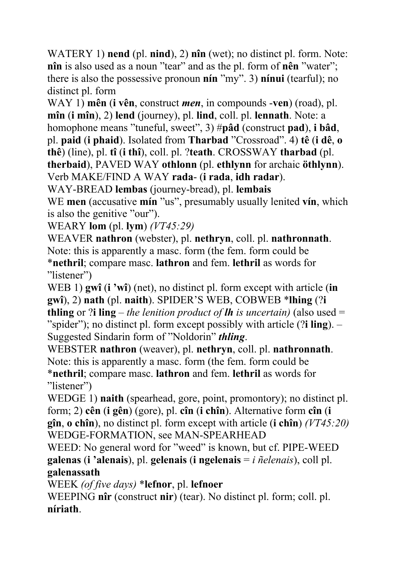WATERY 1) **nend** (pl. **nind**), 2) **nîn** (wet); no distinct pl. form. Note: **nîn** is also used as a noun "tear" and as the pl. form of **nên** "water"; there is also the possessive pronoun **nín** "my". 3) **nínui** (tearful); no distinct pl. form

WAY 1) **mên** (**i vên**, construct *men*, in compounds -**ven**) (road), pl. **mîn** (**i mîn**), 2) **lend** (journey), pl. **lind**, coll. pl. **lennath**. Note: a homophone means "tuneful, sweet", 3) #**pâd** (construct **pad**), **i bâd**, pl. **paid** (**i phaid**). Isolated from **Tharbad** "Crossroad". 4) **tê** (**i dê**, **o thê**) (line), pl. **tî** (**i thî**), coll. pl. ?**teath**. CROSSWAY **tharbad** (pl. **therbaid**), PAVED WAY **othlonn** (pl. **ethlynn** for archaic **öthlynn**). Verb MAKE/FIND A WAY **rada**- (**i rada**, **idh radar**).

WAY-BREAD **lembas** (journey-bread), pl. **lembais**

WE **men** (accusative **mín** "us", presumably usually lenited **vín**, which is also the genitive "our").

WEARY **lom** (pl. **lym**) *(VT45:29)*

WEAVER **nathron** (webster), pl. **nethryn**, coll. pl. **nathronnath**. Note: this is apparently a masc. form (the fem. form could be \***nethril**; compare masc. **lathron** and fem. **lethril** as words for "listener")

WEB 1) **gwî** (**i 'wî**) (net), no distinct pl. form except with article (**in gwî**), 2) **nath** (pl. **naith**). SPIDER'S WEB, COBWEB \***lhing** (?**i thling** or ?**i ling** – *the lenition product of lh is uncertain)* (also used = "spider"); no distinct pl. form except possibly with article (?**i ling**). – Suggested Sindarin form of "Noldorin" *thling*.

WEBSTER **nathron** (weaver), pl. **nethryn**, coll. pl. **nathronnath**. Note: this is apparently a masc. form (the fem. form could be \***nethril**; compare masc. **lathron** and fem. **lethril** as words for "listener")

WEDGE 1) **naith** (spearhead, gore, point, promontory); no distinct pl. form; 2) **cên** (**i gên**) (gore), pl. **cîn** (**i chîn**). Alternative form **cîn** (**i gîn**, **o chîn**), no distinct pl. form except with article (**i chîn**) *(VT45:20)* WEDGE-FORMATION, see MAN-SPEARHEAD

WEED: No general word for "weed" is known, but cf. PIPE-WEED **galenas** (**i 'alenais**), pl. **gelenais** (**i ngelenais** = *i ñelenais*), coll pl. **galenassath**

WEEK *(of five days)* \***lefnor**, pl. **lefnoer** 

WEEPING **nîr** (construct **nir**) (tear). No distinct pl. form; coll. pl. **níriath**.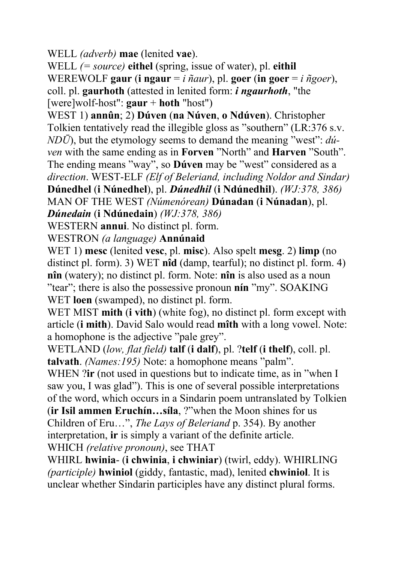WELL *(adverb)* **mae** (lenited **vae**).

WELL *(= source)* **eithel** (spring, issue of water), pl. **eithil** WEREWOLF gaur (**i** ngaur =  $i$   $\tilde{n}$ *aur*), pl. goer (**in** goer =  $i$   $\tilde{n}$ *goer*), coll. pl. **gaurhoth** (attested in lenited form: *i ngaurhoth*, "the [were]wolf-host": **gaur** + **hoth** "host")

WEST 1) **annûn**; 2) **Dúven** (**na Núven**, **o Ndúven**). Christopher Tolkien tentatively read the illegible gloss as "southern" (LR:376 s.v. *NDŪ*), but the etymology seems to demand the meaning "west": *dúven* with the same ending as in **Forven** "North" and **Harven** "South". The ending means "way", so **Dúven** may be "west" considered as a *direction*. WEST-ELF *(Elf of Beleriand, including Noldor and Sindar)* **Dúnedhel** (**i Núnedhel**), pl. *Dúnedhil* (**i Ndúnedhil**). *(WJ:378, 386)* MAN OF THE WEST *(Númenórean)* **Dúnadan** (**i Núnadan**), pl.

*Dúnedain* (**i Ndúnedain**) *(WJ:378, 386)*

WESTERN **annui**. No distinct pl. form.

WESTRON *(a language)* **Annúnaid**

WET 1) **mesc** (lenited **vesc**, pl. **misc**). Also spelt **mesg**. 2) **limp** (no distinct pl. form). 3) WET **nîd** (damp, tearful); no distinct pl. form. 4) **nîn** (watery); no distinct pl. form. Note: **nîn** is also used as a noun "tear"; there is also the possessive pronoun **nín** "my". SOAKING WET **loen** (swamped), no distinct pl. form.

WET MIST **mith** (**i vith**) (white fog), no distinct pl. form except with article (**i mith**). David Salo would read **mîth** with a long vowel. Note: a homophone is the adjective "pale grey".

WETLAND (*low, flat field)* **talf** (**i dalf**), pl. ?**telf** (**i thelf**), coll. pl. **talvath**. *(Names:195)* Note: a homophone means "palm".

WHEN ?**ir** (not used in questions but to indicate time, as in "when I saw you, I was glad"). This is one of several possible interpretations of the word, which occurs in a Sindarin poem untranslated by Tolkien

(**ir Isil ammen Eruchín…síla**, ?"when the Moon shines for us Children of Eru…", *The Lays of Beleriand* p. 354). By another interpretation, **ir** is simply a variant of the definite article.

WHICH *(relative pronoun)*, see THAT

WHIRL **hwinia**- (**i chwinia**, **i chwiniar**) (twirl, eddy). WHIRLING *(participle)* **hwiniol** (giddy, fantastic, mad), lenited **chwiniol**. It is unclear whether Sindarin participles have any distinct plural forms.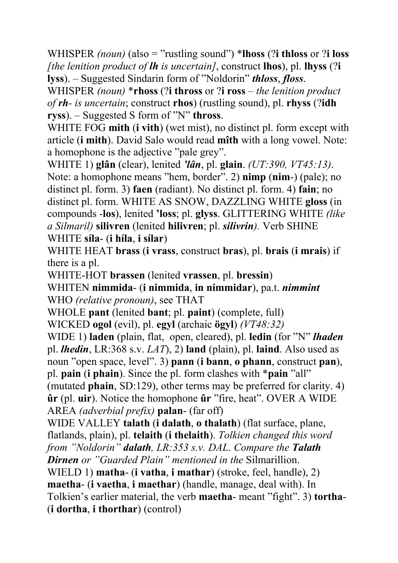WHISPER *(noun)* (also = "rustling sound") \***lhoss** (?**i thloss** or ?**i loss** *[the lenition product of lh is uncertain]*, construct **lhos**), pl. **lhyss** (?**i lyss**). – Suggested Sindarin form of "Noldorin" *thloss*, *floss*.

WHISPER *(noun)* \***rhoss** (?**i thross** or ?**i ross** *– the lenition product of rh- is uncertain*; construct **rhos**) (rustling sound), pl. **rhyss** (?**idh ryss**). – Suggested S form of "N" **thross**.

WHITE FOG **mith** (**i vith**) (wet mist), no distinct pl. form except with article (**i mith**). David Salo would read **mîth** with a long vowel. Note: a homophone is the adjective "pale grey".

WHITE 1) **glân** (clear), lenited *'lân*, pl. **glain**. *(UT:390, VT45:13)*. Note: a homophone means "hem, border". 2) **nimp** (**nim**-) (pale); no distinct pl. form. 3) **faen** (radiant). No distinct pl. form. 4) **fain**; no distinct pl. form. WHITE AS SNOW, DAZZLING WHITE **gloss** (in compounds -**los**), lenited **'loss**; pl. **glyss**. GLITTERING WHITE *(like a Silmaril)* **silivren** (lenited **hilivren**; pl. *silivrin).* Verb SHINE WHITE **síla**- (**i híla**, **i sílar**)

WHITE HEAT **brass** (**i vrass**, construct **bras**), pl. **brais** (**i mrais**) if there is a pl.

WHITE-HOT **brassen** (lenited **vrassen**, pl. **bressin**)

WHITEN **nimmida**- (**i nimmida**, **in nimmidar**), pa.t. *nimmint* WHO *(relative pronoun)*, see THAT

WHOLE **pant** (lenited **bant**; pl. **paint**) (complete, full)

WICKED **ogol** (evil), pl. **egyl** (archaic **ögyl**) *(VT48:32)*

WIDE 1) **laden** (plain, flat, open, cleared), pl. **ledin** (for "N" *lhaden* pl. *lhedin*, LR:368 s.v. *LAT*), 2) **land** (plain), pl. **laind**. Also used as noun "open space, level". 3) **pann** (**i bann**, **o phann**, construct **pan**), pl. **pain** (**i phain**). Since the pl. form clashes with \***pain** "all" (mutated **phain**, SD:129), other terms may be preferred for clarity. 4) **ûr** (pl. **uir**). Notice the homophone **ûr** "fire, heat". OVER A WIDE AREA *(adverbial prefix)* **palan**- (far off)

WIDE VALLEY **talath** (**i dalath**, **o thalath**) (flat surface, plane, flatlands, plain), pl. **telaith** (**i thelaith**). *Tolkien changed this word from "Noldorin" dalath, LR:353 s.v. DAL*. *Compare the Talath Dirnen or "Guarded Plain" mentioned in the* Silmarillion.

WIELD 1) **matha**- (**i vatha**, **i mathar**) (stroke, feel, handle), 2) **maetha**- (**i vaetha**, **i maethar**) (handle, manage, deal with). In

Tolkien's earlier material, the verb **maetha**- meant "fight". 3) **tortha**- (**i dortha**, **i thorthar**) (control)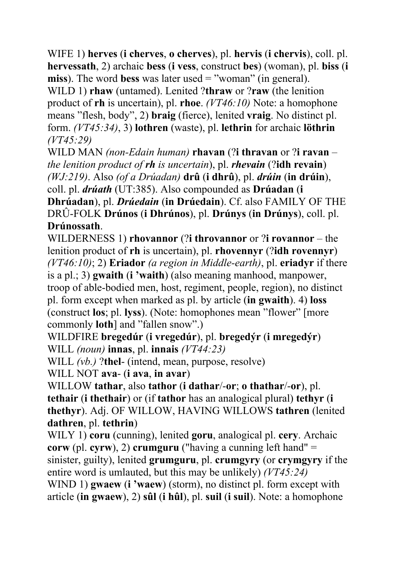WIFE 1) **herves** (**i cherves**, **o cherves**), pl. **hervis** (**i chervis**), coll. pl. **hervessath**, 2) archaic **bess** (**i vess**, construct **bes**) (woman), pl. **biss** (**i miss**). The word **bess** was later used = "woman" (in general).

WILD 1) **rhaw** (untamed). Lenited ?**thraw** or ?**raw** (the lenition product of **rh** is uncertain), pl. **rhoe**. *(VT46:10)* Note: a homophone means "flesh, body", 2) **braig** (fierce), lenited **vraig**. No distinct pl. form. *(VT45:34)*, 3) **lothren** (waste), pl. **lethrin** for archaic **löthrin** *(VT45:29)* 

WILD MAN *(non-Edain human)* **rhavan** (?**i thravan** or ?**i ravan** – *the lenition product of rh is uncertain*), pl. *rhevain* (?**idh revain**) *(WJ:219)*. Also *(of a Drúadan)* **drû** (**i dhrû**), pl. *drúin* (**in drúin**), coll. pl. *drúath* (UT:385). Also compounded as **Drúadan** (**i Dhrúadan**), pl. *Drúedain* (**in Drúedain**). Cf. also FAMILY OF THE DRÛ-FOLK **Drúnos** (**i Dhrúnos**), pl. **Drúnys** (**in Drúnys**), coll. pl. **Drúnossath**.

WILDERNESS 1) **rhovannor** (?**i throvannor** or ?**i rovannor** – the lenition product of **rh** is uncertain), pl. **rhovennyr** (?**idh rovennyr**) *(VT46:10)*; 2) **Eriador** *(a region in Middle-earth)*, pl. **eriadyr** if there is a pl.; 3) **gwaith** (**i 'waith**) (also meaning manhood, manpower, troop of able-bodied men, host, regiment, people, region), no distinct pl. form except when marked as pl. by article (**in gwaith**). 4) **loss** (construct **los**; pl. **lyss**). (Note: homophones mean "flower" [more commonly **loth**] and "fallen snow".)

WILDFIRE **bregedúr** (**i vregedúr**), pl. **bregedýr** (**i mregedýr**) WILL *(noun)* **innas**, pl. **innais** *(VT44:23)*

WILL *(vb.)* ?**thel**- (intend, mean, purpose, resolve)

WILL NOT **ava**- (**i ava**, **in avar**)

WILLOW **tathar**, also **tathor** (**i dathar**/-**or**; **o thathar**/-**or**), pl. **tethair** (**i thethair**) or (if **tathor** has an analogical plural) **tethyr** (**i thethyr**). Adj. OF WILLOW, HAVING WILLOWS **tathren** (lenited **dathren**, pl. **tethrin**)

WILY 1) **coru** (cunning), lenited **goru**, analogical pl. **cery**. Archaic **corw** (pl. **cyrw**), 2) **crumguru** ("having a cunning left hand" = sinister, guilty), lenited **grumguru**, pl. **crumgyry** (or **crymgyry** if the entire word is umlauted, but this may be unlikely) *(VT45:24)* WIND 1) **gwaew** (**i 'waew**) (storm), no distinct pl. form except with article (**in gwaew**), 2) **sûl** (**i hûl**), pl. **suil** (**i suil**). Note: a homophone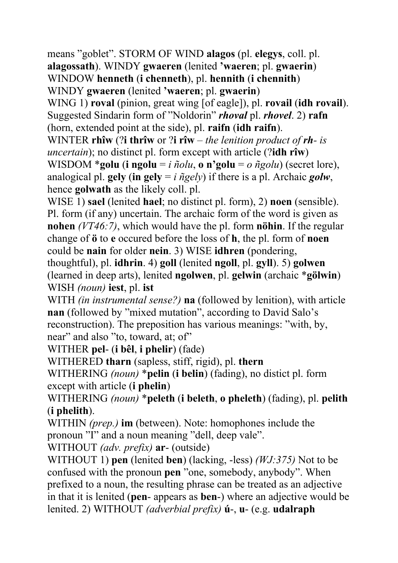means "goblet". STORM OF WIND **alagos** (pl. **elegys**, coll. pl. **alagossath**). WINDY **gwaeren** (lenited **'waeren**; pl. **gwaerin**) WINDOW **henneth** (**i chenneth**), pl. **hennith** (**i chennith**) WINDY **gwaeren** (lenited **'waeren**; pl. **gwaerin**) WING 1) **roval** (pinion, great wing [of eagle]), pl. **rovail** (**idh rovail**). Suggested Sindarin form of "Noldorin" *rhoval* pl. *rhovel*. 2) **rafn** (horn, extended point at the side), pl. **raifn** (**idh raifn**). WINTER **rhîw** (?**i thrîw** or ?**i rîw** – *the lenition product of rh- is uncertain*); no distinct pl. form except with article (?**idh rîw**) WISDOM \***golu** (**i ngolu** = *i ñolu*, **o n'golu** = *o ñgolu*) (secret lore), analogical pl. **gely** (in gely =  $i$   $\tilde{\eta}$ gely) if there is a pl. Archaic *golw*, hence **golwath** as the likely coll. pl. WISE 1) **sael** (lenited **hael**; no distinct pl. form), 2) **noen** (sensible). Pl. form (if any) uncertain. The archaic form of the word is given as **nohen** *(VT46:7)*, which would have the pl. form **nöhin**. If the regular change of **ö** to **e** occured before the loss of **h**, the pl. form of **noen** could be **nain** for older **nein**. 3) WISE **idhren** (pondering, thoughtful), pl. **idhrin**. 4) **goll** (lenited **ngoll**, pl. **gyll**). 5) **golwen** (learned in deep arts), lenited **ngolwen**, pl. **gelwin** (archaic \***gölwin**) WISH *(noun)* **iest**, pl. **ist** WITH *(in instrumental sense?)* **na** (followed by lenition), with article

**nan** (followed by "mixed mutation", according to David Salo's reconstruction). The preposition has various meanings: "with, by, near" and also "to, toward, at; of"

WITHER **pel**- (**i bêl**, **i phelir**) (fade)

WITHERED **tharn** (sapless, stiff, rigid), pl. **thern**

WITHERING *(noun)* \***pelin** (**i belin**) (fading), no distict pl. form except with article (**i phelin**)

WITHERING *(noun)* \***peleth** (**i beleth**, **o pheleth**) (fading), pl. **pelith** (**i phelith**).

WITHIN *(prep.)* **im** (between). Note: homophones include the pronoun "I" and a noun meaning "dell, deep vale".

WITHOUT *(adv. prefix)* **ar**- (outside)

WITHOUT 1) **pen** (lenited **ben**) (lacking, -less) *(WJ:375)* Not to be confused with the pronoun **pen** "one, somebody, anybody". When prefixed to a noun, the resulting phrase can be treated as an adjective in that it is lenited (**pen**- appears as **ben**-) where an adjective would be lenited. 2) WITHOUT *(adverbial prefix)* **ú**-, **u**- (e.g. **udalraph**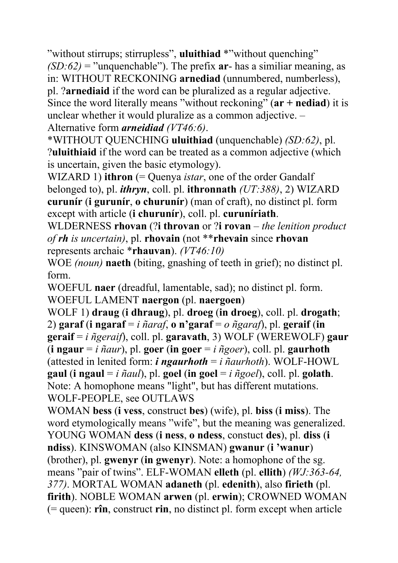"without stirrups; stirrupless", **uluithiad** \*"without quenching"  $(SD:62)$  = "unquenchable"). The prefix  $ar - has a similar meaning, as$ in: WITHOUT RECKONING **arnediad** (unnumbered, numberless), pl. ?**arnediaid** if the word can be pluralized as a regular adjective. Since the word literally means "without reckoning" (**ar + nediad**) it is unclear whether it would pluralize as a common adjective. – Alternative form *arneidiad (VT46:6)*.

\*WITHOUT QUENCHING **uluithiad** (unquenchable) *(SD:62)*, pl. ?**uluithiaid** if the word can be treated as a common adjective (which is uncertain, given the basic etymology).

WIZARD 1) **ithron** (= Quenya *istar*, one of the order Gandalf belonged to), pl. *ithryn*, coll. pl. **ithronnath** *(UT:388)*, 2) WIZARD **curunír** (**i gurunír**, **o churunír**) (man of craft), no distinct pl. form except with article (**i churunír**), coll. pl. **curuníriath**.

WLDERNESS **rhovan** (?**i throvan** or ?**i rovan** *– the lenition product of rh is uncertain)*, pl. **rhovain** (not \*\***rhevain** since **rhovan** represents archaic \***rhauvan**). *(VT46:10)* 

WOE *(noun)* **naeth** (biting, gnashing of teeth in grief); no distinct pl. form.

WOEFUL **naer** (dreadful, lamentable, sad); no distinct pl. form. WOEFUL LAMENT **naergon** (pl. **naergoen**)

WOLF 1) **draug** (**i dhraug**), pl. **droeg** (**in droeg**), coll. pl. **drogath**; 2) **garaf** (**i ngaraf** = *i ñaraf*, **o n'garaf** = *o ñgaraf*), pl. **geraif** (**in geraif** = *i ñgeraif*), coll. pl. **garavath**, 3) WOLF (WEREWOLF) **gaur** (**i ngaur** = *i ñaur*), pl. **goer** (**in goer** = *i ñgoer*), coll. pl. **gaurhoth** (attested in lenited form: *i* **ngaurhoth** = *i*  $\tilde{n}$ *aurhoth*). WOLF-HOWL **gaul** (**i** ngaul = *i*  $\tilde{n}$ *aul*), pl. goel (**in** goel = *i*  $\tilde{n}$ *goel*), coll. pl. golath. Note: A homophone means "light", but has different mutations. WOLF-PEOPLE, see OUTLAWS

WOMAN **bess** (**i vess**, construct **bes**) (wife), pl. **biss** (**i miss**). The word etymologically means "wife", but the meaning was generalized. YOUNG WOMAN **dess** (**i ness**, **o ndess**, constuct **des**), pl. **diss** (**i ndiss**). KINSWOMAN (also KINSMAN) **gwanur** (**i 'wanur**) (brother), pl. **gwenyr** (**in gwenyr**). Note: a homophone of the sg. means "pair of twins". ELF-WOMAN **elleth** (pl. **ellith**) *(WJ:363-64, 377)*. MORTAL WOMAN **adaneth** (pl. **edenith**), also **firieth** (pl. **firith**). NOBLE WOMAN **arwen** (pl. **erwin**); CROWNED WOMAN (= queen): **rîn**, construct **rin**, no distinct pl. form except when article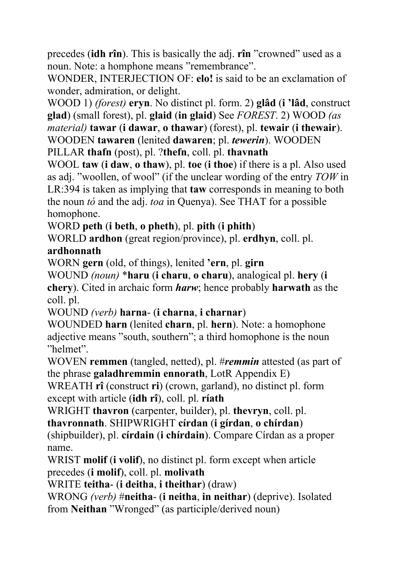precedes (**idh rîn**). This is basically the adj. **rîn** "crowned" used as a noun. Note: a homphone means "remembrance".

WONDER, INTERJECTION OF: **elo!** is said to be an exclamation of wonder, admiration, or delight.

WOOD 1) *(forest)* **eryn**. No distinct pl. form. 2) **glâd** (**i 'lâd**, construct **glad**) (small forest), pl. **glaid** (**in glaid**) See *FOREST*. 2) WOOD *(as material)* **tawar** (**i dawar**, **o thawar**) (forest), pl. **tewair** (**i thewair**). WOODEN **tawaren** (lenited **dawaren**; pl. *tewerin*). WOODEN

PILLAR **thafn** (post), pl. ?**thefn**, coll. pl. **thavnath**

WOOL **taw** (**i daw**, **o thaw**), pl. **toe** (**i thoe**) if there is a pl. Also used as adj. "woollen, of wool" (if the unclear wording of the entry *TOW* in LR:394 is taken as implying that **taw** corresponds in meaning to both the noun *tó* and the adj. *toa* in Quenya). See THAT for a possible homophone.

WORD **peth** (**i beth**, **o pheth**), pl. **pith** (**i phith**)

WORLD **ardhon** (great region/province), pl. **erdhyn**, coll. pl. **ardhonnath** 

WORN **gern** (old, of things), lenited **'ern**, pl. **girn** 

WOUND *(noun)* \***haru** (**i charu**, **o charu**), analogical pl. **hery** (**i chery**). Cited in archaic form *harw*; hence probably **harwath** as the coll. pl.

WOUND *(verb)* **harna**- (**i charna**, **i charnar**)

WOUNDED **harn** (lenited **charn**, pl. **hern**). Note: a homophone adjective means "south, southern"; a third homophone is the noun "helmet".

WOVEN **remmen** (tangled, netted), pl. #*remmin* attested (as part of the phrase **galadhremmin ennorath**, LotR Appendix E)

WREATH **rî** (construct **ri**) (crown, garland), no distinct pl. form except with article (**idh rî**), coll. pl. **ríath** 

WRIGHT **thavron** (carpenter, builder), pl. **thevryn**, coll. pl.

**thavronnath**. SHIPWRIGHT **círdan** (**i gírdan**, **o chírdan**)

(shipbuilder), pl. **círdain** (**i chírdain**). Compare Círdan as a proper name.

WRIST **molif** (**i volif**), no distinct pl. form except when article precedes (**i molif**), coll. pl. **molivath**

WRITE **teitha**- (**i deitha**, **i theithar**) (draw)

WRONG *(verb)* #**neitha**- (**i neitha**, **in neithar**) (deprive). Isolated from **Neithan** "Wronged" (as participle/derived noun)